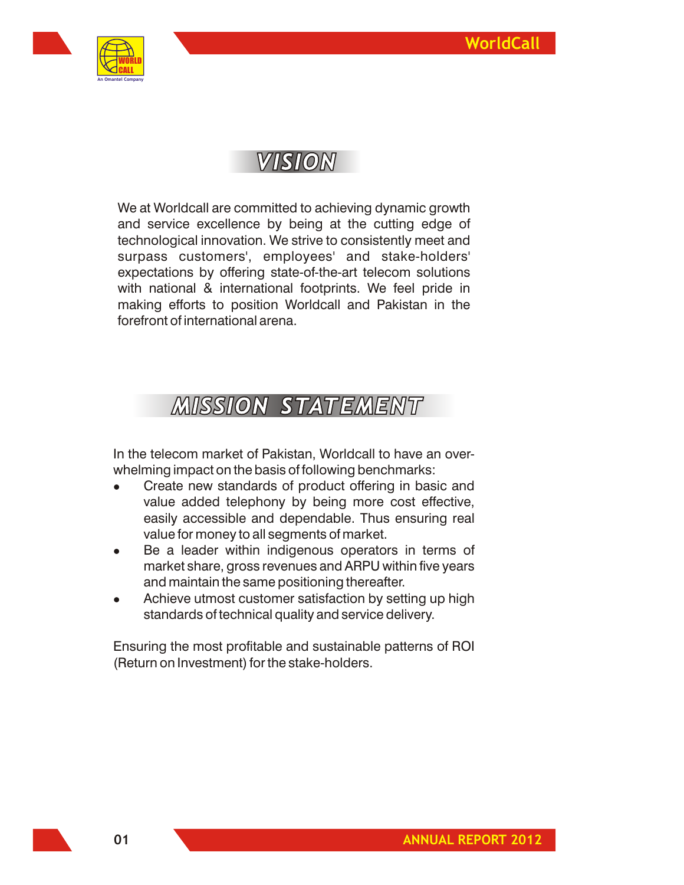



We at Worldcall are committed to achieving dynamic growth and service excellence by being at the cutting edge of technological innovation. We strive to consistently meet and surpass customers', employees' and stake-holders' expectations by offering state-of-the-art telecom solutions with national & international footprints. We feel pride in making efforts to position Worldcall and Pakistan in the forefront of international arena.

# **MISSION STATEMENT**

In the telecom market of Pakistan, Worldcall to have an overwhelming impact on the basis of following benchmarks:

- Create new standards of product offering in basic and value added telephony by being more cost effective, easily accessible and dependable. Thus ensuring real value for money to all segments of market.
- Be a leader within indigenous operators in terms of market share, gross revenues and ARPU within five years and maintain the same positioning thereafter.
- Achieve utmost customer satisfaction by setting up high standards of technical quality and service delivery.

Ensuring the most profitable and sustainable patterns of ROI (Return on Investment) for the stake-holders.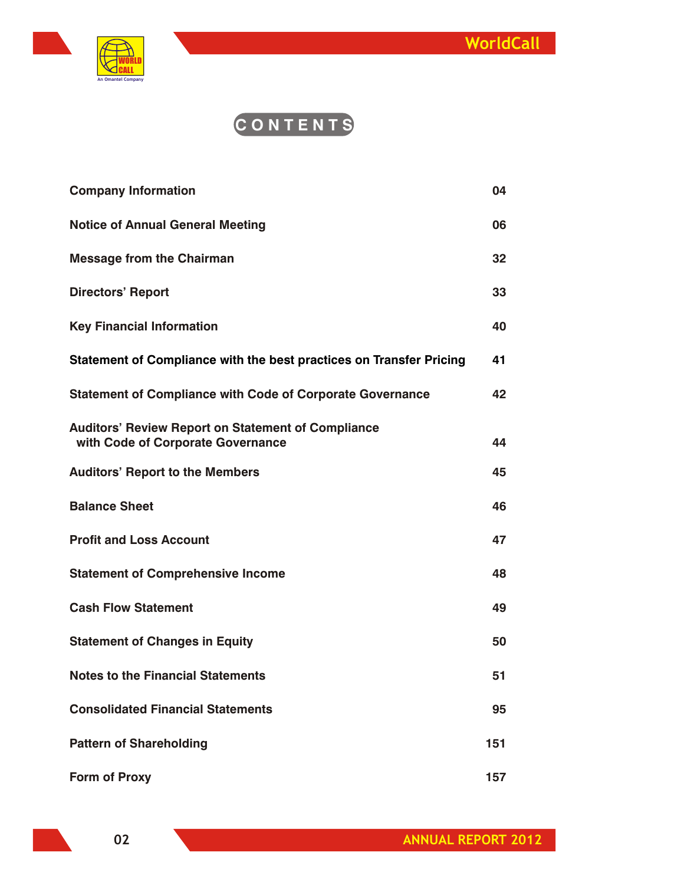



# **C O N T E N T S**

| <b>Company Information</b>                                                                     | 04  |
|------------------------------------------------------------------------------------------------|-----|
| <b>Notice of Annual General Meeting</b>                                                        | 06  |
| <b>Message from the Chairman</b>                                                               | 32  |
| <b>Directors' Report</b>                                                                       | 33  |
| <b>Key Financial Information</b>                                                               | 40  |
| Statement of Compliance with the best practices on Transfer Pricing                            | 41  |
| <b>Statement of Compliance with Code of Corporate Governance</b>                               | 42  |
| <b>Auditors' Review Report on Statement of Compliance</b><br>with Code of Corporate Governance | 44  |
| <b>Auditors' Report to the Members</b>                                                         | 45  |
| <b>Balance Sheet</b>                                                                           | 46  |
| <b>Profit and Loss Account</b>                                                                 | 47  |
| <b>Statement of Comprehensive Income</b>                                                       | 48  |
| <b>Cash Flow Statement</b>                                                                     | 49  |
| <b>Statement of Changes in Equity</b>                                                          | 50  |
| <b>Notes to the Financial Statements</b>                                                       | 51  |
| <b>Consolidated Financial Statements</b>                                                       | 95  |
| <b>Pattern of Shareholding</b>                                                                 | 151 |
| <b>Form of Proxy</b>                                                                           | 157 |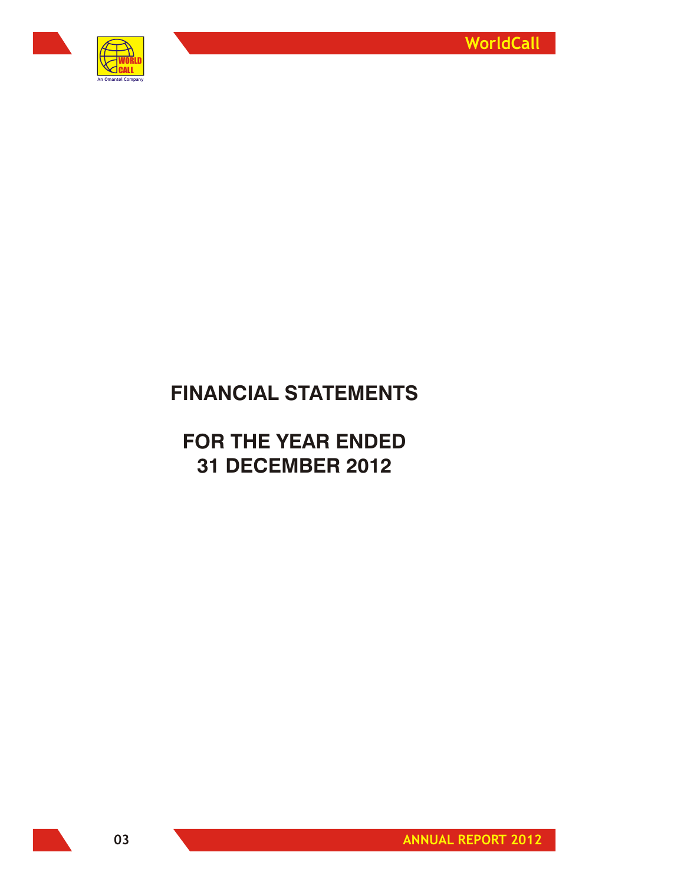

# **FINANCIAL STATEMENTS**

# **FOR THE YEAR ENDED 31 DECEMBER 2012**

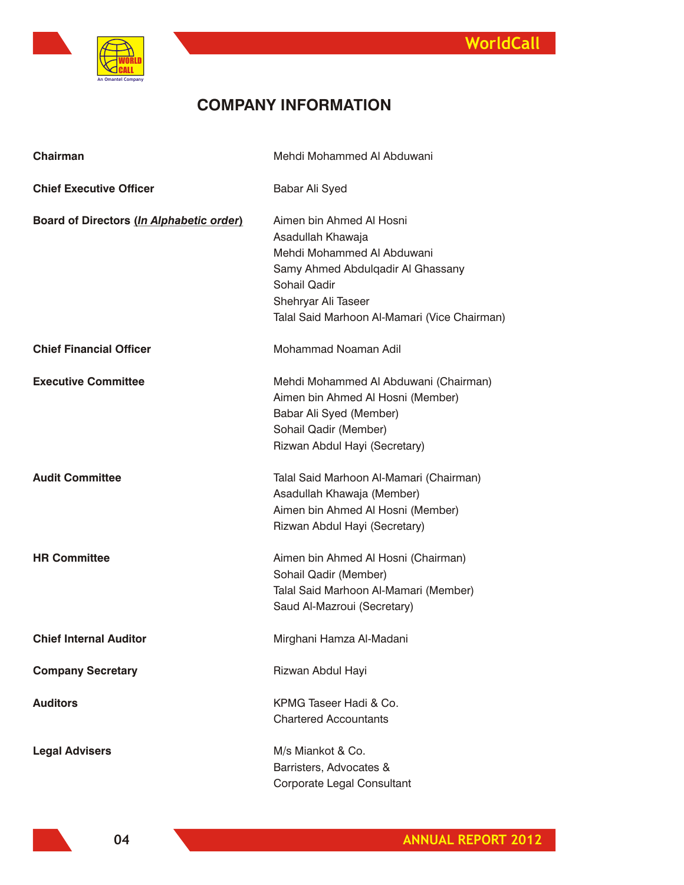

### **COMPANY INFORMATION**

| <b>Chairman</b>                          | Mehdi Mohammed Al Abduwani                                                                                                                                                                              |
|------------------------------------------|---------------------------------------------------------------------------------------------------------------------------------------------------------------------------------------------------------|
| <b>Chief Executive Officer</b>           | Babar Ali Syed                                                                                                                                                                                          |
| Board of Directors (In Alphabetic order) | Aimen bin Ahmed Al Hosni<br>Asadullah Khawaja<br>Mehdi Mohammed Al Abduwani<br>Samy Ahmed Abdulqadir Al Ghassany<br>Sohail Qadir<br>Shehryar Ali Taseer<br>Talal Said Marhoon Al-Mamari (Vice Chairman) |
| <b>Chief Financial Officer</b>           | Mohammad Noaman Adil                                                                                                                                                                                    |
| <b>Executive Committee</b>               | Mehdi Mohammed Al Abduwani (Chairman)<br>Aimen bin Ahmed Al Hosni (Member)<br>Babar Ali Syed (Member)<br>Sohail Qadir (Member)<br>Rizwan Abdul Hayi (Secretary)                                         |
| <b>Audit Committee</b>                   | Talal Said Marhoon Al-Mamari (Chairman)<br>Asadullah Khawaja (Member)<br>Aimen bin Ahmed Al Hosni (Member)<br>Rizwan Abdul Hayi (Secretary)                                                             |
| <b>HR Committee</b>                      | Aimen bin Ahmed Al Hosni (Chairman)<br>Sohail Qadir (Member)<br>Talal Said Marhoon Al-Mamari (Member)<br>Saud Al-Mazroui (Secretary)                                                                    |
| <b>Chief Internal Auditor</b>            | Mirghani Hamza Al-Madani                                                                                                                                                                                |
| <b>Company Secretary</b>                 | Rizwan Abdul Hayi                                                                                                                                                                                       |
| <b>Auditors</b>                          | KPMG Taseer Hadi & Co.<br><b>Chartered Accountants</b>                                                                                                                                                  |
| <b>Legal Advisers</b>                    | M/s Miankot & Co.<br>Barristers, Advocates &<br>Corporate Legal Consultant                                                                                                                              |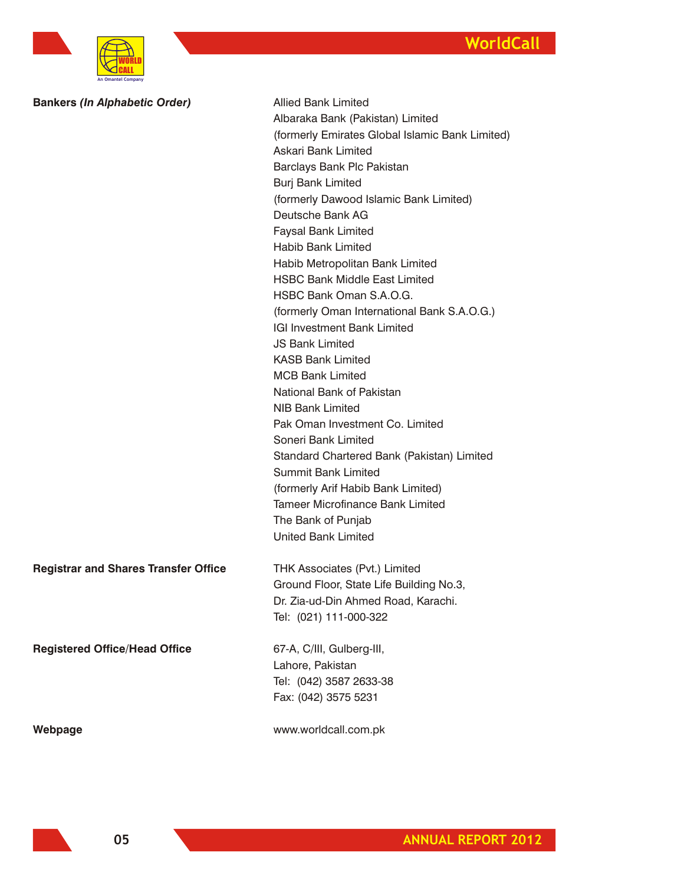

| <b>Bankers (In Alphabetic Order)</b>        | <b>Allied Bank Limited</b><br>Albaraka Bank (Pakistan) Limited<br>(formerly Emirates Global Islamic Bank Limited)<br>Askari Bank Limited<br>Barclays Bank Plc Pakistan<br><b>Burj Bank Limited</b><br>(formerly Dawood Islamic Bank Limited)<br>Deutsche Bank AG<br><b>Faysal Bank Limited</b><br><b>Habib Bank Limited</b><br>Habib Metropolitan Bank Limited<br><b>HSBC Bank Middle East Limited</b><br>HSBC Bank Oman S.A.O.G.<br>(formerly Oman International Bank S.A.O.G.)<br><b>IGI Investment Bank Limited</b><br><b>JS Bank Limited</b><br><b>KASB Bank Limited</b><br><b>MCB Bank Limited</b><br>National Bank of Pakistan<br><b>NIB Bank Limited</b><br>Pak Oman Investment Co. Limited<br>Soneri Bank Limited<br>Standard Chartered Bank (Pakistan) Limited<br><b>Summit Bank Limited</b><br>(formerly Arif Habib Bank Limited)<br>Tameer Microfinance Bank Limited<br>The Bank of Punjab<br><b>United Bank Limited</b> |
|---------------------------------------------|-------------------------------------------------------------------------------------------------------------------------------------------------------------------------------------------------------------------------------------------------------------------------------------------------------------------------------------------------------------------------------------------------------------------------------------------------------------------------------------------------------------------------------------------------------------------------------------------------------------------------------------------------------------------------------------------------------------------------------------------------------------------------------------------------------------------------------------------------------------------------------------------------------------------------------------|
| <b>Registrar and Shares Transfer Office</b> | THK Associates (Pvt.) Limited<br>Ground Floor, State Life Building No.3,<br>Dr. Zia-ud-Din Ahmed Road, Karachi.<br>Tel: (021) 111-000-322                                                                                                                                                                                                                                                                                                                                                                                                                                                                                                                                                                                                                                                                                                                                                                                           |
| <b>Registered Office/Head Office</b>        | 67-A, C/III, Gulberg-III,<br>Lahore, Pakistan<br>Tel: (042) 3587 2633-38<br>Fax: (042) 3575 5231                                                                                                                                                                                                                                                                                                                                                                                                                                                                                                                                                                                                                                                                                                                                                                                                                                    |
| Webpage                                     | www.worldcall.com.pk                                                                                                                                                                                                                                                                                                                                                                                                                                                                                                                                                                                                                                                                                                                                                                                                                                                                                                                |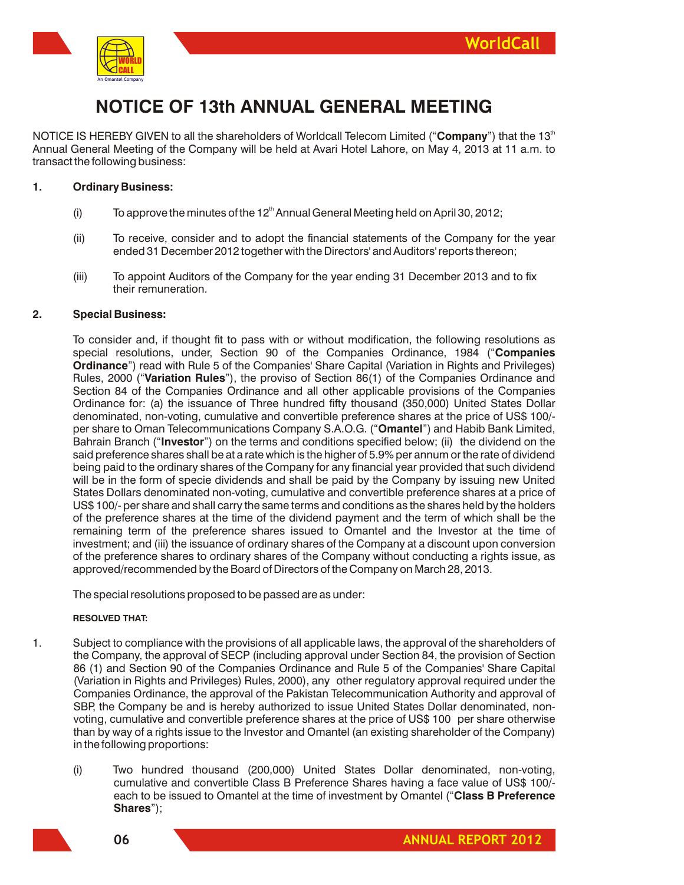

## **NOTICE OF 13th ANNUAL GENERAL MEETING**

NOTICE IS HEREBY GIVEN to all the shareholders of Worldcall Telecom Limited ("Company") that the 13<sup>th</sup> Annual General Meeting of the Company will be held at Avari Hotel Lahore, on May 4, 2013 at 11 a.m. to transact the following business:

#### **1. Ordinary Business:**

- (i) To approve the minutes of the 12<sup>th</sup> Annual General Meeting held on April 30, 2012;
- (ii) To receive, consider and to adopt the financial statements of the Company for the year ended 31 December 2012 together with the Directors' and Auditors' reports thereon;
- (iii) To appoint Auditors of the Company for the year ending 31 December 2013 and to fix their remuneration.

#### **2. Special Business:**

To consider and, if thought fit to pass with or without modification, the following resolutions as special resolutions, under, Section 90 of the Companies Ordinance, 1984 ("**Companies Ordinance**") read with Rule 5 of the Companies' Share Capital (Variation in Rights and Privileges) Rules, 2000 ("**Variation Rules**"), the proviso of Section 86(1) of the Companies Ordinance and Section 84 of the Companies Ordinance and all other applicable provisions of the Companies Ordinance for: (a) the issuance of Three hundred fifty thousand (350,000) United States Dollar denominated, non-voting, cumulative and convertible preference shares at the price of US\$ 100/ per share to Oman Telecommunications Company S.A.O.G. ("**Omantel**") and Habib Bank Limited, Bahrain Branch ("**Investor**") on the terms and conditions specified below; (ii) the dividend on the said preference shares shall be at a rate which is the higher of 5.9% per annum or the rate of dividend being paid to the ordinary shares of the Company for any financial year provided that such dividend will be in the form of specie dividends and shall be paid by the Company by issuing new United States Dollars denominated non-voting, cumulative and convertible preference shares at a price of US\$ 100/- per share and shall carry the same terms and conditions as the shares held by the holders of the preference shares at the time of the dividend payment and the term of which shall be the remaining term of the preference shares issued to Omantel and the Investor at the time of investment; and (iii) the issuance of ordinary shares of the Company at a discount upon conversion of the preference shares to ordinary shares of the Company without conducting a rights issue, as approved/recommended by the Board of Directors of the Company on March 28, 2013.

The special resolutions proposed to be passed are as under:

#### **RESOLVED THAT:**

- 1. Subject to compliance with the provisions of all applicable laws, the approval of the shareholders of the Company, the approval of SECP (including approval under Section 84, the provision of Section 86 (1) and Section 90 of the Companies Ordinance and Rule 5 of the Companies' Share Capital (Variation in Rights and Privileges) Rules, 2000), any other regulatory approval required under the Companies Ordinance, the approval of the Pakistan Telecommunication Authority and approval of SBP, the Company be and is hereby authorized to issue United States Dollar denominated, nonvoting, cumulative and convertible preference shares at the price of US\$ 100 per share otherwise than by way of a rights issue to the Investor and Omantel (an existing shareholder of the Company) in the following proportions:
	- (i) Two hundred thousand (200,000) United States Dollar denominated, non-voting, cumulative and convertible Class B Preference Shares having a face value of US\$ 100/ each to be issued to Omantel at the time of investment by Omantel ("**Class B Preference Shares**");

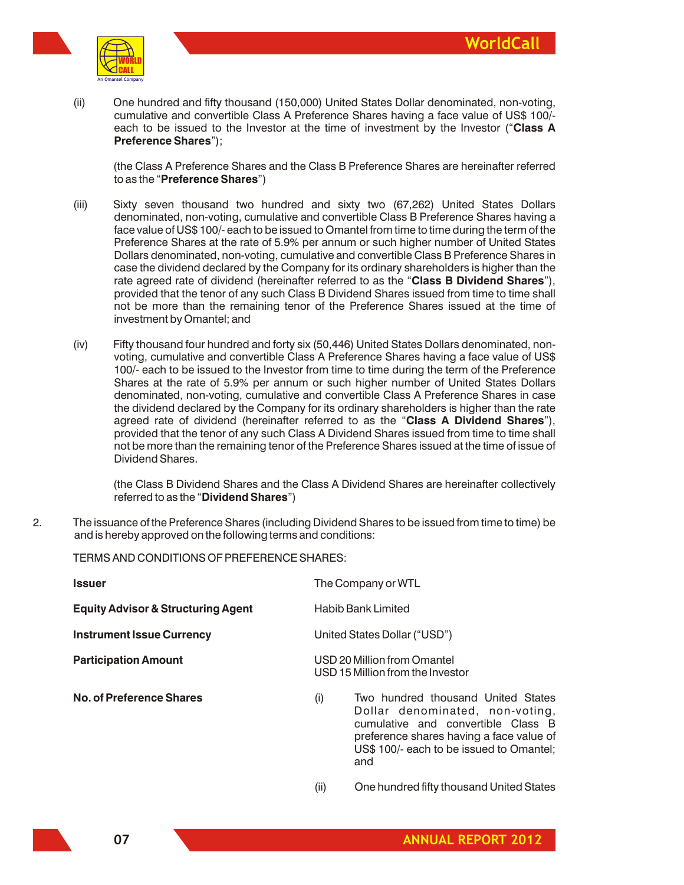

(ii) One hundred and fifty thousand (150,000) United States Dollar denominated, non-voting, cumulative and convertible Class A Preference Shares having a face value of US\$ 100/ each to be issued to the Investor at the time of investment by the Investor ("**Class A Preference Shares**");

(the Class A Preference Shares and the Class B Preference Shares are hereinafter referred to as the "**Preference Shares**")

- (iii) Sixty seven thousand two hundred and sixty two (67,262) United States Dollars denominated, non-voting, cumulative and convertible Class B Preference Shares having a face value of US\$ 100/- each to be issued to Omantel from time to time during the term of the Preference Shares at the rate of 5.9% per annum or such higher number of United States Dollars denominated, non-voting, cumulative and convertible Class B Preference Shares in case the dividend declared by the Company for its ordinary shareholders is higher than the rate agreed rate of dividend (hereinafter referred to as the "**Class B Dividend Shares**"), provided that the tenor of any such Class B Dividend Shares issued from time to time shall not be more than the remaining tenor of the Preference Shares issued at the time of investment by Omantel; and
- (iv) Fifty thousand four hundred and forty six (50,446) United States Dollars denominated, nonvoting, cumulative and convertible Class A Preference Shares having a face value of US\$ 100/- each to be issued to the Investor from time to time during the term of the Preference Shares at the rate of 5.9% per annum or such higher number of United States Dollars denominated, non-voting, cumulative and convertible Class A Preference Shares in case the dividend declared by the Company for its ordinary shareholders is higher than the rate agreed rate of dividend (hereinafter referred to as the "**Class A Dividend Shares**"), provided that the tenor of any such Class A Dividend Shares issued from time to time shall not be more than the remaining tenor of the Preference Shares issued at the time of issue of Dividend Shares.

(the Class B Dividend Shares and the Class A Dividend Shares are hereinafter collectively referred to as the "**Dividend Shares**")

2. The issuance of the Preference Shares (including Dividend Shares to be issued from time to time) be and is hereby approved on the following terms and conditions:

TERMS AND CONDITIONS OF PREFERENCE SHARES:

| <b>Issuer</b>                                 | The Company or WTL                                                                                                                                                                                                |  |  |
|-----------------------------------------------|-------------------------------------------------------------------------------------------------------------------------------------------------------------------------------------------------------------------|--|--|
| <b>Equity Advisor &amp; Structuring Agent</b> | <b>Habib Bank Limited</b>                                                                                                                                                                                         |  |  |
| <b>Instrument Issue Currency</b>              | United States Dollar ("USD")                                                                                                                                                                                      |  |  |
| <b>Participation Amount</b>                   | USD 20 Million from Omantel<br>USD 15 Million from the Investor                                                                                                                                                   |  |  |
| No. of Preference Shares                      | Two hundred thousand United States<br>(i)<br>Dollar denominated, non-voting,<br>cumulative and convertible Class B<br>preference shares having a face value of<br>US\$ 100/- each to be issued to Omantel;<br>and |  |  |

(ii) One hundred fifty thousand United States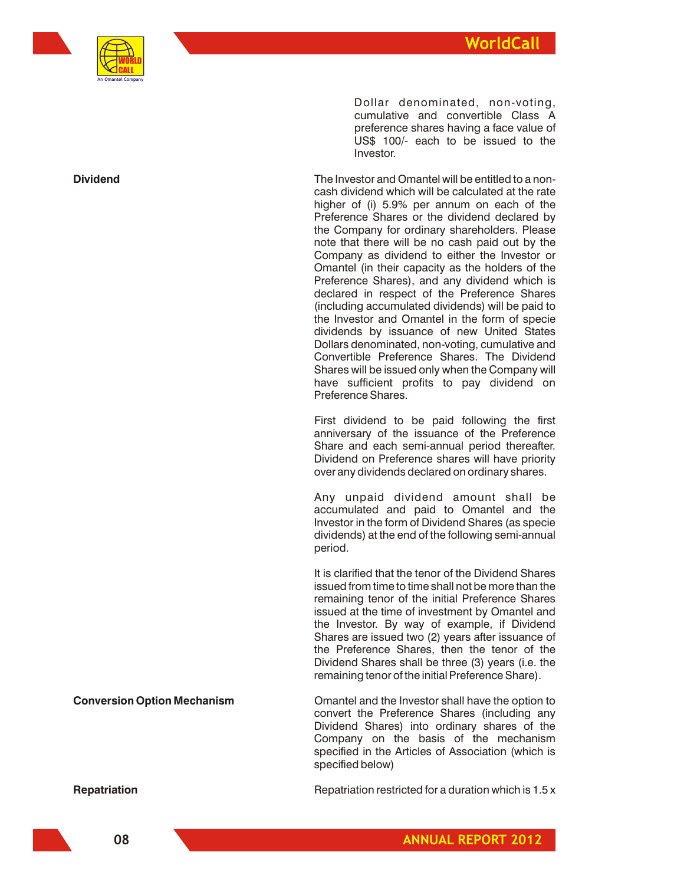

Dollar denominated, non-voting, cumulative and convertible Class A preference shares having a face value of US\$ 100/- each to be issued to the Investor.

**Dividend** The Investor and Omantel will be entitled to a noncash dividend which will be calculated at the rate higher of (i) 5.9% per annum on each of the Preference Shares or the dividend declared by the Company for ordinary shareholders. Please note that there will be no cash paid out by the Company as dividend to either the Investor or Omantel (in their capacity as the holders of the Preference Shares), and any dividend which is declared in respect of the Preference Shares (including accumulated dividends) will be paid to the Investor and Omantel in the form of specie dividends by issuance of new United States Dollars denominated, non-voting, cumulative and Convertible Preference Shares. The Dividend Shares will be issued only when the Company will have sufficient profits to pay dividend on Preference Shares.

> First dividend to be paid following the first anniversary of the issuance of the Preference Share and each semi-annual period thereafter. Dividend on Preference shares will have priority over any dividends declared on ordinary shares.

> Any unpaid dividend amount shall be accumulated and paid to Omantel and the Investor in the form of Dividend Shares (as specie dividends) at the end of the following semi-annual period.

> It is clarified that the tenor of the Dividend Shares issued from time to time shall not be more than the remaining tenor of the initial Preference Shares issued at the time of investment by Omantel and the Investor. By way of example, if Dividend Shares are issued two (2) years after issuance of the Preference Shares, then the tenor of the Dividend Shares shall be three (3) years (i.e. the remaining tenor of the initial Preference Share).

**Conversion Option Mechanism** Omantel and the Investor shall have the option to convert the Preference Shares (including any Dividend Shares) into ordinary shares of the Company on the basis of the mechanism specified in the Articles of Association (which is specified below)

**Repatriation** Repatriation restricted for a duration which is 1.5 x

**08**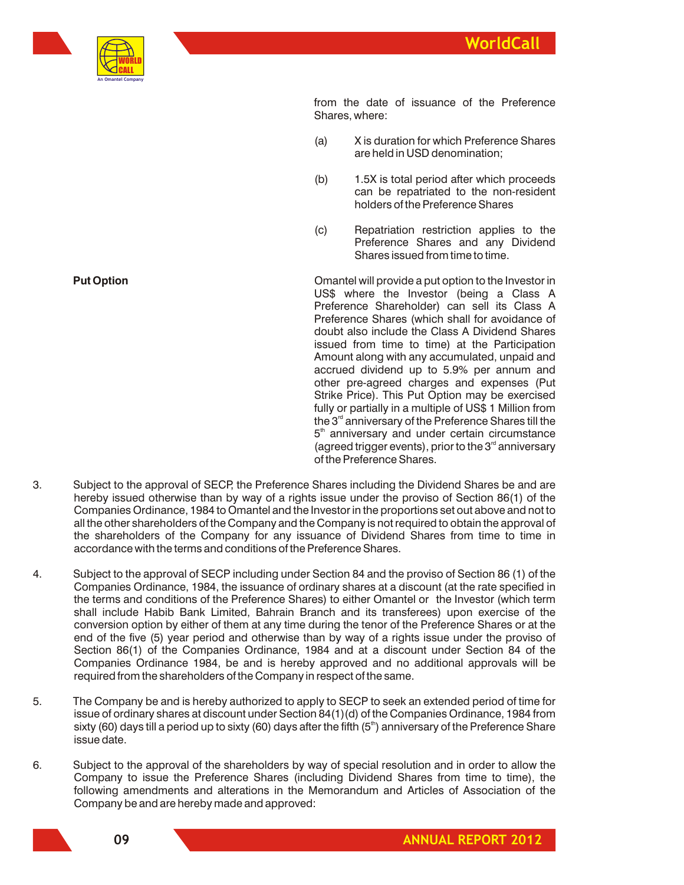

from the date of issuance of the Preference Shares, where:

- (a) X is duration for which Preference Shares are held in USD denomination;
- (b) 1.5X is total period after which proceeds can be repatriated to the non-resident holders of the Preference Shares
- (c) Repatriation restriction applies to the Preference Shares and any Dividend Shares issued from time to time.

**Put Option Put Option Omantel will provide a put option to the Investor in** US\$ where the Investor (being a Class A Preference Shareholder) can sell its Class A Preference Shares (which shall for avoidance of doubt also include the Class A Dividend Shares issued from time to time) at the Participation Amount along with any accumulated, unpaid and accrued dividend up to 5.9% per annum and other pre-agreed charges and expenses (Put Strike Price). This Put Option may be exercised fully or partially in a multiple of US\$ 1 Million from the  $3<sup>rd</sup>$  anniversary of the Preference Shares till the  $5<sup>th</sup>$  anniversary and under certain circumstance (agreed trigger events), prior to the  $3<sup>rd</sup>$  anniversary of the Preference Shares.

- 3. Subject to the approval of SECP, the Preference Shares including the Dividend Shares be and are hereby issued otherwise than by way of a rights issue under the proviso of Section 86(1) of the Companies Ordinance, 1984 to Omantel and the Investor in the proportions set out above and not to all the other shareholders of the Company and the Company is not required to obtain the approval of the shareholders of the Company for any issuance of Dividend Shares from time to time in accordance with the terms and conditions of the Preference Shares.
- 4. Subject to the approval of SECP including under Section 84 and the proviso of Section 86 (1) of the Companies Ordinance, 1984, the issuance of ordinary shares at a discount (at the rate specified in the terms and conditions of the Preference Shares) to either Omantel or the Investor (which term shall include Habib Bank Limited, Bahrain Branch and its transferees) upon exercise of the conversion option by either of them at any time during the tenor of the Preference Shares or at the end of the five (5) year period and otherwise than by way of a rights issue under the proviso of Section 86(1) of the Companies Ordinance, 1984 and at a discount under Section 84 of the Companies Ordinance 1984, be and is hereby approved and no additional approvals will be required from the shareholders of the Company in respect of the same.
- 5. The Company be and is hereby authorized to apply to SECP to seek an extended period of time for issue of ordinary shares at discount under Section 84(1)(d) of the Companies Ordinance, 1984 from sixty (60) days till a period up to sixty (60) days after the fifth ( $5$ ") anniversary of the Preference Share issue date.
- 6. Subject to the approval of the shareholders by way of special resolution and in order to allow the Company to issue the Preference Shares (including Dividend Shares from time to time), the following amendments and alterations in the Memorandum and Articles of Association of the Company be and are hereby made and approved:



**09**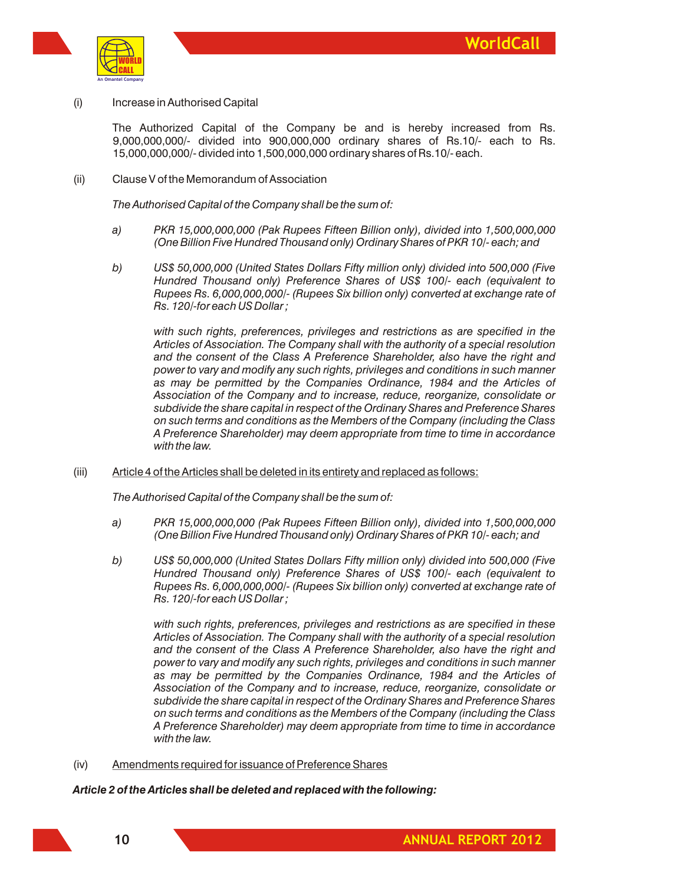

#### (i) Increase in Authorised Capital

The Authorized Capital of the Company be and is hereby increased from Rs. 9,000,000,000/- divided into 900,000,000 ordinary shares of Rs.10/- each to Rs. 15,000,000,000/- divided into 1,500,000,000 ordinary shares of Rs.10/- each.

(ii) Clause V of the Memorandum of Association

*The Authorised Capital of the Company shall be the sum of:*

- *a) PKR 15,000,000,000 (Pak Rupees Fifteen Billion only), divided into 1,500,000,000 (One Billion Five Hundred Thousand only) Ordinary Shares of PKR 10/- each; and*
- *b) US\$ 50,000,000 (United States Dollars Fifty million only) divided into 500,000 (Five Hundred Thousand only) Preference Shares of US\$ 100/- each (equivalent to Rupees Rs. 6,000,000,000/- (Rupees Six billion only) converted at exchange rate of Rs. 120/-for each US Dollar ;*

*with such rights, preferences, privileges and restrictions as are specified in the Articles of Association. The Company shall with the authority of a special resolution and the consent of the Class A Preference Shareholder, also have the right and power to vary and modify any such rights, privileges and conditions in such manner as may be permitted by the Companies Ordinance, 1984 and the Articles of Association of the Company and to increase, reduce, reorganize, consolidate or subdivide the share capital in respect of the Ordinary Shares and Preference Shares on such terms and conditions as the Members of the Company (including the Class A Preference Shareholder) may deem appropriate from time to time in accordance with the law.*

(iii) Article 4 of the Articles shall be deleted in its entirety and replaced as follows:

*The Authorised Capital of the Company shall be the sum of:*

- *a) PKR 15,000,000,000 (Pak Rupees Fifteen Billion only), divided into 1,500,000,000 (One Billion Five Hundred Thousand only) Ordinary Shares of PKR 10/- each; and*
- *b) US\$ 50,000,000 (United States Dollars Fifty million only) divided into 500,000 (Five Hundred Thousand only) Preference Shares of US\$ 100/- each (equivalent to Rupees Rs. 6,000,000,000/- (Rupees Six billion only) converted at exchange rate of Rs. 120/-for each US Dollar ;*

*with such rights, preferences, privileges and restrictions as are specified in these Articles of Association. The Company shall with the authority of a special resolution and the consent of the Class A Preference Shareholder, also have the right and power to vary and modify any such rights, privileges and conditions in such manner as may be permitted by the Companies Ordinance, 1984 and the Articles of Association of the Company and to increase, reduce, reorganize, consolidate or subdivide the share capital in respect of the Ordinary Shares and Preference Shares on such terms and conditions as the Members of the Company (including the Class A Preference Shareholder) may deem appropriate from time to time in accordance with the law.*

(iv) Amendments required for issuance of Preference Shares

#### *Article 2 of the Articles shall be deleted and replaced with the following:*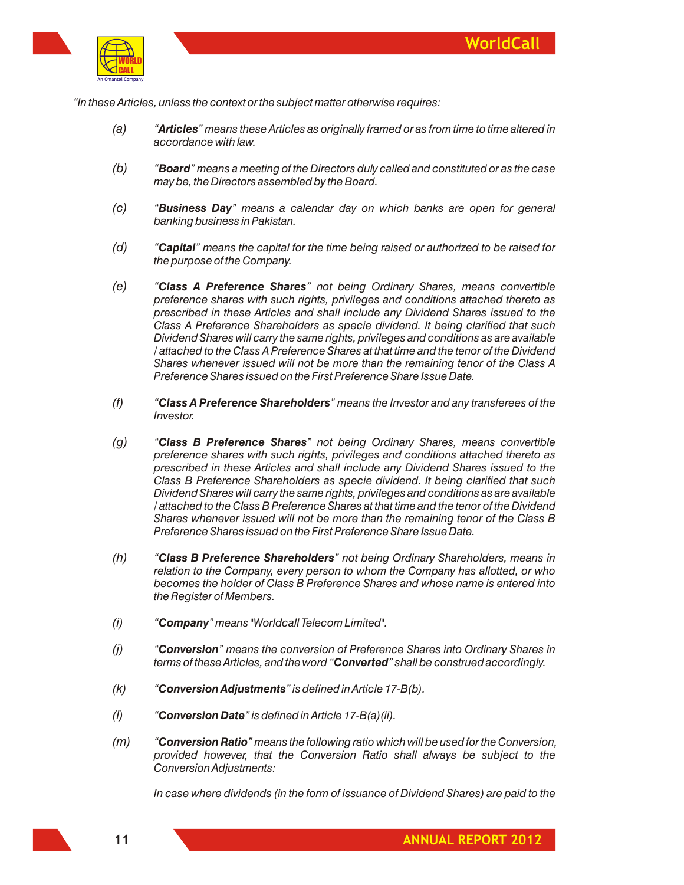

*"In these Articles, unless the context or the subject matter otherwise requires:*

- *(a) "Articles" means these Articles as originally framed or as from time to time altered in accordance with law.*
- *(b) "Board" means a meeting of the Directors duly called and constituted or as the case may be, the Directors assembled by the Board.*
- *(c) "Business Day" means a calendar day on which banks are open for general banking business in Pakistan.*
- *(d) "Capital" means the capital for the time being raised or authorized to be raised for the purpose of the Company.*
- *(e) "Class A Preference Shares" not being Ordinary Shares, means convertible preference shares with such rights, privileges and conditions attached thereto as prescribed in these Articles and shall include any Dividend Shares issued to the Class A Preference Shareholders as specie dividend. It being clarified that such Dividend Shares will carry the same rights, privileges and conditions as are available / attached to the Class A Preference Shares at that time and the tenor of the Dividend Shares whenever issued will not be more than the remaining tenor of the Class A Preference Shares issued on the First Preference Share Issue Date.*
- *(f) "Class A Preference Shareholders" means the Investor and any transferees of the Investor.*
- *(g) "Class B Preference Shares" not being Ordinary Shares, means convertible preference shares with such rights, privileges and conditions attached thereto as prescribed in these Articles and shall include any Dividend Shares issued to the Class B Preference Shareholders as specie dividend. It being clarified that such Dividend Shares will carry the same rights, privileges and conditions as are available / attached to the Class B Preference Shares at that time and the tenor of the Dividend Shares whenever issued will not be more than the remaining tenor of the Class B Preference Shares issued on the First Preference Share Issue Date.*
- *(h) "Class B Preference Shareholders" not being Ordinary Shareholders, means in relation to the Company, every person to whom the Company has allotted, or who becomes the holder of Class B Preference Shares and whose name is entered into the Register of Members.*
- *(i) "Company" means "Worldcall Telecom Limited".*
- *(j) "Conversion" means the conversion of Preference Shares into Ordinary Shares in terms of these Articles, and the word "Converted" shall be construed accordingly.*
- *(k) "Conversion Adjustments" is defined in Article 17-B(b).*
- *(l) "Conversion Date" is defined in Article 17-B(a)(ii).*
- *(m) "Conversion Ratio" means the following ratio which will be used for the Conversion, provided however, that the Conversion Ratio shall always be subject to the Conversion Adjustments:*

*In case where dividends (in the form of issuance of Dividend Shares) are paid to the*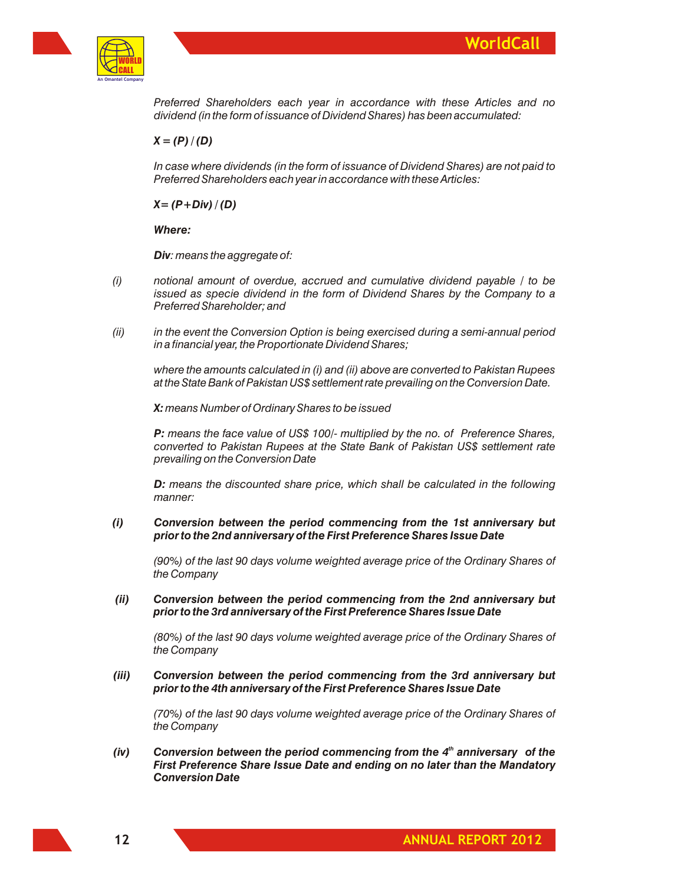

*Preferred Shareholders each year in accordance with these Articles and no dividend (in the form of issuance of Dividend Shares) has been accumulated:*

*X = (P) / (D)*

*In case where dividends (in the form of issuance of Dividend Shares) are not paid to Preferred Shareholders each year in accordance with these Articles:*

*X= (P+Div) / (D)*

*Where:*

*Div: means the aggregate of:* 

- *(i) notional amount of overdue, accrued and cumulative dividend payable / to be issued as specie dividend in the form of Dividend Shares by the Company to a Preferred Shareholder; and*
- *(ii) in the event the Conversion Option is being exercised during a semi-annual period in a financial year, the Proportionate Dividend Shares;*

*where the amounts calculated in (i) and (ii) above are converted to Pakistan Rupees at the State Bank of Pakistan US\$ settlement rate prevailing on the Conversion Date.* 

*X: means Number of Ordinary Shares to be issued*

*P: means the face value of US\$ 100/- multiplied by the no. of Preference Shares, converted to Pakistan Rupees at the State Bank of Pakistan US\$ settlement rate prevailing on the Conversion Date* 

*D: means the discounted share price, which shall be calculated in the following manner:*

*(i) Conversion between the period commencing from the 1st anniversary but prior to the 2nd anniversary of the First Preference Shares Issue Date*

*(90%) of the last 90 days volume weighted average price of the Ordinary Shares of the Company* 

*(ii) Conversion between the period commencing from the 2nd anniversary but prior to the 3rd anniversary of the First Preference Shares Issue Date* 

*(80%) of the last 90 days volume weighted average price of the Ordinary Shares of the Company*

*(iii) Conversion between the period commencing from the 3rd anniversary but prior to the 4th anniversary of the First Preference Shares Issue Date* 

*(70%) of the last 90 days volume weighted average price of the Ordinary Shares of the Company*

 $(iv)$  Conversion between the period commencing from the  $4<sup>th</sup>$  anniversary of the *First Preference Share Issue Date and ending on no later than the Mandatory Conversion Date*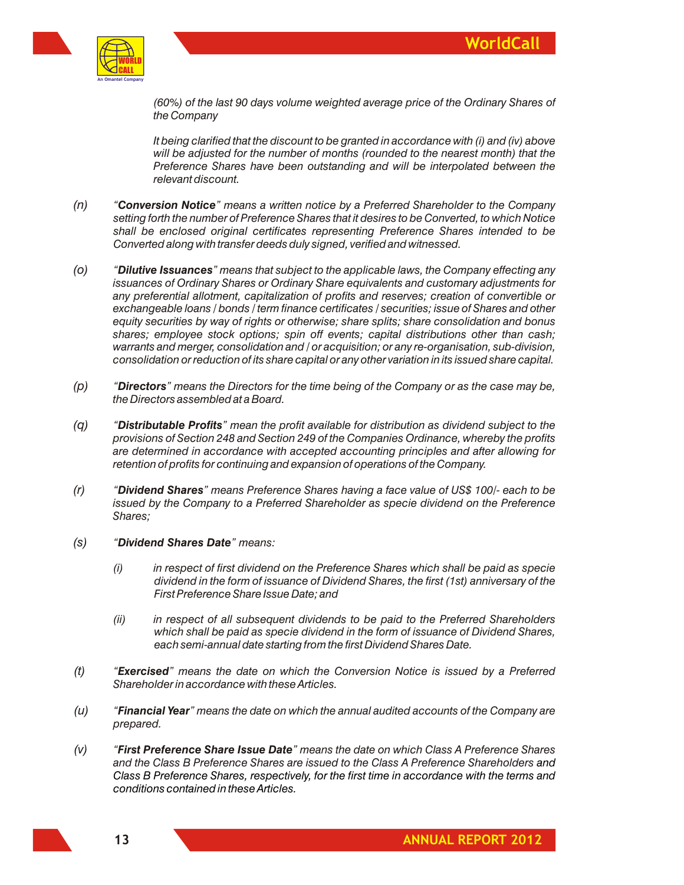

*(60%) of the last 90 days volume weighted average price of the Ordinary Shares of the Company*

*It being clarified that the discount to be granted in accordance with (i) and (iv) above will be adjusted for the number of months (rounded to the nearest month) that the Preference Shares have been outstanding and will be interpolated between the relevant discount.*

- *(n) "Conversion Notice" means a written notice by a Preferred Shareholder to the Company setting forth the number of Preference Shares that it desires to be Converted, to which Notice shall be enclosed original certificates representing Preference Shares intended to be Converted along with transfer deeds duly signed, verified and witnessed.*
- *(o) "Dilutive Issuances" means that subject to the applicable laws, the Company effecting any issuances of Ordinary Shares or Ordinary Share equivalents and customary adjustments for any preferential allotment, capitalization of profits and reserves; creation of convertible or exchangeable loans / bonds / term finance certificates / securities; issue of Shares and other equity securities by way of rights or otherwise; share splits; share consolidation and bonus shares; employee stock options; spin off events; capital distributions other than cash; warrants and merger, consolidation and / or acquisition; or any re-organisation, sub-division, consolidation or reduction of its share capital or any other variation in its issued share capital.*
- *(p) "Directors" means the Directors for the time being of the Company or as the case may be, the Directors assembled at a Board.*
- *(q) "Distributable Profits" mean the profit available for distribution as dividend subject to the provisions of Section 248 and Section 249 of the Companies Ordinance, whereby the profits are determined in accordance with accepted accounting principles and after allowing for retention of profits for continuing and expansion of operations of the Company.*
- *(r) "Dividend Shares" means Preference Shares having a face value of US\$ 100/- each to be issued by the Company to a Preferred Shareholder as specie dividend on the Preference Shares;*
- *(s) "Dividend Shares Date" means:*
	- *(i) in respect of first dividend on the Preference Shares which shall be paid as specie dividend in the form of issuance of Dividend Shares, the first (1st) anniversary of the First Preference Share Issue Date; and*
	- *(ii) in respect of all subsequent dividends to be paid to the Preferred Shareholders which shall be paid as specie dividend in the form of issuance of Dividend Shares, each semi-annual date starting from the first Dividend Shares Date.*
- *(t) "Exercised" means the date on which the Conversion Notice is issued by a Preferred Shareholder in accordance with these Articles.*
- *(u) "Financial Year" means the date on which the annual audited accounts of the Company are prepared.*
- *(v) "First Preference Share Issue Date" means the date on which Class A Preference Shares and the Class B Preference Shares are issued to the Class A Preference Shareholders and Class B Preference Shares, respectively, for the first time in accordance with the terms and conditions contained in these Articles.*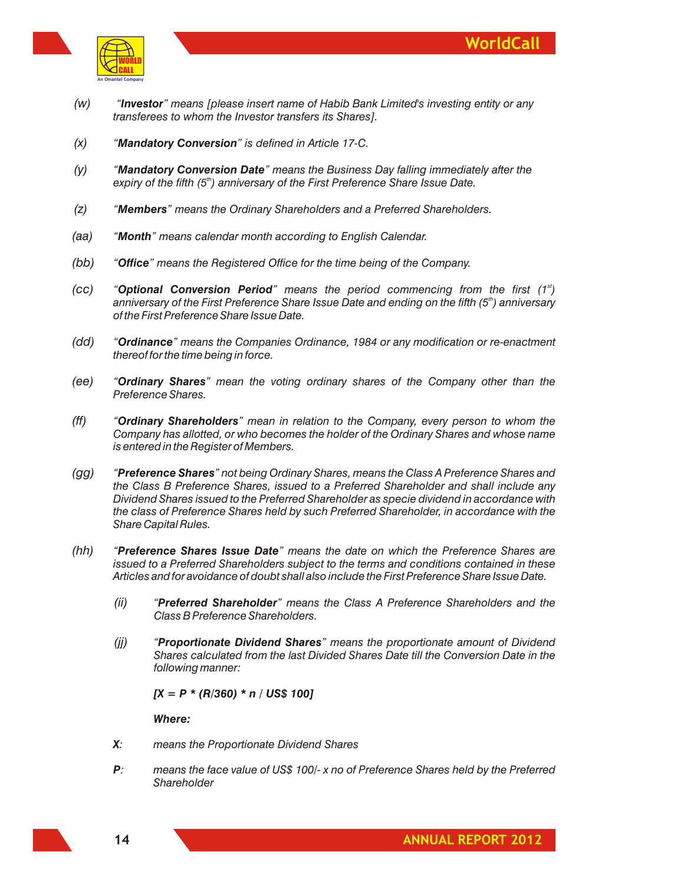

- *(w) "Investor" means [please insert name of Habib Bank Limited's investing entity or any transferees to whom the Investor transfers its Shares].*
- *(x) "Mandatory Conversion" is defined in Article 17-C.*
- *(y) "Mandatory Conversion Date" means the Business Day falling immediately after the expiry of the fifth (5<sup>th</sup>) anniversary of the First Preference Share Issue Date.*
- *(z) "Members" means the Ordinary Shareholders and a Preferred Shareholders.*
- *(aa) "Month" means calendar month according to English Calendar.*
- *(bb) "Office" means the Registered Office for the time being of the Company.*
- *(cc) "Optional Conversion Period" means the period commencing from the first (1<sup>st</sup>) th anniversary of the First Preference Share Issue Date and ending on the fifth (5 ) anniversary of the First Preference Share Issue Date.*
- *(dd) "Ordinance" means the Companies Ordinance, 1984 or any modification or re-enactment thereof for the time being in force.*
- *(ee) "Ordinary Shares" mean the voting ordinary shares of the Company other than the Preference Shares.*
- *(ff) "Ordinary Shareholders" mean in relation to the Company, every person to whom the Company has allotted, or who becomes the holder of the Ordinary Shares and whose name is entered in the Register of Members.*
- *(gg) "Preference Shares" not being Ordinary Shares, means the Class A Preference Shares and the Class B Preference Shares, issued to a Preferred Shareholder and shall include any Dividend Shares issued to the Preferred Shareholder as specie dividend in accordance with the class of Preference Shares held by such Preferred Shareholder, in accordance with the Share Capital Rules.*
- *(hh) "Preference Shares Issue Date" means the date on which the Preference Shares are issued to a Preferred Shareholders subject to the terms and conditions contained in these Articles and for avoidance of doubt shall also include the First Preference Share Issue Date.* 
	- *(ii) "Preferred Shareholder" means the Class A Preference Shareholders and the Class B Preference Shareholders.*
	- *(jj) "Proportionate Dividend Shares" means the proportionate amount of Dividend Shares calculated from the last Divided Shares Date till the Conversion Date in the following manner:*

*[X = P \* (R/360) \* n / US\$ 100]*

*Where:*

- *X: means the Proportionate Dividend Shares*
- *P: means the face value of US\$ 100/- x no of Preference Shares held by the Preferred Shareholder*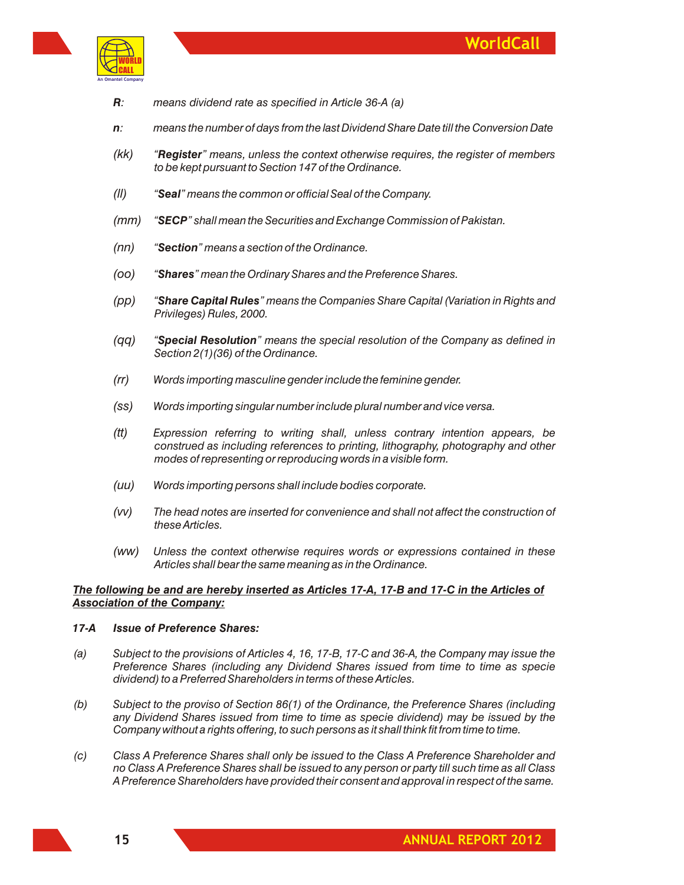

- *R: means dividend rate as specified in Article 36-A (a)*
- *n: means the number of days from the last Dividend Share Date till the Conversion Date*
- *(kk) "Register" means, unless the context otherwise requires, the register of members to be kept pursuant to Section 147 of the Ordinance.*
- *(ll) "Seal" means the common or official Seal of the Company.*
- *(mm) "SECP" shall mean the Securities and Exchange Commission of Pakistan.*
- *(nn) "Section" means a section of the Ordinance.*
- *(oo) "Shares" mean the Ordinary Shares and the Preference Shares.*
- *(pp) "Share Capital Rules" means the Companies Share Capital (Variation in Rights and Privileges) Rules, 2000.*
- *(qq) "Special Resolution" means the special resolution of the Company as defined in Section 2(1)(36) of the Ordinance.*
- *(rr) Words importing masculine gender include the feminine gender.*
- *(ss) Words importing singular number include plural number and vice versa.*
- *(tt) Expression referring to writing shall, unless contrary intention appears, be construed as including references to printing, lithography, photography and other modes of representing or reproducing words in a visible form.*
- *(uu) Words importing persons shall include bodies corporate.*
- *(vv) The head notes are inserted for convenience and shall not affect the construction of these Articles.*
- *(ww) Unless the context otherwise requires words or expressions contained in these Articles shall bear the same meaning as in the Ordinance.*

#### *The following be and are hereby inserted as Articles 17-A, 17-B and 17-C in the Articles of Association of the Company:*

#### *17-A Issue of Preference Shares:*

- *(a) Subject to the provisions of Articles 4, 16, 17-B, 17-C and 36-A, the Company may issue the Preference Shares (including any Dividend Shares issued from time to time as specie dividend) to a Preferred Shareholders in terms of these Articles.*
- *(b) Subject to the proviso of Section 86(1) of the Ordinance, the Preference Shares (including any Dividend Shares issued from time to time as specie dividend) may be issued by the Company without a rights offering, to such persons as it shall think fit from time to time.*
- *(c) Class A Preference Shares shall only be issued to the Class A Preference Shareholder and no Class A Preference Shares shall be issued to any person or party till such time as all Class A Preference Shareholders have provided their consent and approval in respect of the same.*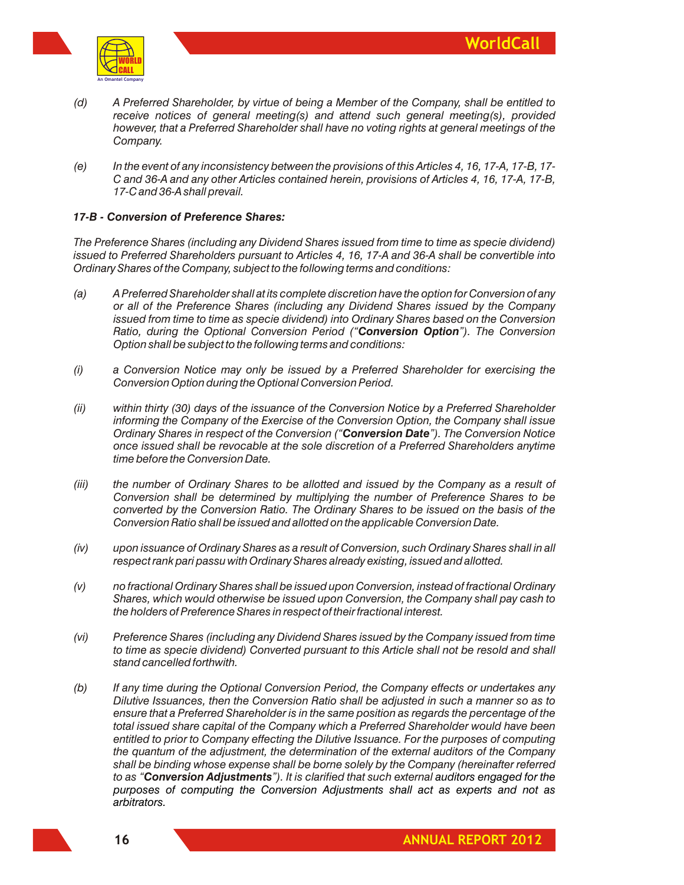

- *(d) A Preferred Shareholder, by virtue of being a Member of the Company, shall be entitled to receive notices of general meeting(s) and attend such general meeting(s), provided however, that a Preferred Shareholder shall have no voting rights at general meetings of the Company.*
- *(e) In the event of any inconsistency between the provisions of this Articles 4, 16, 17-A, 17-B, 17- C and 36-A and any other Articles contained herein, provisions of Articles 4, 16, 17-A, 17-B, 17-C and 36-A shall prevail.*

#### *17-B - Conversion of Preference Shares:*

*The Preference Shares (including any Dividend Shares issued from time to time as specie dividend) issued to Preferred Shareholders pursuant to Articles 4, 16, 17-A and 36-A shall be convertible into Ordinary Shares of the Company, subject to the following terms and conditions:*

- *(a) A Preferred Shareholder shall at its complete discretion have the option for Conversion of any or all of the Preference Shares (including any Dividend Shares issued by the Company issued from time to time as specie dividend) into Ordinary Shares based on the Conversion Ratio, during the Optional Conversion Period ("Conversion Option"). The Conversion Option shall be subject to the following terms and conditions:*
- *(i) a Conversion Notice may only be issued by a Preferred Shareholder for exercising the Conversion Option during the Optional Conversion Period.*
- *(ii) within thirty (30) days of the issuance of the Conversion Notice by a Preferred Shareholder informing the Company of the Exercise of the Conversion Option, the Company shall issue Ordinary Shares in respect of the Conversion ("Conversion Date"). The Conversion Notice once issued shall be revocable at the sole discretion of a Preferred Shareholders anytime time before the Conversion Date.*
- *(iii) the number of Ordinary Shares to be allotted and issued by the Company as a result of Conversion shall be determined by multiplying the number of Preference Shares to be converted by the Conversion Ratio. The Ordinary Shares to be issued on the basis of the Conversion Ratio shall be issued and allotted on the applicable Conversion Date.*
- *(iv) upon issuance of Ordinary Shares as a result of Conversion, such Ordinary Shares shall in all respect rank pari passu with Ordinary Shares already existing, issued and allotted.*
- *(v) no fractional Ordinary Shares shall be issued upon Conversion, instead of fractional Ordinary Shares, which would otherwise be issued upon Conversion, the Company shall pay cash to the holders of Preference Shares in respect of their fractional interest.*
- *(vi) Preference Shares (including any Dividend Shares issued by the Company issued from time to time as specie dividend) Converted pursuant to this Article shall not be resold and shall stand cancelled forthwith.*
- *(b) If any time during the Optional Conversion Period, the Company effects or undertakes any Dilutive Issuances, then the Conversion Ratio shall be adjusted in such a manner so as to ensure that a Preferred Shareholder is in the same position as regards the percentage of the total issued share capital of the Company which a Preferred Shareholder would have been entitled to prior to Company effecting the Dilutive Issuance. For the purposes of computing the quantum of the adjustment, the determination of the external auditors of the Company shall be binding whose expense shall be borne solely by the Company (hereinafter referred to as "Conversion Adjustments"). It is clarified that such external auditors engaged for the purposes of computing the Conversion Adjustments shall act as experts and not as arbitrators.*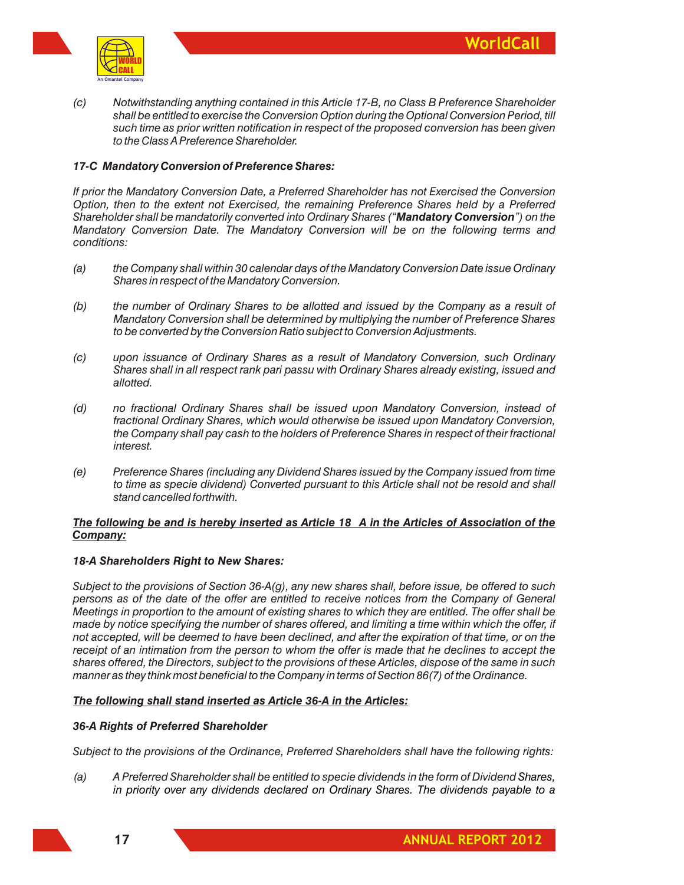

*(c) Notwithstanding anything contained in this Article 17-B, no Class B Preference Shareholder shall be entitled to exercise the Conversion Option during the Optional Conversion Period, till such time as prior written notification in respect of the proposed conversion has been given to the Class A Preference Shareholder.* 

#### *17-C Mandatory Conversion of Preference Shares:*

*If prior the Mandatory Conversion Date, a Preferred Shareholder has not Exercised the Conversion Option, then to the extent not Exercised, the remaining Preference Shares held by a Preferred Shareholder shall be mandatorily converted into Ordinary Shares ("Mandatory Conversion") on the Mandatory Conversion Date. The Mandatory Conversion will be on the following terms and conditions:*

- *(a) the Company shall within 30 calendar days of the Mandatory Conversion Date issue Ordinary Shares in respect of the Mandatory Conversion.*
- *(b) the number of Ordinary Shares to be allotted and issued by the Company as a result of Mandatory Conversion shall be determined by multiplying the number of Preference Shares to be converted by the Conversion Ratio subject to Conversion Adjustments.*
- *(c) upon issuance of Ordinary Shares as a result of Mandatory Conversion, such Ordinary Shares shall in all respect rank pari passu with Ordinary Shares already existing, issued and allotted.*
- *(d) no fractional Ordinary Shares shall be issued upon Mandatory Conversion, instead of fractional Ordinary Shares, which would otherwise be issued upon Mandatory Conversion, the Company shall pay cash to the holders of Preference Shares in respect of their fractional interest.*
- *(e) Preference Shares (including any Dividend Shares issued by the Company issued from time*  to time as specie dividend) Converted pursuant to this Article shall not be resold and shall *stand cancelled forthwith.*

#### *The following be and is hereby inserted as Article 18 A in the Articles of Association of the Company:*

#### *18-A Shareholders Right to New Shares:*

*Subject to the provisions of Section 36-A(g), any new shares shall, before issue, be offered to such persons as of the date of the offer are entitled to receive notices from the Company of General Meetings in proportion to the amount of existing shares to which they are entitled. The offer shall be made by notice specifying the number of shares offered, and limiting a time within which the offer, if not accepted, will be deemed to have been declined, and after the expiration of that time, or on the receipt of an intimation from the person to whom the offer is made that he declines to accept the shares offered, the Directors, subject to the provisions of these Articles, dispose of the same in such manner as they think most beneficial to the Company in terms of Section 86(7) of the Ordinance.*

#### *The following shall stand inserted as Article 36-A in the Articles:*

#### *36-A Rights of Preferred Shareholder*

*Subject to the provisions of the Ordinance, Preferred Shareholders shall have the following rights:*

*(a) A Preferred Shareholder shall be entitled to specie dividends in the form of Dividend Shares, in priority over any dividends declared on Ordinary Shares. The dividends payable to a*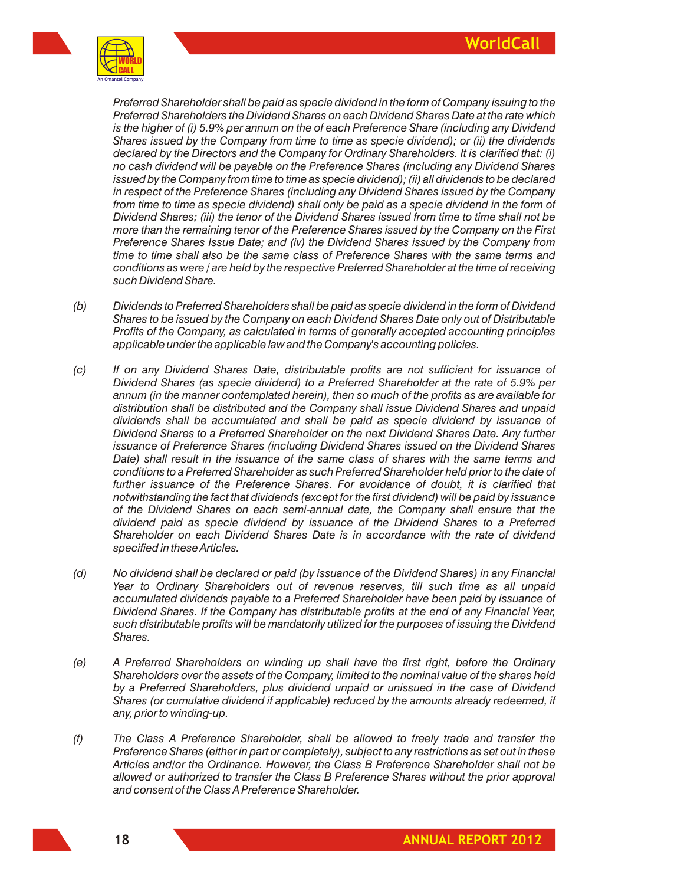

*Preferred Shareholder shall be paid as specie dividend in the form of Company issuing to the Preferred Shareholders the Dividend Shares on each Dividend Shares Date at the rate which is the higher of (i) 5.9% per annum on the of each Preference Share (including any Dividend Shares issued by the Company from time to time as specie dividend); or (ii) the dividends declared by the Directors and the Company for Ordinary Shareholders. It is clarified that: (i) no cash dividend will be payable on the Preference Shares (including any Dividend Shares issued by the Company from time to time as specie dividend); (ii) all dividends to be declared in respect of the Preference Shares (including any Dividend Shares issued by the Company from time to time as specie dividend) shall only be paid as a specie dividend in the form of Dividend Shares; (iii) the tenor of the Dividend Shares issued from time to time shall not be more than the remaining tenor of the Preference Shares issued by the Company on the First Preference Shares Issue Date; and (iv) the Dividend Shares issued by the Company from time to time shall also be the same class of Preference Shares with the same terms and conditions as were / are held by the respective Preferred Shareholder at the time of receiving such Dividend Share.*

- *(b) Dividends to Preferred Shareholders shall be paid as specie dividend in the form of Dividend Shares to be issued by the Company on each Dividend Shares Date only out of Distributable Profits of the Company, as calculated in terms of generally accepted accounting principles applicable under the applicable law and the Company's accounting policies.*
- *(c) If on any Dividend Shares Date, distributable profits are not sufficient for issuance of Dividend Shares (as specie dividend) to a Preferred Shareholder at the rate of 5.9% per annum (in the manner contemplated herein), then so much of the profits as are available for distribution shall be distributed and the Company shall issue Dividend Shares and unpaid dividends shall be accumulated and shall be paid as specie dividend by issuance of Dividend Shares to a Preferred Shareholder on the next Dividend Shares Date. Any further issuance of Preference Shares (including Dividend Shares issued on the Dividend Shares Date) shall result in the issuance of the same class of shares with the same terms and conditions to a Preferred Shareholder as such Preferred Shareholder held prior to the date of*  further issuance of the Preference Shares. For avoidance of doubt, it is clarified that *notwithstanding the fact that dividends (except for the first dividend) will be paid by issuance of the Dividend Shares on each semi-annual date, the Company shall ensure that the dividend paid as specie dividend by issuance of the Dividend Shares to a Preferred Shareholder on each Dividend Shares Date is in accordance with the rate of dividend specified in these Articles.*
- *(d) No dividend shall be declared or paid (by issuance of the Dividend Shares) in any Financial Year to Ordinary Shareholders out of revenue reserves, till such time as all unpaid accumulated dividends payable to a Preferred Shareholder have been paid by issuance of Dividend Shares. If the Company has distributable profits at the end of any Financial Year, such distributable profits will be mandatorily utilized for the purposes of issuing the Dividend Shares.*
- *(e) A Preferred Shareholders on winding up shall have the first right, before the Ordinary Shareholders over the assets of the Company, limited to the nominal value of the shares held by a Preferred Shareholders, plus dividend unpaid or unissued in the case of Dividend*  Shares (or cumulative dividend if applicable) reduced by the amounts already redeemed, if *any, prior to winding-up.*
- *(f) The Class A Preference Shareholder, shall be allowed to freely trade and transfer the Preference Shares (either in part or completely), subject to any restrictions as set out in these Articles and/or the Ordinance. However, the Class B Preference Shareholder shall not be allowed or authorized to transfer the Class B Preference Shares without the prior approval and consent of the Class A Preference Shareholder.*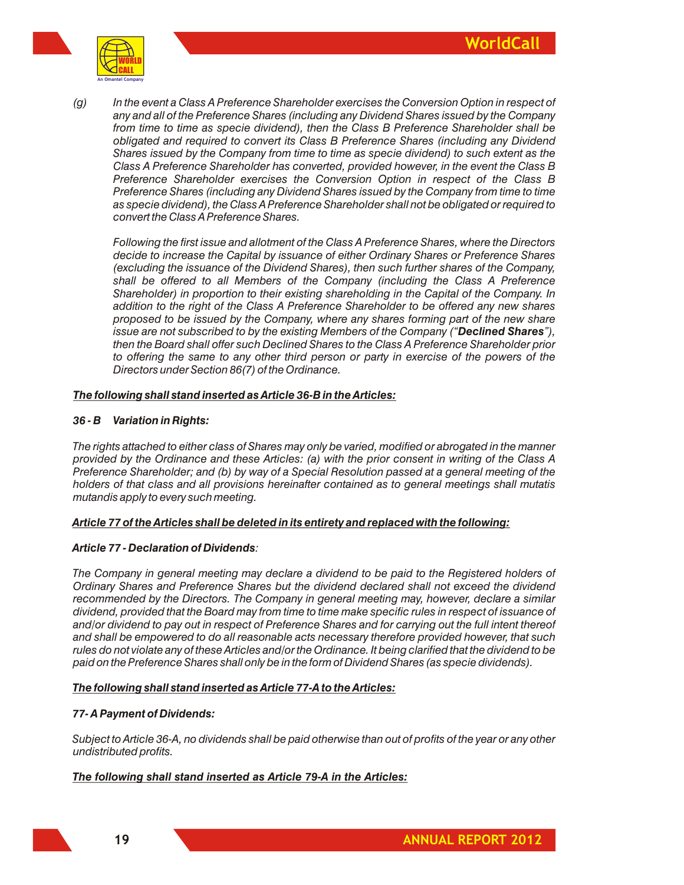

*(g) In the event a Class A Preference Shareholder exercises the Conversion Option in respect of any and all of the Preference Shares (including any Dividend Shares issued by the Company from time to time as specie dividend), then the Class B Preference Shareholder shall be obligated and required to convert its Class B Preference Shares (including any Dividend Shares issued by the Company from time to time as specie dividend) to such extent as the Class A Preference Shareholder has converted, provided however, in the event the Class B Preference Shareholder exercises the Conversion Option in respect of the Class B Preference Shares (including any Dividend Shares issued by the Company from time to time as specie dividend), the Class A Preference Shareholder shall not be obligated or required to convert the Class A Preference Shares.* 

*Following the first issue and allotment of the Class A Preference Shares, where the Directors decide to increase the Capital by issuance of either Ordinary Shares or Preference Shares (excluding the issuance of the Dividend Shares), then such further shares of the Company, shall be offered to all Members of the Company (including the Class A Preference Shareholder) in proportion to their existing shareholding in the Capital of the Company. In addition to the right of the Class A Preference Shareholder to be offered any new shares proposed to be issued by the Company, where any shares forming part of the new share issue are not subscribed to by the existing Members of the Company ("Declined Shares"), then the Board shall offer such Declined Shares to the Class A Preference Shareholder prior*  to offering the same to any other third person or party in exercise of the powers of the *Directors under Section 86(7) of the Ordinance.*

#### *The following shall stand inserted as Article 36-B in the Articles:*

#### *36 - B Variation in Rights:*

*The rights attached to either class of Shares may only be varied, modified or abrogated in the manner provided by the Ordinance and these Articles: (a) with the prior consent in writing of the Class A Preference Shareholder; and (b) by way of a Special Resolution passed at a general meeting of the holders of that class and all provisions hereinafter contained as to general meetings shall mutatis mutandis apply to every such meeting.*

#### *Article 77 of the Articles shall be deleted in its entirety and replaced with the following:*

#### *Article 77 - Declaration of Dividends:*

*The Company in general meeting may declare a dividend to be paid to the Registered holders of Ordinary Shares and Preference Shares but the dividend declared shall not exceed the dividend recommended by the Directors. The Company in general meeting may, however, declare a similar dividend, provided that the Board may from time to time make specific rules in respect of issuance of and/or dividend to pay out in respect of Preference Shares and for carrying out the full intent thereof and shall be empowered to do all reasonable acts necessary therefore provided however, that such rules do not violate any of these Articles and/or the Ordinance. It being clarified that the dividend to be paid on the Preference Shares shall only be in the form of Dividend Shares (as specie dividends).* 

#### *The following shall stand inserted as Article 77-A to the Articles:*

#### *77- A Payment of Dividends:*

*Subject to Article 36-A, no dividends shall be paid otherwise than out of profits of the year or any other undistributed profits.*

#### *The following shall stand inserted as Article 79-A in the Articles:*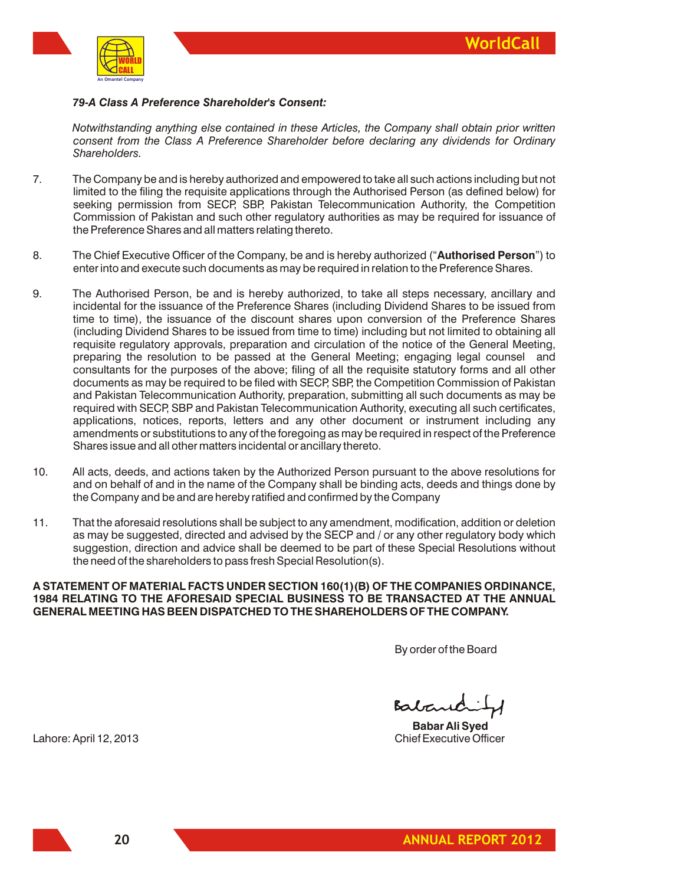

#### *79-A Class A Preference Shareholder's Consent:*

*Notwithstanding anything else contained in these Articles, the Company shall obtain prior written consent from the Class A Preference Shareholder before declaring any dividends for Ordinary Shareholders.*

- 7. The Company be and is hereby authorized and empowered to take all such actions including but not limited to the filing the requisite applications through the Authorised Person (as defined below) for seeking permission from SECP, SBP, Pakistan Telecommunication Authority, the Competition Commission of Pakistan and such other regulatory authorities as may be required for issuance of the Preference Shares and all matters relating thereto.
- 8. The Chief Executive Officer of the Company, be and is hereby authorized ("**Authorised Person**") to enter into and execute such documents as may be required in relation to the Preference Shares.
- 9. The Authorised Person, be and is hereby authorized, to take all steps necessary, ancillary and incidental for the issuance of the Preference Shares (including Dividend Shares to be issued from time to time), the issuance of the discount shares upon conversion of the Preference Shares (including Dividend Shares to be issued from time to time) including but not limited to obtaining all requisite regulatory approvals, preparation and circulation of the notice of the General Meeting, preparing the resolution to be passed at the General Meeting; engaging legal counsel and consultants for the purposes of the above; filing of all the requisite statutory forms and all other documents as may be required to be filed with SECP, SBP, the Competition Commission of Pakistan and Pakistan Telecommunication Authority, preparation, submitting all such documents as may be required with SECP, SBP and Pakistan Telecommunication Authority, executing all such certificates, applications, notices, reports, letters and any other document or instrument including any amendments or substitutions to any of the foregoing as may be required in respect of the Preference Shares issue and all other matters incidental or ancillary thereto.
- 10. All acts, deeds, and actions taken by the Authorized Person pursuant to the above resolutions for and on behalf of and in the name of the Company shall be binding acts, deeds and things done by the Company and be and are hereby ratified and confirmed by the Company
- 11. That the aforesaid resolutions shall be subject to any amendment, modification, addition or deletion as may be suggested, directed and advised by the SECP and / or any other regulatory body which suggestion, direction and advice shall be deemed to be part of these Special Resolutions without the need of the shareholders to pass fresh Special Resolution(s).

**A STATEMENT OF MATERIAL FACTS UNDER SECTION 160(1)(B) OF THE COMPANIES ORDINANCE, 1984 RELATING TO THE AFORESAID SPECIAL BUSINESS TO BE TRANSACTED AT THE ANNUAL GENERAL MEETING HAS BEEN DISPATCHED TO THE SHAREHOLDERS OF THE COMPANY.** 

By order of the Board

Babar

**Babar Ali Syed**<br>Chief Executive Officer

Lahore: April 12, 2013



**20**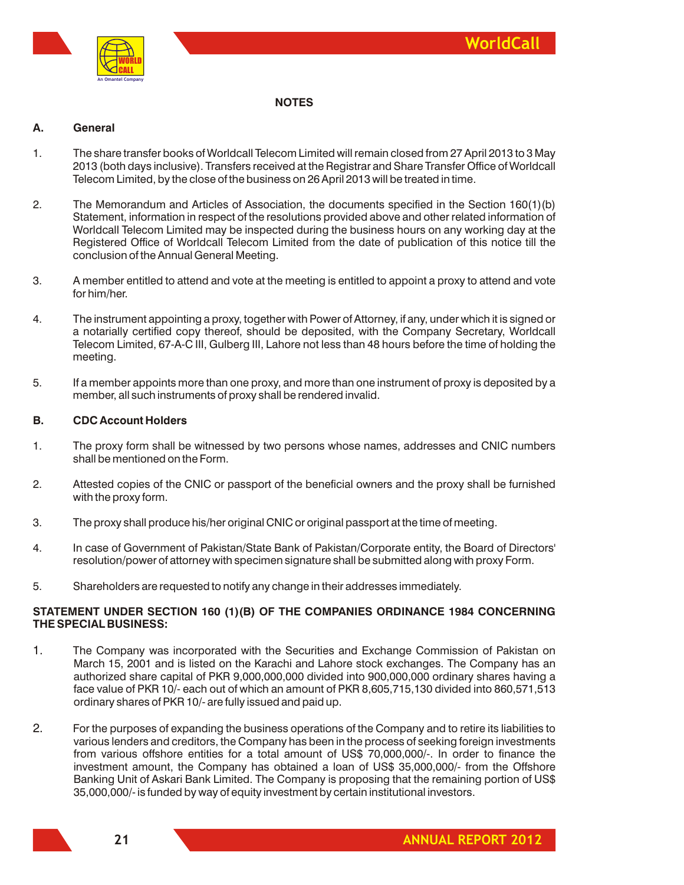

#### **NOTES**

#### **A. General**

- 1. The share transfer books of Worldcall Telecom Limited will remain closed from 27 April 2013 to 3 May 2013 (both days inclusive). Transfers received at the Registrar and Share Transfer Office of Worldcall Telecom Limited, by the close of the business on 26 April 2013 will be treated in time.
- 2. The Memorandum and Articles of Association, the documents specified in the Section 160(1)(b) Statement, information in respect of the resolutions provided above and other related information of Worldcall Telecom Limited may be inspected during the business hours on any working day at the Registered Office of Worldcall Telecom Limited from the date of publication of this notice till the conclusion of the Annual General Meeting.
- 3. A member entitled to attend and vote at the meeting is entitled to appoint a proxy to attend and vote for him/her.
- 4. The instrument appointing a proxy, together with Power of Attorney, if any, under which it is signed or a notarially certified copy thereof, should be deposited, with the Company Secretary, Worldcall Telecom Limited, 67-A-C III, Gulberg III, Lahore not less than 48 hours before the time of holding the meeting.
- 5. If a member appoints more than one proxy, and more than one instrument of proxy is deposited by a member, all such instruments of proxy shall be rendered invalid.

#### **B. CDC Account Holders**

- 1. The proxy form shall be witnessed by two persons whose names, addresses and CNIC numbers shall be mentioned on the Form.
- 2. Attested copies of the CNIC or passport of the beneficial owners and the proxy shall be furnished with the proxy form.
- 3. The proxy shall produce his/her original CNIC or original passport at the time of meeting.
- 4. In case of Government of Pakistan/State Bank of Pakistan/Corporate entity, the Board of Directors' resolution/power of attorney with specimen signature shall be submitted along with proxy Form.
- 5. Shareholders are requested to notify any change in their addresses immediately.

#### **STATEMENT UNDER SECTION 160 (1)(B) OF THE COMPANIES ORDINANCE 1984 CONCERNING THE SPECIAL BUSINESS:**

- 1. The Company was incorporated with the Securities and Exchange Commission of Pakistan on March 15, 2001 and is listed on the Karachi and Lahore stock exchanges. The Company has an authorized share capital of PKR 9,000,000,000 divided into 900,000,000 ordinary shares having a face value of PKR 10/- each out of which an amount of PKR 8,605,715,130 divided into 860,571,513 ordinary shares of PKR 10/- are fully issued and paid up.
- 2. For the purposes of expanding the business operations of the Company and to retire its liabilities to various lenders and creditors, the Company has been in the process of seeking foreign investments from various offshore entities for a total amount of US\$ 70,000,000/-. In order to finance the investment amount, the Company has obtained a loan of US\$ 35,000,000/- from the Offshore Banking Unit of Askari Bank Limited. The Company is proposing that the remaining portion of US\$ 35,000,000/- is funded by way of equity investment by certain institutional investors.

**21**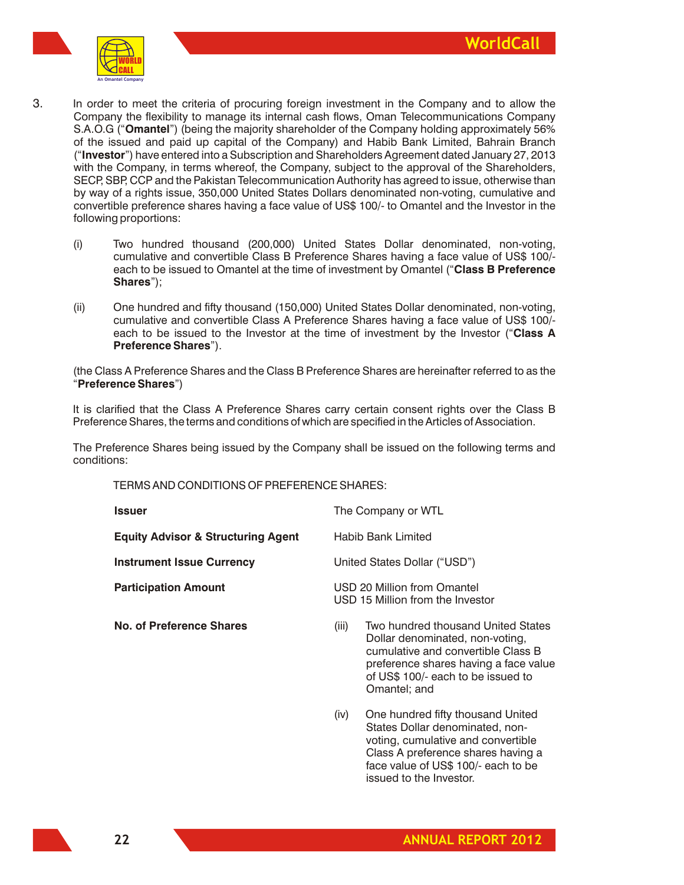

- 3. In order to meet the criteria of procuring foreign investment in the Company and to allow the Company the flexibility to manage its internal cash flows, Oman Telecommunications Company S.A.O.G ("**Omantel**") (being the majority shareholder of the Company holding approximately 56% of the issued and paid up capital of the Company) and Habib Bank Limited, Bahrain Branch ("**Investor**") have entered into a Subscription and Shareholders Agreement dated January 27, 2013 with the Company, in terms whereof, the Company, subject to the approval of the Shareholders, SECP, SBP, CCP and the Pakistan Telecommunication Authority has agreed to issue, otherwise than by way of a rights issue, 350,000 United States Dollars denominated non-voting, cumulative and convertible preference shares having a face value of US\$ 100/- to Omantel and the Investor in the following proportions:
	- (i) Two hundred thousand (200,000) United States Dollar denominated, non-voting, cumulative and convertible Class B Preference Shares having a face value of US\$ 100/ each to be issued to Omantel at the time of investment by Omantel ("**Class B Preference Shares**");
	- (ii) One hundred and fifty thousand (150,000) United States Dollar denominated, non-voting, cumulative and convertible Class A Preference Shares having a face value of US\$ 100/ each to be issued to the Investor at the time of investment by the Investor ("**Class A Preference Shares**").

(the Class A Preference Shares and the Class B Preference Shares are hereinafter referred to as the "**Preference Shares**")

It is clarified that the Class A Preference Shares carry certain consent rights over the Class B Preference Shares, the terms and conditions of which are specified in the Articles of Association.

The Preference Shares being issued by the Company shall be issued on the following terms and conditions:

TERMS AND CONDITIONS OF PREFERENCE SHARES:

| <b>Issuer</b>                                 | The Company or WTL                                                                                                                                                                                                         |  |
|-----------------------------------------------|----------------------------------------------------------------------------------------------------------------------------------------------------------------------------------------------------------------------------|--|
| <b>Equity Advisor &amp; Structuring Agent</b> | Habib Bank Limited                                                                                                                                                                                                         |  |
| <b>Instrument Issue Currency</b>              | United States Dollar ("USD")                                                                                                                                                                                               |  |
| <b>Participation Amount</b>                   | USD 20 Million from Omantel<br>USD 15 Million from the Investor                                                                                                                                                            |  |
| <b>No. of Preference Shares</b>               | Two hundred thousand United States<br>(iii)<br>Dollar denominated, non-voting,<br>cumulative and convertible Class B<br>preference shares having a face value<br>of US\$ 100/- each to be issued to<br>Omantel; and        |  |
|                                               | One hundred fifty thousand United<br>(iv)<br>States Dollar denominated, non-<br>voting, cumulative and convertible<br>Class A preference shares having a<br>face value of US\$ 100/- each to be<br>issued to the Investor. |  |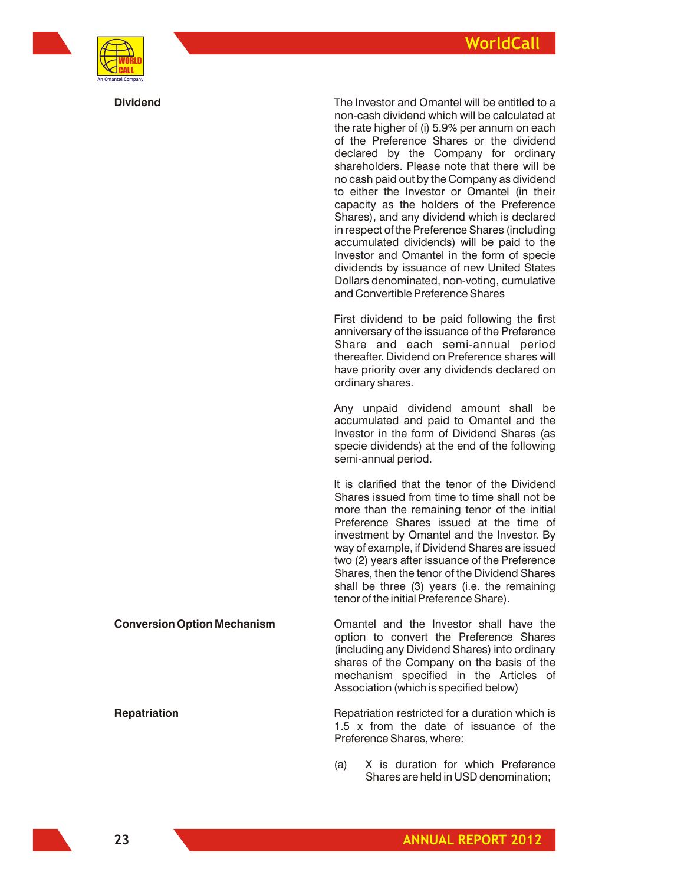

**Dividend** The Investor and Omantel will be entitled to a non-cash dividend which will be calculated at the rate higher of (i) 5.9% per annum on each of the Preference Shares or the dividend declared by the Company for ordinary shareholders. Please note that there will be no cash paid out by the Company as dividend to either the Investor or Omantel (in their capacity as the holders of the Preference Shares), and any dividend which is declared in respect of the Preference Shares (including accumulated dividends) will be paid to the Investor and Omantel in the form of specie dividends by issuance of new United States Dollars denominated, non-voting, cumulative and Convertible Preference Shares

> First dividend to be paid following the first anniversary of the issuance of the Preference Share and each semi-annual period thereafter. Dividend on Preference shares will have priority over any dividends declared on ordinary shares.

> Any unpaid dividend amount shall be accumulated and paid to Omantel and the Investor in the form of Dividend Shares (as specie dividends) at the end of the following semi-annual period.

> It is clarified that the tenor of the Dividend Shares issued from time to time shall not be more than the remaining tenor of the initial Preference Shares issued at the time of investment by Omantel and the Investor. By way of example, if Dividend Shares are issued two (2) years after issuance of the Preference Shares, then the tenor of the Dividend Shares shall be three (3) years (i.e. the remaining tenor of the initial Preference Share).

**Conversion Option Mechanism** Omantel and the Investor shall have the option to convert the Preference Shares (including any Dividend Shares) into ordinary shares of the Company on the basis of the mechanism specified in the Articles of Association (which is specified below)

**Repatriation Repatriation restricted for a duration which is** 1.5 x from the date of issuance of the Preference Shares, where:

> (a) X is duration for which Preference Shares are held in USD denomination;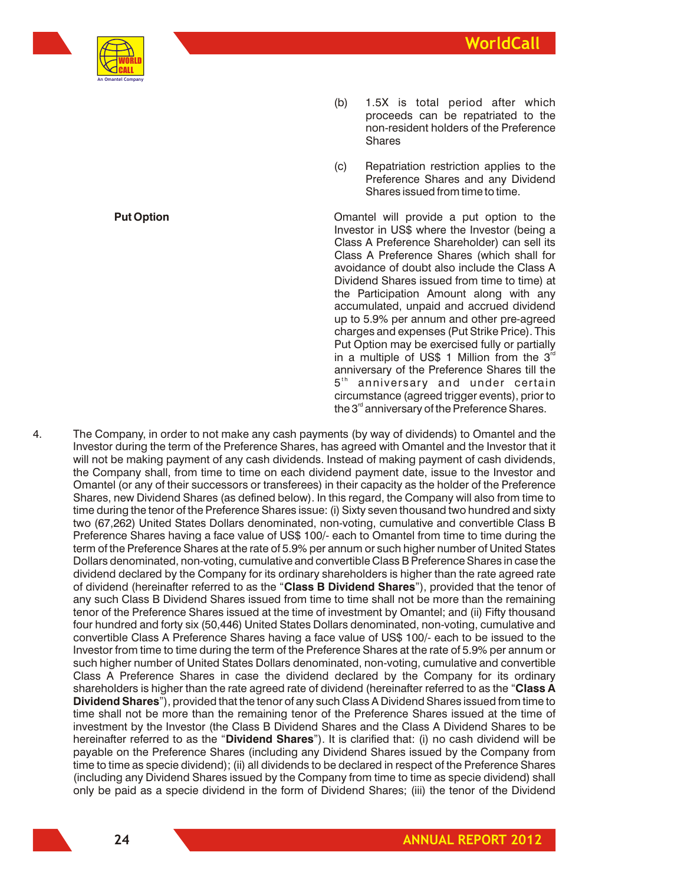

- (b) 1.5X is total period after which proceeds can be repatriated to the non-resident holders of the Preference Shares
- (c) Repatriation restriction applies to the Preference Shares and any Dividend Shares issued from time to time.

**Put Option Conserverse Conserverse Conserverse Conserverse Conserverse Put Option to the Conserverse Conserverse Conserverse Conserverse Put Option to the Put Option to the Conserverse Conserverse Conserverse Conservers** Investor in US\$ where the Investor (being a Class A Preference Shareholder) can sell its Class A Preference Shares (which shall for avoidance of doubt also include the Class A Dividend Shares issued from time to time) at the Participation Amount along with any accumulated, unpaid and accrued dividend up to 5.9% per annum and other pre-agreed charges and expenses (Put Strike Price). This Put Option may be exercised fully or partially in a multiple of US\$ 1 Million from the  $3<sup>rd</sup>$ anniversary of the Preference Shares till the 5<sup>th</sup> anniversary and under certain circumstance (agreed trigger events), prior to the  $3<sup>rd</sup>$  anniversary of the Preference Shares.

4. The Company, in order to not make any cash payments (by way of dividends) to Omantel and the Investor during the term of the Preference Shares, has agreed with Omantel and the Investor that it will not be making payment of any cash dividends. Instead of making payment of cash dividends, the Company shall, from time to time on each dividend payment date, issue to the Investor and Omantel (or any of their successors or transferees) in their capacity as the holder of the Preference Shares, new Dividend Shares (as defined below). In this regard, the Company will also from time to time during the tenor of the Preference Shares issue: (i) Sixty seven thousand two hundred and sixty two (67,262) United States Dollars denominated, non-voting, cumulative and convertible Class B Preference Shares having a face value of US\$ 100/- each to Omantel from time to time during the term of the Preference Shares at the rate of 5.9% per annum or such higher number of United States Dollars denominated, non-voting, cumulative and convertible Class B Preference Shares in case the dividend declared by the Company for its ordinary shareholders is higher than the rate agreed rate of dividend (hereinafter referred to as the "**Class B Dividend Shares**"), provided that the tenor of any such Class B Dividend Shares issued from time to time shall not be more than the remaining tenor of the Preference Shares issued at the time of investment by Omantel; and (ii) Fifty thousand four hundred and forty six (50,446) United States Dollars denominated, non-voting, cumulative and convertible Class A Preference Shares having a face value of US\$ 100/- each to be issued to the Investor from time to time during the term of the Preference Shares at the rate of 5.9% per annum or such higher number of United States Dollars denominated, non-voting, cumulative and convertible Class A Preference Shares in case the dividend declared by the Company for its ordinary shareholders is higher than the rate agreed rate of dividend (hereinafter referred to as the "**Class A Dividend Shares**"), provided that the tenor of any such Class A Dividend Shares issued from time to time shall not be more than the remaining tenor of the Preference Shares issued at the time of investment by the Investor (the Class B Dividend Shares and the Class A Dividend Shares to be hereinafter referred to as the "**Dividend Shares**"). It is clarified that: (i) no cash dividend will be payable on the Preference Shares (including any Dividend Shares issued by the Company from time to time as specie dividend); (ii) all dividends to be declared in respect of the Preference Shares (including any Dividend Shares issued by the Company from time to time as specie dividend) shall only be paid as a specie dividend in the form of Dividend Shares; (iii) the tenor of the Dividend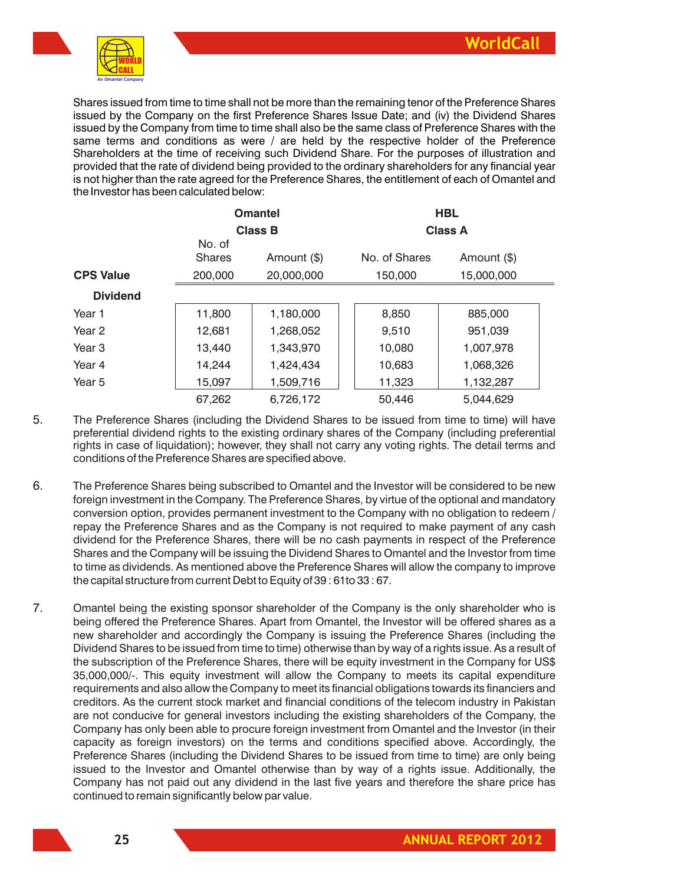

Shares issued from time to time shall not be more than the remaining tenor of the Preference Shares issued by the Company on the first Preference Shares Issue Date; and (iv) the Dividend Shares issued by the Company from time to time shall also be the same class of Preference Shares with the same terms and conditions as were / are held by the respective holder of the Preference Shareholders at the time of receiving such Dividend Share. For the purposes of illustration and provided that the rate of dividend being provided to the ordinary shareholders for any financial year is not higher than the rate agreed for the Preference Shares, the entitlement of each of Omantel and the Investor has been calculated below:

|                  |               | <b>Omantel</b> |               | <b>HBL</b>     |  |
|------------------|---------------|----------------|---------------|----------------|--|
|                  |               | <b>Class B</b> |               | <b>Class A</b> |  |
|                  | No. of        |                |               |                |  |
|                  | <b>Shares</b> | Amount (\$)    | No. of Shares | Amount (\$)    |  |
| <b>CPS Value</b> | 200,000       | 20,000,000     | 150,000       | 15,000,000     |  |
| <b>Dividend</b>  |               |                |               |                |  |
| Year 1           | 11,800        | 1,180,000      | 8,850         | 885,000        |  |
| Year 2           | 12,681        | 1,268,052      | 9,510         | 951,039        |  |
| Year 3           | 13,440        | 1,343,970      | 10,080        | 1,007,978      |  |
| Year 4           | 14,244        | 1,424,434      | 10,683        | 1,068,326      |  |
| Year 5           | 15,097        | 1,509,716      | 11,323        | 1,132,287      |  |
|                  | 67,262        | 6,726,172      | 50.446        | 5.044.629      |  |

- 5. The Preference Shares (including the Dividend Shares to be issued from time to time) will have preferential dividend rights to the existing ordinary shares of the Company (including preferential rights in case of liquidation); however, they shall not carry any voting rights. The detail terms and conditions of the Preference Shares are specified above.
- 6. The Preference Shares being subscribed to Omantel and the Investor will be considered to be new foreign investment in the Company. The Preference Shares, by virtue of the optional and mandatory conversion option, provides permanent investment to the Company with no obligation to redeem / repay the Preference Shares and as the Company is not required to make payment of any cash dividend for the Preference Shares, there will be no cash payments in respect of the Preference Shares and the Company will be issuing the Dividend Shares to Omantel and the Investor from time to time as dividends. As mentioned above the Preference Shares will allow the company to improve the capital structure from current Debt to Equity of 39 : 61to 33 : 67.
- 7. Omantel being the existing sponsor shareholder of the Company is the only shareholder who is being offered the Preference Shares. Apart from Omantel, the Investor will be offered shares as a new shareholder and accordingly the Company is issuing the Preference Shares (including the Dividend Shares to be issued from time to time) otherwise than by way of a rights issue. As a result of the subscription of the Preference Shares, there will be equity investment in the Company for US\$ 35,000,000/-. This equity investment will allow the Company to meets its capital expenditure requirements and also allow the Company to meet its financial obligations towards its financiers and creditors. As the current stock market and financial conditions of the telecom industry in Pakistan are not conducive for general investors including the existing shareholders of the Company, the Company has only been able to procure foreign investment from Omantel and the Investor (in their capacity as foreign investors) on the terms and conditions specified above. Accordingly, the Preference Shares (including the Dividend Shares to be issued from time to time) are only being issued to the Investor and Omantel otherwise than by way of a rights issue. Additionally, the Company has not paid out any dividend in the last five years and therefore the share price has continued to remain significantly below par value.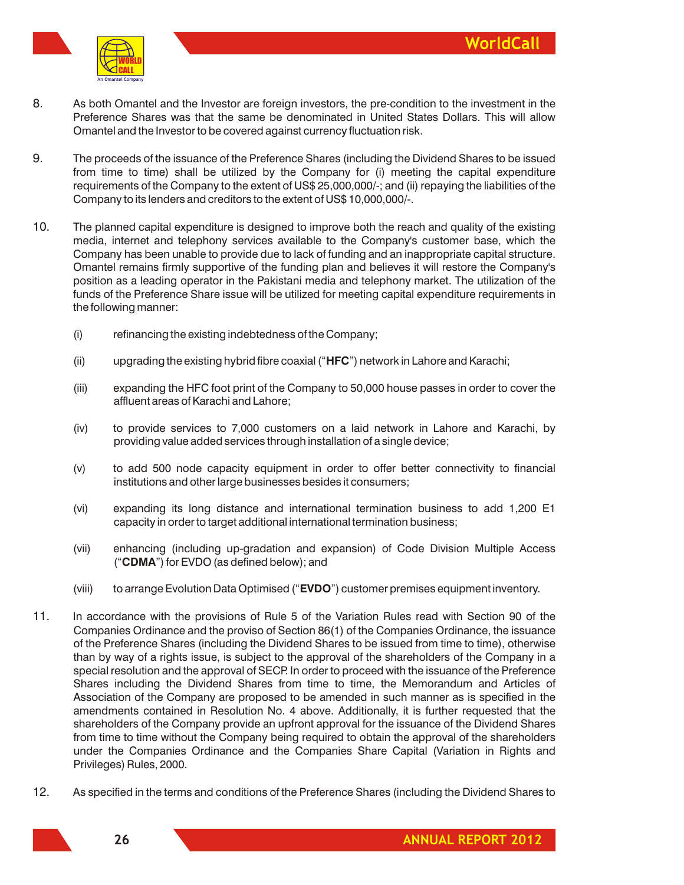

- 8. As both Omantel and the Investor are foreign investors, the pre-condition to the investment in the Preference Shares was that the same be denominated in United States Dollars. This will allow Omantel and the Investor to be covered against currency fluctuation risk.
- 9. The proceeds of the issuance of the Preference Shares (including the Dividend Shares to be issued from time to time) shall be utilized by the Company for (i) meeting the capital expenditure requirements of the Company to the extent of US\$ 25,000,000/-; and (ii) repaying the liabilities of the Company to its lenders and creditors to the extent of US\$ 10,000,000/-.
- 10. The planned capital expenditure is designed to improve both the reach and quality of the existing media, internet and telephony services available to the Company's customer base, which the Company has been unable to provide due to lack of funding and an inappropriate capital structure. Omantel remains firmly supportive of the funding plan and believes it will restore the Company's position as a leading operator in the Pakistani media and telephony market. The utilization of the funds of the Preference Share issue will be utilized for meeting capital expenditure requirements in the following manner:
	- (i) refinancing the existing indebtedness of the Company;
	- (ii) upgrading the existing hybrid fibre coaxial ("**HFC**") network in Lahore and Karachi;
	- (iii) expanding the HFC foot print of the Company to 50,000 house passes in order to cover the affluent areas of Karachi and Lahore;
	- (iv) to provide services to 7,000 customers on a laid network in Lahore and Karachi, by providing value added services through installation of a single device;
	- (v) to add 500 node capacity equipment in order to offer better connectivity to financial institutions and other large businesses besides it consumers;
	- (vi) expanding its long distance and international termination business to add 1,200 E1 capacity in order to target additional international termination business;
	- (vii) enhancing (including up-gradation and expansion) of Code Division Multiple Access ("**CDMA**") for EVDO (as defined below); and
	- (viii) to arrange Evolution Data Optimised ("**EVDO**") customer premises equipment inventory.
- 11. In accordance with the provisions of Rule 5 of the Variation Rules read with Section 90 of the Companies Ordinance and the proviso of Section 86(1) of the Companies Ordinance, the issuance of the Preference Shares (including the Dividend Shares to be issued from time to time), otherwise than by way of a rights issue, is subject to the approval of the shareholders of the Company in a special resolution and the approval of SECP. In order to proceed with the issuance of the Preference Shares including the Dividend Shares from time to time, the Memorandum and Articles of Association of the Company are proposed to be amended in such manner as is specified in the amendments contained in Resolution No. 4 above. Additionally, it is further requested that the shareholders of the Company provide an upfront approval for the issuance of the Dividend Shares from time to time without the Company being required to obtain the approval of the shareholders under the Companies Ordinance and the Companies Share Capital (Variation in Rights and Privileges) Rules, 2000.
- 12. As specified in the terms and conditions of the Preference Shares (including the Dividend Shares to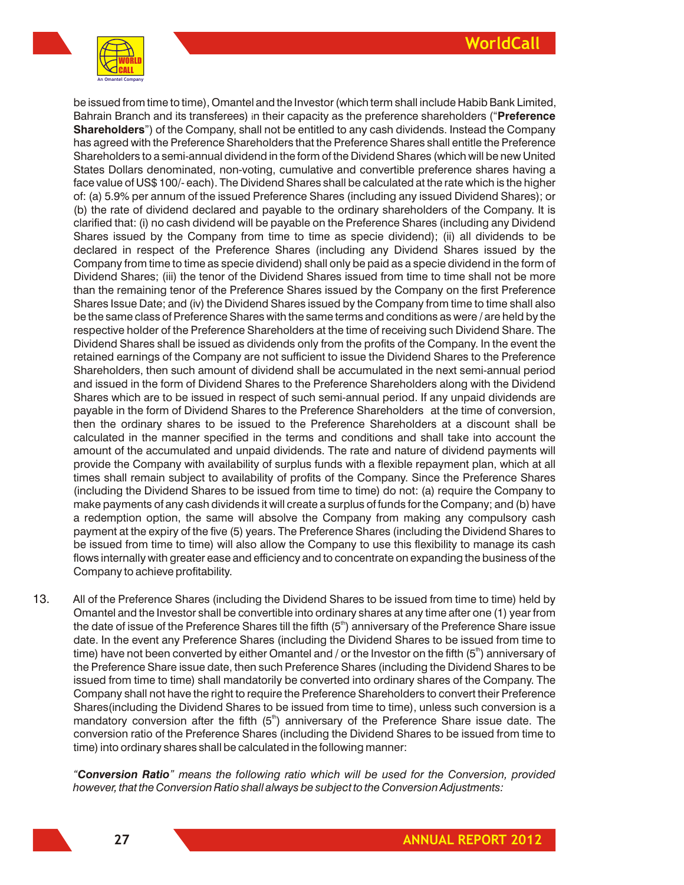

be issued from time to time), Omantel and the Investor (which term shall include Habib Bank Limited, Bahrain Branch and its transferees) in their capacity as the preference shareholders ("**Preference Shareholders**") of the Company, shall not be entitled to any cash dividends. Instead the Company has agreed with the Preference Shareholders that the Preference Shares shall entitle the Preference Shareholders to a semi-annual dividend in the form of the Dividend Shares (which will be new United States Dollars denominated, non-voting, cumulative and convertible preference shares having a face value of US\$ 100/- each). The Dividend Shares shall be calculated at the rate which is the higher of: (a) 5.9% per annum of the issued Preference Shares (including any issued Dividend Shares); or (b) the rate of dividend declared and payable to the ordinary shareholders of the Company. It is clarified that: (i) no cash dividend will be payable on the Preference Shares (including any Dividend Shares issued by the Company from time to time as specie dividend); (ii) all dividends to be declared in respect of the Preference Shares (including any Dividend Shares issued by the Company from time to time as specie dividend) shall only be paid as a specie dividend in the form of Dividend Shares; (iii) the tenor of the Dividend Shares issued from time to time shall not be more than the remaining tenor of the Preference Shares issued by the Company on the first Preference Shares Issue Date; and (iv) the Dividend Shares issued by the Company from time to time shall also be the same class of Preference Shares with the same terms and conditions as were / are held by the respective holder of the Preference Shareholders at the time of receiving such Dividend Share. The Dividend Shares shall be issued as dividends only from the profits of the Company. In the event the retained earnings of the Company are not sufficient to issue the Dividend Shares to the Preference Shareholders, then such amount of dividend shall be accumulated in the next semi-annual period and issued in the form of Dividend Shares to the Preference Shareholders along with the Dividend Shares which are to be issued in respect of such semi-annual period. If any unpaid dividends are payable in the form of Dividend Shares to the Preference Shareholders at the time of conversion, then the ordinary shares to be issued to the Preference Shareholders at a discount shall be calculated in the manner specified in the terms and conditions and shall take into account the amount of the accumulated and unpaid dividends. The rate and nature of dividend payments will provide the Company with availability of surplus funds with a flexible repayment plan, which at all times shall remain subject to availability of profits of the Company. Since the Preference Shares (including the Dividend Shares to be issued from time to time) do not: (a) require the Company to make payments of any cash dividends it will create a surplus of funds for the Company; and (b) have a redemption option, the same will absolve the Company from making any compulsory cash payment at the expiry of the five (5) years. The Preference Shares (including the Dividend Shares to be issued from time to time) will also allow the Company to use this flexibility to manage its cash flows internally with greater ease and efficiency and to concentrate on expanding the business of the Company to achieve profitability.

13. All of the Preference Shares (including the Dividend Shares to be issued from time to time) held by Omantel and the Investor shall be convertible into ordinary shares at any time after one (1) year from the date of issue of the Preference Shares till the fifth  $(5<sup>th</sup>)$  anniversary of the Preference Share issue date. In the event any Preference Shares (including the Dividend Shares to be issued from time to time) have not been converted by either Omantel and / or the Investor on the fifth ( $5<sup>th</sup>$ ) anniversary of the Preference Share issue date, then such Preference Shares (including the Dividend Shares to be issued from time to time) shall mandatorily be converted into ordinary shares of the Company. The Company shall not have the right to require the Preference Shareholders to convert their Preference Shares(including the Dividend Shares to be issued from time to time), unless such conversion is a mandatory conversion after the fifth  $(5<sup>th</sup>)$  anniversary of the Preference Share issue date. The conversion ratio of the Preference Shares (including the Dividend Shares to be issued from time to time) into ordinary shares shall be calculated in the following manner:

*"Conversion Ratio" means the following ratio which will be used for the Conversion, provided however, that the Conversion Ratio shall always be subject to the Conversion Adjustments:*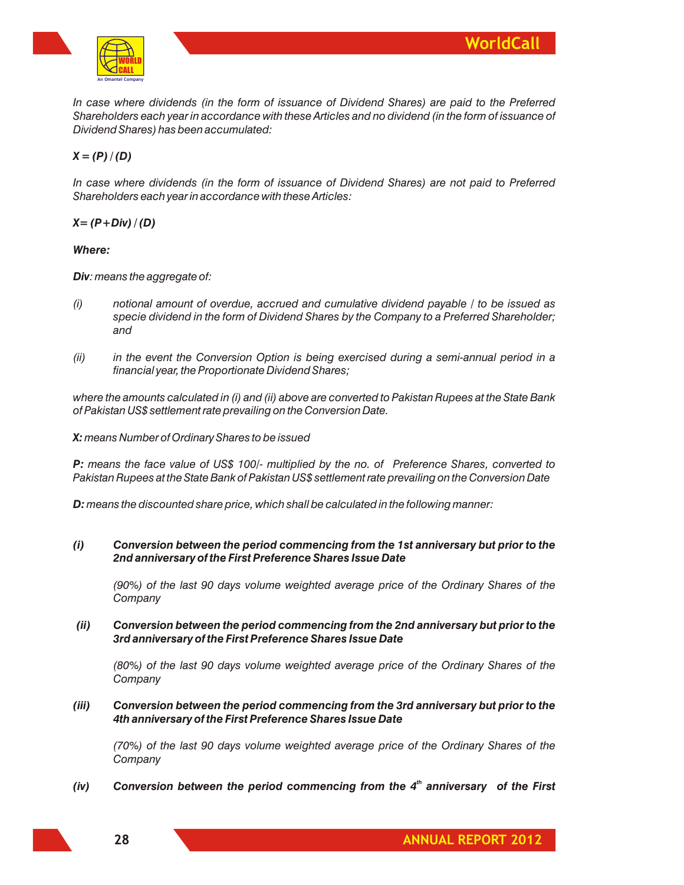

*In case where dividends (in the form of issuance of Dividend Shares) are paid to the Preferred Shareholders each year in accordance with these Articles and no dividend (in the form of issuance of Dividend Shares) has been accumulated:*

*X = (P) / (D)*

*In case where dividends (in the form of issuance of Dividend Shares) are not paid to Preferred Shareholders each year in accordance with these Articles:*

*X= (P+Div) / (D)*

#### *Where:*

*Div: means the aggregate of:* 

- *(i) notional amount of overdue, accrued and cumulative dividend payable / to be issued as specie dividend in the form of Dividend Shares by the Company to a Preferred Shareholder; and*
- *(ii) in the event the Conversion Option is being exercised during a semi-annual period in a financial year, the Proportionate Dividend Shares;*

*where the amounts calculated in (i) and (ii) above are converted to Pakistan Rupees at the State Bank of Pakistan US\$ settlement rate prevailing on the Conversion Date.* 

*X: means Number of Ordinary Shares to be issued*

*P: means the face value of US\$ 100/- multiplied by the no. of Preference Shares, converted to Pakistan Rupees at the State Bank of Pakistan US\$ settlement rate prevailing on the Conversion Date* 

*D: means the discounted share price, which shall be calculated in the following manner:*

#### *(i) Conversion between the period commencing from the 1st anniversary but prior to the 2nd anniversary of the First Preference Shares Issue Date*

*(90%) of the last 90 days volume weighted average price of the Ordinary Shares of the Company* 

*(ii) Conversion between the period commencing from the 2nd anniversary but prior to the 3rd anniversary of the First Preference Shares Issue Date* 

*(80%) of the last 90 days volume weighted average price of the Ordinary Shares of the Company*

*(iii) Conversion between the period commencing from the 3rd anniversary but prior to the 4th anniversary of the First Preference Shares Issue Date* 

*(70%) of the last 90 days volume weighted average price of the Ordinary Shares of the Company*

*(iv)* Conversion between the period commencing from the 4<sup>th</sup> anniversary of the First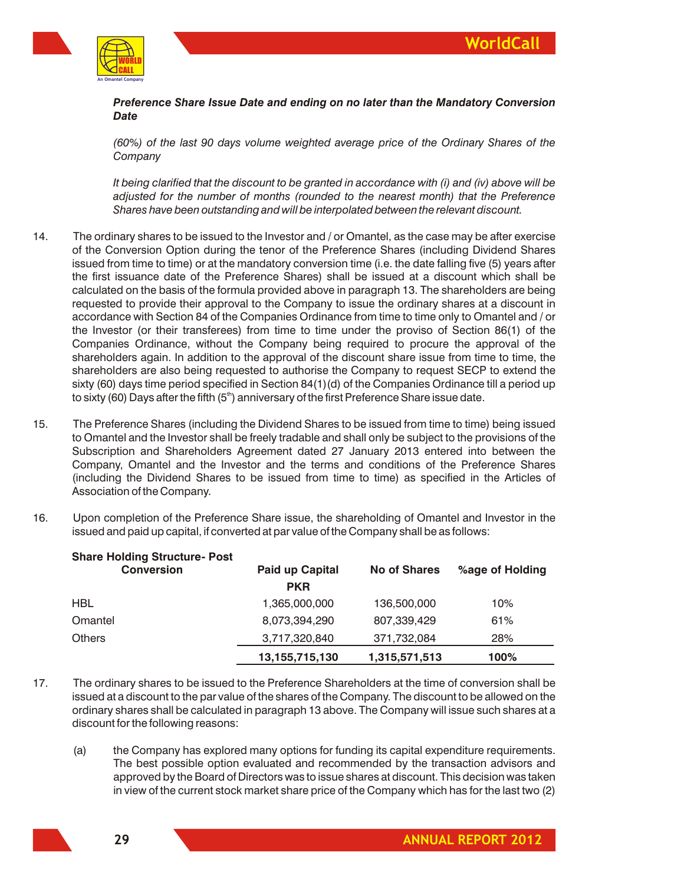

#### *Preference Share Issue Date and ending on no later than the Mandatory Conversion Date*

*(60%) of the last 90 days volume weighted average price of the Ordinary Shares of the Company*

*It being clarified that the discount to be granted in accordance with (i) and (iv) above will be adjusted for the number of months (rounded to the nearest month) that the Preference Shares have been outstanding and will be interpolated between the relevant discount.*

- 14. The ordinary shares to be issued to the Investor and / or Omantel, as the case may be after exercise of the Conversion Option during the tenor of the Preference Shares (including Dividend Shares issued from time to time) or at the mandatory conversion time (i.e. the date falling five (5) years after the first issuance date of the Preference Shares) shall be issued at a discount which shall be calculated on the basis of the formula provided above in paragraph 13. The shareholders are being requested to provide their approval to the Company to issue the ordinary shares at a discount in accordance with Section 84 of the Companies Ordinance from time to time only to Omantel and / or the Investor (or their transferees) from time to time under the proviso of Section 86(1) of the Companies Ordinance, without the Company being required to procure the approval of the shareholders again. In addition to the approval of the discount share issue from time to time, the shareholders are also being requested to authorise the Company to request SECP to extend the sixty (60) days time period specified in Section 84(1)(d) of the Companies Ordinance till a period up to sixty (60) Days after the fifth ( $5$ <sup>th</sup>) anniversary of the first Preference Share issue date.
- 15. The Preference Shares (including the Dividend Shares to be issued from time to time) being issued to Omantel and the Investor shall be freely tradable and shall only be subject to the provisions of the Subscription and Shareholders Agreement dated 27 January 2013 entered into between the Company, Omantel and the Investor and the terms and conditions of the Preference Shares (including the Dividend Shares to be issued from time to time) as specified in the Articles of Association of the Company.
- 16. Upon completion of the Preference Share issue, the shareholding of Omantel and Investor in the issued and paid up capital, if converted at par value of the Company shall be as follows:

| <b>Share Holding Structure- Post</b> |                   |                     |                 |
|--------------------------------------|-------------------|---------------------|-----------------|
| <b>Conversion</b>                    | Paid up Capital   | <b>No of Shares</b> | %age of Holding |
|                                      | <b>PKR</b>        |                     |                 |
| <b>HBL</b>                           | 1,365,000,000     | 136,500,000         | 10%             |
| Omantel                              | 8,073,394,290     | 807,339,429         | 61%             |
| <b>Others</b>                        | 3,717,320,840     | 371,732,084         | 28%             |
|                                      | 13, 155, 715, 130 | 1,315,571,513       | 100%            |

- 17. The ordinary shares to be issued to the Preference Shareholders at the time of conversion shall be issued at a discount to the par value of the shares of the Company. The discount to be allowed on the ordinary shares shall be calculated in paragraph 13 above. The Company will issue such shares at a discount for the following reasons:
	- (a) the Company has explored many options for funding its capital expenditure requirements. The best possible option evaluated and recommended by the transaction advisors and approved by the Board of Directors was to issue shares at discount. This decision was taken in view of the current stock market share price of the Company which has for the last two (2)

**29**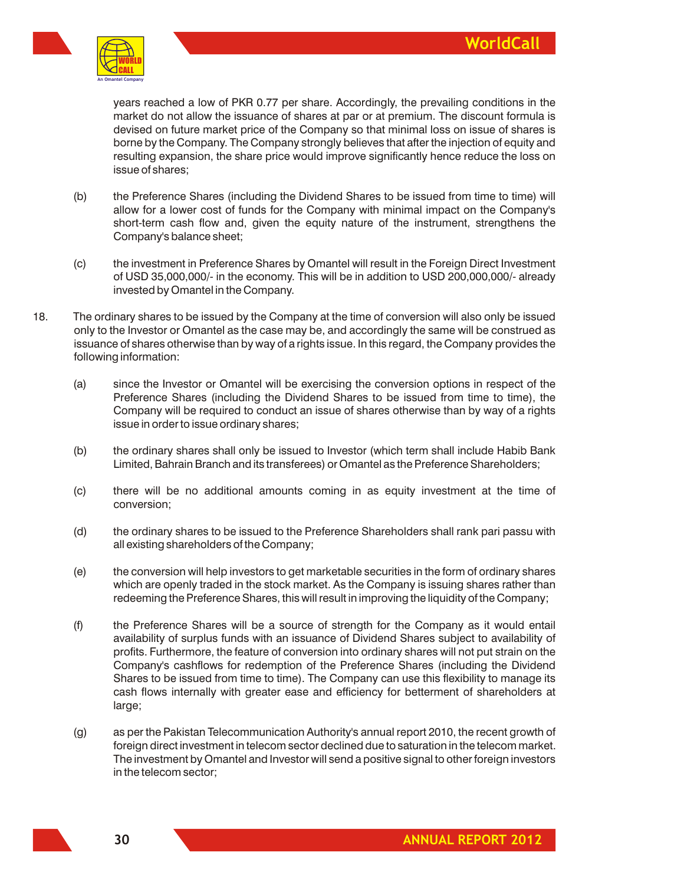

years reached a low of PKR 0.77 per share. Accordingly, the prevailing conditions in the market do not allow the issuance of shares at par or at premium. The discount formula is devised on future market price of the Company so that minimal loss on issue of shares is borne by the Company. The Company strongly believes that after the injection of equity and resulting expansion, the share price would improve significantly hence reduce the loss on issue of shares;

- (b) the Preference Shares (including the Dividend Shares to be issued from time to time) will allow for a lower cost of funds for the Company with minimal impact on the Company's short-term cash flow and, given the equity nature of the instrument, strengthens the Company's balance sheet;
- (c) the investment in Preference Shares by Omantel will result in the Foreign Direct Investment of USD 35,000,000/- in the economy. This will be in addition to USD 200,000,000/- already invested by Omantel in the Company.
- 18. The ordinary shares to be issued by the Company at the time of conversion will also only be issued only to the Investor or Omantel as the case may be, and accordingly the same will be construed as issuance of shares otherwise than by way of a rights issue. In this regard, the Company provides the following information:
	- (a) since the Investor or Omantel will be exercising the conversion options in respect of the Preference Shares (including the Dividend Shares to be issued from time to time), the Company will be required to conduct an issue of shares otherwise than by way of a rights issue in order to issue ordinary shares;
	- (b) the ordinary shares shall only be issued to Investor (which term shall include Habib Bank Limited, Bahrain Branch and its transferees) or Omantel as the Preference Shareholders;
	- (c) there will be no additional amounts coming in as equity investment at the time of conversion;
	- (d) the ordinary shares to be issued to the Preference Shareholders shall rank pari passu with all existing shareholders of the Company;
	- (e) the conversion will help investors to get marketable securities in the form of ordinary shares which are openly traded in the stock market. As the Company is issuing shares rather than redeeming the Preference Shares, this will result in improving the liquidity of the Company;
	- (f) the Preference Shares will be a source of strength for the Company as it would entail availability of surplus funds with an issuance of Dividend Shares subject to availability of profits. Furthermore, the feature of conversion into ordinary shares will not put strain on the Company's cashflows for redemption of the Preference Shares (including the Dividend Shares to be issued from time to time). The Company can use this flexibility to manage its cash flows internally with greater ease and efficiency for betterment of shareholders at large;
	- (g) as per the Pakistan Telecommunication Authority's annual report 2010, the recent growth of foreign direct investment in telecom sector declined due to saturation in the telecom market. The investment by Omantel and Investor will send a positive signal to other foreign investors in the telecom sector;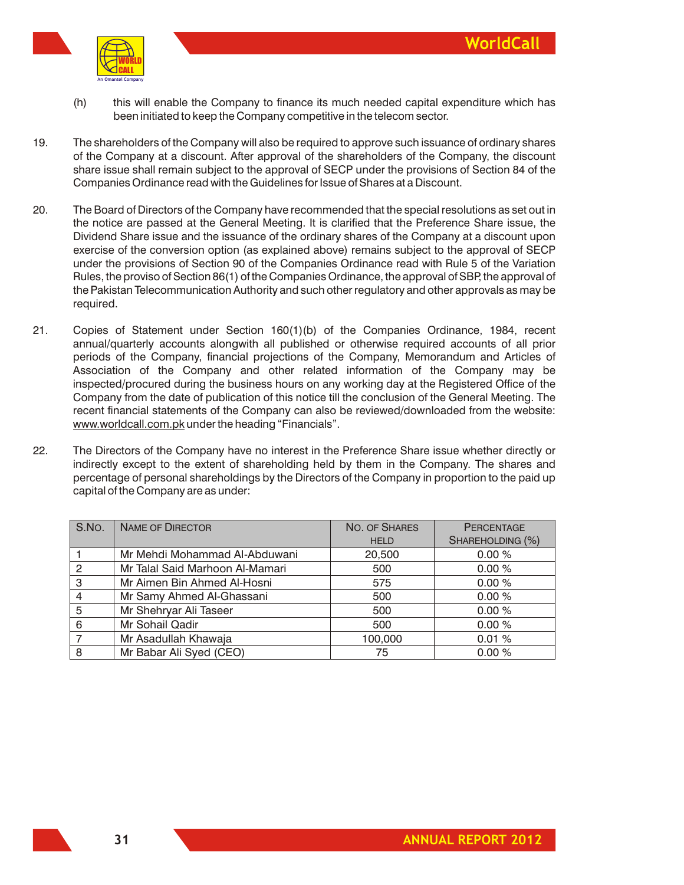

- (h) this will enable the Company to finance its much needed capital expenditure which has been initiated to keep the Company competitive in the telecom sector.
- 19. The shareholders of the Company will also be required to approve such issuance of ordinary shares of the Company at a discount. After approval of the shareholders of the Company, the discount share issue shall remain subject to the approval of SECP under the provisions of Section 84 of the Companies Ordinance read with the Guidelines for Issue of Shares at a Discount.
- 20. The Board of Directors of the Company have recommended that the special resolutions as set out in the notice are passed at the General Meeting. It is clarified that the Preference Share issue, the Dividend Share issue and the issuance of the ordinary shares of the Company at a discount upon exercise of the conversion option (as explained above) remains subject to the approval of SECP under the provisions of Section 90 of the Companies Ordinance read with Rule 5 of the Variation Rules, the proviso of Section 86(1) of the Companies Ordinance, the approval of SBP, the approval of the Pakistan Telecommunication Authority and such other regulatory and other approvals as may be required.
- 21. Copies of Statement under Section 160(1)(b) of the Companies Ordinance, 1984, recent annual/quarterly accounts alongwith all published or otherwise required accounts of all prior periods of the Company, financial projections of the Company, Memorandum and Articles of Association of the Company and other related information of the Company may be inspected/procured during the business hours on any working day at the Registered Office of the Company from the date of publication of this notice till the conclusion of the General Meeting. The recent financial statements of the Company can also be reviewed/downloaded from the website: www.worldcall.com.pk under the heading "Financials".
- 22. The Directors of the Company have no interest in the Preference Share issue whether directly or indirectly except to the extent of shareholding held by them in the Company. The shares and percentage of personal shareholdings by the Directors of the Company in proportion to the paid up capital of the Company are as under:

| S.No.          | <b>NAME OF DIRECTOR</b>         | NO. OF SHARES | <b>PERCENTAGE</b> |
|----------------|---------------------------------|---------------|-------------------|
|                |                                 | <b>HELD</b>   | SHAREHOLDING (%)  |
|                | Mr Mehdi Mohammad Al-Abduwani   | 20,500        | 0.00%             |
| $\overline{2}$ | Mr Talal Said Marhoon Al-Mamari | 500           | 0.00%             |
| -3             | Mr Aimen Bin Ahmed Al-Hosni     | 575           | 0.00%             |
| $\overline{a}$ | Mr Samy Ahmed Al-Ghassani       | 500           | 0.00%             |
| -5             | Mr Shehryar Ali Taseer          | 500           | 0.00%             |
| -6             | Mr Sohail Qadir                 | 500           | 0.00%             |
|                | Mr Asadullah Khawaja            | 100,000       | 0.01%             |
| -8             | Mr Babar Ali Syed (CEO)         | 75            | 0.00%             |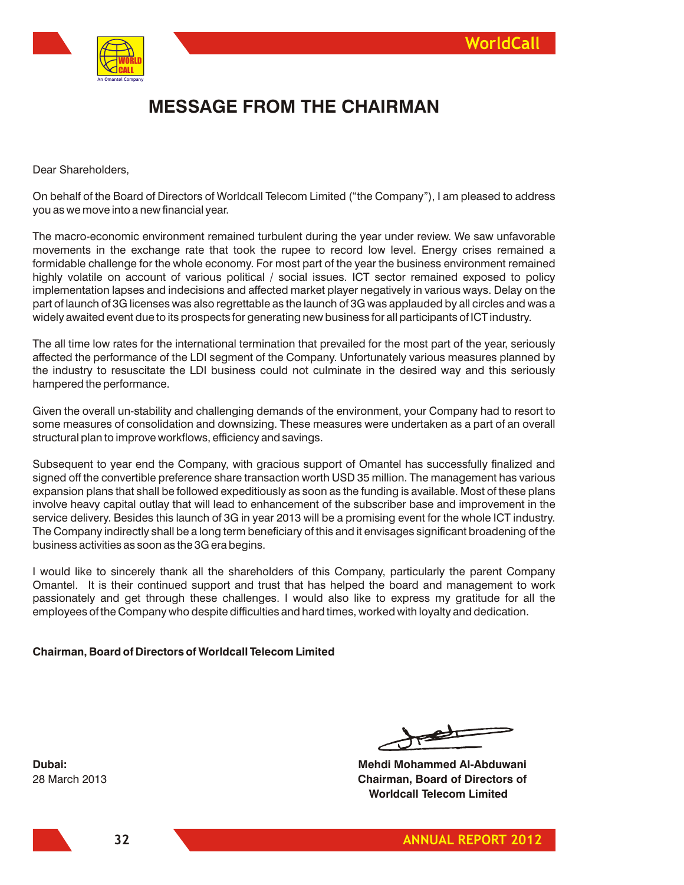

## **MESSAGE FROM THE CHAIRMAN**

Dear Shareholders,

On behalf of the Board of Directors of Worldcall Telecom Limited ("the Company"), I am pleased to address you as we move into a new financial year.

The macro-economic environment remained turbulent during the year under review. We saw unfavorable movements in the exchange rate that took the rupee to record low level. Energy crises remained a formidable challenge for the whole economy. For most part of the year the business environment remained highly volatile on account of various political / social issues. ICT sector remained exposed to policy implementation lapses and indecisions and affected market player negatively in various ways. Delay on the part of launch of 3G licenses was also regrettable as the launch of 3G was applauded by all circles and was a widely awaited event due to its prospects for generating new business for all participants of ICT industry.

The all time low rates for the international termination that prevailed for the most part of the year, seriously affected the performance of the LDI segment of the Company. Unfortunately various measures planned by the industry to resuscitate the LDI business could not culminate in the desired way and this seriously hampered the performance.

Given the overall un-stability and challenging demands of the environment, your Company had to resort to some measures of consolidation and downsizing. These measures were undertaken as a part of an overall structural plan to improve workflows, efficiency and savings.

Subsequent to year end the Company, with gracious support of Omantel has successfully finalized and signed off the convertible preference share transaction worth USD 35 million. The management has various expansion plans that shall be followed expeditiously as soon as the funding is available. Most of these plans involve heavy capital outlay that will lead to enhancement of the subscriber base and improvement in the service delivery. Besides this launch of 3G in year 2013 will be a promising event for the whole ICT industry. The Company indirectly shall be a long term beneficiary of this and it envisages significant broadening of the business activities as soon as the 3G era begins.

I would like to sincerely thank all the shareholders of this Company, particularly the parent Company Omantel. It is their continued support and trust that has helped the board and management to work passionately and get through these challenges. I would also like to express my gratitude for all the employees of the Company who despite difficulties and hard times, worked with loyalty and dedication.

#### **Chairman, Board of Directors of Worldcall Telecom Limited**

 $H =$ 

**Dubai: Mehdi Mohammed Al-Abduwani** 28 March 2013 **Chairman, Board of Directors of Worldcall Telecom Limited**

**32**

**ANNUAL REPORT 2012**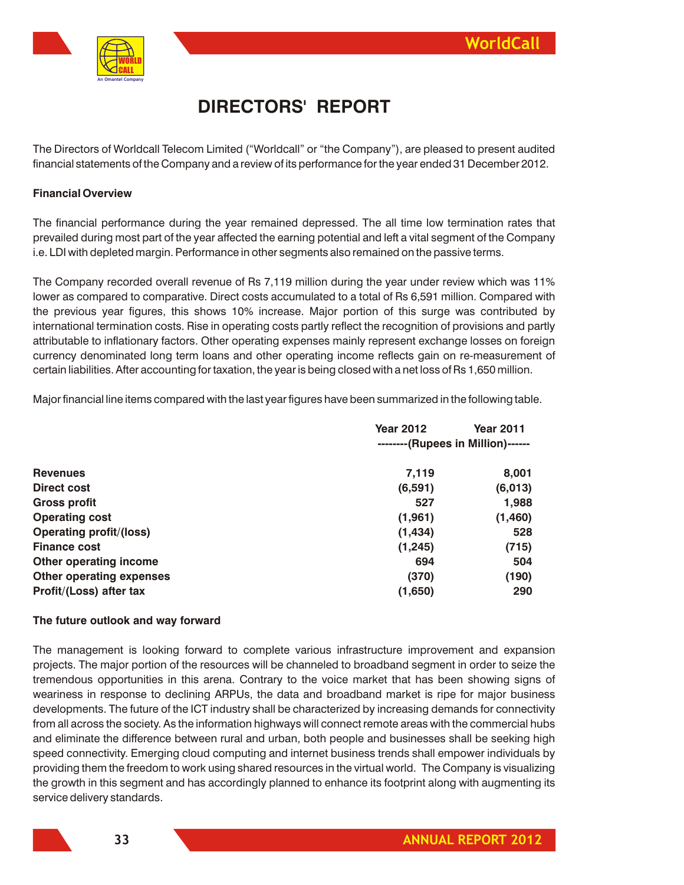

## **DIRECTORS' REPORT**

The Directors of Worldcall Telecom Limited ("Worldcall" or "the Company"), are pleased to present audited financial statements of the Company and a review of its performance for the year ended 31 December 2012.

#### **Financial Overview**

The financial performance during the year remained depressed. The all time low termination rates that prevailed during most part of the year affected the earning potential and left a vital segment of the Company i.e. LDI with depleted margin. Performance in other segments also remained on the passive terms.

The Company recorded overall revenue of Rs 7,119 million during the year under review which was 11% lower as compared to comparative. Direct costs accumulated to a total of Rs 6,591 million. Compared with the previous year figures, this shows 10% increase. Major portion of this surge was contributed by international termination costs. Rise in operating costs partly reflect the recognition of provisions and partly attributable to inflationary factors. Other operating expenses mainly represent exchange losses on foreign currency denominated long term loans and other operating income reflects gain on re-measurement of certain liabilities. After accounting for taxation, the year is being closed with a net loss of Rs 1,650 million.

Major financial line items compared with the last year figures have been summarized in the following table.

|                                | <b>Year 2012</b>                 | <b>Year 2011</b> |
|--------------------------------|----------------------------------|------------------|
|                                | -------(Rupees in Million)------ |                  |
| <b>Revenues</b>                | 7,119                            | 8,001            |
| Direct cost                    | (6, 591)                         | (6,013)          |
| <b>Gross profit</b>            | 527                              | 1,988            |
| <b>Operating cost</b>          | (1,961)                          | (1,460)          |
| <b>Operating profit/(loss)</b> | (1,434)                          | 528              |
| <b>Finance cost</b>            | (1, 245)                         | (715)            |
| Other operating income         | 694                              | 504              |
| Other operating expenses       | (370)                            | (190)            |
| Profit/(Loss) after tax        | (1,650)                          | 290              |

#### **The future outlook and way forward**

The management is looking forward to complete various infrastructure improvement and expansion projects. The major portion of the resources will be channeled to broadband segment in order to seize the tremendous opportunities in this arena. Contrary to the voice market that has been showing signs of weariness in response to declining ARPUs, the data and broadband market is ripe for major business developments. The future of the ICT industry shall be characterized by increasing demands for connectivity from all across the society. As the information highways will connect remote areas with the commercial hubs and eliminate the difference between rural and urban, both people and businesses shall be seeking high speed connectivity. Emerging cloud computing and internet business trends shall empower individuals by providing them the freedom to work using shared resources in the virtual world. The Company is visualizing the growth in this segment and has accordingly planned to enhance its footprint along with augmenting its service delivery standards.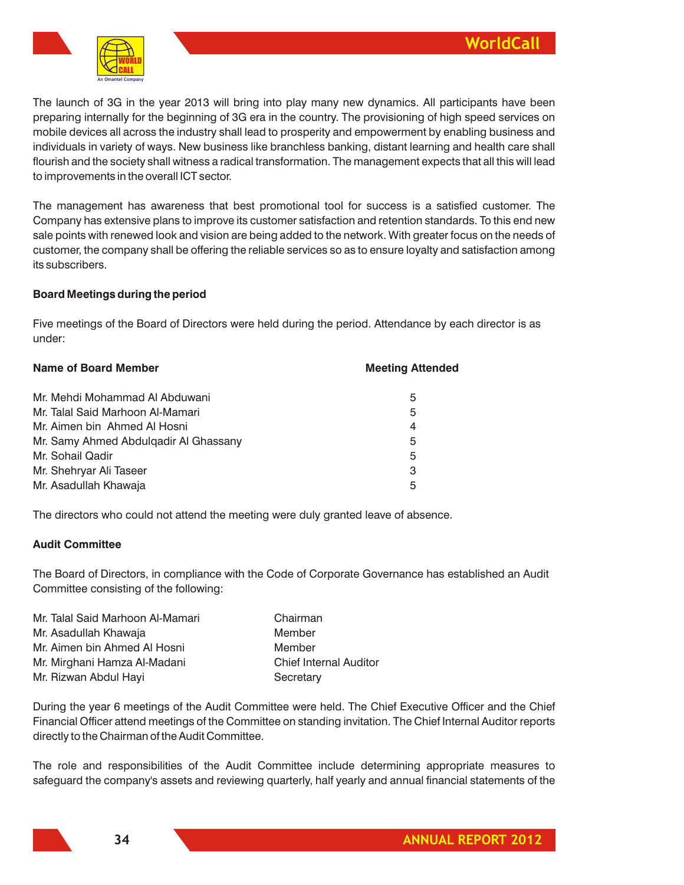

The launch of 3G in the year 2013 will bring into play many new dynamics. All participants have been preparing internally for the beginning of 3G era in the country. The provisioning of high speed services on mobile devices all across the industry shall lead to prosperity and empowerment by enabling business and individuals in variety of ways. New business like branchless banking, distant learning and health care shall flourish and the society shall witness a radical transformation. The management expects that all this will lead to improvements in the overall ICT sector.

The management has awareness that best promotional tool for success is a satisfied customer. The Company has extensive plans to improve its customer satisfaction and retention standards. To this end new sale points with renewed look and vision are being added to the network. With greater focus on the needs of customer, the company shall be offering the reliable services so as to ensure loyalty and satisfaction among its subscribers.

#### **Board Meetings during the period**

Five meetings of the Board of Directors were held during the period. Attendance by each director is as under:

| Name of Board Member                  | <b>Meeting Attended</b> |  |
|---------------------------------------|-------------------------|--|
| Mr. Mehdi Mohammad Al Abduwani        | 5                       |  |
| Mr. Talal Said Marhoon Al-Mamari      | 5                       |  |
| Mr. Aimen bin Ahmed Al Hosni          | 4                       |  |
| Mr. Samy Ahmed Abdulgadir Al Ghassany | 5                       |  |
| Mr. Sohail Qadir                      | 5                       |  |
| Mr. Shehryar Ali Taseer               | 3                       |  |
| Mr. Asadullah Khawaja                 | 5                       |  |

The directors who could not attend the meeting were duly granted leave of absence.

#### **Audit Committee**

The Board of Directors, in compliance with the Code of Corporate Governance has established an Audit Committee consisting of the following:

| Mr. Talal Said Marhoon Al-Mamari | Chairman                      |
|----------------------------------|-------------------------------|
| Mr. Asadullah Khawaja            | Member                        |
| Mr. Aimen bin Ahmed Al Hosni     | Member                        |
| Mr. Mirghani Hamza Al-Madani     | <b>Chief Internal Auditor</b> |
| Mr. Rizwan Abdul Hayi            | Secretary                     |

During the year 6 meetings of the Audit Committee were held. The Chief Executive Officer and the Chief Financial Officer attend meetings of the Committee on standing invitation. The Chief Internal Auditor reports directly to the Chairman of the Audit Committee.

The role and responsibilities of the Audit Committee include determining appropriate measures to safeguard the company's assets and reviewing quarterly, half yearly and annual financial statements of the

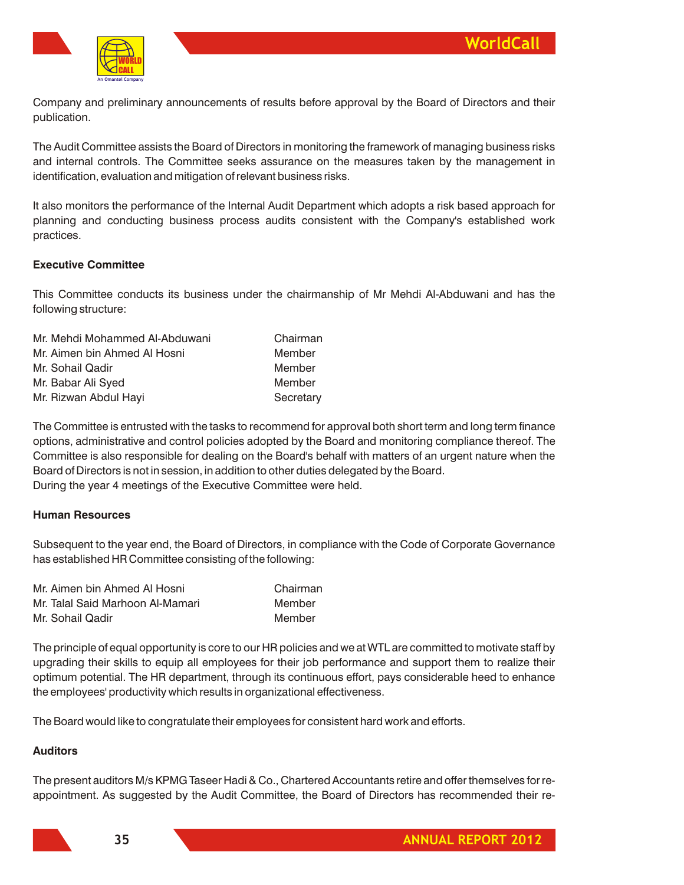

Company and preliminary announcements of results before approval by the Board of Directors and their publication.

The Audit Committee assists the Board of Directors in monitoring the framework of managing business risks and internal controls. The Committee seeks assurance on the measures taken by the management in identification, evaluation and mitigation of relevant business risks.

It also monitors the performance of the Internal Audit Department which adopts a risk based approach for planning and conducting business process audits consistent with the Company's established work practices.

#### **Executive Committee**

This Committee conducts its business under the chairmanship of Mr Mehdi Al-Abduwani and has the following structure:

| Mr. Mehdi Mohammed Al-Abduwani | Chairman  |
|--------------------------------|-----------|
| Mr. Aimen bin Ahmed Al Hosni   | Member    |
| Mr. Sohail Qadir               | Member    |
| Mr. Babar Ali Syed             | Member    |
| Mr. Rizwan Abdul Hayi          | Secretary |

The Committee is entrusted with the tasks to recommend for approval both short term and long term finance options, administrative and control policies adopted by the Board and monitoring compliance thereof. The Committee is also responsible for dealing on the Board's behalf with matters of an urgent nature when the Board of Directors is not in session, in addition to other duties delegated by the Board. During the year 4 meetings of the Executive Committee were held.

#### **Human Resources**

Subsequent to the year end, the Board of Directors, in compliance with the Code of Corporate Governance has established HR Committee consisting of the following:

| Mr. Aimen bin Ahmed Al Hosni     | Chairman |
|----------------------------------|----------|
| Mr. Talal Said Marhoon Al-Mamari | Member   |
| Mr. Sohail Qadir                 | Member   |

The principle of equal opportunity is core to our HR policies and we at WTL are committed to motivate staff by upgrading their skills to equip all employees for their job performance and support them to realize their optimum potential. The HR department, through its continuous effort, pays considerable heed to enhance the employees' productivity which results in organizational effectiveness.

The Board would like to congratulate their employees for consistent hard work and efforts.

#### **Auditors**

The present auditors M/s KPMG Taseer Hadi & Co., Chartered Accountants retire and offer themselves for reappointment. As suggested by the Audit Committee, the Board of Directors has recommended their re-

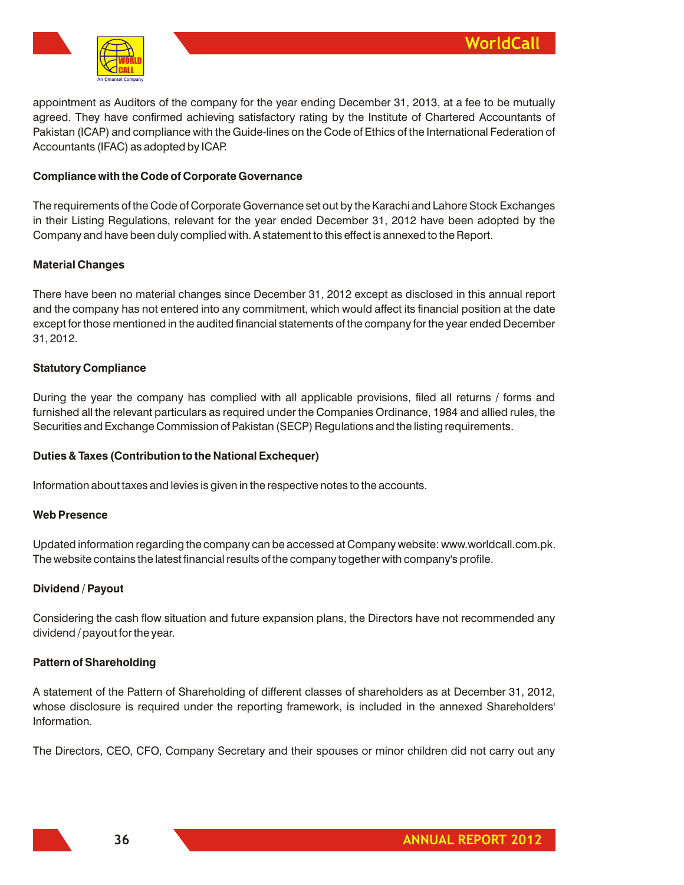

appointment as Auditors of the company for the year ending December 31, 2013, at a fee to be mutually agreed. They have confirmed achieving satisfactory rating by the Institute of Chartered Accountants of Pakistan (ICAP) and compliance with the Guide-lines on the Code of Ethics of the International Federation of Accountants (IFAC) as adopted by ICAP.

#### **Compliance with the Code of Corporate Governance**

The requirements of the Code of Corporate Governance set out by the Karachi and Lahore Stock Exchanges in their Listing Regulations, relevant for the year ended December 31, 2012 have been adopted by the Company and have been duly complied with. A statement to this effect is annexed to the Report.

#### **Material Changes**

There have been no material changes since December 31, 2012 except as disclosed in this annual report and the company has not entered into any commitment, which would affect its financial position at the date except for those mentioned in the audited financial statements of the company for the year ended December 31, 2012.

#### **Statutory Compliance**

During the year the company has complied with all applicable provisions, filed all returns / forms and furnished all the relevant particulars as required under the Companies Ordinance, 1984 and allied rules, the Securities and Exchange Commission of Pakistan (SECP) Regulations and the listing requirements.

#### **Duties & Taxes (Contribution to the National Exchequer)**

Information about taxes and levies is given in the respective notes to the accounts.

#### **Web Presence**

Updated information regarding the company can be accessed at Company website: www.worldcall.com.pk. The website contains the latest financial results of the company together with company's profile.

#### **Dividend / Payout**

Considering the cash flow situation and future expansion plans, the Directors have not recommended any dividend / payout for the year.

#### **Pattern of Shareholding**

A statement of the Pattern of Shareholding of different classes of shareholders as at December 31, 2012, whose disclosure is required under the reporting framework, is included in the annexed Shareholders' Information.

The Directors, CEO, CFO, Company Secretary and their spouses or minor children did not carry out any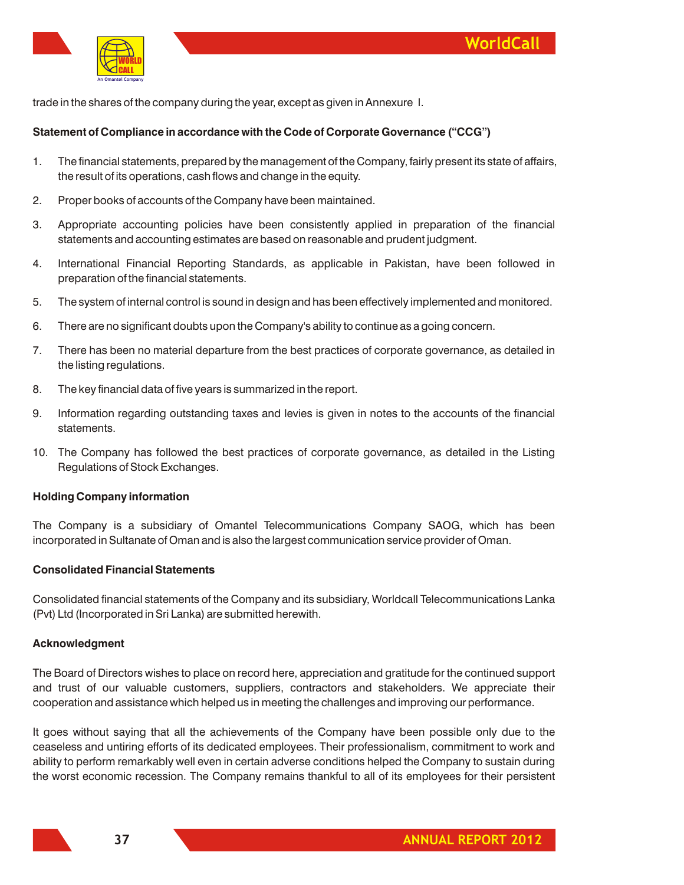

trade in the shares of the company during the year, except as given in Annexure I.

#### **Statement of Compliance in accordance with the Code of Corporate Governance ("CCG")**

- 1. The financial statements, prepared by the management of the Company, fairly present its state of affairs, the result of its operations, cash flows and change in the equity.
- 2. Proper books of accounts of the Company have been maintained.
- 3. Appropriate accounting policies have been consistently applied in preparation of the financial statements and accounting estimates are based on reasonable and prudent judgment.
- 4. International Financial Reporting Standards, as applicable in Pakistan, have been followed in preparation of the financial statements.
- 5. The system of internal control is sound in design and has been effectively implemented and monitored.
- 6. There are no significant doubts upon the Company's ability to continue as a going concern.
- 7. There has been no material departure from the best practices of corporate governance, as detailed in the listing regulations.
- 8. The key financial data of five years is summarized in the report.
- 9. Information regarding outstanding taxes and levies is given in notes to the accounts of the financial statements.
- 10. The Company has followed the best practices of corporate governance, as detailed in the Listing Regulations of Stock Exchanges.

#### **Holding Company information**

The Company is a subsidiary of Omantel Telecommunications Company SAOG, which has been incorporated in Sultanate of Oman and is also the largest communication service provider of Oman.

#### **Consolidated Financial Statements**

Consolidated financial statements of the Company and its subsidiary, Worldcall Telecommunications Lanka (Pvt) Ltd (Incorporated in Sri Lanka) are submitted herewith.

#### **Acknowledgment**

The Board of Directors wishes to place on record here, appreciation and gratitude for the continued support and trust of our valuable customers, suppliers, contractors and stakeholders. We appreciate their cooperation and assistance which helped us in meeting the challenges and improving our performance.

It goes without saying that all the achievements of the Company have been possible only due to the ceaseless and untiring efforts of its dedicated employees. Their professionalism, commitment to work and ability to perform remarkably well even in certain adverse conditions helped the Company to sustain during the worst economic recession. The Company remains thankful to all of its employees for their persistent

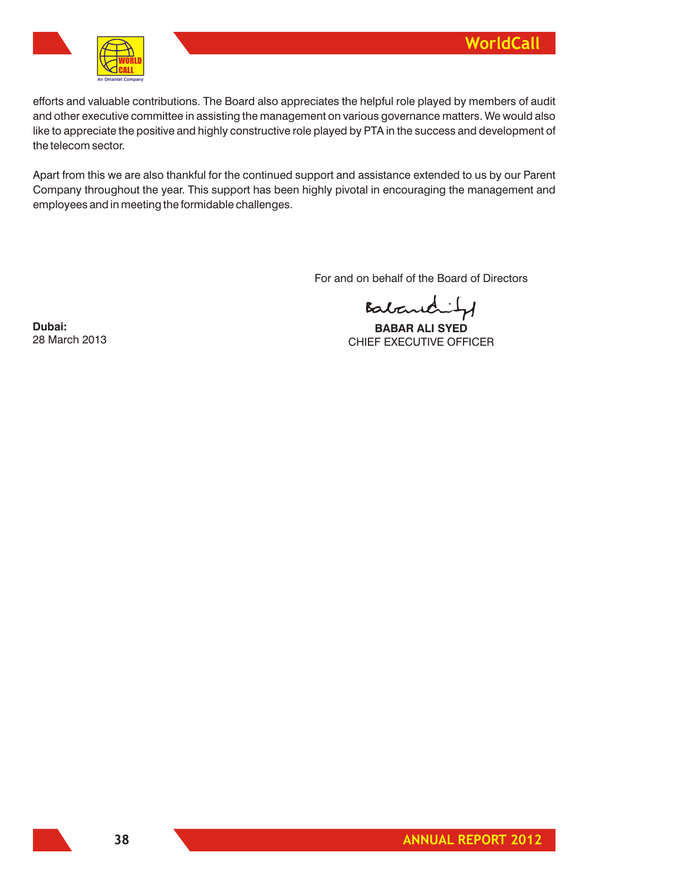



efforts and valuable contributions. The Board also appreciates the helpful role played by members of audit and other executive committee in assisting the management on various governance matters. We would also like to appreciate the positive and highly constructive role played by PTA in the success and development of the telecom sector.

Apart from this we are also thankful for the continued support and assistance extended to us by our Parent Company throughout the year. This support has been highly pivotal in encouraging the management and employees and in meeting the formidable challenges.

For and on behalf of the Board of Directors

Babanchity

**BABAR ALI SYED** CHIEF EXECUTIVE OFFICER

**Dubai:** 28 March 2013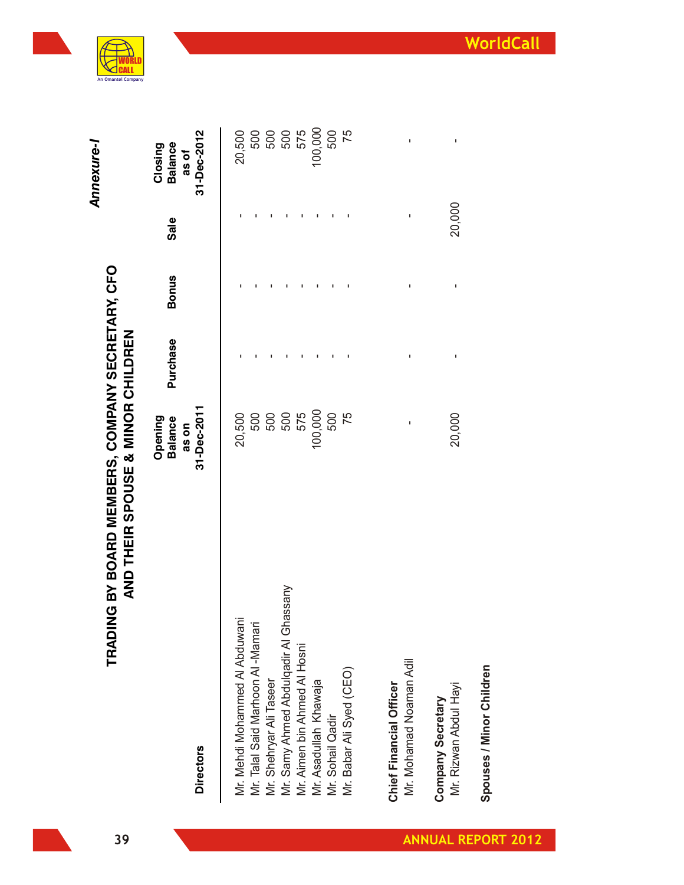| ×<br>$\sim$ | ۰. |
|-------------|----|
|             |    |

# TRADING BY BOARD MEMBERS, COMPANY SECRETARY, CFO **TRADING BY BOARD MEMBERS, COMPANY SECRETARY, CFO** AND THEIR SPOUSE & MINOR CHILDREN **AND THEIR SPOUSE & MINOR CHILDREN**

| <b>Directors</b>                                          | 31-Dec-2011<br><b>Balance</b><br>Opening<br>as on | Purchase | <b>Bonus</b> | Sale   | 31-Dec-2012<br><b>Balance</b><br>Closing<br>as of |
|-----------------------------------------------------------|---------------------------------------------------|----------|--------------|--------|---------------------------------------------------|
| $\mathbf{C}$<br>Mr. Mehdi Mohammed Al Abduwa              | 20,500                                            |          |              |        | 20,500                                            |
| Mr. Talal Said Marhoon AI -Mamari                         |                                                   |          |              |        |                                                   |
| Mr. Shehryar Ali Taseer                                   |                                                   |          |              |        |                                                   |
| hassany<br>Mr. Samy Ahmed Abdulqadir AI GI                | 800<br>800<br>800                                 |          |              |        | នី<br>នី នី នី នី<br>ស                            |
| Mr. Aimen bin Ahmed AI Hosni                              |                                                   |          |              |        |                                                   |
| Mr. Asadullah Khawaja<br>Mr. Sohail Qadir                 | 100,000<br>500                                    |          |              |        |                                                   |
|                                                           |                                                   |          |              |        | 100,000<br>500                                    |
| Mr. Babar Ali Syed (CEO)                                  | 75                                                |          |              |        | 75                                                |
|                                                           |                                                   |          |              |        |                                                   |
| Mr. Mohamad Noaman Adil<br><b>Chief Financial Officer</b> |                                                   |          |              |        |                                                   |
| Mr. Rizwan Abdul Hayi<br>Company Secretary                | 20,000                                            |          |              | 20,000 |                                                   |
| Spouses / Minor Children                                  |                                                   |          |              |        |                                                   |



*Annexure-I*

Annexure-I

**ANNUAL REPORT 2012**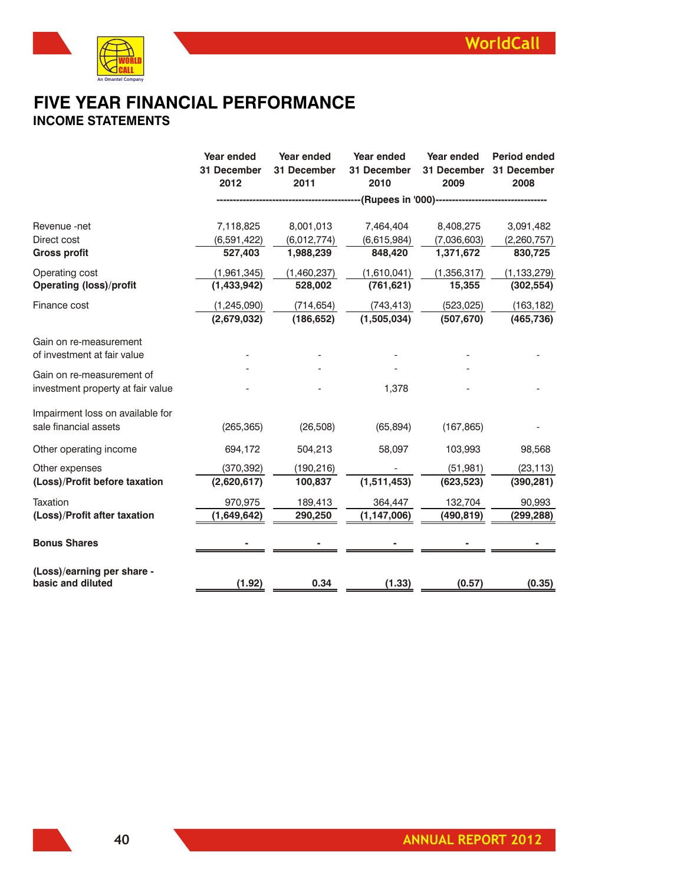

# **FIVE YEAR FINANCIAL PERFORMANCE INCOME STATEMENTS**

|                                                                | <b>Year ended</b><br>31 December<br>2012 | <b>Year ended</b><br>31 December<br>2011 | <b>Year ended</b><br>31 December<br>2010 | <b>Year ended</b><br>31 December<br>2009 | <b>Period ended</b><br>31 December<br>2008 |
|----------------------------------------------------------------|------------------------------------------|------------------------------------------|------------------------------------------|------------------------------------------|--------------------------------------------|
|                                                                |                                          |                                          |                                          | -(Rupees in '000)----------------------  |                                            |
| Revenue -net<br>Direct cost<br><b>Gross profit</b>             | 7,118,825<br>(6,591,422)<br>527,403      | 8,001,013<br>(6,012,774)<br>1,988,239    | 7,464,404<br>(6,615,984)<br>848,420      | 8,408,275<br>(7,036,603)<br>1,371,672    | 3,091,482<br>(2,260,757)<br>830,725        |
| Operating cost<br><b>Operating (loss)/profit</b>               | (1,961,345)<br>(1,433,942)               | (1,460,237)<br>528,002                   | (1,610,041)<br>(761, 621)                | (1,356,317)<br>15,355                    | (1, 133, 279)<br>(302, 554)                |
| Finance cost                                                   | (1,245,090)<br>(2,679,032)               | (714, 654)<br>(186, 652)                 | (743,413)<br>(1,505,034)                 | (523, 025)<br>(507, 670)                 | (163, 182)<br>(465, 736)                   |
| Gain on re-measurement<br>of investment at fair value          |                                          |                                          |                                          |                                          |                                            |
| Gain on re-measurement of<br>investment property at fair value |                                          |                                          | 1,378                                    |                                          |                                            |
| Impairment loss on available for<br>sale financial assets      | (265, 365)                               | (26, 508)                                | (65, 894)                                | (167, 865)                               |                                            |
| Other operating income                                         | 694,172                                  | 504,213                                  | 58,097                                   | 103,993                                  | 98,568                                     |
| Other expenses<br>(Loss)/Profit before taxation                | (370, 392)<br>(2,620,617)                | (190, 216)<br>100,837                    | (1,511,453)                              | (51, 981)<br>(623, 523)                  | (23, 113)<br>(390, 281)                    |
| Taxation<br>(Loss)/Profit after taxation                       | 970,975<br>(1,649,642)                   | 189,413<br>290,250                       | 364,447<br>(1, 147, 006)                 | 132,704<br>(490, 819)                    | 90,993<br>(299, 288)                       |
| <b>Bonus Shares</b>                                            |                                          |                                          |                                          |                                          |                                            |
| (Loss)/earning per share -<br>basic and diluted                | (1.92)                                   | 0.34                                     | (1.33)                                   | (0.57)                                   | (0.35)                                     |

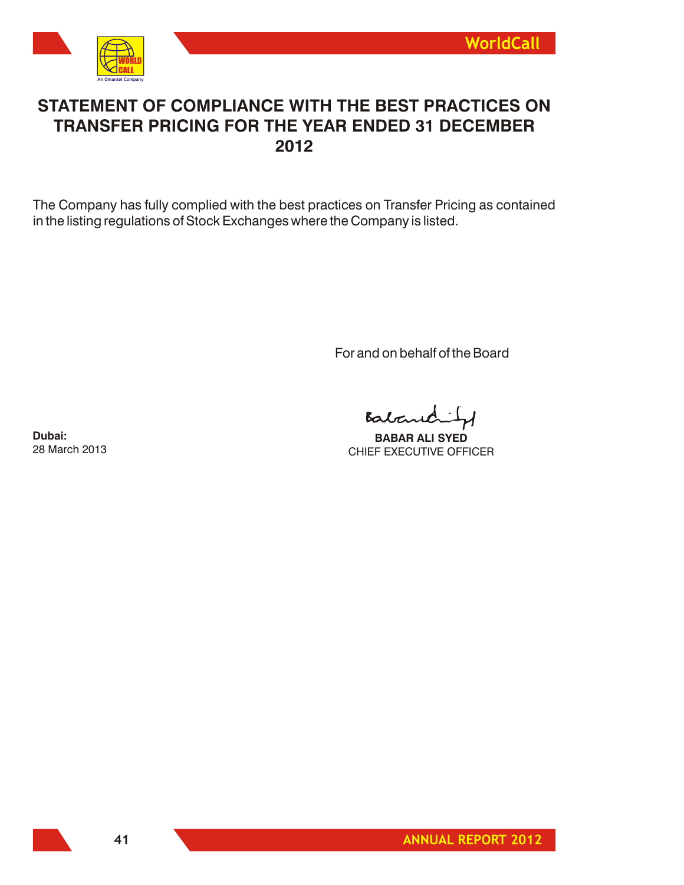

# **STATEMENT OF COMPLIANCE WITH THE BEST PRACTICES ON TRANSFER PRICING FOR THE YEAR ENDED 31 DECEMBER 2012**

The Company has fully complied with the best practices on Transfer Pricing as contained in the listing regulations of Stock Exchanges where the Company is listed.

For and on behalf of the Board

 $\pm J$ Babarid

**BABAR ALI SYED** CHIEF EXECUTIVE OFFICER

**Dubai:** 28 March 2013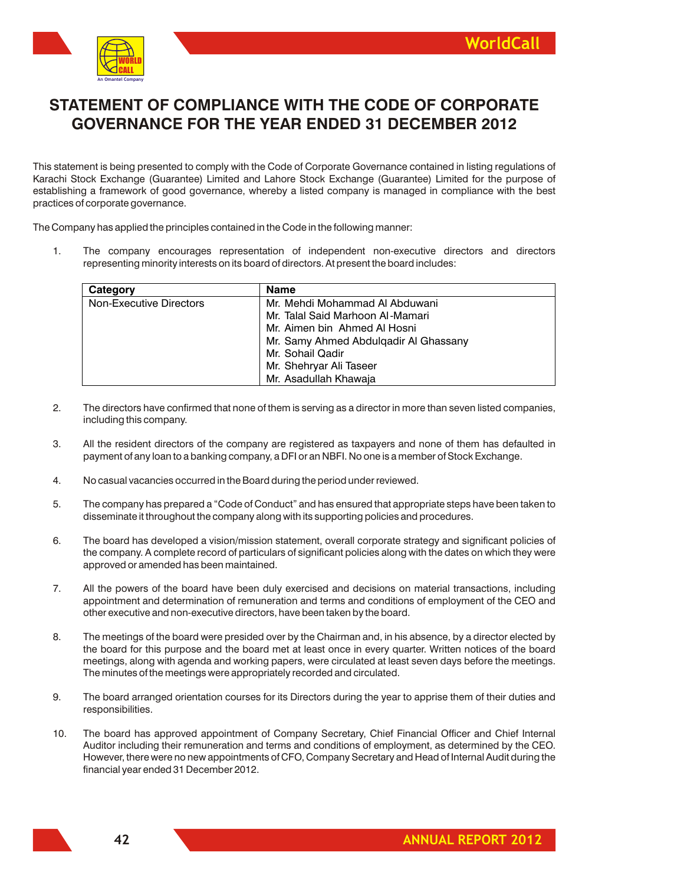

# **STATEMENT OF COMPLIANCE WITH THE CODE OF CORPORATE GOVERNANCE FOR THE YEAR ENDED 31 DECEMBER 2012**

This statement is being presented to comply with the Code of Corporate Governance contained in listing regulations of Karachi Stock Exchange (Guarantee) Limited and Lahore Stock Exchange (Guarantee) Limited for the purpose of establishing a framework of good governance, whereby a listed company is managed in compliance with the best practices of corporate governance.

The Company has applied the principles contained in the Code in the following manner:

1. The company encourages representation of independent non-executive directors and directors representing minority interests on its board of directors. At present the board includes:

| Category                | <b>Name</b>                           |
|-------------------------|---------------------------------------|
| Non-Executive Directors | Mr. Mehdi Mohammad Al Abduwani        |
|                         | Mr. Talal Said Marhoon Al-Mamari      |
|                         | Mr. Aimen bin Ahmed Al Hosni          |
|                         | Mr. Samy Ahmed Abdulgadir Al Ghassany |
|                         | Mr. Sohail Qadir                      |
|                         | Mr. Shehryar Ali Taseer               |
|                         | Mr. Asadullah Khawaja                 |

- 2. The directors have confirmed that none of them is serving as a director in more than seven listed companies, including this company.
- 3. All the resident directors of the company are registered as taxpayers and none of them has defaulted in payment of any loan to a banking company, a DFI or an NBFI. No one is a member of Stock Exchange.
- 4. No casual vacancies occurred in the Board during the period under reviewed.
- 5. The company has prepared a "Code of Conduct" and has ensured that appropriate steps have been taken to disseminate it throughout the company along with its supporting policies and procedures.
- 6. The board has developed a vision/mission statement, overall corporate strategy and significant policies of the company. A complete record of particulars of significant policies along with the dates on which they were approved or amended has been maintained.
- 7. All the powers of the board have been duly exercised and decisions on material transactions, including appointment and determination of remuneration and terms and conditions of employment of the CEO and other executive and non-executive directors, have been taken by the board.
- 8. The meetings of the board were presided over by the Chairman and, in his absence, by a director elected by the board for this purpose and the board met at least once in every quarter. Written notices of the board meetings, along with agenda and working papers, were circulated at least seven days before the meetings. The minutes of the meetings were appropriately recorded and circulated.
- 9. The board arranged orientation courses for its Directors during the year to apprise them of their duties and responsibilities.
- 10. The board has approved appointment of Company Secretary, Chief Financial Officer and Chief Internal Auditor including their remuneration and terms and conditions of employment, as determined by the CEO. However, there were no new appointments of CFO, Company Secretary and Head of Internal Audit during the financial year ended 31 December 2012.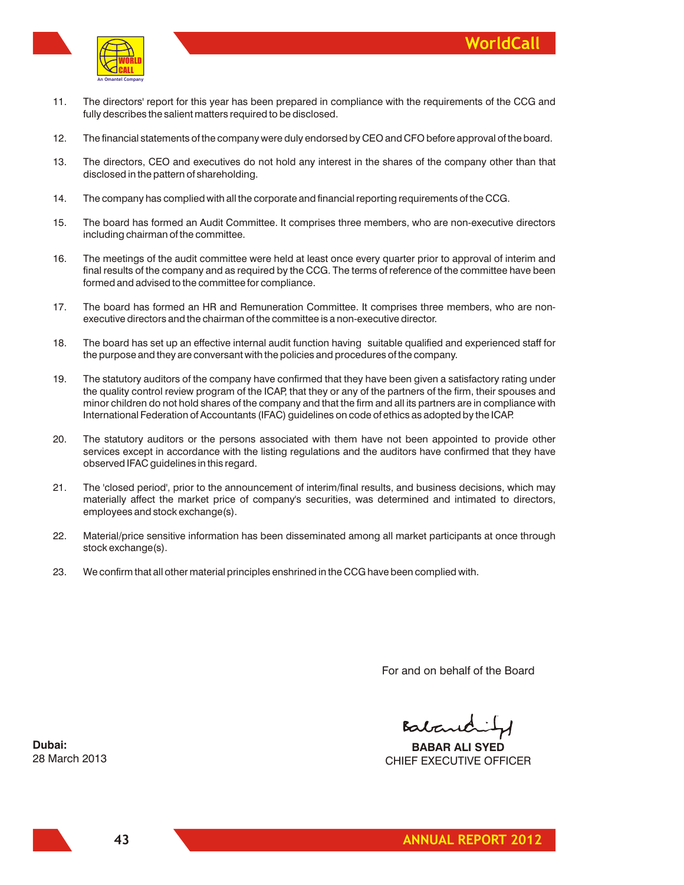**WorldCall**



- 11. The directors' report for this year has been prepared in compliance with the requirements of the CCG and fully describes the salient matters required to be disclosed.
- 12. The financial statements of the company were duly endorsed by CEO and CFO before approval of the board.
- 13. The directors, CEO and executives do not hold any interest in the shares of the company other than that disclosed in the pattern of shareholding.
- 14. The company has complied with all the corporate and financial reporting requirements of the CCG.
- 15. The board has formed an Audit Committee. It comprises three members, who are non-executive directors including chairman of the committee.
- 16. The meetings of the audit committee were held at least once every quarter prior to approval of interim and final results of the company and as required by the CCG. The terms of reference of the committee have been formed and advised to the committee for compliance.
- 17. The board has formed an HR and Remuneration Committee. It comprises three members, who are nonexecutive directors and the chairman of the committee is a non-executive director.
- 18. The board has set up an effective internal audit function having suitable qualified and experienced staff for the purpose and they are conversant with the policies and procedures of the company.
- 19. The statutory auditors of the company have confirmed that they have been given a satisfactory rating under the quality control review program of the ICAP, that they or any of the partners of the firm, their spouses and minor children do not hold shares of the company and that the firm and all its partners are in compliance with International Federation of Accountants (IFAC) guidelines on code of ethics as adopted by the ICAP.
- 20. The statutory auditors or the persons associated with them have not been appointed to provide other services except in accordance with the listing regulations and the auditors have confirmed that they have observed IFAC guidelines in this regard.
- 21. The 'closed period', prior to the announcement of interim/final results, and business decisions, which may materially affect the market price of company's securities, was determined and intimated to directors, employees and stock exchange(s).
- 22. Material/price sensitive information has been disseminated among all market participants at once through stock exchange(s).
- 23. We confirm that all other material principles enshrined in the CCG have been complied with.

For and on behalf of the Board

Baban

**BABAR ALI SYED** CHIEF EXECUTIVE OFFICER

**Dubai:** 28 March 2013

**43**

**ANNUAL REPORT 2012**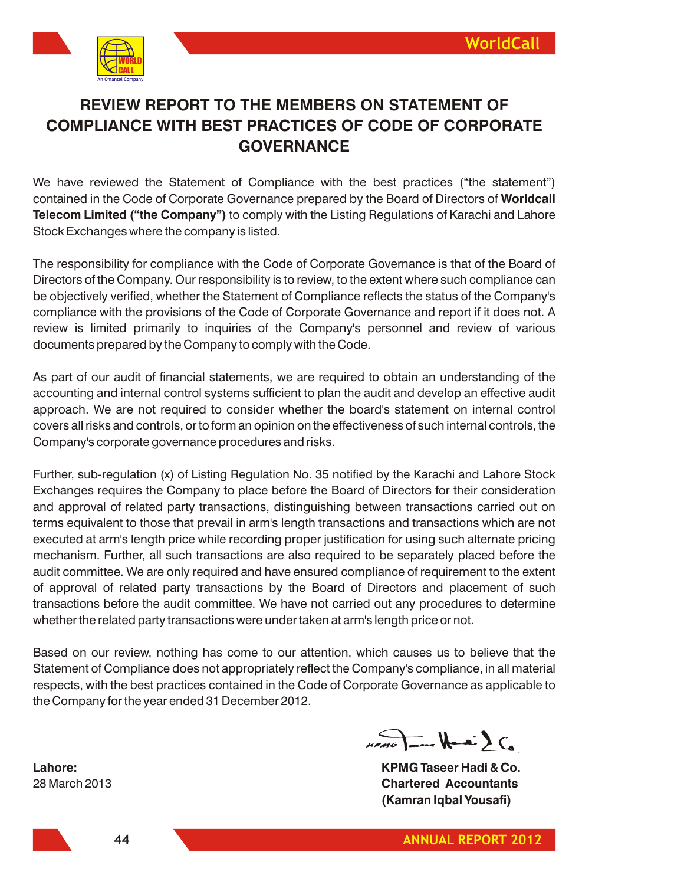

# **REVIEW REPORT TO THE MEMBERS ON STATEMENT OF COMPLIANCE WITH BEST PRACTICES OF CODE OF CORPORATE GOVERNANCE**

We have reviewed the Statement of Compliance with the best practices ("the statement") contained in the Code of Corporate Governance prepared by the Board of Directors of **Worldcall Telecom Limited ("the Company")** to comply with the Listing Regulations of Karachi and Lahore Stock Exchanges where the company is listed.

The responsibility for compliance with the Code of Corporate Governance is that of the Board of Directors of the Company. Our responsibility is to review, to the extent where such compliance can be objectively verified, whether the Statement of Compliance reflects the status of the Company's compliance with the provisions of the Code of Corporate Governance and report if it does not. A review is limited primarily to inquiries of the Company's personnel and review of various documents prepared by the Company to comply with the Code.

As part of our audit of financial statements, we are required to obtain an understanding of the accounting and internal control systems sufficient to plan the audit and develop an effective audit approach. We are not required to consider whether the board's statement on internal control covers all risks and controls, or to form an opinion on the effectiveness of such internal controls, the Company's corporate governance procedures and risks.

Further, sub-regulation (x) of Listing Regulation No. 35 notified by the Karachi and Lahore Stock Exchanges requires the Company to place before the Board of Directors for their consideration and approval of related party transactions, distinguishing between transactions carried out on terms equivalent to those that prevail in arm's length transactions and transactions which are not executed at arm's length price while recording proper justification for using such alternate pricing mechanism. Further, all such transactions are also required to be separately placed before the audit committee. We are only required and have ensured compliance of requirement to the extent of approval of related party transactions by the Board of Directors and placement of such transactions before the audit committee. We have not carried out any procedures to determine whether the related party transactions were under taken at arm's length price or not.

Based on our review, nothing has come to our attention, which causes us to believe that the Statement of Compliance does not appropriately reflect the Company's compliance, in all material respects, with the best practices contained in the Code of Corporate Governance as applicable to the Company for the year ended 31 December 2012.

 $k$ 

**Lahore: KPMG Taseer Hadi & Co.** 28 March 2013 **Chartered Accountants (Kamran Iqbal Yousafi)** 

**44**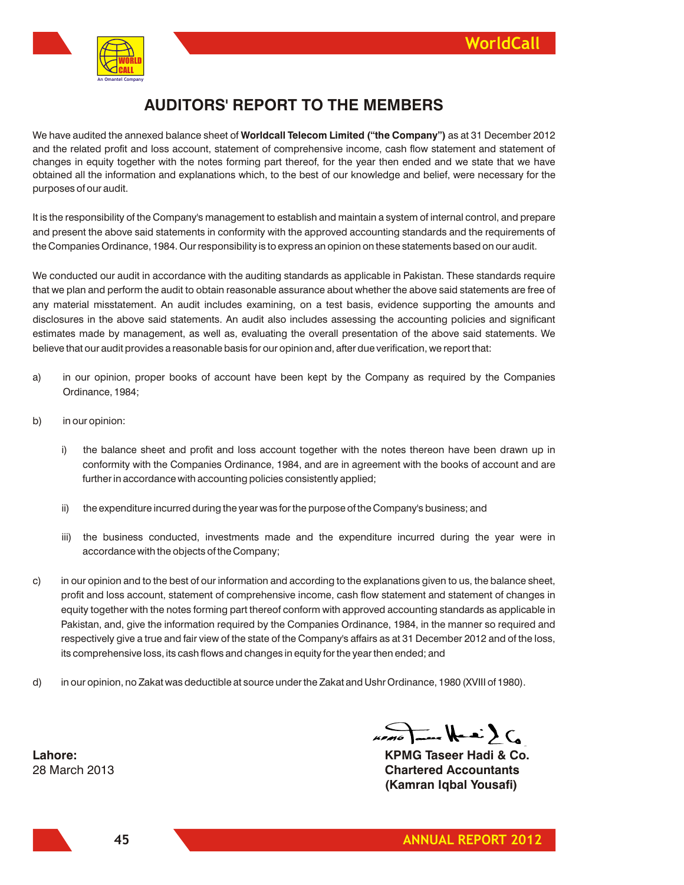

# **AUDITORS' REPORT TO THE MEMBERS**

We have audited the annexed balance sheet of **Worldcall Telecom Limited ("the Company")** as at 31 December 2012 and the related profit and loss account, statement of comprehensive income, cash flow statement and statement of changes in equity together with the notes forming part thereof, for the year then ended and we state that we have obtained all the information and explanations which, to the best of our knowledge and belief, were necessary for the purposes of our audit.

It is the responsibility of the Company's management to establish and maintain a system of internal control, and prepare and present the above said statements in conformity with the approved accounting standards and the requirements of the Companies Ordinance, 1984. Our responsibility is to express an opinion on these statements based on our audit.

We conducted our audit in accordance with the auditing standards as applicable in Pakistan. These standards require that we plan and perform the audit to obtain reasonable assurance about whether the above said statements are free of any material misstatement. An audit includes examining, on a test basis, evidence supporting the amounts and disclosures in the above said statements. An audit also includes assessing the accounting policies and significant estimates made by management, as well as, evaluating the overall presentation of the above said statements. We believe that our audit provides a reasonable basis for our opinion and, after due verification, we report that:

- a) in our opinion, proper books of account have been kept by the Company as required by the Companies Ordinance, 1984;
- b) in our opinion:
	- i) the balance sheet and profit and loss account together with the notes thereon have been drawn up in conformity with the Companies Ordinance, 1984, and are in agreement with the books of account and are further in accordance with accounting policies consistently applied;
	- ii) the expenditure incurred during the year was for the purpose of the Company's business; and
	- iii) the business conducted, investments made and the expenditure incurred during the year were in accordance with the objects of the Company;
- c) in our opinion and to the best of our information and according to the explanations given to us, the balance sheet, profit and loss account, statement of comprehensive income, cash flow statement and statement of changes in equity together with the notes forming part thereof conform with approved accounting standards as applicable in Pakistan, and, give the information required by the Companies Ordinance, 1984, in the manner so required and respectively give a true and fair view of the state of the Company's affairs as at 31 December 2012 and of the loss, its comprehensive loss, its cash flows and changes in equity for the year then ended; and
- d) in our opinion, no Zakat was deductible at source under the Zakat and Ushr Ordinance, 1980 (XVIII of 1980).

 $\bigcap_{p\neq 0} \bigcup_{\alpha=1}^{\infty} \bigcup_{\alpha=1}^{\infty}$ 

**Lahore: KPMG Taseer Hadi & Co.** 28 March 2013 **Chartered Accountants (Kamran Iqbal Yousafi)**

**ANNUAL REPORT 2012**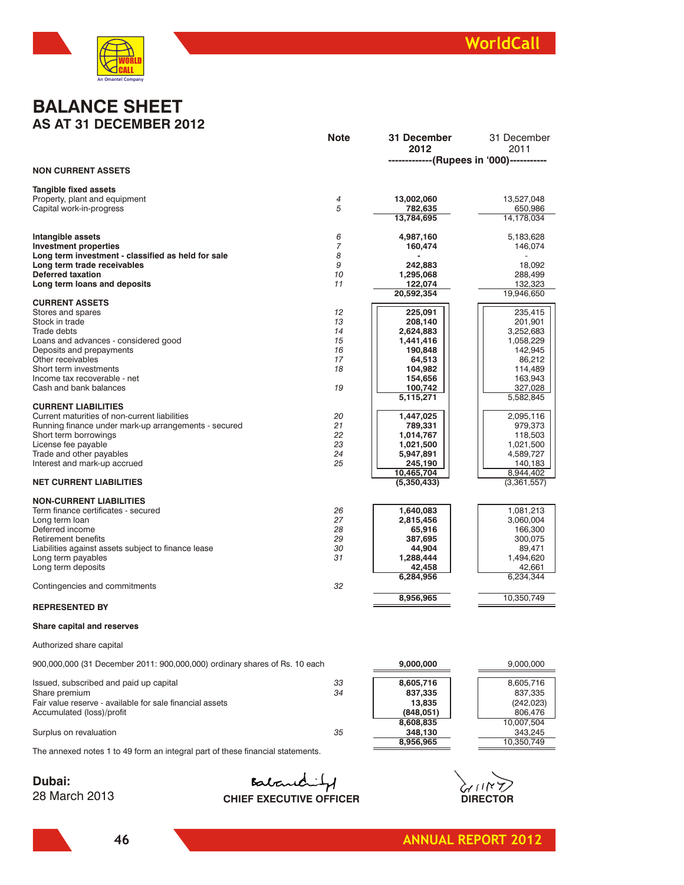

## **BALANCE SHEET AS AT 31 DECEMBER 2012**

|                                                                                | <b>Note</b>         | 31 December<br>2012<br>-------------(Rupees in '000)----------- | 31 December<br>2011   |
|--------------------------------------------------------------------------------|---------------------|-----------------------------------------------------------------|-----------------------|
| <b>NON CURRENT ASSETS</b>                                                      |                     |                                                                 |                       |
| <b>Tangible fixed assets</b>                                                   |                     |                                                                 |                       |
| Property, plant and equipment<br>Capital work-in-progress                      | $\overline{4}$<br>5 | 13,002,060                                                      | 13,527,048            |
|                                                                                |                     | 782,635<br>13,784,695                                           | 650,986<br>14,178,034 |
| Intangible assets                                                              | 6                   | 4,987,160                                                       | 5,183,628             |
| <b>Investment properties</b>                                                   | 7                   | 160,474                                                         | 146,074               |
| Long term investment - classified as held for sale                             | 8                   |                                                                 |                       |
| Long term trade receivables<br><b>Deferred taxation</b>                        | 9<br>10             | 242,883<br>1,295,068                                            | 18,092<br>288,499     |
| Long term loans and deposits                                                   | 11                  | 122,074                                                         | 132,323               |
| <b>CURRENT ASSETS</b>                                                          |                     | 20,592,354                                                      | 19,946,650            |
| Stores and spares                                                              | 12                  | 225,091                                                         | 235,415               |
| Stock in trade<br>Trade debts                                                  | 13<br>14            | 208,140<br>2,624,883                                            | 201,901<br>3,252,683  |
| Loans and advances - considered good                                           | 15                  | 1,441,416                                                       | 1,058,229             |
| Deposits and prepayments                                                       | 16                  | 190,848                                                         | 142,945               |
| Other receivables                                                              | 17                  | 64,513                                                          | 86,212                |
| Short term investments<br>Income tax recoverable - net                         | 18                  | 104,982<br>154,656                                              | 114,489<br>163,943    |
| Cash and bank balances                                                         | 19                  | 100,742                                                         | 327,028               |
|                                                                                |                     | 5,115,271                                                       | 5,582,845             |
| <b>CURRENT LIABILITIES</b><br>Current maturities of non-current liabilities    | 20                  |                                                                 |                       |
| Running finance under mark-up arrangements - secured                           | 21                  | 1,447,025<br>789,331                                            | 2,095,116<br>979,373  |
| Short term borrowings                                                          | 22                  | 1,014,767                                                       | 118,503               |
| License fee payable                                                            | 23                  | 1,021,500                                                       | 1,021,500             |
| Trade and other payables<br>Interest and mark-up accrued                       | 24<br>25            | 5,947,891<br>245,190                                            | 4,589,727<br>140,183  |
|                                                                                |                     | 10,465,704                                                      | 8,944,402             |
| <b>NET CURRENT LIABILITIES</b>                                                 |                     | (5,350,433)                                                     | (3,361,557)           |
| <b>NON-CURRENT LIABILITIES</b>                                                 |                     |                                                                 |                       |
| Term finance certificates - secured                                            | 26                  | 1,640,083                                                       | 1,081,213             |
| Long term loan                                                                 | 27                  | 2,815,456                                                       | 3,060,004             |
| Deferred income<br><b>Retirement benefits</b>                                  | 28<br>29            | 65,916<br>387,695                                               | 166,300<br>300,075    |
| Liabilities against assets subject to finance lease                            | 30                  | 44,904                                                          | 89,471                |
| Long term payables                                                             | 31                  | 1,288,444                                                       | 1,494,620             |
| Long term deposits                                                             |                     | 42,458<br>6,284,956                                             | 42,661<br>6,234,344   |
| Contingencies and commitments                                                  | 32                  |                                                                 |                       |
| <b>REPRESENTED BY</b>                                                          |                     | 8,956,965                                                       | 10,350,749            |
| Share capital and reserves                                                     |                     |                                                                 |                       |
|                                                                                |                     |                                                                 |                       |
| Authorized share capital                                                       |                     |                                                                 |                       |
| 900,000,000 (31 December 2011: 900,000,000) ordinary shares of Rs. 10 each     |                     | 9,000,000                                                       | 9,000,000             |
| Issued, subscribed and paid up capital                                         | 33                  | 8,605,716                                                       | 8,605,716             |
| Share premium<br>Fair value reserve - available for sale financial assets      | 34                  | 837,335                                                         | 837,335               |
| Accumulated (loss)/profit                                                      |                     | 13,835<br>(848, 051)                                            | (242, 023)<br>806,476 |
|                                                                                |                     | 8,608,835                                                       | 10,007,504            |
| Surplus on revaluation                                                         | 35                  | 348,130                                                         | 343,245               |
|                                                                                |                     | 8,956,965                                                       | 10,350,749            |
| The annexed notes 1 to 49 form an integral part of these financial statements. |                     |                                                                 |                       |
| Dubai:                                                                         | Babancail           |                                                                 |                       |

28 March 2013



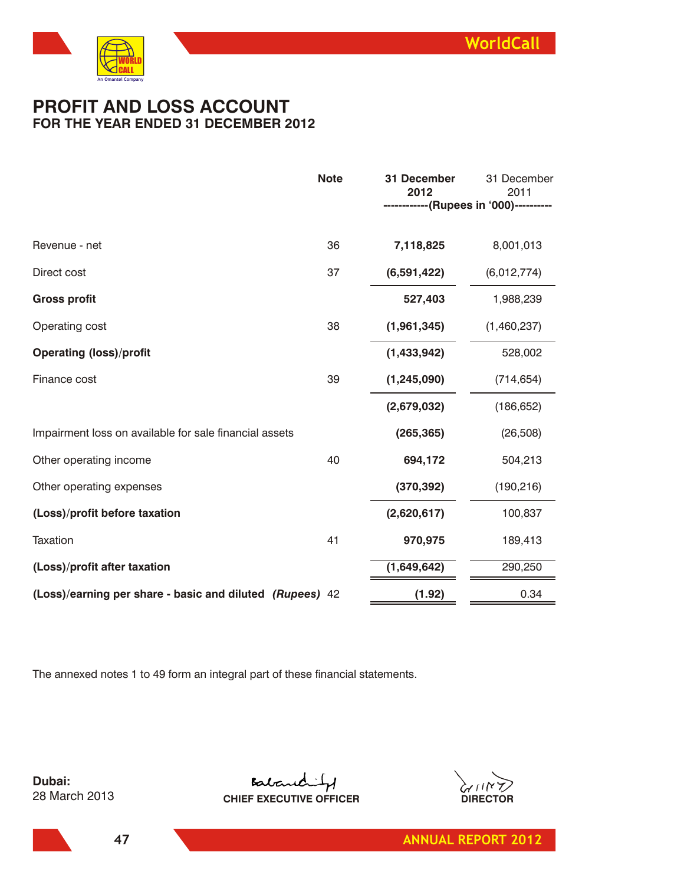

# **PROFIT AND LOSS ACCOUNT FOR THE YEAR ENDED 31 DECEMBER 2012**

|                                                          | <b>Note</b> | 31 December<br>2012 | 31 December<br>2011                    |
|----------------------------------------------------------|-------------|---------------------|----------------------------------------|
|                                                          |             |                     | ------------(Rupees in '000)---------- |
| Revenue - net                                            | 36          | 7,118,825           | 8,001,013                              |
| Direct cost                                              | 37          | (6,591,422)         | (6,012,774)                            |
| <b>Gross profit</b>                                      |             | 527,403             | 1,988,239                              |
| Operating cost                                           | 38          | (1,961,345)         | (1,460,237)                            |
| <b>Operating (loss)/profit</b>                           |             | (1,433,942)         | 528,002                                |
| Finance cost                                             | 39          | (1, 245, 090)       | (714, 654)                             |
|                                                          |             | (2,679,032)         | (186, 652)                             |
| Impairment loss on available for sale financial assets   |             | (265, 365)          | (26, 508)                              |
| Other operating income                                   | 40          | 694,172             | 504,213                                |
| Other operating expenses                                 |             | (370, 392)          | (190, 216)                             |
| (Loss)/profit before taxation                            |             | (2,620,617)         | 100,837                                |
| Taxation                                                 | 41          | 970,975             | 189,413                                |
| (Loss)/profit after taxation                             |             | (1,649,642)         | 290,250                                |
| (Loss)/earning per share - basic and diluted (Rupees) 42 |             | (1.92)              | 0.34                                   |

The annexed notes 1 to 49 form an integral part of these financial statements.

**Dubai:** 28 March 2013





**47**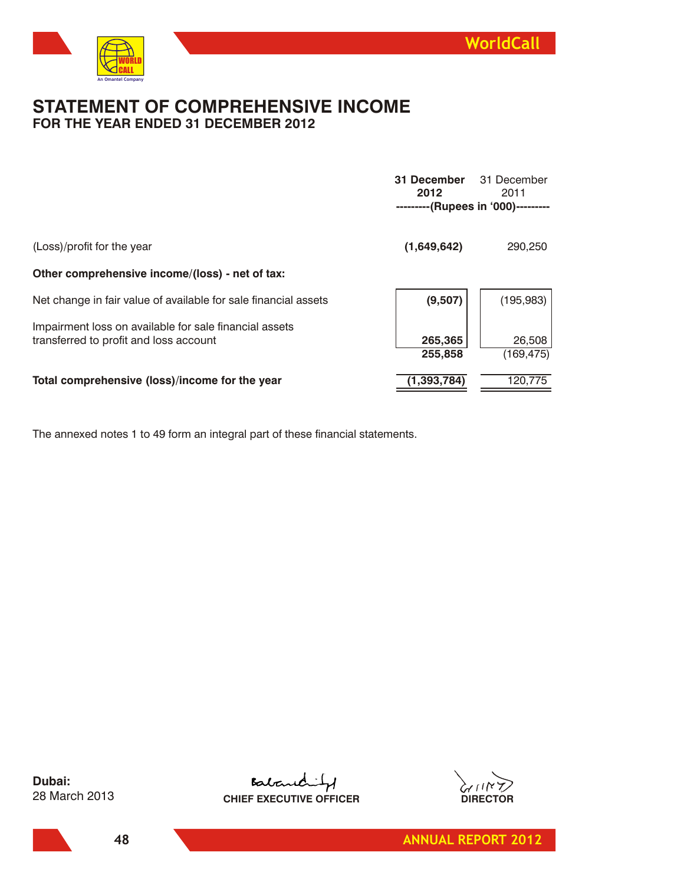

# **STATEMENT OF COMPREHENSIVE INCOME FOR THE YEAR ENDED 31 DECEMBER 2012**

|                                                                                                  | 31 December<br>2012 | 31 December<br>2011<br>---(Rupees in '000)--------- |
|--------------------------------------------------------------------------------------------------|---------------------|-----------------------------------------------------|
| (Loss)/profit for the year                                                                       | (1,649,642)         | 290,250                                             |
| Other comprehensive income/(loss) - net of tax:                                                  |                     |                                                     |
| Net change in fair value of available for sale financial assets                                  | (9,507)             | (195, 983)                                          |
| Impairment loss on available for sale financial assets<br>transferred to profit and loss account | 265,365<br>255,858  | 26,508<br>(169, 475)                                |
| Total comprehensive (loss)/income for the year                                                   | (1, 393, 784)       | 120,775                                             |

The annexed notes 1 to 49 form an integral part of these financial statements.

**Dubai:** 28 March 2013

**CHIEF EXECUTIVE OFFICER** DIRECTOR



**48**

**ANNUAL REPORT 2012**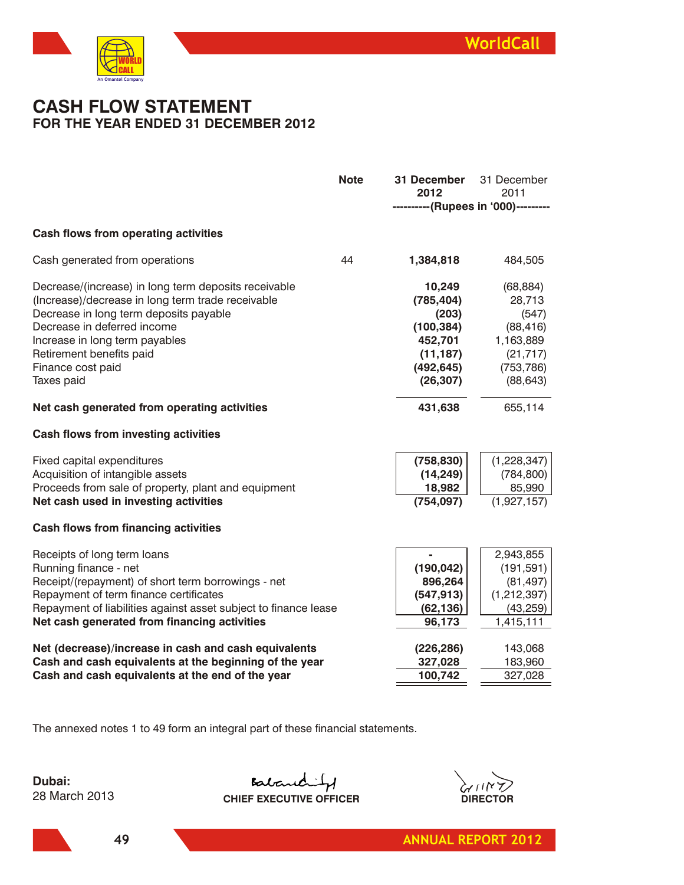

# **CASH FLOW STATEMENT FOR THE YEAR ENDED 31 DECEMBER 2012**

|                                                                                                                                                                                                                                                                                     | <b>Note</b> | 31 December<br>2012<br>----------(Rupees in '000)---------                                     | 31 December<br>2011                                                                            |
|-------------------------------------------------------------------------------------------------------------------------------------------------------------------------------------------------------------------------------------------------------------------------------------|-------------|------------------------------------------------------------------------------------------------|------------------------------------------------------------------------------------------------|
| Cash flows from operating activities                                                                                                                                                                                                                                                |             |                                                                                                |                                                                                                |
| Cash generated from operations                                                                                                                                                                                                                                                      | 44          | 1,384,818                                                                                      | 484,505                                                                                        |
| Decrease/(increase) in long term deposits receivable<br>(Increase)/decrease in long term trade receivable<br>Decrease in long term deposits payable<br>Decrease in deferred income<br>Increase in long term payables<br>Retirement benefits paid<br>Finance cost paid<br>Taxes paid |             | 10,249<br>(785, 404)<br>(203)<br>(100, 384)<br>452,701<br>(11, 187)<br>(492, 645)<br>(26, 307) | (68, 884)<br>28,713<br>(547)<br>(88, 416)<br>1,163,889<br>(21, 717)<br>(753, 786)<br>(88, 643) |
| Net cash generated from operating activities                                                                                                                                                                                                                                        |             | 431,638                                                                                        | 655,114                                                                                        |
| Cash flows from investing activities                                                                                                                                                                                                                                                |             |                                                                                                |                                                                                                |
| Fixed capital expenditures<br>Acquisition of intangible assets<br>Proceeds from sale of property, plant and equipment<br>Net cash used in investing activities                                                                                                                      |             | (758, 830)<br>(14, 249)<br>18,982<br>(754, 097)                                                | (1,228,347)<br>(784, 800)<br>85,990<br>(1,927,157)                                             |
| <b>Cash flows from financing activities</b>                                                                                                                                                                                                                                         |             |                                                                                                |                                                                                                |
| Receipts of long term loans<br>Running finance - net<br>Receipt/(repayment) of short term borrowings - net<br>Repayment of term finance certificates<br>Repayment of liabilities against asset subject to finance lease<br>Net cash generated from financing activities             |             | (190, 042)<br>896,264<br>(547, 913)<br>(62, 136)<br>96,173                                     | 2,943,855<br>(191, 591)<br>(81, 497)<br>(1,212,397)<br>(43, 259)<br>1,415,111                  |
| Net (decrease)/increase in cash and cash equivalents<br>Cash and cash equivalents at the beginning of the year<br>Cash and cash equivalents at the end of the year                                                                                                                  |             | (226, 286)<br>327,028<br>100,742                                                               | 143,068<br>183,960<br>327,028                                                                  |

The annexed notes 1 to 49 form an integral part of these financial statements.

**Dubai:** 28 March 2013 **CHIEF EXECUTIVE OFFICER** DIRECTOR

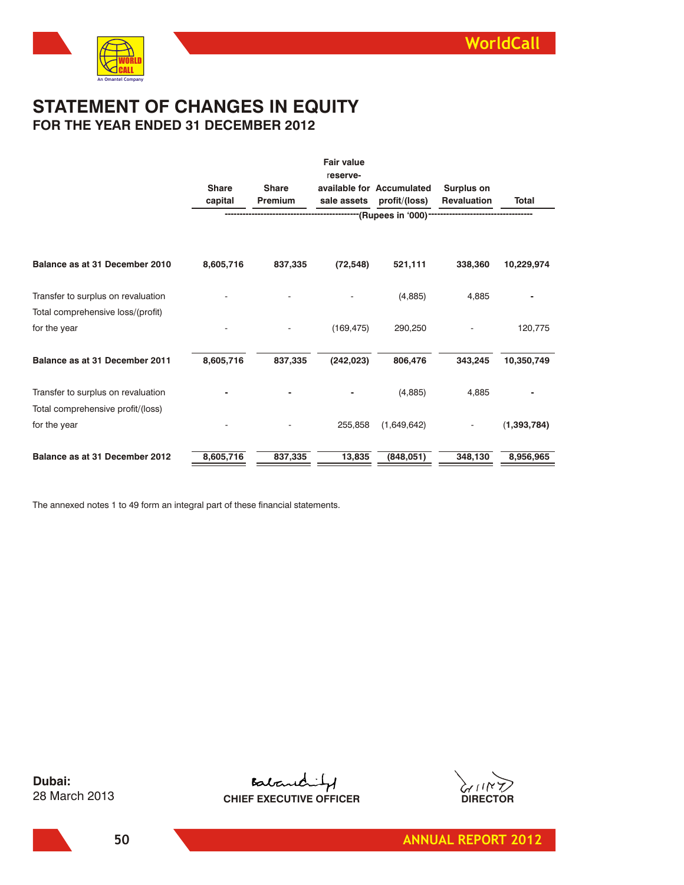

# **STATEMENT OF CHANGES IN EQUITY FOR THE YEAR ENDED 31 DECEMBER 2012**

|                                    |                         |                         | <b>Fair value</b><br>reserve- |                                            |                           |               |
|------------------------------------|-------------------------|-------------------------|-------------------------------|--------------------------------------------|---------------------------|---------------|
|                                    | <b>Share</b><br>capital | <b>Share</b><br>Premium | sale assets                   | available for Accumulated<br>profit/(loss) | Surplus on<br>Revaluation | <b>Total</b>  |
|                                    |                         |                         |                               | (Rupees in '000)                           |                           |               |
| Balance as at 31 December 2010     | 8,605,716               | 837,335                 | (72, 548)                     | 521,111                                    | 338,360                   | 10,229,974    |
| Transfer to surplus on revaluation |                         |                         |                               | (4,885)                                    | 4,885                     |               |
| Total comprehensive loss/(profit)  |                         |                         |                               |                                            |                           |               |
| for the year                       |                         |                         | (169, 475)                    | 290,250                                    |                           | 120,775       |
| Balance as at 31 December 2011     | 8,605,716               | 837,335                 | (242, 023)                    | 806,476                                    | 343,245                   | 10,350,749    |
| Transfer to surplus on revaluation |                         |                         |                               | (4,885)                                    | 4,885                     |               |
| Total comprehensive profit/(loss)  |                         |                         |                               |                                            |                           |               |
| for the year                       |                         |                         | 255,858                       | (1,649,642)                                |                           | (1, 393, 784) |
| Balance as at 31 December 2012     | 8,605,716               | 837,335                 | 13,835                        | (848, 051)                                 | 348,130                   | 8,956,965     |

The annexed notes 1 to 49 form an integral part of these financial statements.

**Dubai:** 28 March 2013

**CHIEF EXECUTIVE OFFICER** DIRECTOR



**50**

**ANNUAL REPORT 2012**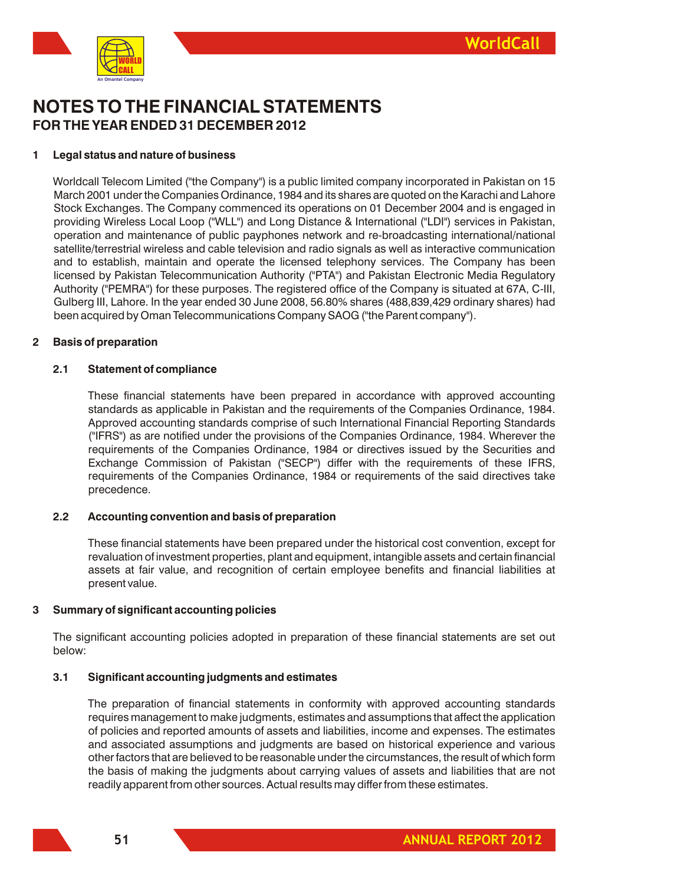

# **NOTES TO THE FINANCIAL STATEMENTS FOR THE YEAR ENDED 31 DECEMBER 2012**

#### **1 Legal status and nature of business**

Worldcall Telecom Limited ("the Company") is a public limited company incorporated in Pakistan on 15 March 2001 under the Companies Ordinance, 1984 and its shares are quoted on the Karachi and Lahore Stock Exchanges. The Company commenced its operations on 01 December 2004 and is engaged in providing Wireless Local Loop ("WLL") and Long Distance & International ("LDI") services in Pakistan, operation and maintenance of public payphones network and re-broadcasting international/national satellite/terrestrial wireless and cable television and radio signals as well as interactive communication and to establish, maintain and operate the licensed telephony services. The Company has been licensed by Pakistan Telecommunication Authority ("PTA") and Pakistan Electronic Media Regulatory Authority ("PEMRA") for these purposes. The registered office of the Company is situated at 67A, C-III, Gulberg III, Lahore. In the year ended 30 June 2008, 56.80% shares (488,839,429 ordinary shares) had been acquired by Oman Telecommunications Company SAOG ("the Parent company").

#### **2 Basis of preparation**

#### **2.1 Statement of compliance**

These financial statements have been prepared in accordance with approved accounting standards as applicable in Pakistan and the requirements of the Companies Ordinance, 1984. Approved accounting standards comprise of such International Financial Reporting Standards ("IFRS") as are notified under the provisions of the Companies Ordinance, 1984. Wherever the requirements of the Companies Ordinance, 1984 or directives issued by the Securities and Exchange Commission of Pakistan ("SECP") differ with the requirements of these IFRS, requirements of the Companies Ordinance, 1984 or requirements of the said directives take precedence.

#### **2.2 Accounting convention and basis of preparation**

These financial statements have been prepared under the historical cost convention, except for revaluation of investment properties, plant and equipment, intangible assets and certain financial assets at fair value, and recognition of certain employee benefits and financial liabilities at present value.

#### **3 Summary of significant accounting policies**

The significant accounting policies adopted in preparation of these financial statements are set out below:

#### **3.1 Significant accounting judgments and estimates**

The preparation of financial statements in conformity with approved accounting standards requires management to make judgments, estimates and assumptions that affect the application of policies and reported amounts of assets and liabilities, income and expenses. The estimates and associated assumptions and judgments are based on historical experience and various other factors that are believed to be reasonable under the circumstances, the result of which form the basis of making the judgments about carrying values of assets and liabilities that are not readily apparent from other sources. Actual results may differ from these estimates.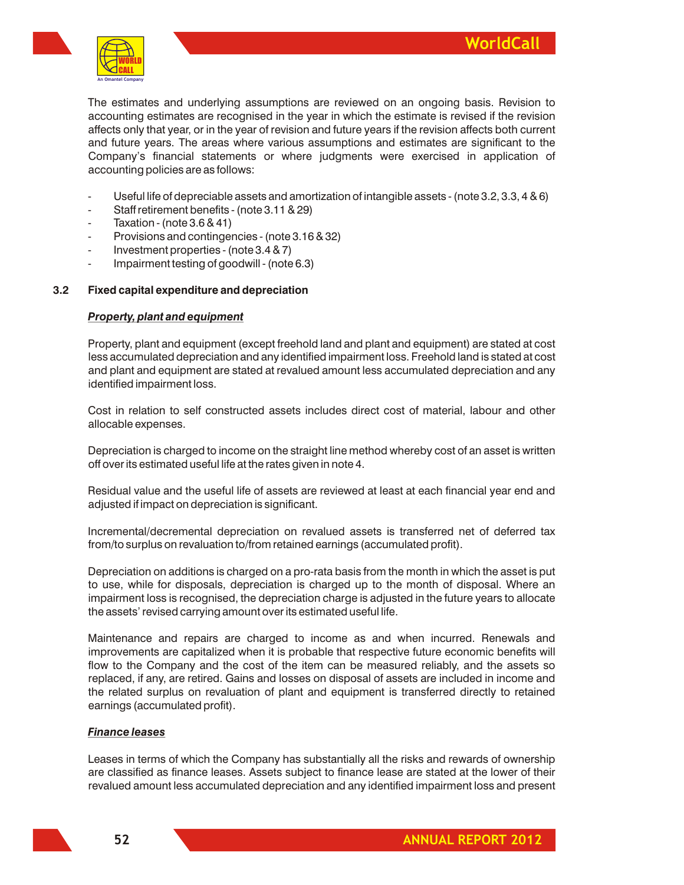

The estimates and underlying assumptions are reviewed on an ongoing basis. Revision to accounting estimates are recognised in the year in which the estimate is revised if the revision affects only that year, or in the year of revision and future years if the revision affects both current and future years. The areas where various assumptions and estimates are significant to the Company's financial statements or where judgments were exercised in application of accounting policies are as follows:

- Useful life of depreciable assets and amortization of intangible assets (note 3.2, 3.3, 4 & 6)
- Staff retirement benefits (note 3.11 & 29)
- Taxation (note  $3.6841$ )
- Provisions and contingencies (note 3.16 & 32)
- Investment properties (note 3.4 & 7)
- Impairment testing of goodwill (note 6.3)

#### **3.2 Fixed capital expenditure and depreciation**

#### *Property, plant and equipment*

Property, plant and equipment (except freehold land and plant and equipment) are stated at cost less accumulated depreciation and any identified impairment loss. Freehold land is stated at cost and plant and equipment are stated at revalued amount less accumulated depreciation and any identified impairment loss.

Cost in relation to self constructed assets includes direct cost of material, labour and other allocable expenses.

Depreciation is charged to income on the straight line method whereby cost of an asset is written off over its estimated useful life at the rates given in note 4.

Residual value and the useful life of assets are reviewed at least at each financial year end and adjusted if impact on depreciation is significant.

Incremental/decremental depreciation on revalued assets is transferred net of deferred tax from/to surplus on revaluation to/from retained earnings (accumulated profit).

Depreciation on additions is charged on a pro-rata basis from the month in which the asset is put to use, while for disposals, depreciation is charged up to the month of disposal. Where an impairment loss is recognised, the depreciation charge is adjusted in the future years to allocate the assets' revised carrying amount over its estimated useful life.

Maintenance and repairs are charged to income as and when incurred. Renewals and improvements are capitalized when it is probable that respective future economic benefits will flow to the Company and the cost of the item can be measured reliably, and the assets so replaced, if any, are retired. Gains and losses on disposal of assets are included in income and the related surplus on revaluation of plant and equipment is transferred directly to retained earnings (accumulated profit).

#### *Finance leases*

Leases in terms of which the Company has substantially all the risks and rewards of ownership are classified as finance leases. Assets subject to finance lease are stated at the lower of their revalued amount less accumulated depreciation and any identified impairment loss and present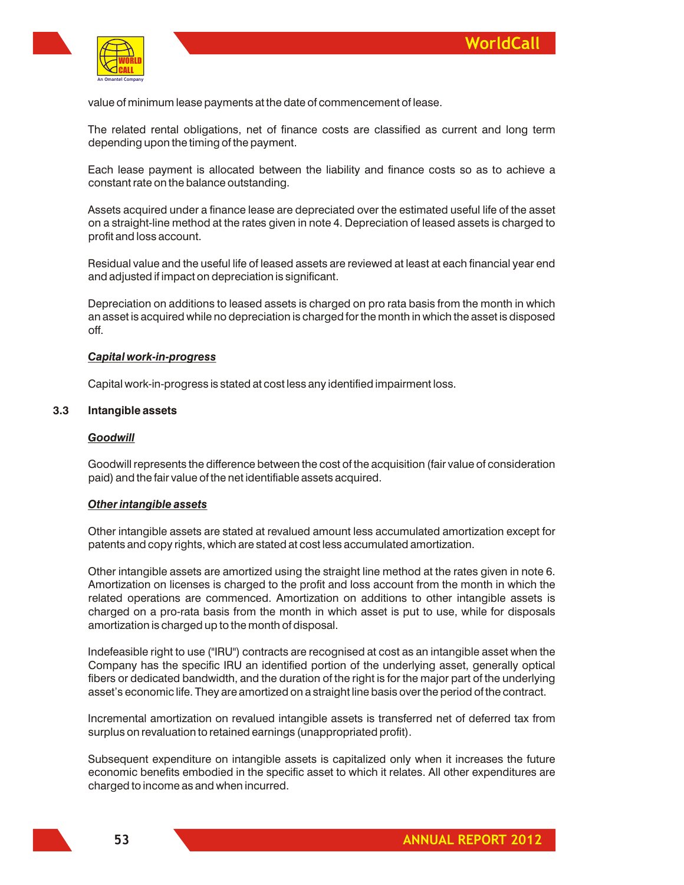

value of minimum lease payments at the date of commencement of lease.

The related rental obligations, net of finance costs are classified as current and long term depending upon the timing of the payment.

Each lease payment is allocated between the liability and finance costs so as to achieve a constant rate on the balance outstanding.

Assets acquired under a finance lease are depreciated over the estimated useful life of the asset on a straight-line method at the rates given in note 4. Depreciation of leased assets is charged to profit and loss account.

Residual value and the useful life of leased assets are reviewed at least at each financial year end and adjusted if impact on depreciation is significant.

Depreciation on additions to leased assets is charged on pro rata basis from the month in which an asset is acquired while no depreciation is charged for the month in which the asset is disposed off.

#### *Capital work-in-progress*

Capital work-in-progress is stated at cost less any identified impairment loss.

#### **3.3 Intangible assets**

#### *Goodwill*

Goodwill represents the difference between the cost of the acquisition (fair value of consideration paid) and the fair value of the net identifiable assets acquired.

#### *Other intangible assets*

Other intangible assets are stated at revalued amount less accumulated amortization except for patents and copy rights, which are stated at cost less accumulated amortization.

Other intangible assets are amortized using the straight line method at the rates given in note 6. Amortization on licenses is charged to the profit and loss account from the month in which the related operations are commenced. Amortization on additions to other intangible assets is charged on a pro-rata basis from the month in which asset is put to use, while for disposals amortization is charged up to the month of disposal.

Indefeasible right to use ("IRU") contracts are recognised at cost as an intangible asset when the Company has the specific IRU an identified portion of the underlying asset, generally optical fibers or dedicated bandwidth, and the duration of the right is for the major part of the underlying asset's economic life. They are amortized on a straight line basis over the period of the contract.

Incremental amortization on revalued intangible assets is transferred net of deferred tax from surplus on revaluation to retained earnings (unappropriated profit).

Subsequent expenditure on intangible assets is capitalized only when it increases the future economic benefits embodied in the specific asset to which it relates. All other expenditures are charged to income as and when incurred.

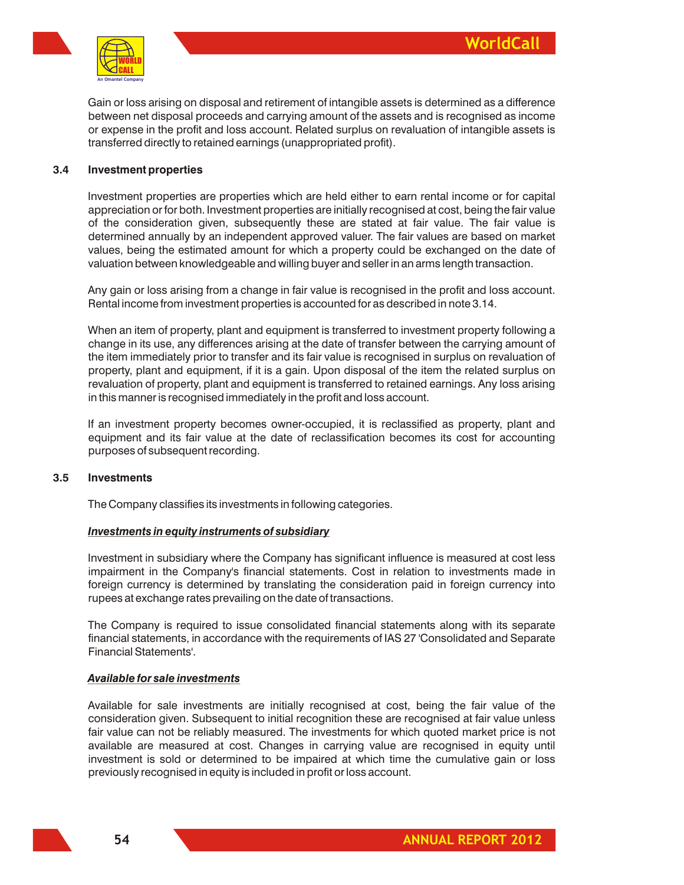

Gain or loss arising on disposal and retirement of intangible assets is determined as a difference between net disposal proceeds and carrying amount of the assets and is recognised as income or expense in the profit and loss account. Related surplus on revaluation of intangible assets is transferred directly to retained earnings (unappropriated profit).

#### **3.4 Investment properties**

Investment properties are properties which are held either to earn rental income or for capital appreciation or for both. Investment properties are initially recognised at cost, being the fair value of the consideration given, subsequently these are stated at fair value. The fair value is determined annually by an independent approved valuer. The fair values are based on market values, being the estimated amount for which a property could be exchanged on the date of valuation between knowledgeable and willing buyer and seller in an arms length transaction.

Any gain or loss arising from a change in fair value is recognised in the profit and loss account. Rental income from investment properties is accounted for as described in note 3.14.

When an item of property, plant and equipment is transferred to investment property following a change in its use, any differences arising at the date of transfer between the carrying amount of the item immediately prior to transfer and its fair value is recognised in surplus on revaluation of property, plant and equipment, if it is a gain. Upon disposal of the item the related surplus on revaluation of property, plant and equipment is transferred to retained earnings. Any loss arising in this manner is recognised immediately in the profit and loss account.

If an investment property becomes owner-occupied, it is reclassified as property, plant and equipment and its fair value at the date of reclassification becomes its cost for accounting purposes of subsequent recording.

#### **3.5 Investments**

The Company classifies its investments in following categories.

#### *Investments in equity instruments of subsidiary*

Investment in subsidiary where the Company has significant influence is measured at cost less impairment in the Company's financial statements. Cost in relation to investments made in foreign currency is determined by translating the consideration paid in foreign currency into rupees at exchange rates prevailing on the date of transactions.

The Company is required to issue consolidated financial statements along with its separate financial statements, in accordance with the requirements of IAS 27 'Consolidated and Separate Financial Statements'.

#### *Available for sale investments*

Available for sale investments are initially recognised at cost, being the fair value of the consideration given. Subsequent to initial recognition these are recognised at fair value unless fair value can not be reliably measured. The investments for which quoted market price is not available are measured at cost. Changes in carrying value are recognised in equity until investment is sold or determined to be impaired at which time the cumulative gain or loss previously recognised in equity is included in profit or loss account.

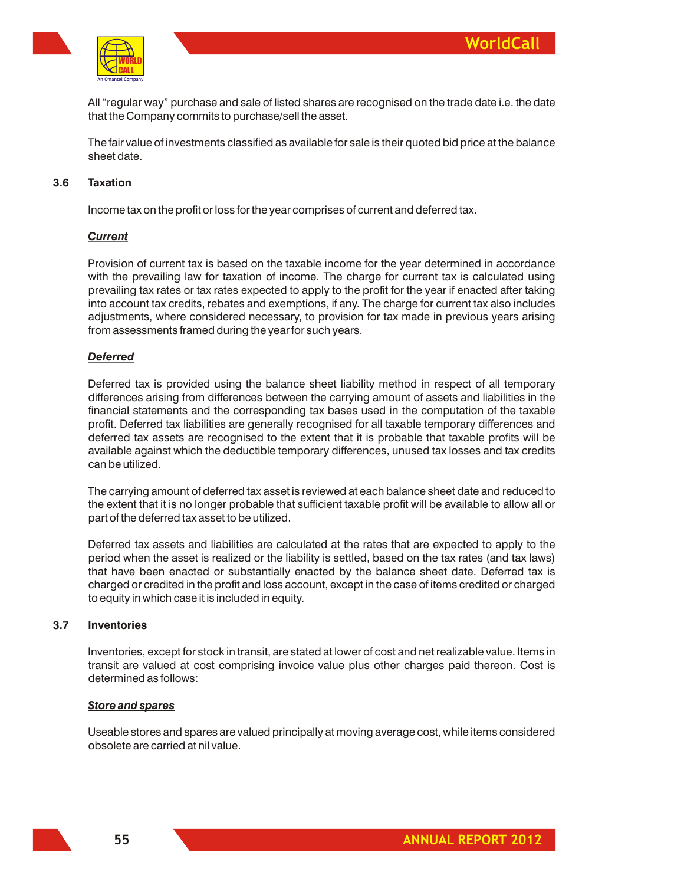

All "regular way" purchase and sale of listed shares are recognised on the trade date i.e. the date that the Company commits to purchase/sell the asset.

The fair value of investments classified as available for sale is their quoted bid price at the balance sheet date.

#### **3.6 Taxation**

Income tax on the profit or loss for the year comprises of current and deferred tax.

#### *Current*

Provision of current tax is based on the taxable income for the year determined in accordance with the prevailing law for taxation of income. The charge for current tax is calculated using prevailing tax rates or tax rates expected to apply to the profit for the year if enacted after taking into account tax credits, rebates and exemptions, if any. The charge for current tax also includes adjustments, where considered necessary, to provision for tax made in previous years arising from assessments framed during the year for such years.

#### *Deferred*

Deferred tax is provided using the balance sheet liability method in respect of all temporary differences arising from differences between the carrying amount of assets and liabilities in the financial statements and the corresponding tax bases used in the computation of the taxable profit. Deferred tax liabilities are generally recognised for all taxable temporary differences and deferred tax assets are recognised to the extent that it is probable that taxable profits will be available against which the deductible temporary differences, unused tax losses and tax credits can be utilized.

The carrying amount of deferred tax asset is reviewed at each balance sheet date and reduced to the extent that it is no longer probable that sufficient taxable profit will be available to allow all or part of the deferred tax asset to be utilized.

Deferred tax assets and liabilities are calculated at the rates that are expected to apply to the period when the asset is realized or the liability is settled, based on the tax rates (and tax laws) that have been enacted or substantially enacted by the balance sheet date. Deferred tax is charged or credited in the profit and loss account, except in the case of items credited or charged to equity in which case it is included in equity.

#### **3.7 Inventories**

Inventories, except for stock in transit, are stated at lower of cost and net realizable value. Items in transit are valued at cost comprising invoice value plus other charges paid thereon. Cost is determined as follows:

#### *Store and spares*

Useable stores and spares are valued principally at moving average cost, while items considered obsolete are carried at nil value.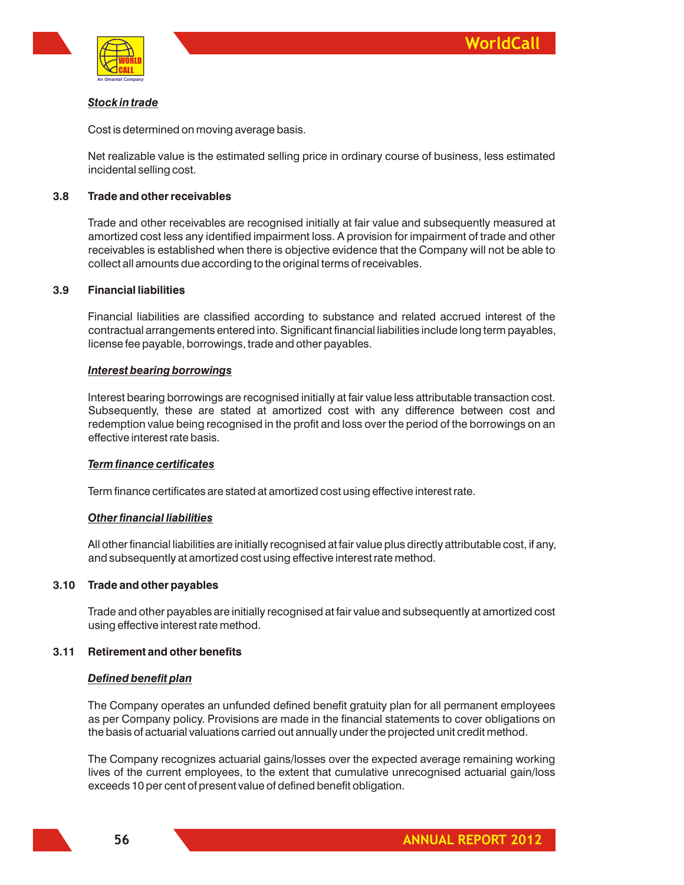

#### *Stock in trade*

Cost is determined on moving average basis.

Net realizable value is the estimated selling price in ordinary course of business, less estimated incidental selling cost.

#### **3.8 Trade and other receivables**

Trade and other receivables are recognised initially at fair value and subsequently measured at amortized cost less any identified impairment loss. A provision for impairment of trade and other receivables is established when there is objective evidence that the Company will not be able to collect all amounts due according to the original terms of receivables.

#### **3.9 Financial liabilities**

Financial liabilities are classified according to substance and related accrued interest of the contractual arrangements entered into. Significant financial liabilities include long term payables, license fee payable, borrowings, trade and other payables.

#### *Interest bearing borrowings*

Interest bearing borrowings are recognised initially at fair value less attributable transaction cost. Subsequently, these are stated at amortized cost with any difference between cost and redemption value being recognised in the profit and loss over the period of the borrowings on an effective interest rate basis.

#### *Term finance certificates*

Term finance certificates are stated at amortized cost using effective interest rate.

#### *Other financial liabilities*

All other financial liabilities are initially recognised at fair value plus directly attributable cost, if any, and subsequently at amortized cost using effective interest rate method.

#### **3.10 Trade and other payables**

Trade and other payables are initially recognised at fair value and subsequently at amortized cost using effective interest rate method.

#### **3.11 Retirement and other benefits**

#### *Defined benefit plan*

The Company operates an unfunded defined benefit gratuity plan for all permanent employees as per Company policy. Provisions are made in the financial statements to cover obligations on the basis of actuarial valuations carried out annually under the projected unit credit method.

The Company recognizes actuarial gains/losses over the expected average remaining working lives of the current employees, to the extent that cumulative unrecognised actuarial gain/loss exceeds 10 per cent of present value of defined benefit obligation.

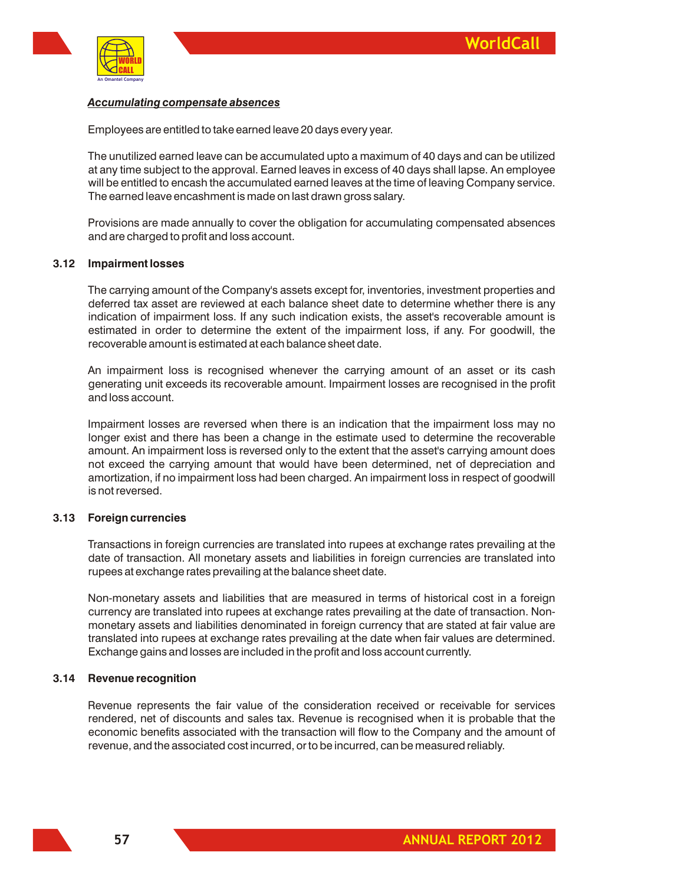

#### *Accumulating compensate absences*

Employees are entitled to take earned leave 20 days every year.

The unutilized earned leave can be accumulated upto a maximum of 40 days and can be utilized at any time subject to the approval. Earned leaves in excess of 40 days shall lapse. An employee will be entitled to encash the accumulated earned leaves at the time of leaving Company service. The earned leave encashment is made on last drawn gross salary.

Provisions are made annually to cover the obligation for accumulating compensated absences and are charged to profit and loss account.

#### **3.12 Impairment losses**

The carrying amount of the Company's assets except for, inventories, investment properties and deferred tax asset are reviewed at each balance sheet date to determine whether there is any indication of impairment loss. If any such indication exists, the asset's recoverable amount is estimated in order to determine the extent of the impairment loss, if any. For goodwill, the recoverable amount is estimated at each balance sheet date.

An impairment loss is recognised whenever the carrying amount of an asset or its cash generating unit exceeds its recoverable amount. Impairment losses are recognised in the profit and loss account.

Impairment losses are reversed when there is an indication that the impairment loss may no longer exist and there has been a change in the estimate used to determine the recoverable amount. An impairment loss is reversed only to the extent that the asset's carrying amount does not exceed the carrying amount that would have been determined, net of depreciation and amortization, if no impairment loss had been charged. An impairment loss in respect of goodwill is not reversed.

#### **3.13 Foreign currencies**

Transactions in foreign currencies are translated into rupees at exchange rates prevailing at the date of transaction. All monetary assets and liabilities in foreign currencies are translated into rupees at exchange rates prevailing at the balance sheet date.

Non-monetary assets and liabilities that are measured in terms of historical cost in a foreign currency are translated into rupees at exchange rates prevailing at the date of transaction. Nonmonetary assets and liabilities denominated in foreign currency that are stated at fair value are translated into rupees at exchange rates prevailing at the date when fair values are determined. Exchange gains and losses are included in the profit and loss account currently.

#### **3.14 Revenue recognition**

Revenue represents the fair value of the consideration received or receivable for services rendered, net of discounts and sales tax. Revenue is recognised when it is probable that the economic benefits associated with the transaction will flow to the Company and the amount of revenue, and the associated cost incurred, or to be incurred, can be measured reliably.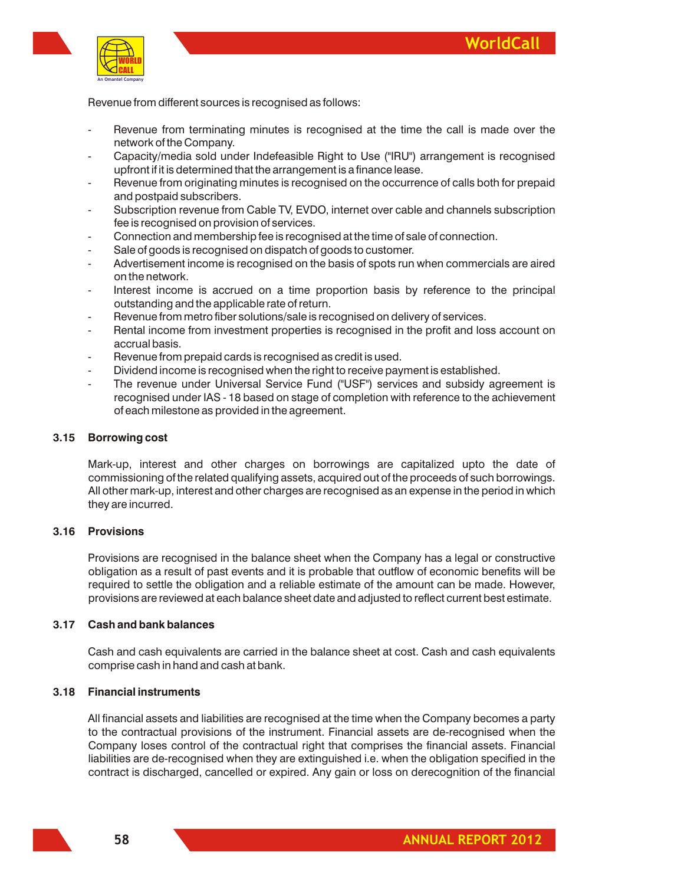**WorldCall**



Revenue from different sources is recognised as follows:

- Revenue from terminating minutes is recognised at the time the call is made over the network of the Company.
- Capacity/media sold under Indefeasible Right to Use ("IRU") arrangement is recognised upfront if it is determined that the arrangement is a finance lease.
- Revenue from originating minutes is recognised on the occurrence of calls both for prepaid and postpaid subscribers.
- Subscription revenue from Cable TV, EVDO, internet over cable and channels subscription fee is recognised on provision of services.
- Connection and membership fee is recognised at the time of sale of connection.
- Sale of goods is recognised on dispatch of goods to customer.
- Advertisement income is recognised on the basis of spots run when commercials are aired on the network.
- Interest income is accrued on a time proportion basis by reference to the principal outstanding and the applicable rate of return.
- Revenue from metro fiber solutions/sale is recognised on delivery of services.
- Rental income from investment properties is recognised in the profit and loss account on accrual basis.
- Revenue from prepaid cards is recognised as credit is used.
- Dividend income is recognised when the right to receive payment is established.
- The revenue under Universal Service Fund ("USF") services and subsidy agreement is recognised under IAS - 18 based on stage of completion with reference to the achievement of each milestone as provided in the agreement.

#### **3.15 Borrowing cost**

Mark-up, interest and other charges on borrowings are capitalized upto the date of commissioning of the related qualifying assets, acquired out of the proceeds of such borrowings. All other mark-up, interest and other charges are recognised as an expense in the period in which they are incurred.

#### **3.16 Provisions**

Provisions are recognised in the balance sheet when the Company has a legal or constructive obligation as a result of past events and it is probable that outflow of economic benefits will be required to settle the obligation and a reliable estimate of the amount can be made. However, provisions are reviewed at each balance sheet date and adjusted to reflect current best estimate.

#### **3.17 Cash and bank balances**

Cash and cash equivalents are carried in the balance sheet at cost. Cash and cash equivalents comprise cash in hand and cash at bank.

#### **3.18 Financial instruments**

All financial assets and liabilities are recognised at the time when the Company becomes a party to the contractual provisions of the instrument. Financial assets are de-recognised when the Company loses control of the contractual right that comprises the financial assets. Financial liabilities are de-recognised when they are extinguished i.e. when the obligation specified in the contract is discharged, cancelled or expired. Any gain or loss on derecognition of the financial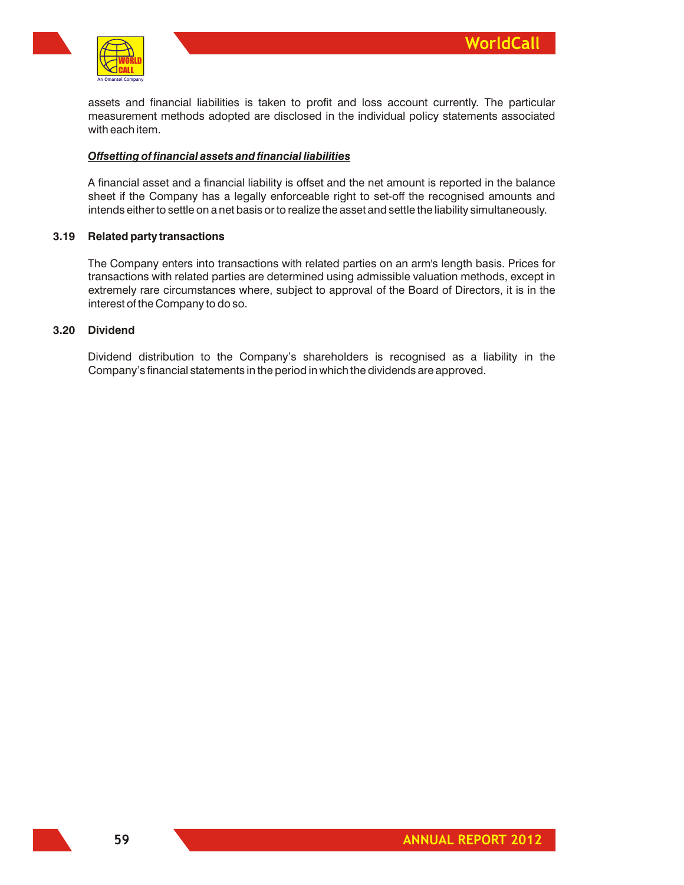

assets and financial liabilities is taken to profit and loss account currently. The particular measurement methods adopted are disclosed in the individual policy statements associated with each item.

#### *Offsetting of financial assets and financial liabilities*

A financial asset and a financial liability is offset and the net amount is reported in the balance sheet if the Company has a legally enforceable right to set-off the recognised amounts and intends either to settle on a net basis or to realize the asset and settle the liability simultaneously.

#### **3.19 Related party transactions**

The Company enters into transactions with related parties on an arm's length basis. Prices for transactions with related parties are determined using admissible valuation methods, except in extremely rare circumstances where, subject to approval of the Board of Directors, it is in the interest of the Company to do so.

#### **3.20 Dividend**

Dividend distribution to the Company's shareholders is recognised as a liability in the Company's financial statements in the period in which the dividends are approved.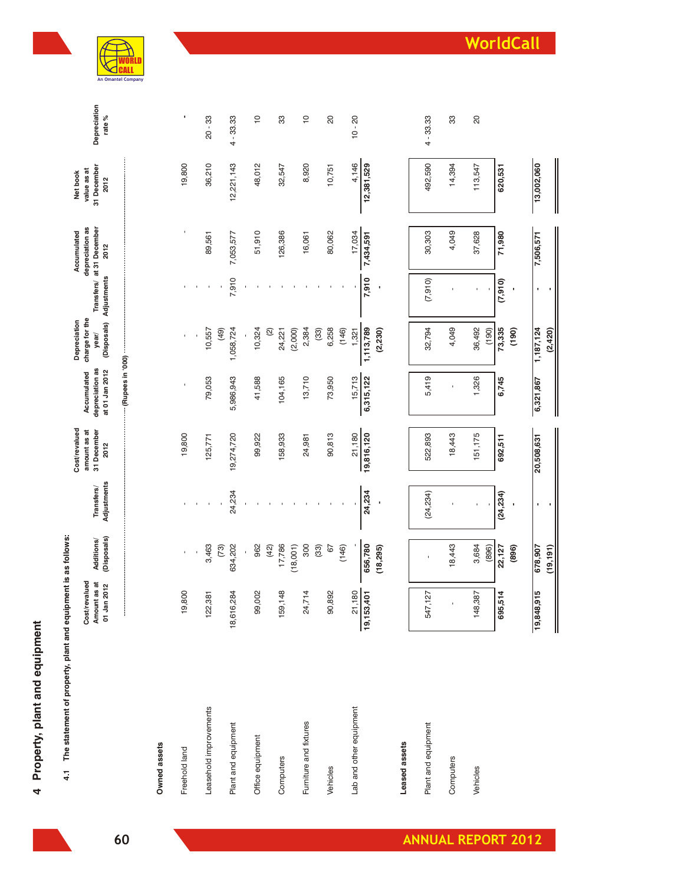# 4 Property, plant and equipment **Property, plant and equipment**

# 4.1 The statement of property, plant and equipment is as follows: **4.1 The statement of property, plant and equipment is as follows:**

|                                        |             | repreciation                                                                   | rate %                    |  |
|----------------------------------------|-------------|--------------------------------------------------------------------------------|---------------------------|--|
| Net book                               |             | value as at<br>31 December                                                     | 2012                      |  |
| ccumulated                             |             | charge for the depreciation as<br>year/            Transfers/   at 31 December | 2012                      |  |
|                                        |             |                                                                                |                           |  |
| depreciation                           |             |                                                                                | (Disposals) Adjustments   |  |
|                                        | Accumulated | depreciation as<br>at 01 Jan 2012                                              |                           |  |
| ost/revalue                            |             | amount as at<br>31 December<br>2012                                            |                           |  |
|                                        |             | Transfers/<br>Adjustments                                                      |                           |  |
|                                        |             |                                                                                | Additions/<br>(Disposals) |  |
| ֦֧֦֧֖֖֖֖֖֖֖֧֚֚֚֚֚֚֚֚֚֚֚֚֚֚֝֝֝ <u>֚</u> |             | Cost/revalued<br>\mount as at                                                  | 2012<br>່ງan<br>⊃         |  |
|                                        |             |                                                                                |                           |  |
| :<br>:<br>:                            |             |                                                                                |                           |  |
|                                        |             |                                                                                |                           |  |

**(Rupees in '000)**

---- (000, ul seedny) ----

ł

|--|--|--|--|

| Owned assets            |            |                                 |           |            |           |                               |            |           |            |                |
|-------------------------|------------|---------------------------------|-----------|------------|-----------|-------------------------------|------------|-----------|------------|----------------|
| Freehold land           | 19,800     |                                 |           | 19,800     |           |                               |            | ı         | 19,800     | ı              |
| Leasehold improvements  | 122,381    | 3,463<br>(73)                   |           | 125,771    | 79,053    | 10,557<br>(6)                 |            | 89,561    | 36,210     | $20 - 33$      |
| Plant and equipment     | 18,616,284 | 634,202                         | 24,234    | 19,274,720 | 5,986,943 | 1,058,724                     | 7,910      | 7,053,577 | 12,221,143 | $4 - 33.33$    |
| Office equipment        | 99,002     | 962                             |           | 99,922     | 41,588    | 10,324                        |            | 51,910    | 48,012     | $\overline{C}$ |
| Computers               | 159,148    | 17,786<br>(42)                  |           | 158,933    | 104,165   | $\circledR$<br>24,221         |            | 126,386   | 32,547     | 33             |
| Furniture and fixtures  | 24,714     | 300<br>(18,001)                 |           | 24,981     | 13,710    | 2,384<br>(2,000)              |            | 16,061    | 8,920      | $\overline{0}$ |
| Vehicles                | 90,892     | 67<br>(33)                      |           | 90,813     | 73,950    | 6,258<br>(33)                 |            | 80,062    | 10,751     | $\overline{c}$ |
| Lab and other equipment | 21,180     | (146)                           |           | 21,180     | 15,713    | (146)<br>1,321                |            | 17,034    | 4,146      | $10 - 20$      |
|                         | 19,153,401 | 656,780<br>(18, 295)            | 24,234    | 19,816,120 | 6,315,122 | 1,113,789<br>(2, 230)         | 7,910<br>ł | 7,434,591 | 12,381,529 |                |
| Leased assets           |            |                                 |           |            |           |                               |            |           |            |                |
| Plant and equipment     | 547,127    |                                 | (24, 234) | 522,893    | 5,419     | 32,794                        | (7,910)    | 30,303    | 492,590    | $4 - 33.33$    |
| Computers               |            | 18,443                          |           | 18,443     |           | 4,049                         |            | 4,049     | 14,394     | 33             |
| Vehicles                | 148,387    | 3,684                           |           | 151,175    | 1,326     | 36,492                        | ï          | 37,628    | 113,547    | 20             |
|                         | 695,514    | $\frac{(896)}{22,127}$<br>(896) | (24, 234) | 692,511    | 6,745     | $rac{(190)}{73,335}$<br>(190) | (7,910)    | 71,980    | 620,531    |                |
|                         | 19,848,915 | 678,907<br>(19, 191)            |           | 20,508,631 | 6,321,867 | 1,187,124<br>(2,420)          | ٠          | 7,506,571 | 13,002,060 |                |

**60**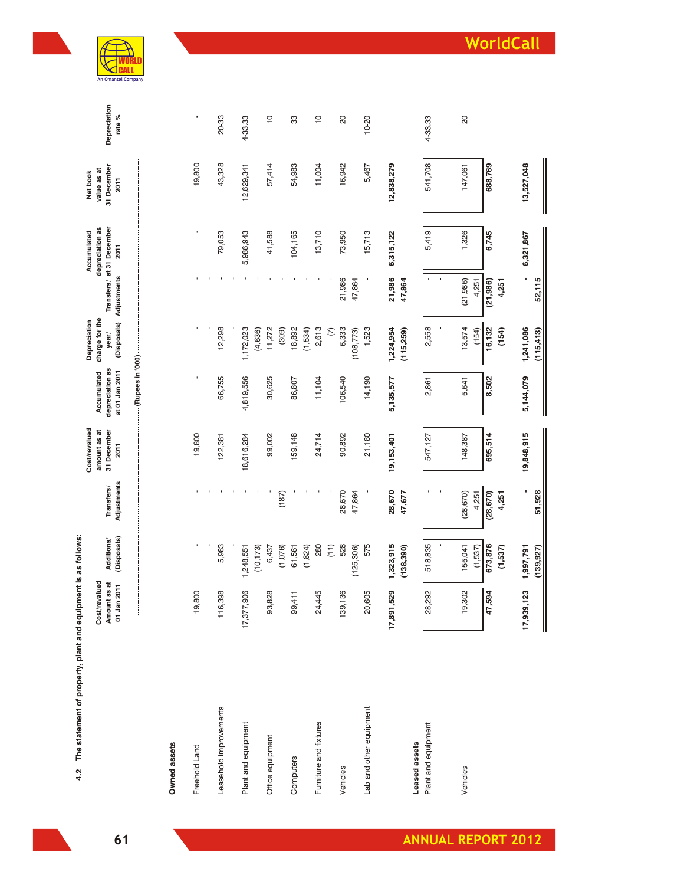# 4.2 The statement of property, plant and equipment is as follows: **4.2 The statement of property, plant and equipment is as follows:**

|    |                     |                 | Depreciation    | rate %                       |   |
|----|---------------------|-----------------|-----------------|------------------------------|---|
|    | Net book            | value as at     | 1December       | 2011                         |   |
|    | Accumulated         | lepreciation as | at 31 December  |                              |   |
|    |                     |                 | Transfers/      |                              |   |
|    | <b>Depreciation</b> | charge for the  | year/           | (Disposals) Adjustments 2011 |   |
|    |                     | Accumulated     | depreciation as | at 01 Jan 2011               |   |
|    | Cost/revalued       | mount as at     | 31 December     | 2011                         |   |
|    |                     |                 | Transfers/      | Adjustments                  |   |
|    |                     |                 | Additions/      | Disposals)                   |   |
| ֚֬ |                     | Cost/revalued   | Amount as at    | 2011<br>O1 Jan               | : |
|    |                     |                 |                 |                              |   |
|    |                     |                 |                 |                              |   |
|    |                     |                 |                 |                              |   |

| <b>An Omantel Company</b> |  |  |  |  |  |
|---------------------------|--|--|--|--|--|

| Owned assets            |                  |                         |                    |            |           |                         |                    |           |            |          |
|-------------------------|------------------|-------------------------|--------------------|------------|-----------|-------------------------|--------------------|-----------|------------|----------|
| Freehold Land           | 19,800           |                         |                    | 19,800     |           |                         |                    | ı         | 19,800     |          |
| Leasehold improvements  | 116,398          | 5,983                   |                    | 122,381    | 66,755    | 12,298                  |                    | 79,053    | 43,328     | 20-33    |
| Plant and equipment     | 17,377,906       | 1,248,551<br>(10, 173)  |                    | 18,616,284 | 4,819,556 | 1,172,023<br>(4,636)    |                    | 5,986,943 | 12,629,341 | 4-33.33  |
| Office equipment        | 93,828           | 6,437<br>(1,076)        | (187)              | 99,002     | 30,625    | 11,272<br>(309)         |                    | 41,588    | 57,414     | <u>۽</u> |
| Computers               | 99,411           | 61,561<br>(1, 824)      |                    | 159, 148   | 86,807    | 18,892<br>(1,534)       |                    | 104,165   | 54,983     | ౢ        |
| Furniture and fixtures  | 24,445           | 280<br>(11)             |                    | 24,714     | 11,104    | 2,613<br>$\mathcal{L}$  |                    | 13,710    | 11,004     | <u>۽</u> |
| Vehicles                | 139,136          | 528<br>(125, 306)       | 28,670<br>47,864   | 90,892     | 106,540   | 6,333<br>(108, 773)     | 21,986<br>47,864   | 73,950    | 16,942     | ର        |
| Lab and other equipment | 20,605           | 575                     |                    | 21,180     | 14,190    | 1,523                   |                    | 15,713    | 5,467      | $10-20$  |
| Leased assets           | 17,891,529       | 1,323,915<br>(138, 390) | 28,670<br>47,677   | 19,153,401 | 5,135,577 | 1,224,954<br>(115, 259) | 21,986<br>47,864   | 6,315,122 | 12,838,279 |          |
| Plant and equipment     | 28,292           | 518,835                 |                    | 547,127    | 2,861     | 2,558                   |                    | 5,419     | 541,708    | 4-33.33  |
| Vehicles                | 19,302           | 155,041<br>(1,537)      | (28, 670)<br>4,251 | 148,387    | 5,641     | 13,574<br>(154)         | (21, 986)<br>4,251 | 1,326     | 147,061    | ର        |
|                         | 47,594           | 673,876<br>(1,537)      | (28, 670)<br>4,251 | 695,514    | 8,502     | 16,132<br>(154)         | (21,986)<br>4,251  | 6,745     | 688,769    |          |
|                         | 17,939,123<br>II | (139, 927)<br>1,997,791 | 51,928             | 19,848,915 | 5,144,079 | 1,241,086<br>(115, 413) | 52,115             | 6,321,867 | 13,527,048 |          |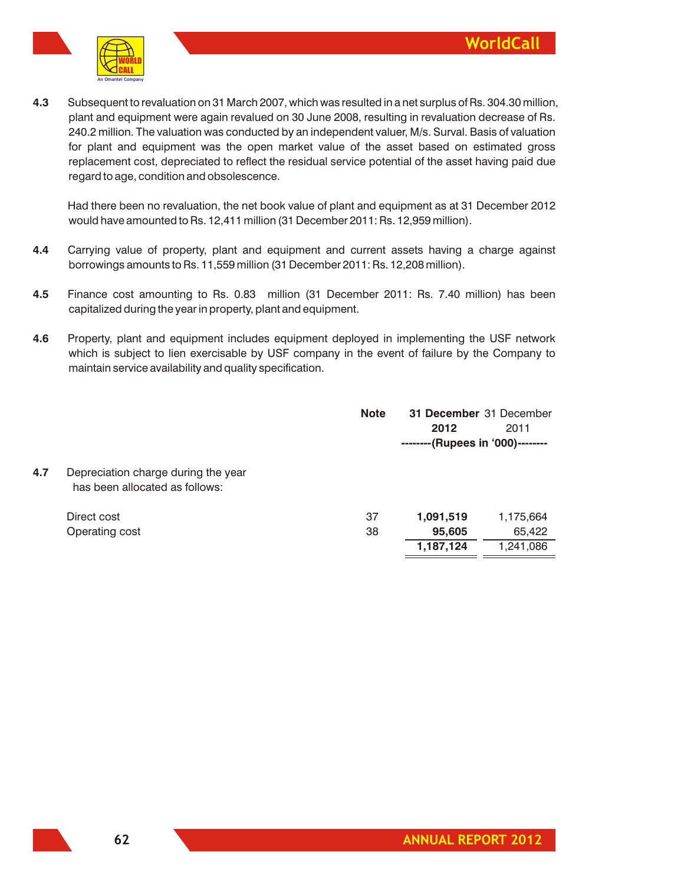

**4.3** Subsequent to revaluation on 31 March 2007, which was resulted in a net surplus of Rs. 304.30 million, plant and equipment were again revalued on 30 June 2008, resulting in revaluation decrease of Rs. 240.2 million. The valuation was conducted by an independent valuer, M/s. Surval. Basis of valuation for plant and equipment was the open market value of the asset based on estimated gross replacement cost, depreciated to reflect the residual service potential of the asset having paid due regard to age, condition and obsolescence.

Had there been no revaluation, the net book value of plant and equipment as at 31 December 2012 would have amounted to Rs. 12,411 million (31 December 2011: Rs. 12,959 million).

- **4.4** Carrying value of property, plant and equipment and current assets having a charge against borrowings amounts to Rs. 11,559 million (31 December 2011: Rs. 12,208 million).
- **4.5** Finance cost amounting to Rs. 0.83 million (31 December 2011: Rs. 7.40 million) has been capitalized during the year in property, plant and equipment.
- **4.6** Property, plant and equipment includes equipment deployed in implementing the USF network which is subject to lien exercisable by USF company in the event of failure by the Company to maintain service availability and quality specification.

|     |                                                                       | <b>Note</b> | 31 December 31 December          |           |
|-----|-----------------------------------------------------------------------|-------------|----------------------------------|-----------|
|     |                                                                       |             | 2012                             | 2011      |
|     |                                                                       |             | --------(Rupees in '000)-------- |           |
| 4.7 | Depreciation charge during the year<br>has been allocated as follows: |             |                                  |           |
|     | Direct cost                                                           | 37          | 1,091,519                        | 1,175,664 |
|     | Operating cost                                                        | 38          | 95,605                           | 65,422    |
|     |                                                                       |             | 1,187,124                        | 1,241,086 |
|     |                                                                       |             |                                  |           |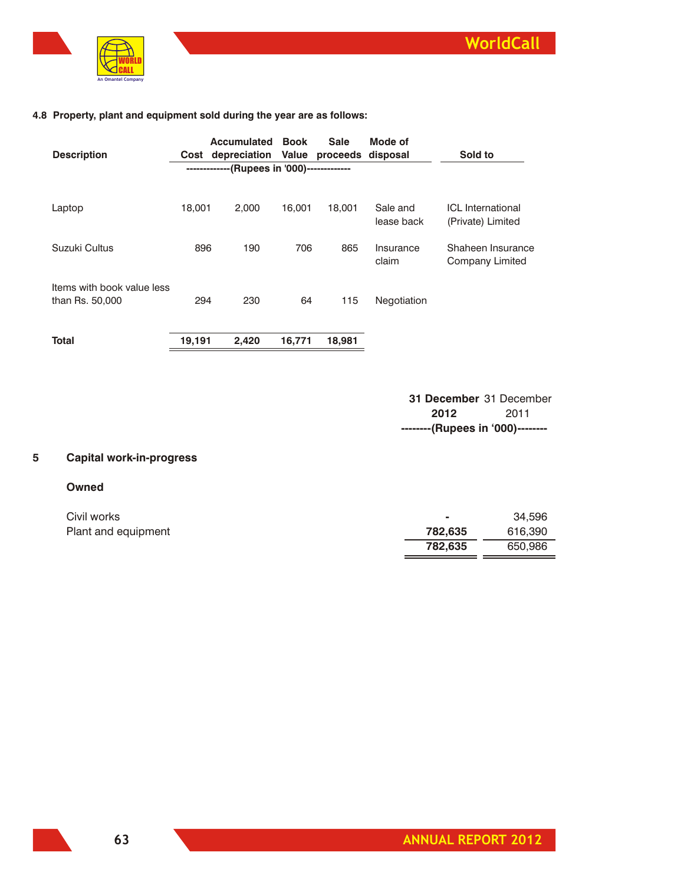

#### **4.8 Property, plant and equipment sold during the year are as follows:**

| <b>Description</b>                            |        | <b>Accumulated</b><br>Cost depreciation Value proceeds disposal | <b>Book</b> | <b>Sale</b> | Mode of                | Sold to                                       |
|-----------------------------------------------|--------|-----------------------------------------------------------------|-------------|-------------|------------------------|-----------------------------------------------|
|                                               |        | -------------(Rupees in '000)-------------                      |             |             |                        |                                               |
| Laptop                                        | 18,001 | 2,000                                                           | 16.001      | 18,001      | Sale and<br>lease back | <b>ICL</b> International<br>(Private) Limited |
| Suzuki Cultus                                 | 896    | 190                                                             | 706         | 865         | Insurance<br>claim     | Shaheen Insurance<br>Company Limited          |
| Items with book value less<br>than Rs. 50,000 | 294    | 230                                                             | 64          | 115         | Negotiation            |                                               |
| <b>Total</b>                                  | 19,191 | 2,420                                                           | 16,771      | 18,981      |                        |                                               |

**31 December** 31 December **2012** 2011 **--------(Rupees in '000)--------**

 $\equiv$ 

#### **5 Capital work-in-progress**

#### **Owned**

| Civil works         | $\blacksquare$ | 34.596  |
|---------------------|----------------|---------|
| Plant and equipment | 782.635        | 616.390 |
|                     | 782.635        | 650.986 |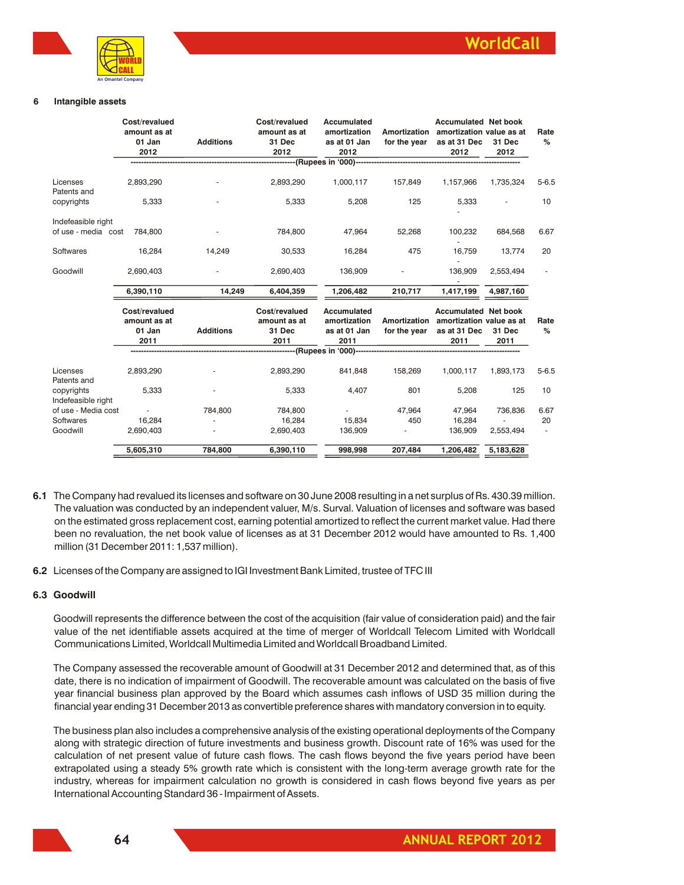

#### **6 Intangible sa sets**

| Cost/revalued<br>amount as at<br>01 Jan<br>2012 | <b>Additions</b> | Cost/revalued<br>amount as at<br>31 Dec<br>2012 | <b>Accumulated</b><br>amortization<br>as at 01 Jan<br>2012 | for the year                      | 2012      | 31 Dec<br>2012 | Rate<br>%                                                                                                                                                                    |
|-------------------------------------------------|------------------|-------------------------------------------------|------------------------------------------------------------|-----------------------------------|-----------|----------------|------------------------------------------------------------------------------------------------------------------------------------------------------------------------------|
|                                                 |                  |                                                 |                                                            |                                   |           |                |                                                                                                                                                                              |
| 2,893,290                                       |                  | 2,893,290                                       | 1,000,117                                                  | 157,849                           | 1,157,966 | 1,735,324      | $5 - 6.5$                                                                                                                                                                    |
| 5,333                                           |                  | 5,333                                           | 5,208                                                      | 125                               | 5,333     |                | 10                                                                                                                                                                           |
| of use - media cost<br>784,800                  |                  | 784,800                                         | 47,964                                                     | 52,268                            | 100,232   | 684,568        | 6.67                                                                                                                                                                         |
| 16,284                                          | 14,249           | 30,533                                          | 16,284                                                     | 475                               | 16,759    | 13,774         | 20                                                                                                                                                                           |
| 2,690,403                                       |                  | 2,690,403                                       | 136,909                                                    |                                   | 136,909   | 2,553,494      |                                                                                                                                                                              |
| 6,390,110                                       | 14.249           | 6,404,359                                       | 1,206,482                                                  | 210,717                           | 1,417,199 | 4,987,160      |                                                                                                                                                                              |
| Cost/revalued<br>amount as at<br>01 Jan<br>2011 | <b>Additions</b> | Cost/revalued<br>amount as at<br>31 Dec<br>2011 | Accumulated<br>amortization<br>as at 01 Jan<br>2011        | for the year                      | 2011      | 31 Dec<br>2011 | Rate<br>%                                                                                                                                                                    |
|                                                 |                  |                                                 |                                                            |                                   |           |                |                                                                                                                                                                              |
| 2,893,290                                       |                  | 2,893,290                                       | 841.848                                                    | 158,269                           | 1,000,117 | 1,893,173      | $5 - 6.5$                                                                                                                                                                    |
| 5,333                                           |                  | 5,333                                           | 4,407                                                      | 801                               | 5,208     | 125            | 10                                                                                                                                                                           |
| of use - Media cost<br>$\sim$                   | 784,800          | 784,800                                         |                                                            | 47,964                            | 47,964    | 736,836        | 6.67                                                                                                                                                                         |
| 16,284                                          |                  | 16,284                                          | 15,834                                                     | 450                               | 16,284    |                | 20                                                                                                                                                                           |
| 2,690,403                                       |                  | 2,690,403                                       | 136,909                                                    |                                   | 136,909   | 2,553,494      |                                                                                                                                                                              |
| 5,605,310                                       | 784,800          | 6,390,110                                       | 998,998                                                    | 207,484                           | 1,206,482 | 5,183,628      |                                                                                                                                                                              |
|                                                 |                  |                                                 |                                                            | ---------(Rupees in '000)-------- |           |                | <b>Accumulated Net book</b><br>Amortization amortization value as at<br>as at 31 Dec<br><b>Accumulated Net book</b><br>Amortization amortization value as at<br>as at 31 Dec |

- **6.1** The Company had revalued its licenses and software on 30 June 2008 resulting in a net surplus of Rs. 430.39 million. The valuation was conducted by an independent valuer, M/s. Surval. Valuation of licenses and software was based on the estimated gross replacement cost, earning potential amortized to reflect the current market value. Had there been no revaluation, the net book value of licenses as at 31 December 2012 would have amounted to Rs. 1,400 million (31 December 2011: 1,537 million).
- **6.2** Licenses of the Company are assigned to IGI Investment Bank Limited, trustee of TFC III

#### **6.3 Goodwill**

Goodwill represents the difference between the cost of the acquisition (fair value of consideration paid) and the fair value of the net identifiable assets acquired at the time of merger of Worldcall Telecom Limited with Worldcall Communications Limited, Worldcall Multimedia Limited and Worldcall Broadband Limited.

The Company assessed the recoverable amount of Goodwill at 31 December 2012 and determined that, as of this date, there is no indication of impairment of Goodwill. The recoverable amount was calculated on the basis of five year financial business plan approved by the Board which assumes cash inflows of USD 35 million during the financial year ending 31 December 2013 as convertible preference shares with mandatory conversion in to equity.

The business plan also includes a comprehensive analysis of the existing operational deployments of the Company along with strategic direction of future investments and business growth. Discount rate of 16% was used for the calculation of net present value of future cash flows. The cash flows beyond the five years period have been extrapolated using a steady 5% growth rate which is consistent with the long-term average growth rate for the industry, whereas for impairment calculation no growth is considered in cash flows beyond five years as per International Accounting Standard 36 - Impairment of Assets.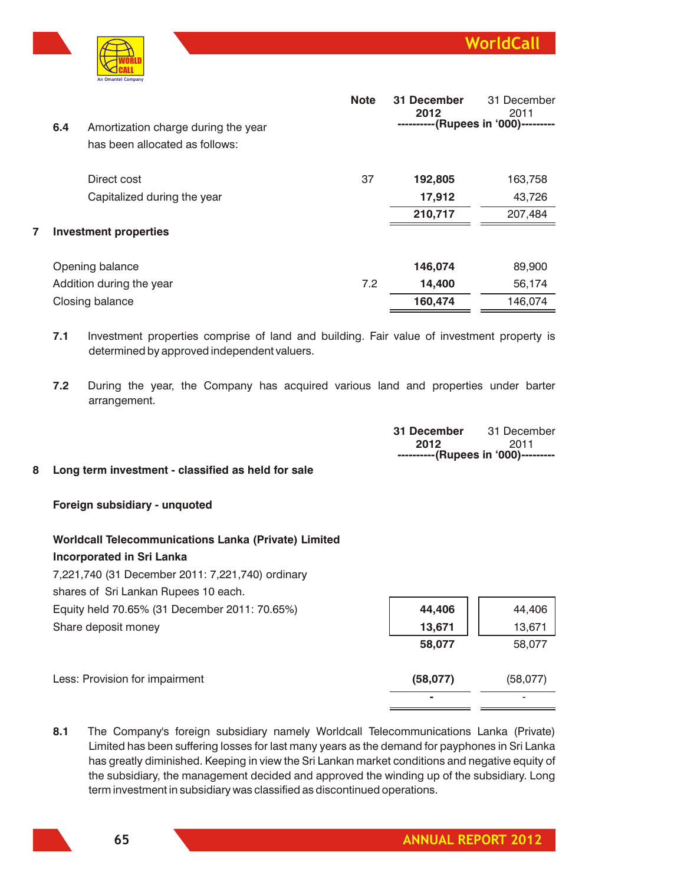

|   | 6.4 | Amortization charge during the year<br>has been allocated as follows: | <b>Note</b> | 31 December<br>2012 | 31 December<br>2011<br>--(Rupees in '000)- |
|---|-----|-----------------------------------------------------------------------|-------------|---------------------|--------------------------------------------|
|   |     | Direct cost                                                           | 37          | 192,805             | 163,758                                    |
|   |     | Capitalized during the year                                           |             | 17,912              | 43,726                                     |
|   |     |                                                                       |             | 210,717             | 207,484                                    |
| 7 |     | <b>Investment properties</b>                                          |             |                     |                                            |
|   |     | Opening balance                                                       |             | 146,074             | 89,900                                     |
|   |     | Addition during the year                                              | 7.2         | 14,400              | 56,174                                     |
|   |     | Closing balance                                                       |             | 160,474             | 146,074                                    |
|   |     |                                                                       |             |                     |                                            |

- **7.1** Investment properties comprise of land and building. Fair value of investment property is determined by approved independent valuers.
- **7.2** During the year, the Company has acquired various land and properties under barter arrangement.

| ----------(Rupees in '000)--------- |      |
|-------------------------------------|------|
| 2012                                | 2011 |
| 31 December 31 December             |      |

#### **8 Long term investment - classified as held for sale**

#### **Foreign subsidiary - unquoted**

## **Worldcall Telecommunications Lanka (Private) Limited**

#### **Incorporated in Sri Lanka**

7,221,740 (31 December 2011: 7,221,740) ordinary

shares of Sri Lankan Rupees 10 each.

| Equity held 70.65% (31 December 2011: 70.65%) | 44,406   | 44,406   |
|-----------------------------------------------|----------|----------|
| Share deposit money                           | 13,671   | 13,671   |
|                                               | 58,077   | 58,077   |
| Less: Provision for impairment                | (58,077) | (58,077) |
|                                               |          |          |

**8.1** The Company's foreign subsidiary namely Worldcall Telecommunications Lanka (Private) Limited has been suffering losses for last many years as the demand for payphones in Sri Lanka has greatly diminished. Keeping in view the Sri Lankan market conditions and negative equity of the subsidiary, the management decided and approved the winding up of the subsidiary. Long term investment in subsidiary was classified as discontinued operations.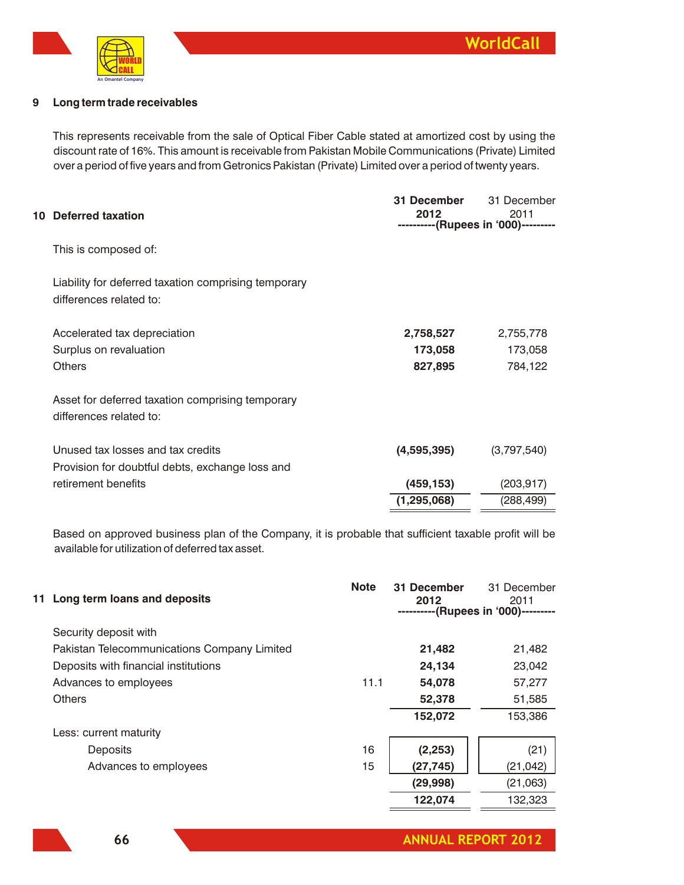

#### **9 Long term trade receivables**

This represents receivable from the sale of Optical Fiber Cable stated at amortized cost by using the discount rate of 16%. This amount is receivable from Pakistan Mobile Communications (Private) Limited over a period of five years and from Getronics Pakistan (Private) Limited over a period of twenty years.

| 10 | <b>Deferred taxation</b>                                                        | 31 December<br>2012<br>----------(Rupees in '000)--------- | 31 December<br>2011 |
|----|---------------------------------------------------------------------------------|------------------------------------------------------------|---------------------|
|    | This is composed of:                                                            |                                                            |                     |
|    | Liability for deferred taxation comprising temporary<br>differences related to: |                                                            |                     |
|    | Accelerated tax depreciation                                                    | 2,758,527                                                  | 2,755,778           |
|    | Surplus on revaluation                                                          | 173,058                                                    | 173,058             |
|    | <b>Others</b>                                                                   | 827,895                                                    | 784,122             |
|    | Asset for deferred taxation comprising temporary<br>differences related to:     |                                                            |                     |
|    | Unused tax losses and tax credits                                               | (4,595,395)                                                | (3,797,540)         |
|    | Provision for doubtful debts, exchange loss and                                 |                                                            |                     |
|    | retirement benefits                                                             | (459, 153)                                                 | (203, 917)          |
|    |                                                                                 | (1, 295, 068)                                              | (288, 499)          |
|    |                                                                                 |                                                            |                     |

Based on approved business plan of the Company, it is probable that sufficient taxable profit will be available for utilization of deferred tax asset.

| 11. | Long term loans and deposits                | <b>Note</b> | 31 December<br>2012 | 31 December<br>2011<br>--(Rupees in '000)--------- |
|-----|---------------------------------------------|-------------|---------------------|----------------------------------------------------|
|     | Security deposit with                       |             |                     |                                                    |
|     | Pakistan Telecommunications Company Limited |             | 21,482              | 21,482                                             |
|     | Deposits with financial institutions        |             | 24,134              | 23,042                                             |
|     | Advances to employees                       | 11.1        | 54,078              | 57,277                                             |
|     | <b>Others</b>                               |             | 52,378              | 51,585                                             |
|     |                                             |             | 152,072             | 153,386                                            |
|     | Less: current maturity                      |             |                     |                                                    |
|     | <b>Deposits</b>                             | 16          | (2, 253)            | (21)                                               |
|     | Advances to employees                       | 15          | (27, 745)           | (21, 042)                                          |
|     |                                             |             | (29, 998)           | (21,063)                                           |
|     |                                             |             | 122,074             | 132,323                                            |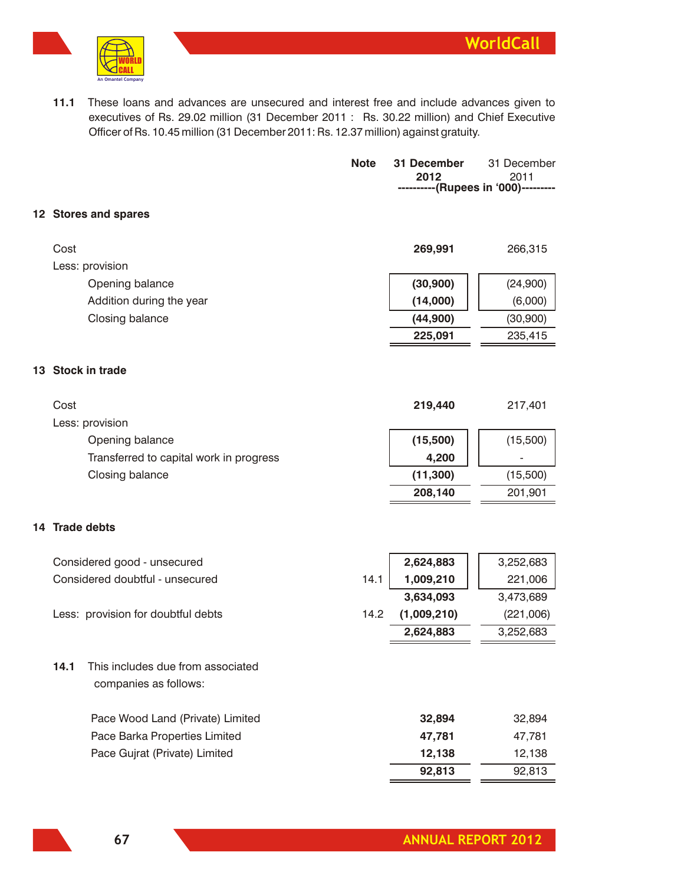

**11.1** These loans and advances are unsecured and interest free and include advances given to executives of Rs. 29.02 million (31 December 2011 : Rs. 30.22 million) and Chief Executive Officer of Rs. 10.45 million (31 December 2011: Rs. 12.37 million) against gratuity.

|                                         | <b>Note</b> | 31 December<br>2012 | 31 December<br>2011<br>----------(Rupees in '000)--------- |
|-----------------------------------------|-------------|---------------------|------------------------------------------------------------|
| 12 Stores and spares                    |             |                     |                                                            |
| Cost                                    |             | 269,991             | 266,315                                                    |
| Less: provision                         |             |                     |                                                            |
| Opening balance                         |             | (30, 900)           | (24,900)                                                   |
| Addition during the year                |             | (14,000)            | (6,000)                                                    |
| Closing balance                         |             | (44,900)            | (30,900)                                                   |
|                                         |             | 225,091             | 235,415                                                    |
| 13 Stock in trade                       |             |                     |                                                            |
| Cost                                    |             | 219,440             | 217,401                                                    |
| Less: provision                         |             |                     |                                                            |
| Opening balance                         |             | (15,500)            | (15,500)                                                   |
| Transferred to capital work in progress |             | 4,200               |                                                            |
| Closing balance                         |             | (11, 300)           | (15,500)                                                   |
|                                         |             | 208,140             | 201,901                                                    |
| 14 Trade debts                          |             |                     |                                                            |
| Considered good - unsecured             |             | 2,624,883           | 3,252,683                                                  |
| Considered doubtful - unsecured         | 14.1        | 1,009,210           | 221,006                                                    |
|                                         |             | 3,634,093           | 3,473,689                                                  |
| Less: provision for doubtful debts      | 14.2        | (1,009,210)         | (221,006)                                                  |

**14.1** This includes due from associated companies as follows:

Pace Wood Land (Private) Limited **32,894** 32,894 Pace Barka Properties Limited **47,781** 47,781 Pace Gujrat (Private) Limited **12,138** 12,138 **92,813** 92,813

**2,624,883** 3,252,683

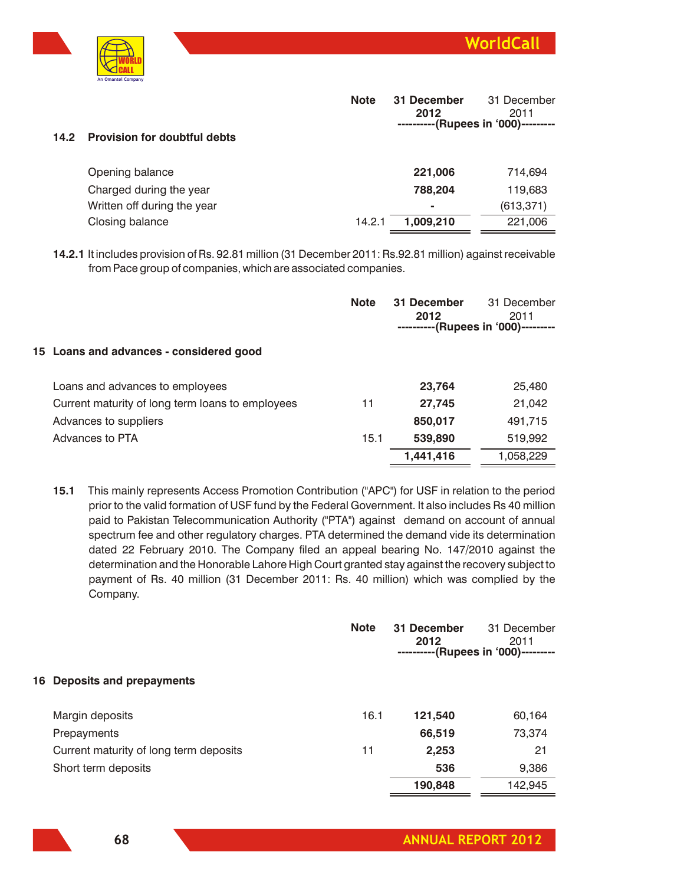

| 14.2 | <b>Provision for doubtful debts</b> | <b>Note</b> | 31 December<br>2012 | 31 December<br>2011<br>----------(Rupees in '000)--------- |
|------|-------------------------------------|-------------|---------------------|------------------------------------------------------------|
|      | Opening balance                     |             | 221,006             | 714,694                                                    |
|      | Charged during the year             |             | 788,204             | 119,683                                                    |
|      | Written off during the year         |             | ۰                   | (613, 371)                                                 |
|      | Closing balance                     | 14.2.1      | 1,009,210           | 221,006                                                    |
|      |                                     |             |                     |                                                            |

**14.2.1** It includes provision of Rs. 92.81 million (31 December 2011: Rs.92.81 million) against receivable from Pace group of companies, which are associated companies.

| 31 December<br>2011<br>-(Rupees in '000)--- |
|---------------------------------------------|
|                                             |
| 25,480                                      |
| 21,042                                      |
| 491,715                                     |
| 519,992                                     |
| 1,058,229                                   |
|                                             |

**15.1** This mainly represents Access Promotion Contribution ("APC") for USF in relation to the period prior to the valid formation of USF fund by the Federal Government. It also includes Rs 40 million paid to Pakistan Telecommunication Authority ("PTA") against demand on account of annual spectrum fee and other regulatory charges. PTA determined the demand vide its determination dated 22 February 2010. The Company filed an appeal bearing No. 147/2010 against the determination and the Honorable Lahore High Court granted stay against the recovery subject to payment of Rs. 40 million (31 December 2011: Rs. 40 million) which was complied by the Company.

|                                        | <b>Note</b> | 31 December<br>2012 | 31 December<br>2011<br>--(Rupees in '000)--------- |
|----------------------------------------|-------------|---------------------|----------------------------------------------------|
| 16 Deposits and prepayments            |             |                     |                                                    |
| Margin deposits                        | 16.1        | 121,540             | 60,164                                             |
| Prepayments                            |             | 66,519              | 73,374                                             |
| Current maturity of long term deposits | 11          | 2,253               | 21                                                 |
| Short term deposits                    |             | 536                 | 9,386                                              |
|                                        |             | 190,848             | 142,945                                            |
|                                        |             |                     |                                                    |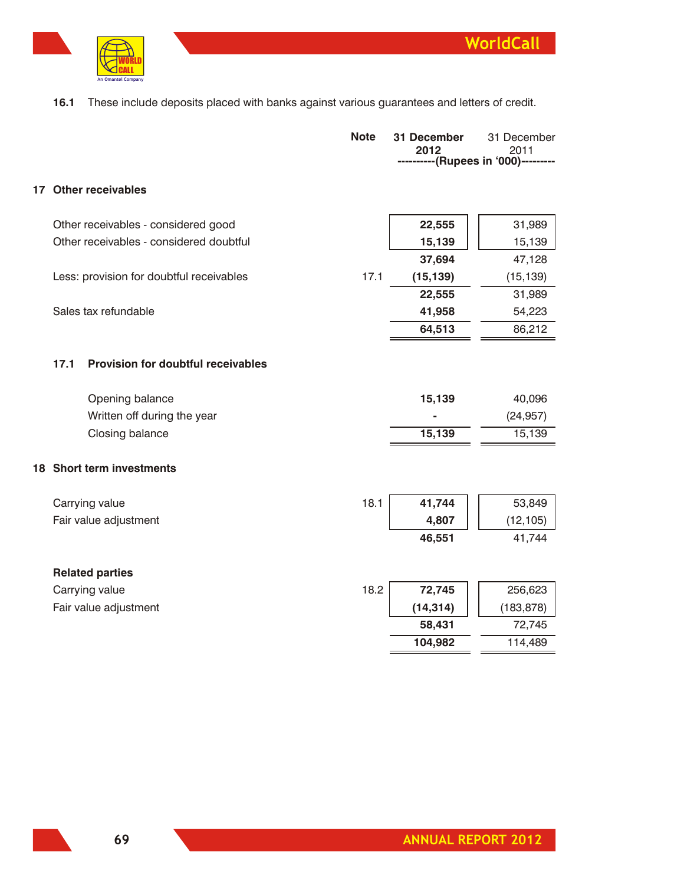

**16.1** These include deposits placed with banks against various guarantees and letters of credit.

|    |                                          |                                    | <b>Note</b> | 31 December<br>2012 | 31 December<br>2011<br>----------(Rupees in '000)--------- |
|----|------------------------------------------|------------------------------------|-------------|---------------------|------------------------------------------------------------|
| 17 | <b>Other receivables</b>                 |                                    |             |                     |                                                            |
|    | Other receivables - considered good      |                                    |             | 22,555              | 31,989                                                     |
|    | Other receivables - considered doubtful  |                                    |             | 15,139              | 15,139                                                     |
|    |                                          |                                    |             | 37,694              | 47,128                                                     |
|    | Less: provision for doubtful receivables |                                    | 17.1        | (15, 139)           | (15, 139)                                                  |
|    |                                          |                                    |             | 22,555              | 31,989                                                     |
|    | Sales tax refundable                     |                                    |             | 41,958              | 54,223                                                     |
|    |                                          |                                    |             | 64,513              | 86,212                                                     |
|    | 17.1                                     | Provision for doubtful receivables |             |                     |                                                            |
|    | Opening balance                          |                                    |             | 15,139              | 40,096                                                     |
|    | Written off during the year              |                                    |             |                     | (24, 957)                                                  |
|    | Closing balance                          |                                    |             | 15,139              | 15,139                                                     |
|    | 18 Short term investments                |                                    |             |                     |                                                            |
|    | Carrying value                           |                                    | 18.1        | 41,744              | 53,849                                                     |
|    | Fair value adjustment                    |                                    |             | 4,807               | (12, 105)                                                  |
|    |                                          |                                    |             | 46,551              | 41,744                                                     |
|    | <b>Related parties</b>                   |                                    |             |                     |                                                            |
|    | Carrying value                           |                                    | 18.2        | 72,745              | 256,623                                                    |
|    | Fair value adjustment                    |                                    |             | (14, 314)           | (183, 878)                                                 |
|    |                                          |                                    |             | 58,431              | 72,745                                                     |
|    |                                          |                                    |             | 104,982             | 114,489                                                    |
|    |                                          |                                    |             |                     |                                                            |

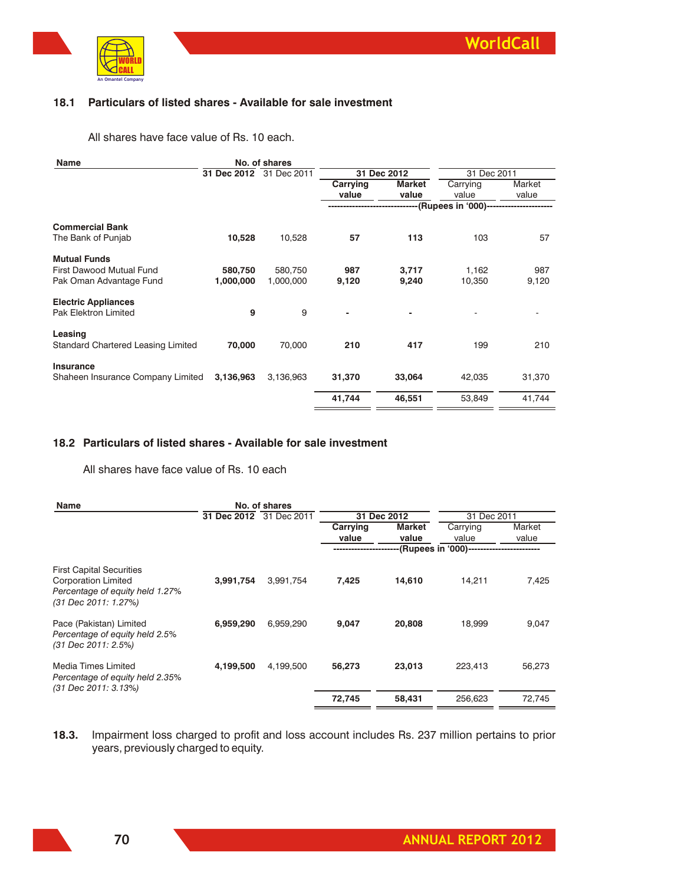

#### **18.1 Particulars of listed shares - Available for sale investment**

All shares have face value of Rs. 10 each.

| Name                               | No. of shares |             |             |               |                                                                      |        |
|------------------------------------|---------------|-------------|-------------|---------------|----------------------------------------------------------------------|--------|
|                                    | 31 Dec 2012   | 31 Dec 2011 | 31 Dec 2012 |               | 31 Dec 2011                                                          |        |
|                                    |               |             | Carrying    | <b>Market</b> | Carrying                                                             | Market |
|                                    |               |             | value       | value         | value                                                                | value  |
|                                    |               |             |             |               | -------------------------------(Rupees in '000)--------------------- |        |
| <b>Commercial Bank</b>             |               |             |             |               |                                                                      |        |
| The Bank of Punjab                 | 10,528        | 10,528      | 57          | 113           | 103                                                                  | 57     |
| <b>Mutual Funds</b>                |               |             |             |               |                                                                      |        |
| First Dawood Mutual Fund           | 580,750       | 580,750     | 987         | 3,717         | 1,162                                                                | 987    |
| Pak Oman Advantage Fund            | 1,000,000     | 1,000,000   | 9,120       | 9,240         | 10,350                                                               | 9,120  |
| <b>Electric Appliances</b>         |               |             |             |               |                                                                      |        |
| Pak Elektron Limited               | 9             | 9           |             |               |                                                                      |        |
| Leasing                            |               |             |             |               |                                                                      |        |
| Standard Chartered Leasing Limited | 70,000        | 70,000      | 210         | 417           | 199                                                                  | 210    |
| <b>Insurance</b>                   |               |             |             |               |                                                                      |        |
| Shaheen Insurance Company Limited  | 3,136,963     | 3,136,963   | 31,370      | 33,064        | 42,035                                                               | 31,370 |
|                                    |               |             | 41,744      | 46,551        | 53,849                                                               | 41,744 |
|                                    |               |             |             |               |                                                                      |        |

#### **18.2 Particulars of listed shares - Available for sale investment**

All shares have face value of Rs. 10 each

| <b>Name</b>                                                                                                          |                         | No. of shares          |                 |                  |                                           |             |  |
|----------------------------------------------------------------------------------------------------------------------|-------------------------|------------------------|-----------------|------------------|-------------------------------------------|-------------|--|
|                                                                                                                      | 31 Dec 2012 31 Dec 2011 |                        |                 | 31 Dec 2012      |                                           | 31 Dec 2011 |  |
|                                                                                                                      |                         |                        | Carrying        | <b>Market</b>    | Carrying                                  | Market      |  |
|                                                                                                                      |                         |                        | value           | value            | value                                     | value       |  |
|                                                                                                                      |                         |                        |                 |                  | -(Rupees in '000)------------------------ |             |  |
| <b>First Capital Securities</b>                                                                                      |                         |                        |                 |                  |                                           |             |  |
| <b>Corporation Limited</b>                                                                                           | 3,991,754               | 3,991,754              | 7,425           | 14,610           | 14,211                                    | 7,425       |  |
| Percentage of equity held 1.27%                                                                                      |                         |                        |                 |                  |                                           |             |  |
| (31 Dec 2011: 1.27%)                                                                                                 |                         |                        |                 |                  |                                           |             |  |
|                                                                                                                      |                         |                        |                 |                  |                                           | 9,047       |  |
|                                                                                                                      |                         |                        |                 |                  |                                           |             |  |
| (31 Dec 2011: 2.5%)                                                                                                  |                         |                        |                 |                  |                                           |             |  |
| Media Times Limited                                                                                                  |                         |                        |                 |                  |                                           | 56,273      |  |
|                                                                                                                      |                         |                        |                 |                  |                                           |             |  |
|                                                                                                                      |                         |                        |                 |                  |                                           |             |  |
|                                                                                                                      |                         |                        | 72,745          | 58,431           | 256,623                                   | 72,745      |  |
| Pace (Pakistan) Limited<br>Percentage of equity held 2.5%<br>Percentage of equity held 2.35%<br>(31 Dec 2011: 3.13%) | 6,959,290<br>4,199,500  | 6,959,290<br>4,199,500 | 9,047<br>56,273 | 20,808<br>23,013 | 18,999<br>223,413                         |             |  |

**18.3.** Impairment loss charged to profit and loss account includes Rs. 237 million pertains to prior years, previously charged to equity.

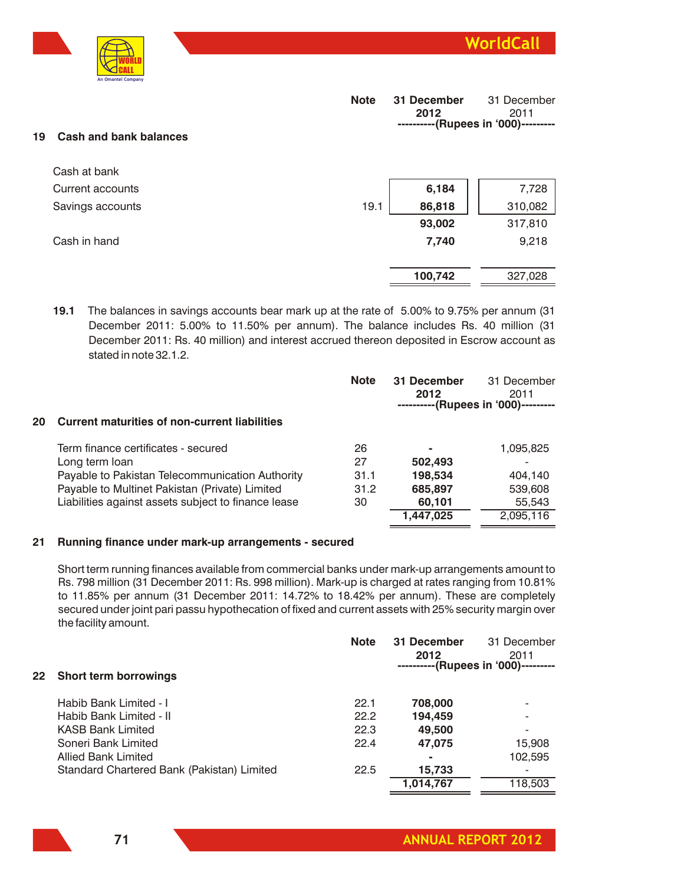**WorldCall**



| Note 31 December | 31 December                         |
|------------------|-------------------------------------|
| 2012             | 2011                                |
|                  | ----------(Rupees in '000)--------- |

#### **19 Cash and bank balances**

| Cash at bank     |      |         |         |
|------------------|------|---------|---------|
| Current accounts |      | 6,184   | 7,728   |
| Savings accounts | 19.1 | 86,818  | 310,082 |
|                  |      | 93,002  | 317,810 |
| Cash in hand     |      | 7,740   | 9,218   |
|                  |      |         |         |
|                  |      | 100,742 | 327,028 |
|                  |      |         |         |

**19.1** The balances in savings accounts bear mark up at the rate of 5.00% to 9.75% per annum (31 December 2011: 5.00% to 11.50% per annum). The balance includes Rs. 40 million (31 December 2011: Rs. 40 million) and interest accrued thereon deposited in Escrow account as stated in note 32.1.2.

|    |                                                      | <b>Note</b> | 31 December<br>2012<br>----------(Rupees in '000)----- | 31 December<br>2011 |
|----|------------------------------------------------------|-------------|--------------------------------------------------------|---------------------|
| 20 | <b>Current maturities of non-current liabilities</b> |             |                                                        |                     |
|    | Term finance certificates - secured                  | 26          | ۰                                                      | 1,095,825           |
|    | Long term loan                                       | 27          | 502.493                                                |                     |
|    | Payable to Pakistan Telecommunication Authority      | 31.1        | 198.534                                                | 404,140             |
|    | Payable to Multinet Pakistan (Private) Limited       | 31.2        | 685,897                                                | 539,608             |
|    | Liabilities against assets subject to finance lease  | 30          | 60,101                                                 | 55,543              |
|    |                                                      |             | 1,447,025                                              | 2,095,116           |
|    |                                                      |             |                                                        |                     |

#### **21 Running finance under mark-up arrangements - secured**

Short term running finances available from commercial banks under mark-up arrangements amount to Rs. 798 million (31 December 2011: Rs. 998 million). Mark-up is charged at rates ranging from 10.81% to 11.85% per annum (31 December 2011: 14.72% to 18.42% per annum). These are completely secured under joint pari passu hypothecation of fixed and current assets with 25% security margin over the facility amount.

|    |                                            | <b>Note</b> | 31 December<br>2012 | 31 December<br>2011<br>--(Rupees in '000)--------- |
|----|--------------------------------------------|-------------|---------------------|----------------------------------------------------|
| 22 | <b>Short term borrowings</b>               |             |                     |                                                    |
|    | Habib Bank Limited - I                     | 22.1        | 708,000             |                                                    |
|    | Habib Bank Limited - II                    | 22.2        | 194.459             |                                                    |
|    | <b>KASB Bank Limited</b>                   | 22.3        | 49,500              | $\overline{\phantom{a}}$                           |
|    | Soneri Bank Limited                        | 22.4        | 47,075              | 15,908                                             |
|    | Allied Bank Limited                        |             |                     | 102.595                                            |
|    | Standard Chartered Bank (Pakistan) Limited | 22.5        | 15,733              | $\overline{\phantom{0}}$                           |
|    |                                            |             | 1,014,767           | 118,503                                            |
|    |                                            |             |                     |                                                    |

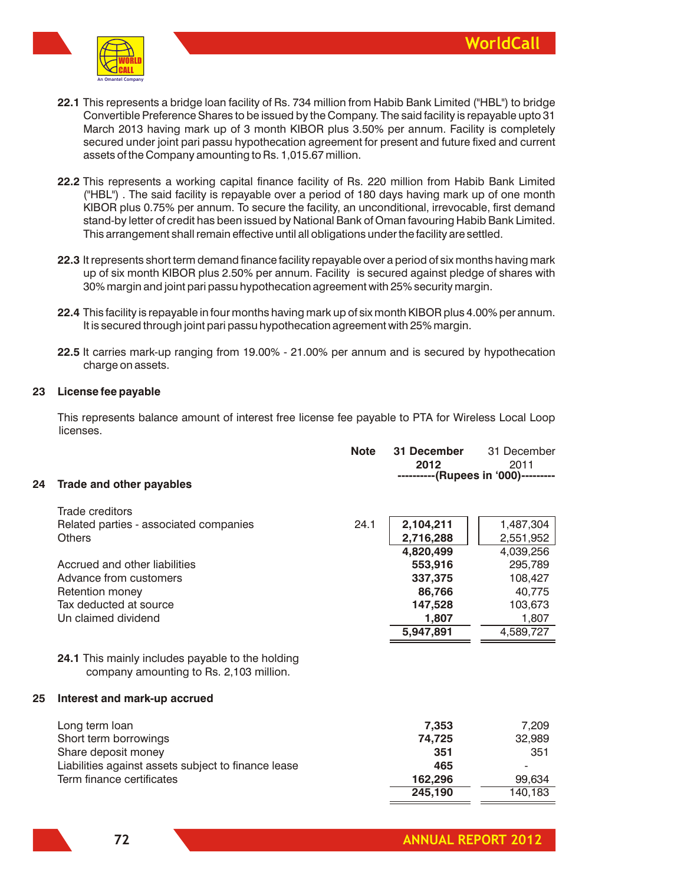

- **22.1** This represents a bridge loan facility of Rs. 734 million from Habib Bank Limited ("HBL") to bridge Convertible Preference Shares to be issued by the Company. The said facility is repayable upto 31 March 2013 having mark up of 3 month KIBOR plus 3.50% per annum. Facility is completely secured under joint pari passu hypothecation agreement for present and future fixed and current assets of the Company amounting to Rs. 1,015.67 million.
- **22.2** This represents a working capital finance facility of Rs. 220 million from Habib Bank Limited ("HBL") . The said facility is repayable over a period of 180 days having mark up of one month KIBOR plus 0.75% per annum. To secure the facility, an unconditional, irrevocable, first demand stand-by letter of credit has been issued by National Bank of Oman favouring Habib Bank Limited. This arrangement shall remain effective until all obligations under the facility are settled.
- **22.3** It represents short term demand finance facility repayable over a period of six months having mark up of six month KIBOR plus 2.50% per annum. Facility is secured against pledge of shares with 30% margin and joint pari passu hypothecation agreement with 25% security margin.
- **22.4** This facility is repayable in four months having mark up of six month KIBOR plus 4.00% per annum. It is secured through joint pari passu hypothecation agreement with 25% margin.
- **22.5** It carries mark-up ranging from 19.00% 21.00% per annum and is secured by hypothecation charge on assets.

#### **23 License fee payable**

This represents balance amount of interest free license fee payable to PTA for Wireless Local Loop licenses.

|    |                                                                                             | <b>Note</b> | 31 December<br>2012 | 31 December<br>2011<br>----------(Rupees in '000)--------- |
|----|---------------------------------------------------------------------------------------------|-------------|---------------------|------------------------------------------------------------|
| 24 | Trade and other payables                                                                    |             |                     |                                                            |
|    | Trade creditors                                                                             |             |                     |                                                            |
|    | Related parties - associated companies                                                      | 24.1        | 2,104,211           | 1,487,304                                                  |
|    | <b>Others</b>                                                                               |             | 2,716,288           | 2,551,952                                                  |
|    |                                                                                             |             | 4,820,499           | 4,039,256                                                  |
|    | Accrued and other liabilities                                                               |             | 553,916             | 295,789                                                    |
|    | Advance from customers                                                                      |             | 337,375             | 108,427                                                    |
|    | Retention money                                                                             |             | 86,766              | 40,775                                                     |
|    | Tax deducted at source                                                                      |             | 147,528             | 103,673                                                    |
|    | Un claimed dividend                                                                         |             | 1,807               | 1,807                                                      |
|    |                                                                                             |             | 5,947,891           | 4,589,727                                                  |
|    | 24.1 This mainly includes payable to the holding<br>company amounting to Rs. 2,103 million. |             |                     |                                                            |
| 25 | Interest and mark-up accrued                                                                |             |                     |                                                            |
|    | Long term loan                                                                              |             | 7,353               | 7,209                                                      |
|    | Short term borrowings                                                                       |             | 74,725              | 32,989                                                     |
|    | Share deposit money                                                                         |             | 351                 | 351                                                        |
|    | Liabilities against assets subject to finance lease                                         |             | 465                 |                                                            |
|    | Term finance certificates                                                                   |             | 162,296             | 99,634                                                     |
|    |                                                                                             |             | 245,190             | 140,183                                                    |
|    |                                                                                             |             |                     |                                                            |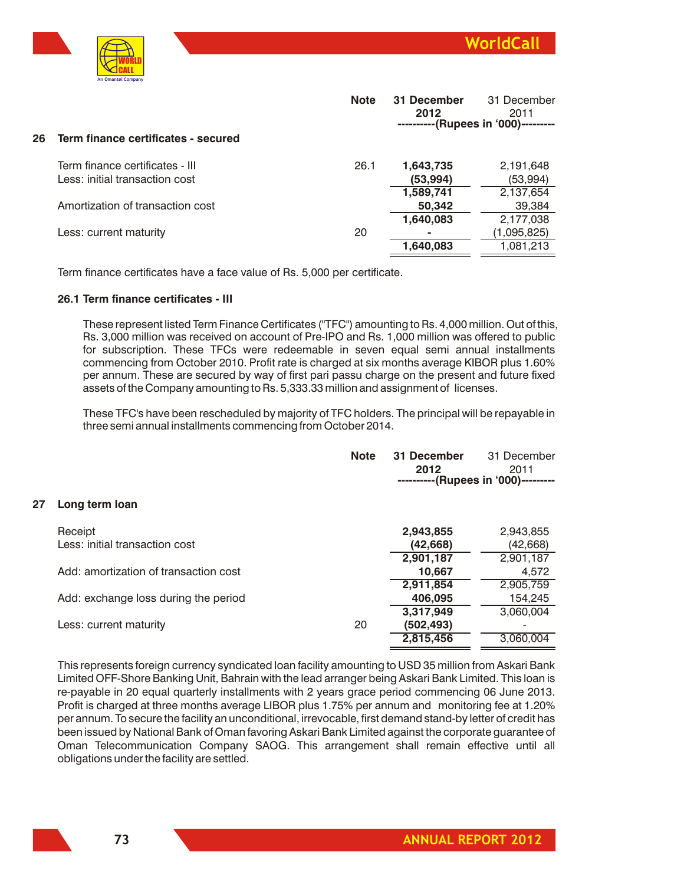

**27 Long term loan**

|    |                                                                   | <b>Note</b> | 31 December<br>2012    | 31 December<br>2011<br>--(Rupees in '000)----- |
|----|-------------------------------------------------------------------|-------------|------------------------|------------------------------------------------|
| 26 | Term finance certificates - secured                               |             |                        |                                                |
|    | Term finance certificates - III<br>Less: initial transaction cost | 26.1        | 1,643,735<br>(53, 994) | 2,191,648<br>(53,994)                          |
|    | Amortization of transaction cost                                  |             | 1,589,741<br>50,342    | 2,137,654<br>39,384                            |
|    | Less: current maturity                                            | 20          | 1,640,083<br>۰         | 2,177,038<br>(1,095,825)                       |
|    |                                                                   |             | 1,640,083              | 1,081,213                                      |

Term finance certificates have a face value of Rs. 5,000 per certificate.

# **26.1 Term finance certificates - III**

These represent listed Term Finance Certificates ("TFC") amounting to Rs. 4,000 million. Out of this, Rs. 3,000 million was received on account of Pre-IPO and Rs. 1,000 million was offered to public for subscription. These TFCs were redeemable in seven equal semi annual installments commencing from October 2010. Profit rate is charged at six months average KIBOR plus 1.60% per annum. These are secured by way of first pari passu charge on the present and future fixed assets of the Company amounting to Rs. 5,333.33 million and assignment of licenses.

These TFC's have been rescheduled by majority of TFC holders. The principal will be repayable in three semi annual installments commencing from October 2014.

|                                       | <b>Note</b> | 31 December<br>2012 | 31 December<br>2011 |
|---------------------------------------|-------------|---------------------|---------------------|
|                                       |             |                     | -(Rupees in '000)-  |
| Long term loan                        |             |                     |                     |
| Receipt                               |             | 2,943,855           | 2,943,855           |
| Less: initial transaction cost        |             | (42, 668)           | (42, 668)           |
|                                       |             | 2,901,187           | 2,901,187           |
| Add: amortization of transaction cost |             | 10,667              | 4,572               |
|                                       |             | 2,911,854           | 2,905,759           |
| Add: exchange loss during the period  |             | 406,095             | 154,245             |
|                                       |             | 3,317,949           | 3,060,004           |
| Less: current maturity                | 20          | (502,493)           |                     |
|                                       |             | 2,815,456           | 3,060,004           |
|                                       |             |                     |                     |

This represents foreign currency syndicated loan facility amounting to USD 35 million from Askari Bank Limited OFF-Shore Banking Unit, Bahrain with the lead arranger being Askari Bank Limited. This loan is re-payable in 20 equal quarterly installments with 2 years grace period commencing 06 June 2013. Profit is charged at three months average LIBOR plus 1.75% per annum and monitoring fee at 1.20% per annum. To secure the facility an unconditional, irrevocable, first demand stand-by letter of credit has been issued by National Bank of Oman favoring Askari Bank Limited against the corporate guarantee of Oman Telecommunication Company SAOG. This arrangement shall remain effective until all obligations under the facility are settled.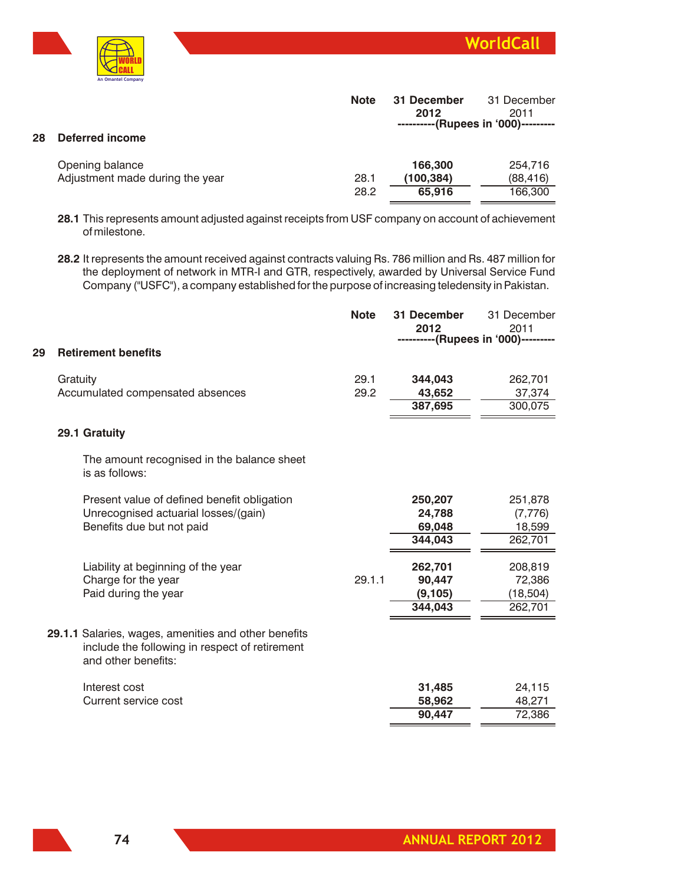

WORLD CALL **An Omantel Company**

| 28 | Deferred income                                    | <b>Note</b>  | 31 December<br>2012             | 31 December<br>2011<br>----------(Rupees in '000)--------- |
|----|----------------------------------------------------|--------------|---------------------------------|------------------------------------------------------------|
|    | Opening balance<br>Adjustment made during the year | 28.1<br>28.2 | 166.300<br>(100, 384)<br>65,916 | 254,716<br>(88, 416)<br>166,300                            |

**28.1** This represents amount adjusted against receipts from USF company on account of achievement of milestone.

**28.2** It represents the amount received against contracts valuing Rs. 786 million and Rs. 487 million for the deployment of network in MTR-I and GTR, respectively, awarded by Universal Service Fund Company ("USFC"), a company established for the purpose of increasing teledensity in Pakistan.

|    |                                                                                                                               | <b>Note</b> | 31 December<br>2012 | 31 December<br>2011<br>----------(Rupees in '000)--------- |
|----|-------------------------------------------------------------------------------------------------------------------------------|-------------|---------------------|------------------------------------------------------------|
| 29 | <b>Retirement benefits</b>                                                                                                    |             |                     |                                                            |
|    | Gratuity                                                                                                                      | 29.1        | 344,043             | 262,701                                                    |
|    | Accumulated compensated absences                                                                                              | 29.2        | 43,652<br>387,695   | 37,374<br>300,075                                          |
|    | 29.1 Gratuity                                                                                                                 |             |                     |                                                            |
|    | The amount recognised in the balance sheet<br>is as follows:                                                                  |             |                     |                                                            |
|    | Present value of defined benefit obligation<br>Unrecognised actuarial losses/(gain)                                           |             | 250,207<br>24,788   | 251,878<br>(7, 776)                                        |
|    | Benefits due but not paid                                                                                                     |             | 69,048<br>344,043   | 18,599<br>262,701                                          |
|    | Liability at beginning of the year                                                                                            |             | 262,701             | 208,819                                                    |
|    | Charge for the year<br>Paid during the year                                                                                   | 29.1.1      | 90,447<br>(9, 105)  | 72,386<br>(18, 504)                                        |
|    |                                                                                                                               |             | 344,043             | 262,701                                                    |
|    | 29.1.1 Salaries, wages, amenities and other benefits<br>include the following in respect of retirement<br>and other benefits: |             |                     |                                                            |
|    | Interest cost                                                                                                                 |             | 31,485              | 24,115                                                     |
|    | Current service cost                                                                                                          |             | 58,962<br>90,447    | 48,271<br>72,386                                           |
|    |                                                                                                                               |             |                     |                                                            |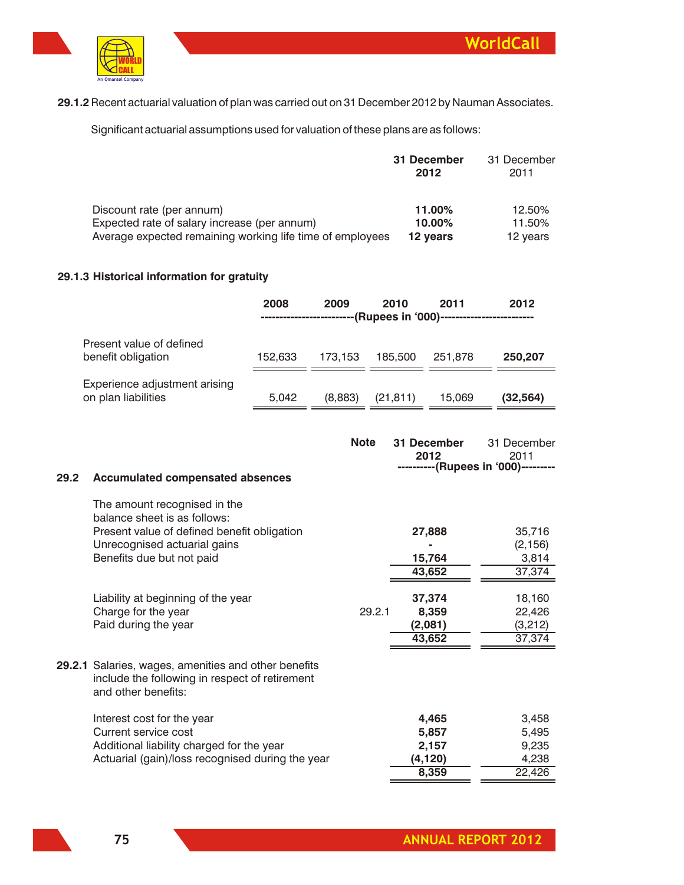

**29.1.2** Recent actuarial valuation of plan was carried out on 31 December 2012 by Nauman Associates.

Significant actuarial assumptions used for valuation of these plans are as follows:

|                                                           | 31 December<br>2012 | 31 December<br>2011 |  |
|-----------------------------------------------------------|---------------------|---------------------|--|
| Discount rate (per annum)                                 | 11.00%              | 12.50%              |  |
| Expected rate of salary increase (per annum)              | 10.00%              | 11.50%              |  |
| Average expected remaining working life time of employees | 12 years            | 12 years            |  |

# **29.1.3 Historical information for gratuity**

|                                                      | 2008    | 2009    | 2010<br>-(Rupees in '000)----- | 2011    | 2012      |
|------------------------------------------------------|---------|---------|--------------------------------|---------|-----------|
| Present value of defined<br>benefit obligation       | 152.633 | 173.153 | 185,500                        | 251.878 | 250,207   |
| Experience adjustment arising<br>on plan liabilities | 5.042   | (8,883) | (21, 811)                      | 15.069  | (32, 564) |

| 29.2 | <b>Accumulated compensated absences</b>                                                                                                                                  | <b>Note</b> | 31 December<br>2012                          | 31 December<br>2011<br>----------(Rupees in '000)--------- |
|------|--------------------------------------------------------------------------------------------------------------------------------------------------------------------------|-------------|----------------------------------------------|------------------------------------------------------------|
|      | The amount recognised in the<br>balance sheet is as follows:<br>Present value of defined benefit obligation<br>Unrecognised actuarial gains<br>Benefits due but not paid |             | 27,888<br>15,764<br>43,652                   | 35,716<br>(2, 156)<br>3,814<br>37,374                      |
|      | Liability at beginning of the year<br>Charge for the year<br>Paid during the year                                                                                        | 29.2.1      | 37,374<br>8,359<br>(2,081)<br>43,652         | 18,160<br>22,426<br>(3,212)<br>37,374                      |
|      | 29.2.1 Salaries, wages, amenities and other benefits<br>include the following in respect of retirement<br>and other benefits:                                            |             |                                              |                                                            |
|      | Interest cost for the year<br>Current service cost<br>Additional liability charged for the year<br>Actuarial (gain)/loss recognised during the year                      |             | 4,465<br>5,857<br>2,157<br>(4, 120)<br>8,359 | 3,458<br>5,495<br>9,235<br>4,238<br>22,426                 |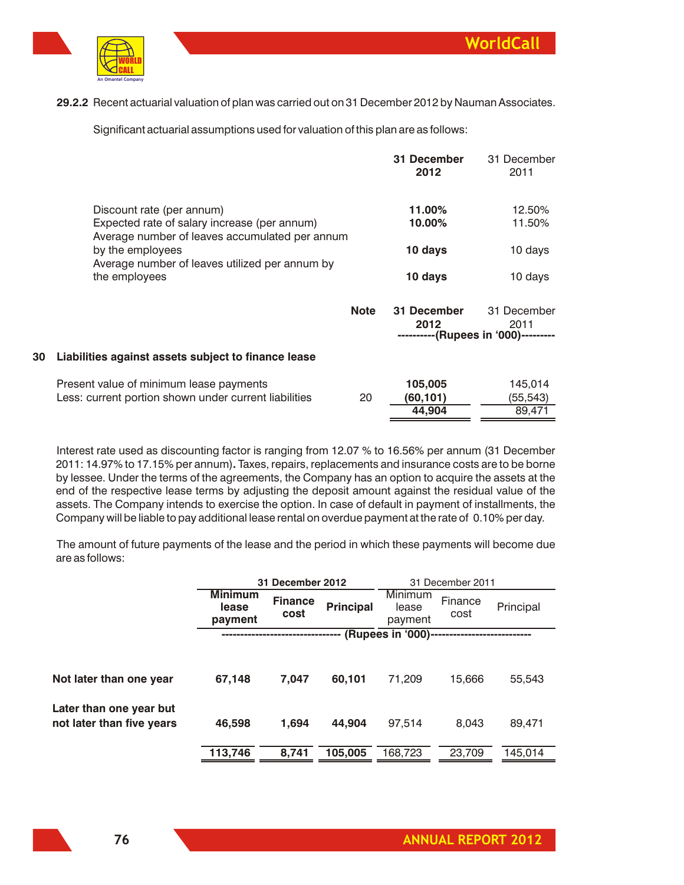

**29.2.2** Recent actuarial valuation of plan was carried out on 31 December 2012 by Nauman Associates.

Significant actuarial assumptions used for valuation of this plan are as follows:

|    |                                                                                                                             | 31 December<br>2012 | 31 December<br>2011                                |
|----|-----------------------------------------------------------------------------------------------------------------------------|---------------------|----------------------------------------------------|
|    | Discount rate (per annum)<br>Expected rate of salary increase (per annum)<br>Average number of leaves accumulated per annum | 11.00%<br>10.00%    | 12.50%<br>11.50%                                   |
|    | by the employees                                                                                                            | 10 days             | 10 days                                            |
|    | Average number of leaves utilized per annum by<br>the employees                                                             | 10 days             | 10 days                                            |
|    | <b>Note</b>                                                                                                                 | 31 December<br>2012 | 31 December<br>2011<br>--(Rupees in '000)--------- |
| 30 | Liabilities against assets subject to finance lease                                                                         |                     |                                                    |
|    | Present value of minimum lease payments                                                                                     | 105,005             | 145,014                                            |
|    | Less: current portion shown under current liabilities<br>20                                                                 | (60, 101)           | (55,543)                                           |
|    |                                                                                                                             | 44,904              | 89,471                                             |

Interest rate used as discounting factor is ranging from 12.07 % to 16.56% per annum (31 December 2011: 14.97% to 17.15% per annum)**.** Taxes, repairs, replacements and insurance costs are to be borne by lessee. Under the terms of the agreements, the Company has an option to acquire the assets at the end of the respective lease terms by adjusting the deposit amount against the residual value of the assets. The Company intends to exercise the option. In case of default in payment of installments, the Company will be liable to pay additional lease rental on overdue payment at the rate of 0.10% per day.

The amount of future payments of the lease and the period in which these payments will become due are as follows:

|                                                      | 31 December 2012                   |                        | 31 December 2011 |                             |                 |           |
|------------------------------------------------------|------------------------------------|------------------------|------------------|-----------------------------|-----------------|-----------|
|                                                      | <b>Minimum</b><br>lease<br>payment | <b>Finance</b><br>cost | <b>Principal</b> | Minimum<br>lease<br>payment | Finance<br>cost | Principal |
|                                                      |                                    | (Rupees in '000)-      |                  |                             |                 |           |
| Not later than one year                              | 67,148                             | 7.047                  | 60.101           | 71.209                      | 15.666          | 55,543    |
| Later than one year but<br>not later than five years | 46.598                             | 1,694                  | 44.904           | 97.514                      | 8.043           | 89,471    |
|                                                      | 113,746                            | 8,741                  | 105,005          | 168,723                     | 23,709          | 145,014   |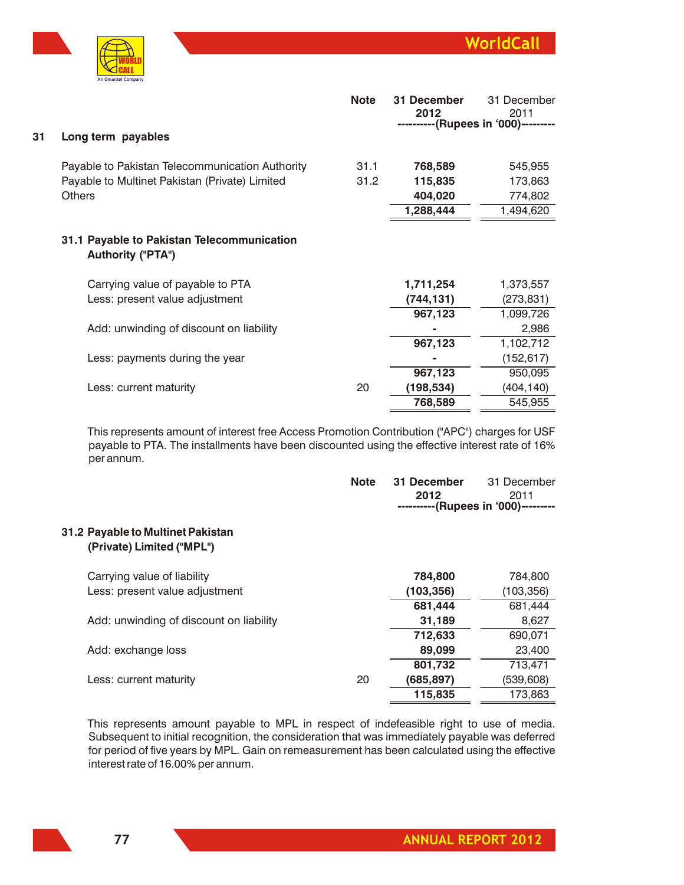

31 December

**Note 31 December**

| 31 | Long term payables                                                     | IVUU | <u>JI DEVEIIINEI</u><br>2012<br>----------(Rupees in '000)---- | <u>UL DEVELINEI</u><br>2011 |
|----|------------------------------------------------------------------------|------|----------------------------------------------------------------|-----------------------------|
|    |                                                                        |      |                                                                |                             |
|    | Payable to Pakistan Telecommunication Authority                        | 31.1 | 768,589                                                        | 545,955                     |
|    | Payable to Multinet Pakistan (Private) Limited                         | 31.2 | 115,835                                                        | 173,863                     |
|    | <b>Others</b>                                                          |      | 404,020                                                        | 774,802                     |
|    |                                                                        |      | 1,288,444                                                      | 1,494,620                   |
|    | 31.1 Payable to Pakistan Telecommunication<br><b>Authority ("PTA")</b> |      |                                                                |                             |
|    | Carrying value of payable to PTA                                       |      | 1,711,254                                                      | 1,373,557                   |
|    | Less: present value adjustment                                         |      | (744, 131)                                                     | (273, 831)                  |
|    |                                                                        |      | 967,123                                                        | 1,099,726                   |
|    | Add: unwinding of discount on liability                                |      |                                                                | 2,986                       |
|    |                                                                        |      | 967,123                                                        | 1,102,712                   |
|    | Less: payments during the year                                         |      |                                                                | (152, 617)                  |
|    |                                                                        |      | 967,123                                                        | 950,095                     |
|    | Less: current maturity                                                 | 20   | (198, 534)                                                     | (404,140)                   |
|    |                                                                        |      | 768,589                                                        | 545,955                     |

This represents amount of interest free Access Promotion Contribution ("APC") charges for USF payable to PTA. The installments have been discounted using the effective interest rate of 16% per annum.

|                                                                | <b>Note</b> | 31 December<br>2012 | 31 December<br>2011<br>-(Rupees in '000)--- |
|----------------------------------------------------------------|-------------|---------------------|---------------------------------------------|
| 31.2 Payable to Multinet Pakistan<br>(Private) Limited ("MPL") |             |                     |                                             |
| Carrying value of liability                                    |             | 784,800             | 784,800                                     |
| Less: present value adjustment                                 |             | (103, 356)          | (103, 356)                                  |
|                                                                |             | 681,444             | 681,444                                     |
| Add: unwinding of discount on liability                        |             | 31,189              | 8,627                                       |
|                                                                |             | 712,633             | 690,071                                     |
| Add: exchange loss                                             |             | 89,099              | 23,400                                      |
|                                                                |             | 801,732             | 713,471                                     |
| Less: current maturity                                         | 20          | (685,897)           | (539,608)                                   |
|                                                                |             | 115,835             | 173,863                                     |

This represents amount payable to MPL in respect of indefeasible right to use of media. Subsequent to initial recognition, the consideration that was immediately payable was deferred for period of five years by MPL. Gain on remeasurement has been calculated using the effective interest rate of 16.00% per annum.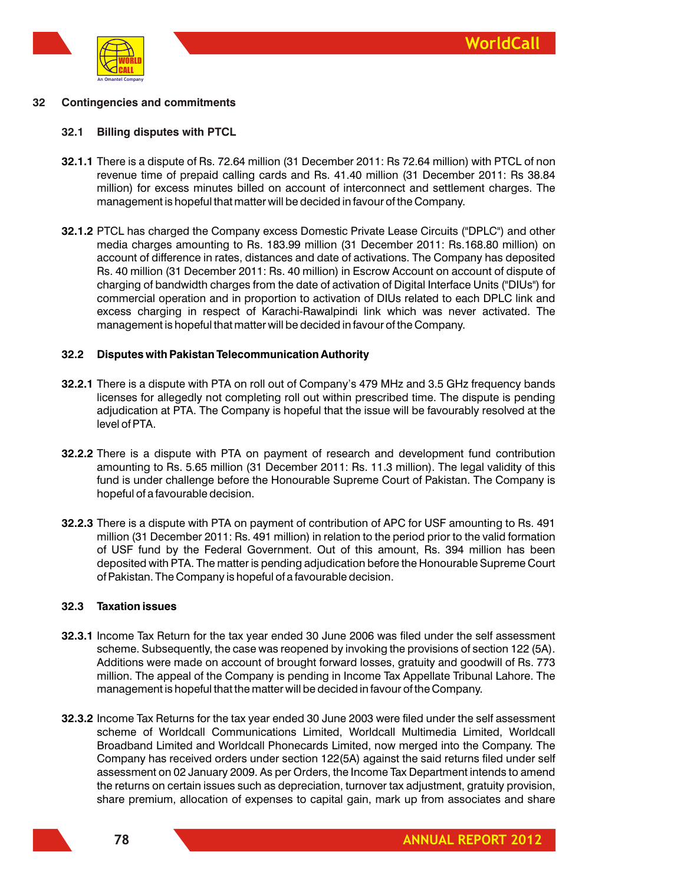



# **32 Contingencies and commitments**

#### **32.1 Billing disputes with PTCL**

- **32.1.1** There is a dispute of Rs. 72.64 million (31 December 2011: Rs 72.64 million) with PTCL of non revenue time of prepaid calling cards and Rs. 41.40 million (31 December 2011: Rs 38.84 million) for excess minutes billed on account of interconnect and settlement charges. The management is hopeful that matter will be decided in favour of the Company.
- **32.1.2** PTCL has charged the Company excess Domestic Private Lease Circuits ("DPLC") and other media charges amounting to Rs. 183.99 million (31 December 2011: Rs.168.80 million) on account of difference in rates, distances and date of activations. The Company has deposited Rs. 40 million (31 December 2011: Rs. 40 million) in Escrow Account on account of dispute of charging of bandwidth charges from the date of activation of Digital Interface Units ("DIUs") for commercial operation and in proportion to activation of DIUs related to each DPLC link and excess charging in respect of Karachi-Rawalpindi link which was never activated. The management is hopeful that matter will be decided in favour of the Company.

#### **32.2 Disputes with Pakistan Telecommunication Authority**

- **32.2.1** There is a dispute with PTA on roll out of Company's 479 MHz and 3.5 GHz frequency bands licenses for allegedly not completing roll out within prescribed time. The dispute is pending adjudication at PTA. The Company is hopeful that the issue will be favourably resolved at the level of PTA.
- **32.2.2** There is a dispute with PTA on payment of research and development fund contribution amounting to Rs. 5.65 million (31 December 2011: Rs. 11.3 million). The legal validity of this fund is under challenge before the Honourable Supreme Court of Pakistan. The Company is hopeful of a favourable decision.
- **32.2.3** There is a dispute with PTA on payment of contribution of APC for USF amounting to Rs. 491 million (31 December 2011: Rs. 491 million) in relation to the period prior to the valid formation of USF fund by the Federal Government. Out of this amount, Rs. 394 million has been deposited with PTA. The matter is pending adjudication before the Honourable Supreme Court of Pakistan. The Company is hopeful of a favourable decision.

#### **32.3 Taxation issues**

**78**

- **32.3.1** Income Tax Return for the tax year ended 30 June 2006 was filed under the self assessment scheme. Subsequently, the case was reopened by invoking the provisions of section 122 (5A). Additions were made on account of brought forward losses, gratuity and goodwill of Rs. 773 million. The appeal of the Company is pending in Income Tax Appellate Tribunal Lahore. The management is hopeful that the matter will be decided in favour of the Company.
- **32.3.2** Income Tax Returns for the tax year ended 30 June 2003 were filed under the self assessment scheme of Worldcall Communications Limited, Worldcall Multimedia Limited, Worldcall Broadband Limited and Worldcall Phonecards Limited, now merged into the Company. The Company has received orders under section 122(5A) against the said returns filed under self assessment on 02 January 2009. As per Orders, the Income Tax Department intends to amend the returns on certain issues such as depreciation, turnover tax adjustment, gratuity provision, share premium, allocation of expenses to capital gain, mark up from associates and share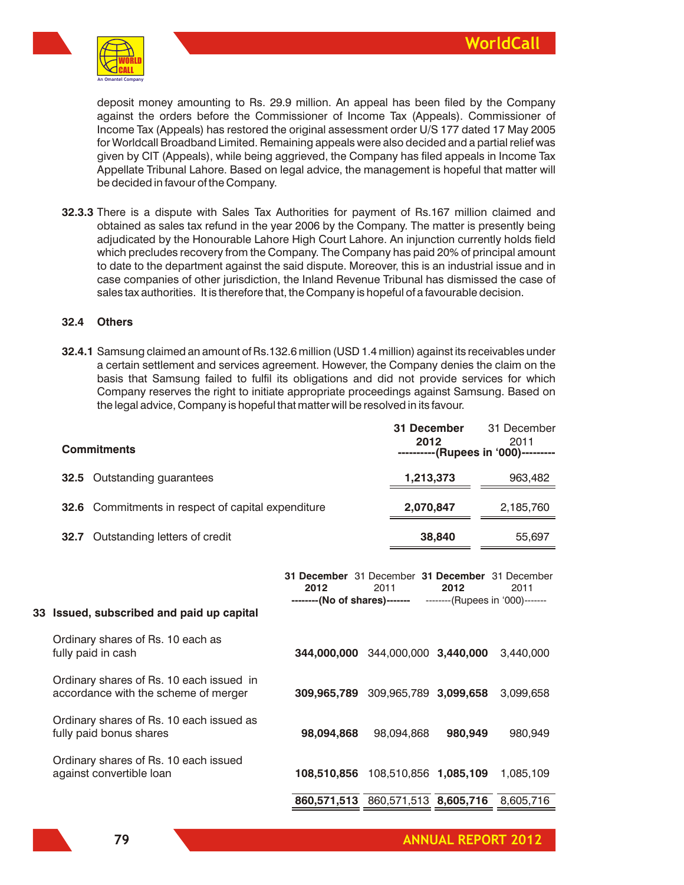

deposit money amounting to Rs. 29.9 million. An appeal has been filed by the Company against the orders before the Commissioner of Income Tax (Appeals). Commissioner of Income Tax (Appeals) has restored the original assessment order U/S 177 dated 17 May 2005 for Worldcall Broadband Limited. Remaining appeals were also decided and a partial relief was given by CIT (Appeals), while being aggrieved, the Company has filed appeals in Income Tax Appellate Tribunal Lahore. Based on legal advice, the management is hopeful that matter will be decided in favour of the Company.

**32.3.3** There is a dispute with Sales Tax Authorities for payment of Rs.167 million claimed and obtained as sales tax refund in the year 2006 by the Company. The matter is presently being adjudicated by the Honourable Lahore High Court Lahore. An injunction currently holds field which precludes recovery from the Company. The Company has paid 20% of principal amount to date to the department against the said dispute. Moreover, this is an industrial issue and in case companies of other jurisdiction, the Inland Revenue Tribunal has dismissed the case of sales tax authorities. It is therefore that, the Company is hopeful of a favourable decision.

# **32.4 Others**

**32.4.1** Samsung claimed an amount of Rs.132.6 million (USD 1.4 million) against its receivables under a certain settlement and services agreement. However, the Company denies the claim on the basis that Samsung failed to fulfil its obligations and did not provide services for which Company reserves the right to initiate appropriate proceedings against Samsung. Based on the legal advice, Company is hopeful that matter will be resolved in its favour.

| <b>Commitments</b>                                 | 31 December<br>2012<br>----------(Rupees in '000)--------- | 31 December<br>2011 |
|----------------------------------------------------|------------------------------------------------------------|---------------------|
| <b>32.5</b> Outstanding guarantees                 | 1,213,373                                                  | 963,482             |
| 32.6 Commitments in respect of capital expenditure | 2,070,847                                                  | 2,185,760           |
| <b>32.7</b> Outstanding letters of credit          | 38,840                                                     | 55,697              |

| 33 Issued, subscribed and paid up capital                                        | 31 December 31 December 31 December 31 December<br>2012<br>--------(No of shares)------- ---------(Rupees in '000)------- | 2011                              | 2012    | 2011      |
|----------------------------------------------------------------------------------|---------------------------------------------------------------------------------------------------------------------------|-----------------------------------|---------|-----------|
| Ordinary shares of Rs. 10 each as<br>fully paid in cash                          | 344.000.000                                                                                                               | 344,000,000 3,440,000             |         | 3,440,000 |
| Ordinary shares of Rs. 10 each issued in<br>accordance with the scheme of merger | 309,965,789                                                                                                               | 309,965,789 3,099,658             |         | 3,099,658 |
| Ordinary shares of Rs. 10 each issued as<br>fully paid bonus shares              | 98,094,868                                                                                                                | 98,094,868                        | 980,949 | 980,949   |
| Ordinary shares of Rs. 10 each issued<br>against convertible loan                | 108,510,856                                                                                                               | 108,510,856 1,085,109             |         | 1,085,109 |
|                                                                                  |                                                                                                                           | 860,571,513 860,571,513 8,605,716 |         | 8.605.716 |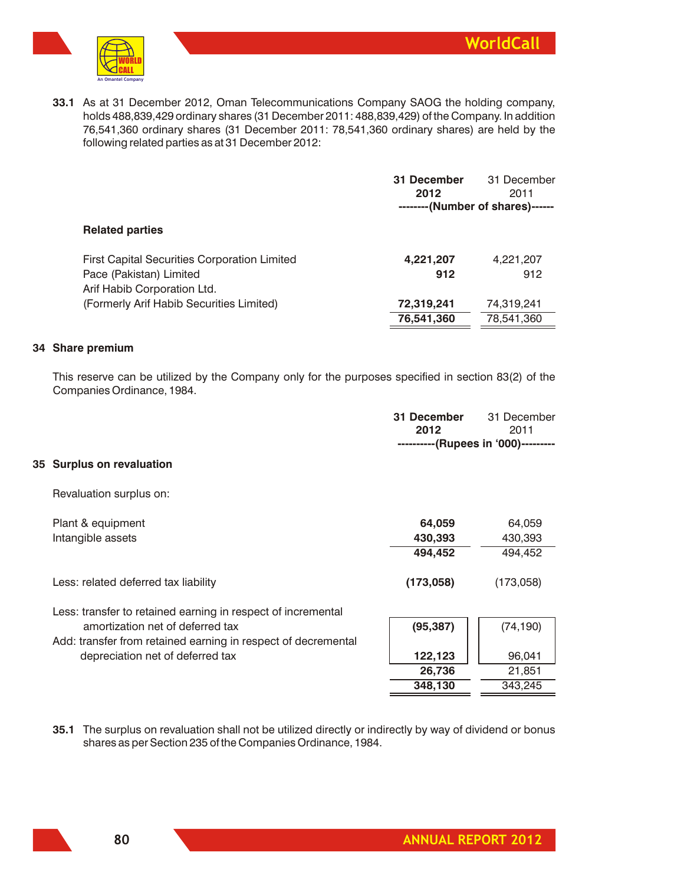

**33.1** As at 31 December 2012, Oman Telecommunications Company SAOG the holding company, holds 488,839,429 ordinary shares (31 December 2011: 488,839,429) of the Company. In addition 76,541,360 ordinary shares (31 December 2011: 78,541,360 ordinary shares) are held by the following related parties as at 31 December 2012:

|                                                                                                               | 31 December<br>2012      | 31 December<br>2011<br>-------(Number of shares)------ |
|---------------------------------------------------------------------------------------------------------------|--------------------------|--------------------------------------------------------|
| <b>Related parties</b>                                                                                        |                          |                                                        |
| <b>First Capital Securities Corporation Limited</b><br>Pace (Pakistan) Limited<br>Arif Habib Corporation Ltd. | 4,221,207<br>912         | 4,221,207<br>912                                       |
| (Formerly Arif Habib Securities Limited)                                                                      | 72,319,241<br>76,541,360 | 74,319,241<br>78,541,360                               |
|                                                                                                               |                          |                                                        |

# **34 Share premium**

This reserve can be utilized by the Company only for the purposes specified in section 83(2) of the Companies Ordinance, 1984.

|                                                               | 31 December<br>2012 | 31 December<br>2011                 |
|---------------------------------------------------------------|---------------------|-------------------------------------|
| 35 Surplus on revaluation                                     |                     | ----------(Rupees in '000)--------- |
| Revaluation surplus on:                                       |                     |                                     |
| Plant & equipment                                             | 64,059              | 64,059                              |
| Intangible assets                                             | 430,393             | 430,393                             |
|                                                               | 494,452             | 494,452                             |
| Less: related deferred tax liability                          | (173,058)           | (173,058)                           |
| Less: transfer to retained earning in respect of incremental  |                     |                                     |
| amortization net of deferred tax                              | (95, 387)           | (74, 190)                           |
| Add: transfer from retained earning in respect of decremental |                     |                                     |
| depreciation net of deferred tax                              | 122,123             | 96,041                              |
|                                                               | 26,736              | 21,851                              |
|                                                               | 348,130             | 343,245                             |

**35.1** The surplus on revaluation shall not be utilized directly or indirectly by way of dividend or bonus shares as per Section 235 of the Companies Ordinance, 1984.

**80**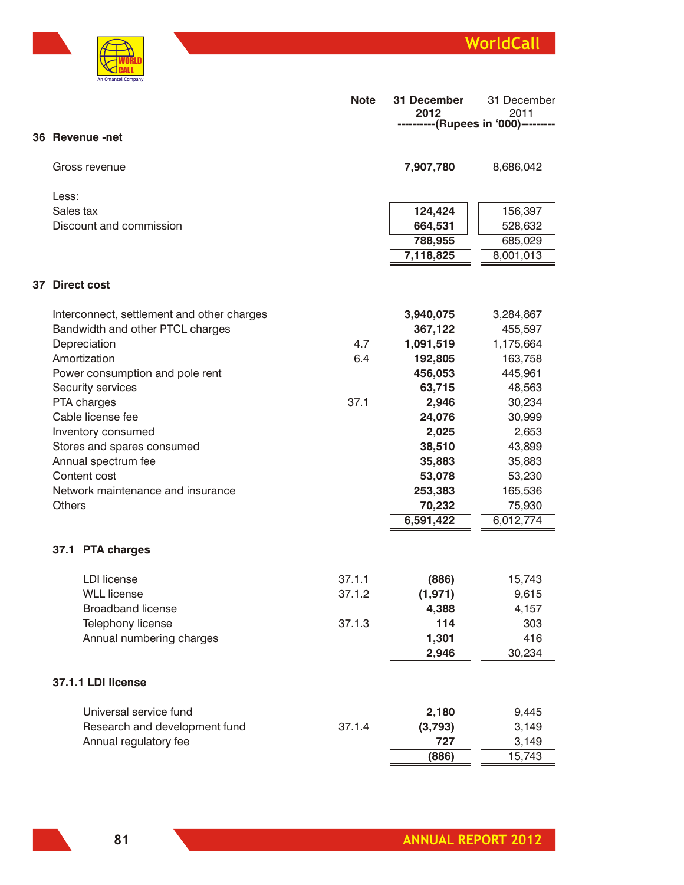

|    |                                            | <b>Note</b> | 31 December<br>2012 | 31 December<br>2011<br>----------(Rupees in '000)--------- |
|----|--------------------------------------------|-------------|---------------------|------------------------------------------------------------|
|    | 36 Revenue - net                           |             |                     |                                                            |
|    | Gross revenue                              |             | 7,907,780           | 8,686,042                                                  |
|    | Less:                                      |             |                     |                                                            |
|    | Sales tax                                  |             | 124,424             | 156,397                                                    |
|    | Discount and commission                    |             | 664,531             | 528,632                                                    |
|    |                                            |             | 788,955             | 685,029                                                    |
|    |                                            |             | 7,118,825           | 8,001,013                                                  |
| 37 | <b>Direct cost</b>                         |             |                     |                                                            |
|    | Interconnect, settlement and other charges |             | 3,940,075           | 3,284,867                                                  |
|    | Bandwidth and other PTCL charges           |             | 367,122             | 455,597                                                    |
|    | Depreciation                               | 4.7         | 1,091,519           | 1,175,664                                                  |
|    | Amortization                               | 6.4         | 192,805             | 163,758                                                    |
|    | Power consumption and pole rent            |             | 456,053             | 445,961                                                    |
|    | Security services                          |             | 63,715              | 48,563                                                     |
|    | PTA charges                                | 37.1        | 2,946               | 30,234                                                     |
|    | Cable license fee                          |             | 24,076              | 30,999                                                     |
|    | Inventory consumed                         |             | 2,025               | 2,653                                                      |
|    | Stores and spares consumed                 |             | 38,510              | 43,899                                                     |
|    | Annual spectrum fee                        |             | 35,883              | 35,883                                                     |
|    | Content cost                               |             | 53,078              | 53,230                                                     |
|    | Network maintenance and insurance          |             | 253,383             | 165,536                                                    |
|    | <b>Others</b>                              |             | 70,232<br>6,591,422 | 75,930<br>6,012,774                                        |
|    | 37.1 PTA charges                           |             |                     |                                                            |
|    |                                            |             |                     |                                                            |
|    | <b>LDI</b> license                         | 37.1.1      | (886)               | 15,743                                                     |
|    | <b>WLL</b> license                         | 37.1.2      | (1, 971)            | 9,615                                                      |
|    | <b>Broadband license</b>                   |             | 4,388               | 4,157                                                      |
|    | Telephony license                          | 37.1.3      | 114                 | 303<br>416                                                 |
|    | Annual numbering charges                   |             | 1,301<br>2,946      | 30,234                                                     |
|    |                                            |             |                     |                                                            |
|    | 37.1.1 LDI license                         |             |                     |                                                            |
|    | Universal service fund                     |             | 2,180               | 9,445                                                      |
|    | Research and development fund              | 37.1.4      | (3,793)             | 3,149                                                      |
|    | Annual regulatory fee                      |             | 727                 | 3,149                                                      |
|    |                                            |             | (886)               | 15,743                                                     |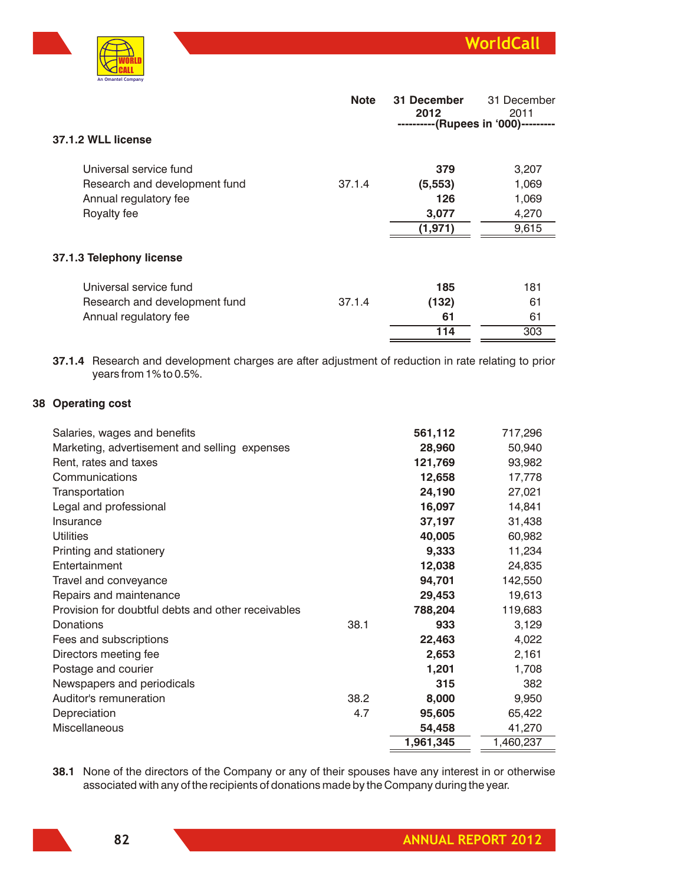

|                               | <b>Note</b> | 31 December<br>2012<br>----------(Rupees in '000)--------- | 31 December<br>2011 |
|-------------------------------|-------------|------------------------------------------------------------|---------------------|
| <b>37.1.2 WLL license</b>     |             |                                                            |                     |
| Universal service fund        |             | 379                                                        | 3,207               |
| Research and development fund | 37.1.4      | (5, 553)                                                   | 1,069               |
| Annual regulatory fee         |             | 126                                                        | 1,069               |
| Royalty fee                   |             | 3,077                                                      | 4,270               |
|                               |             | (1,971)                                                    | 9,615               |
| 37.1.3 Telephony license      |             |                                                            |                     |
| Universal service fund        |             | 185                                                        | 181                 |
| Research and development fund | 37.1.4      | (132)                                                      | 61                  |
| Annual regulatory fee         |             | 61                                                         | 61                  |
|                               |             | 114                                                        | 303                 |

**37.1.4** Research and development charges are after adjustment of reduction in rate relating to prior years from 1% to 0.5%.

# **38 Operating cost**

| Salaries, wages and benefits                       | 561,112   | 717,296   |
|----------------------------------------------------|-----------|-----------|
| Marketing, advertisement and selling expenses      | 28,960    | 50,940    |
| Rent, rates and taxes                              | 121,769   | 93,982    |
| Communications                                     | 12,658    | 17,778    |
| Transportation                                     | 24,190    | 27,021    |
| Legal and professional                             | 16,097    | 14,841    |
| Insurance                                          | 37,197    | 31,438    |
| <b>Utilities</b>                                   | 40,005    | 60,982    |
| Printing and stationery                            | 9,333     | 11,234    |
| Entertainment                                      | 12,038    | 24,835    |
| Travel and conveyance                              | 94,701    | 142,550   |
| Repairs and maintenance                            | 29,453    | 19,613    |
| Provision for doubtful debts and other receivables | 788,204   | 119,683   |
| Donations<br>38.1                                  | 933       | 3,129     |
| Fees and subscriptions                             | 22,463    | 4,022     |
| Directors meeting fee                              | 2,653     | 2,161     |
| Postage and courier                                | 1,201     | 1,708     |
| Newspapers and periodicals                         | 315       | 382       |
| Auditor's remuneration<br>38.2                     | 8,000     | 9,950     |
| 4.7<br>Depreciation                                | 95,605    | 65,422    |
| Miscellaneous                                      | 54,458    | 41,270    |
|                                                    | 1,961,345 | 1,460,237 |

**38.1** None of the directors of the Company or any of their spouses have any interest in or otherwise associated with any of the recipients of donations made by the Company during the year.

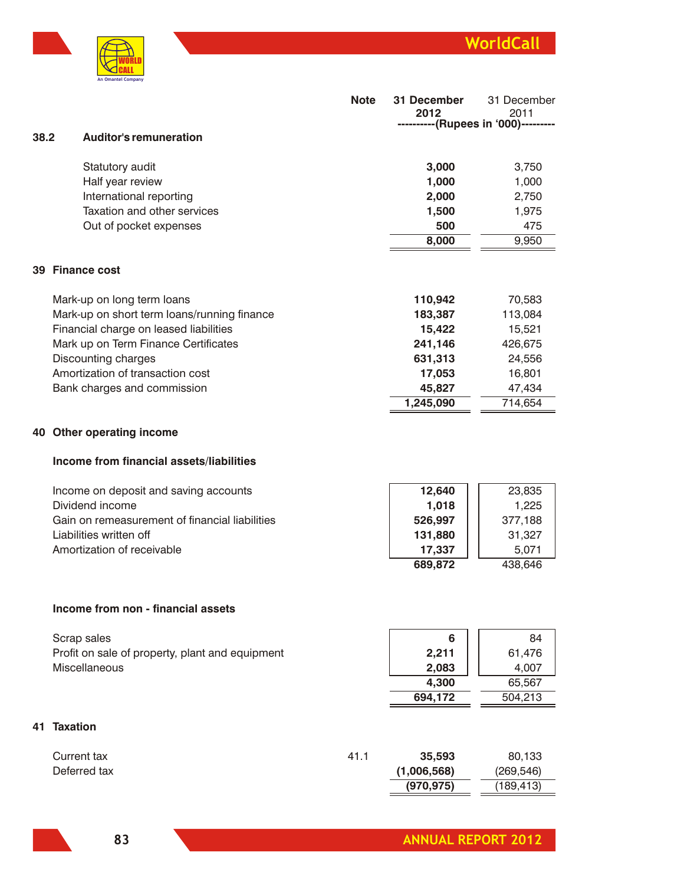

**Note 31 December** 31 December

| 38.2 | <b>Auditor's remuneration</b>                   |      | 2012        | 2011<br>----------(Rupees in '000)--------- |
|------|-------------------------------------------------|------|-------------|---------------------------------------------|
|      |                                                 |      |             |                                             |
|      | Statutory audit                                 |      | 3,000       | 3,750                                       |
|      | Half year review                                |      | 1,000       | 1,000                                       |
|      | International reporting                         |      | 2,000       | 2,750                                       |
|      | Taxation and other services                     |      | 1,500       | 1,975                                       |
|      | Out of pocket expenses                          |      | 500         | 475                                         |
|      |                                                 |      | 8,000       | 9,950                                       |
|      |                                                 |      |             |                                             |
|      | 39 Finance cost                                 |      |             |                                             |
|      | Mark-up on long term loans                      |      | 110,942     | 70,583                                      |
|      | Mark-up on short term loans/running finance     |      | 183,387     | 113,084                                     |
|      | Financial charge on leased liabilities          |      | 15,422      | 15,521                                      |
|      | Mark up on Term Finance Certificates            |      | 241,146     | 426,675                                     |
|      | Discounting charges                             |      | 631,313     | 24,556                                      |
|      | Amortization of transaction cost                |      | 17,053      | 16,801                                      |
|      | Bank charges and commission                     |      | 45,827      | 47,434                                      |
|      |                                                 |      | 1,245,090   | 714,654                                     |
|      |                                                 |      |             |                                             |
|      | 40 Other operating income                       |      |             |                                             |
|      | Income from financial assets/liabilities        |      |             |                                             |
|      | Income on deposit and saving accounts           |      | 12,640      | 23,835                                      |
|      | Dividend income                                 |      | 1,018       | 1,225                                       |
|      | Gain on remeasurement of financial liabilities  |      | 526,997     | 377,188                                     |
|      | Liabilities written off                         |      | 131,880     | 31,327                                      |
|      | Amortization of receivable                      |      | 17,337      | 5,071                                       |
|      |                                                 |      | 689,872     | 438,646                                     |
|      | Income from non - financial assets              |      |             |                                             |
|      |                                                 |      |             |                                             |
|      | Scrap sales                                     |      | 6           | 84                                          |
|      | Profit on sale of property, plant and equipment |      | 2,211       | 61,476                                      |
|      | Miscellaneous                                   |      | 2,083       | 4,007                                       |
|      |                                                 |      | 4,300       | 65,567                                      |
|      |                                                 |      | 694,172     | 504,213                                     |
| 41   | <b>Taxation</b>                                 |      |             |                                             |
|      | Current tax                                     | 41.1 | 35,593      | 80,133                                      |
|      | Deferred tax                                    |      | (1,006,568) | (269, 546)                                  |
|      |                                                 |      | (970, 975)  | (189, 413)                                  |
|      |                                                 |      |             |                                             |
|      |                                                 |      |             |                                             |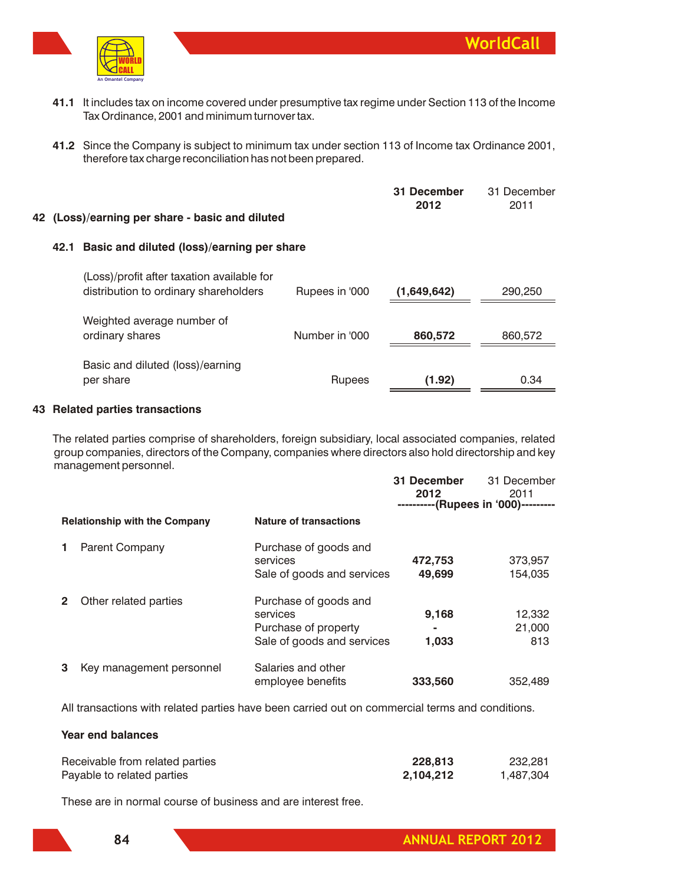

- **41.1** It includes tax on income covered under presumptive tax regime under Section 113 of the Income Tax Ordinance, 2001 and minimum turnover tax.
- **41.2** Since the Company is subject to minimum tax under section 113 of Income tax Ordinance 2001, therefore tax charge reconciliation has not been prepared.

|  | 42 (Loss)/earning per share - basic and diluted                                     |                | 31 December<br>2012 | 31 December<br>2011 |
|--|-------------------------------------------------------------------------------------|----------------|---------------------|---------------------|
|  | 42.1 Basic and diluted (loss)/earning per share                                     |                |                     |                     |
|  | (Loss)/profit after taxation available for<br>distribution to ordinary shareholders | Rupees in '000 | (1,649,642)         | 290,250             |
|  | Weighted average number of<br>ordinary shares                                       | Number in '000 | 860,572             | 860,572             |
|  | Basic and diluted (loss)/earning<br>per share                                       | <b>Rupees</b>  | (1.92)              | 0.34                |

# **43 Related parties transactions**

The related parties comprise of shareholders, foreign subsidiary, local associated companies, related group companies, directors of the Company, companies where directors also hold directorship and key management personnel.

|              |                                      |                                                                                         | 31 December<br>2012<br>----------(Rupees in '000)--------- | 31 December<br>2011     |
|--------------|--------------------------------------|-----------------------------------------------------------------------------------------|------------------------------------------------------------|-------------------------|
|              | <b>Relationship with the Company</b> | <b>Nature of transactions</b>                                                           |                                                            |                         |
|              | <b>Parent Company</b>                | Purchase of goods and<br>services<br>Sale of goods and services                         | 472,753<br>49,699                                          | 373,957<br>154,035      |
| $\mathbf{2}$ | Other related parties                | Purchase of goods and<br>services<br>Purchase of property<br>Sale of goods and services | 9,168<br>1,033                                             | 12,332<br>21,000<br>813 |
| 3            | Key management personnel             | Salaries and other<br>employee benefits                                                 | 333,560                                                    | 352,489                 |

All transactions with related parties have been carried out on commercial terms and conditions.

#### **Year end balances**

| Receivable from related parties | 228.813   | 232.281   |
|---------------------------------|-----------|-----------|
| Payable to related parties      | 2,104,212 | 1,487,304 |

These are in normal course of business and are interest free.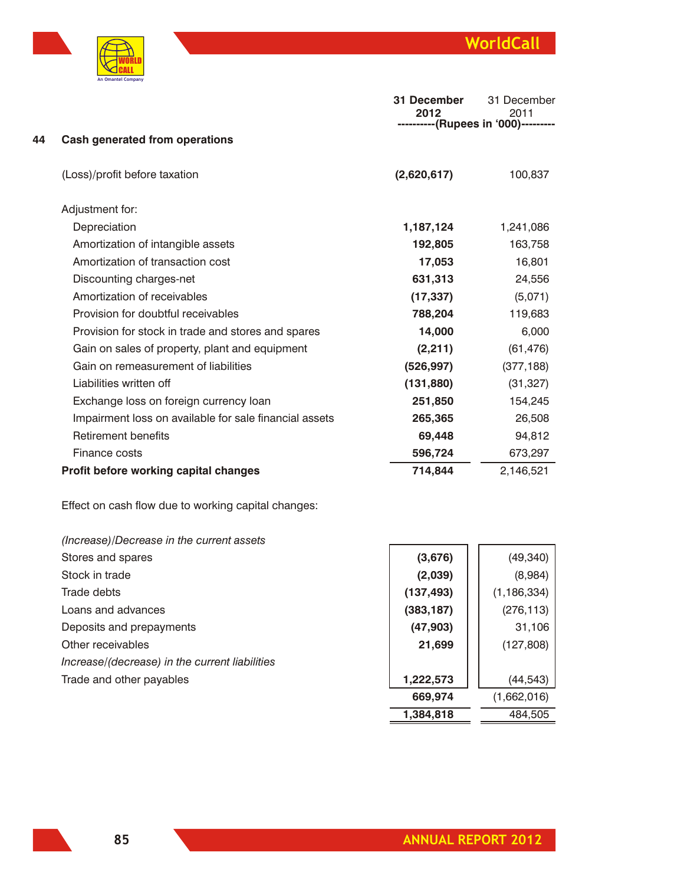

|                                       |                                                        | 31 December<br>2012 | 31 December<br>2011<br>----------(Rupees in '000)--------- |
|---------------------------------------|--------------------------------------------------------|---------------------|------------------------------------------------------------|
| <b>Cash generated from operations</b> |                                                        |                     |                                                            |
| (Loss)/profit before taxation         |                                                        | (2,620,617)         | 100,837                                                    |
| Adjustment for:                       |                                                        |                     |                                                            |
| Depreciation                          |                                                        | 1,187,124           | 1,241,086                                                  |
| Amortization of intangible assets     |                                                        | 192,805             | 163,758                                                    |
| Amortization of transaction cost      |                                                        | 17,053              | 16,801                                                     |
| Discounting charges-net               |                                                        | 631,313             | 24,556                                                     |
| Amortization of receivables           |                                                        | (17, 337)           | (5,071)                                                    |
| Provision for doubtful receivables    |                                                        | 788,204             | 119,683                                                    |
|                                       | Provision for stock in trade and stores and spares     | 14,000              | 6,000                                                      |
|                                       | Gain on sales of property, plant and equipment         | (2,211)             | (61, 476)                                                  |
|                                       | Gain on remeasurement of liabilities                   | (526, 997)          | (377, 188)                                                 |
| Liabilities written off               |                                                        | (131, 880)          | (31, 327)                                                  |
|                                       | Exchange loss on foreign currency loan                 | 251,850             | 154,245                                                    |
|                                       | Impairment loss on available for sale financial assets | 265,365             | 26,508                                                     |
| <b>Retirement benefits</b>            |                                                        | 69,448              | 94,812                                                     |
| Finance costs                         |                                                        | 596,724             | 673,297                                                    |
|                                       | Profit before working capital changes                  | 714,844             | 2,146,521                                                  |

*(Increase)/Decrease in the current assets* Stores and spares **(3,676)** (3,676) (49,340) Stock in trade **(2,039)** (8,984) Trade debts **(137,493)** (1,186,334) Loans and advances **(383,187)** (276,113) Deposits and prepayments **(a)**  $(47,903)$   $(47,903)$   $(47,903)$   $(47,903)$ Other receivables **21,699** | (127,808) *Increase/(decrease) in the current liabilities* Trade and other payables **1,222,573** (44,543) **669,974** (1,662,016)

**ANNUAL REPORT 2012**

**1,384,818** 484,505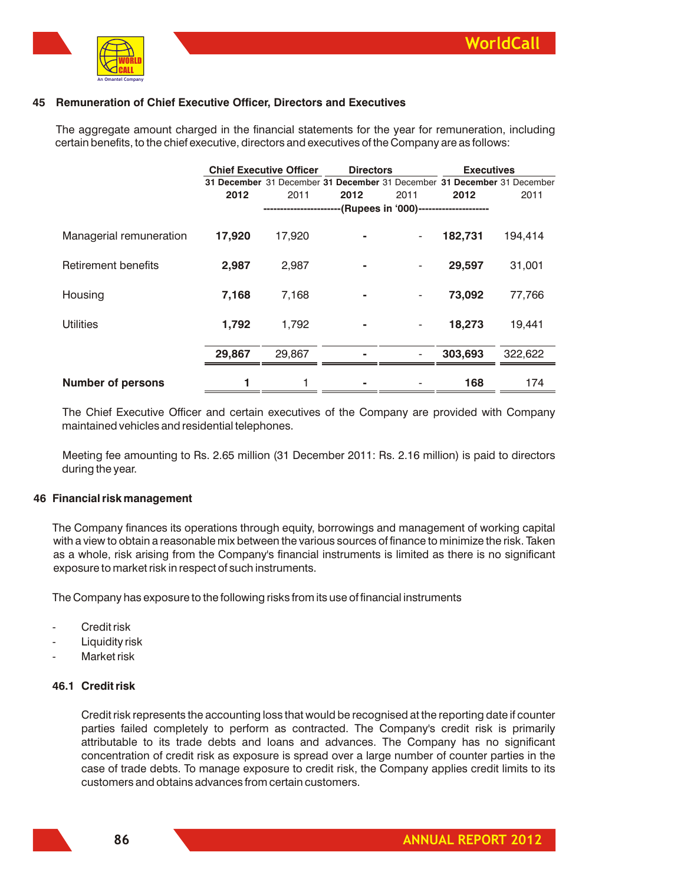

# **45 Remuneration of Chief Executive Officer, Directors and Executives**

The aggregate amount charged in the financial statements for the year for remuneration, including certain benefits, to the chief executive, directors and executives of the Company are as follows:

|                            |        | <b>Chief Executive Officer</b> | <b>Directors</b>                                                        |                                         | <b>Executives</b> |         |
|----------------------------|--------|--------------------------------|-------------------------------------------------------------------------|-----------------------------------------|-------------------|---------|
|                            |        |                                | 31 December 31 December 31 December 31 December 31 December 31 December |                                         |                   |         |
|                            | 2012   | 2011                           | 2012                                                                    | 2011                                    | 2012              | 2011    |
|                            |        |                                |                                                                         | --(Rupees in '000)--------------------- |                   |         |
| Managerial remuneration    | 17,920 | 17,920                         |                                                                         | $\overline{\phantom{0}}$                | 182,731           | 194.414 |
| <b>Retirement benefits</b> | 2,987  | 2,987                          |                                                                         | $\overline{\phantom{a}}$                | 29,597            | 31,001  |
| Housing                    | 7,168  | 7,168                          |                                                                         | ۰                                       | 73,092            | 77,766  |
| <b>Utilities</b>           | 1,792  | 1,792                          |                                                                         | -                                       | 18,273            | 19,441  |
|                            | 29,867 | 29,867                         |                                                                         | -                                       | 303,693           | 322,622 |
| <b>Number of persons</b>   |        |                                |                                                                         |                                         | 168               | 174     |

The Chief Executive Officer and certain executives of the Company are provided with Company maintained vehicles and residential telephones.

Meeting fee amounting to Rs. 2.65 million (31 December 2011: Rs. 2.16 million) is paid to directors during the year.

# **46 Financial risk management**

The Company finances its operations through equity, borrowings and management of working capital with a view to obtain a reasonable mix between the various sources of finance to minimize the risk. Taken as a whole, risk arising from the Company's financial instruments is limited as there is no significant exposure to market risk in respect of such instruments.

The Company has exposure to the following risks from its use of financial instruments

- Credit risk
- Liquidity risk
- Market risk

# **46.1 Credit risk**

Credit risk represents the accounting loss that would be recognised at the reporting date if counter parties failed completely to perform as contracted. The Company's credit risk is primarily attributable to its trade debts and loans and advances. The Company has no significant concentration of credit risk as exposure is spread over a large number of counter parties in the case of trade debts. To manage exposure to credit risk, the Company applies credit limits to its customers and obtains advances from certain customers.

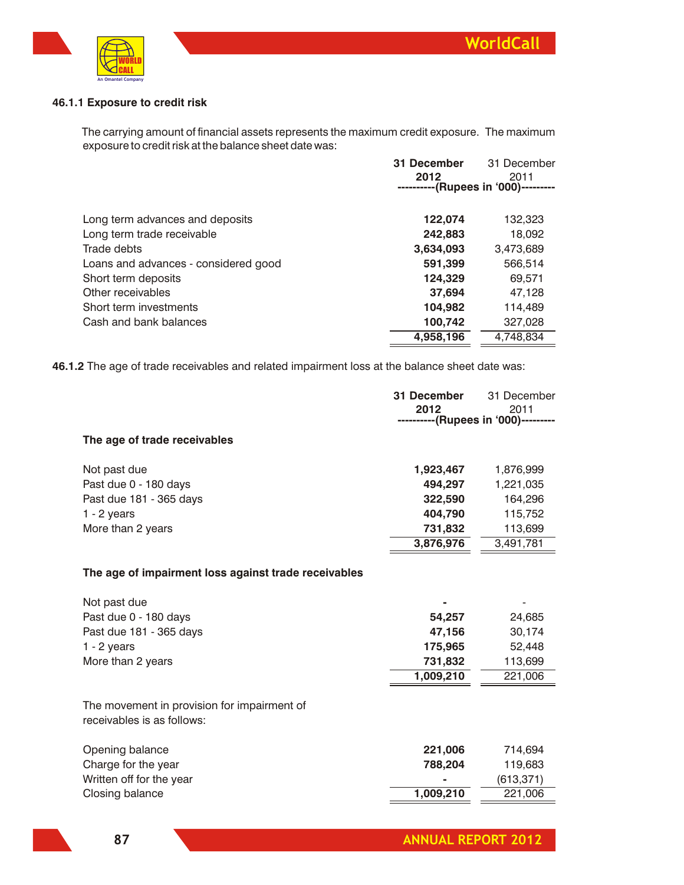

# **46.1.1 Exposure to credit risk**

The carrying amount of financial assets represents the maximum credit exposure. The maximum exposure to credit risk at the balance sheet date was:

|                                      | 31 December                                | 31 December |
|--------------------------------------|--------------------------------------------|-------------|
|                                      | 2012<br>2011<br>-(Rupees in '000)--------- |             |
| Long term advances and deposits      | 122,074                                    | 132,323     |
| Long term trade receivable           | 242,883                                    | 18,092      |
| Trade debts                          | 3,634,093                                  | 3,473,689   |
| Loans and advances - considered good | 591,399                                    | 566,514     |
| Short term deposits                  | 124,329                                    | 69.571      |
| Other receivables                    | 37,694                                     | 47,128      |
| Short term investments               | 104,982                                    | 114,489     |
| Cash and bank balances               | 100.742                                    | 327,028     |
|                                      | 4,958,196                                  | 4,748,834   |

**46.1.2** The age of trade receivables and related impairment loss at the balance sheet date was:

| ----------(Rupees in '000)---------<br>The age of trade receivables<br>Not past due<br>1,923,467<br>1,876,999<br>Past due 0 - 180 days<br>494,297<br>1,221,035<br>Past due 181 - 365 days<br>322,590<br>164,296<br>404,790<br>115,752<br>$1 - 2$ years<br>731,832<br>More than 2 years<br>113,699<br>3,876,976<br>3,491,781<br>The age of impairment loss against trade receivables<br>Not past due<br>Past due 0 - 180 days<br>54,257<br>24,685<br>Past due 181 - 365 days<br>47,156<br>30,174<br>$1 - 2$ years<br>175,965<br>52,448<br>731,832<br>More than 2 years<br>113,699<br>1,009,210<br>221,006<br>The movement in provision for impairment of<br>receivables is as follows:<br>221,006<br>Opening balance<br>714,694<br>Charge for the year<br>788,204<br>119,683<br>Written off for the year<br>(613, 371) |                 | 31 December<br>2012 | 31 December<br>2011 |
|-----------------------------------------------------------------------------------------------------------------------------------------------------------------------------------------------------------------------------------------------------------------------------------------------------------------------------------------------------------------------------------------------------------------------------------------------------------------------------------------------------------------------------------------------------------------------------------------------------------------------------------------------------------------------------------------------------------------------------------------------------------------------------------------------------------------------|-----------------|---------------------|---------------------|
|                                                                                                                                                                                                                                                                                                                                                                                                                                                                                                                                                                                                                                                                                                                                                                                                                       |                 |                     |                     |
|                                                                                                                                                                                                                                                                                                                                                                                                                                                                                                                                                                                                                                                                                                                                                                                                                       |                 |                     |                     |
|                                                                                                                                                                                                                                                                                                                                                                                                                                                                                                                                                                                                                                                                                                                                                                                                                       |                 |                     |                     |
|                                                                                                                                                                                                                                                                                                                                                                                                                                                                                                                                                                                                                                                                                                                                                                                                                       |                 |                     |                     |
|                                                                                                                                                                                                                                                                                                                                                                                                                                                                                                                                                                                                                                                                                                                                                                                                                       |                 |                     |                     |
|                                                                                                                                                                                                                                                                                                                                                                                                                                                                                                                                                                                                                                                                                                                                                                                                                       |                 |                     |                     |
|                                                                                                                                                                                                                                                                                                                                                                                                                                                                                                                                                                                                                                                                                                                                                                                                                       |                 |                     |                     |
|                                                                                                                                                                                                                                                                                                                                                                                                                                                                                                                                                                                                                                                                                                                                                                                                                       |                 |                     |                     |
|                                                                                                                                                                                                                                                                                                                                                                                                                                                                                                                                                                                                                                                                                                                                                                                                                       |                 |                     |                     |
|                                                                                                                                                                                                                                                                                                                                                                                                                                                                                                                                                                                                                                                                                                                                                                                                                       |                 |                     |                     |
|                                                                                                                                                                                                                                                                                                                                                                                                                                                                                                                                                                                                                                                                                                                                                                                                                       |                 |                     |                     |
|                                                                                                                                                                                                                                                                                                                                                                                                                                                                                                                                                                                                                                                                                                                                                                                                                       |                 |                     |                     |
|                                                                                                                                                                                                                                                                                                                                                                                                                                                                                                                                                                                                                                                                                                                                                                                                                       |                 |                     |                     |
|                                                                                                                                                                                                                                                                                                                                                                                                                                                                                                                                                                                                                                                                                                                                                                                                                       |                 |                     |                     |
|                                                                                                                                                                                                                                                                                                                                                                                                                                                                                                                                                                                                                                                                                                                                                                                                                       |                 |                     |                     |
|                                                                                                                                                                                                                                                                                                                                                                                                                                                                                                                                                                                                                                                                                                                                                                                                                       |                 |                     |                     |
|                                                                                                                                                                                                                                                                                                                                                                                                                                                                                                                                                                                                                                                                                                                                                                                                                       |                 |                     |                     |
|                                                                                                                                                                                                                                                                                                                                                                                                                                                                                                                                                                                                                                                                                                                                                                                                                       |                 |                     |                     |
|                                                                                                                                                                                                                                                                                                                                                                                                                                                                                                                                                                                                                                                                                                                                                                                                                       |                 |                     |                     |
|                                                                                                                                                                                                                                                                                                                                                                                                                                                                                                                                                                                                                                                                                                                                                                                                                       | Closing balance | 1,009,210           | 221,006             |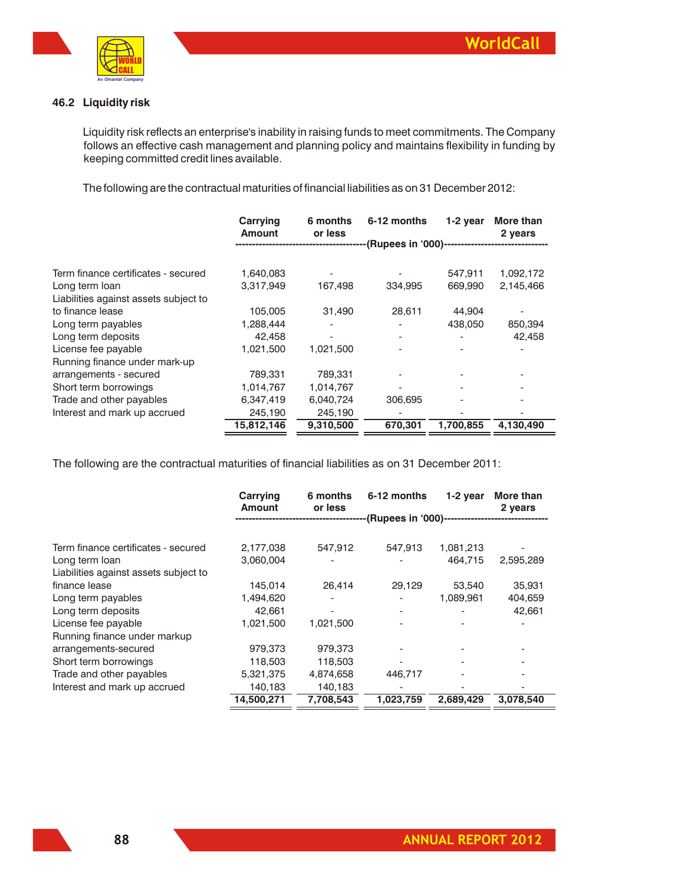

# **46.2 Liquidity risk**

Liquidity risk reflects an enterprise's inability in raising funds to meet commitments. The Company follows an effective cash management and planning policy and maintains flexibility in funding by keeping committed credit lines available.

The following are the contractual maturities of financial liabilities as on 31 December 2012:

|                                       | Carrying<br>Amount | 6 months<br>or less | 6-12 months                    | 1-2 year  | More than<br>2 years |
|---------------------------------------|--------------------|---------------------|--------------------------------|-----------|----------------------|
|                                       |                    |                     | -(Rupees in '000)------------- |           |                      |
| Term finance certificates - secured   | 1,640,083          |                     |                                | 547,911   | 1,092,172            |
| Long term loan                        | 3,317,949          | 167,498             | 334,995                        | 669,990   | 2,145,466            |
| Liabilities against assets subject to |                    |                     |                                |           |                      |
| to finance lease                      | 105,005            | 31.490              | 28,611                         | 44,904    |                      |
| Long term payables                    | 1,288,444          |                     |                                | 438,050   | 850,394              |
| Long term deposits                    | 42,458             |                     |                                |           | 42,458               |
| License fee payable                   | 1,021,500          | 1,021,500           |                                |           |                      |
| Running finance under mark-up         |                    |                     |                                |           |                      |
| arrangements - secured                | 789,331            | 789,331             |                                |           |                      |
| Short term borrowings                 | 1,014,767          | 1,014,767           |                                |           |                      |
| Trade and other payables              | 6,347,419          | 6,040,724           | 306,695                        |           |                      |
| Interest and mark up accrued          | 245,190            | 245,190             |                                |           |                      |
|                                       | 15,812,146         | 9,310,500           | 670,301                        | 1.700.855 | 4.130.490            |

The following are the contractual maturities of financial liabilities as on 31 December 2011:

|                                       | Carrying<br><b>Amount</b> | 6 months<br>or less | 6-12 months                        | 1-2 year  | More than<br>2 years |
|---------------------------------------|---------------------------|---------------------|------------------------------------|-----------|----------------------|
|                                       |                           |                     | -(Rupees in '000)----------------- |           |                      |
| Term finance certificates - secured   | 2,177,038                 | 547,912             | 547,913                            | 1,081,213 |                      |
| Long term loan                        | 3.060.004                 |                     |                                    | 464.715   | 2,595,289            |
| Liabilities against assets subject to |                           |                     |                                    |           |                      |
| finance lease                         | 145,014                   | 26,414              | 29,129                             | 53,540    | 35,931               |
| Long term payables                    | 1,494,620                 |                     |                                    | 1,089,961 | 404,659              |
| Long term deposits                    | 42.661                    |                     |                                    |           | 42,661               |
| License fee payable                   | 1,021,500                 | 1,021,500           |                                    |           |                      |
| Running finance under markup          |                           |                     |                                    |           |                      |
| arrangements-secured                  | 979,373                   | 979,373             |                                    |           |                      |
| Short term borrowings                 | 118,503                   | 118,503             |                                    |           |                      |
| Trade and other payables              | 5,321,375                 | 4,874,658           | 446.717                            |           |                      |
| Interest and mark up accrued          | 140,183                   | 140,183             |                                    |           |                      |
|                                       | 14,500,271                | 7,708,543           | 1,023,759                          | 2,689,429 | 3,078,540            |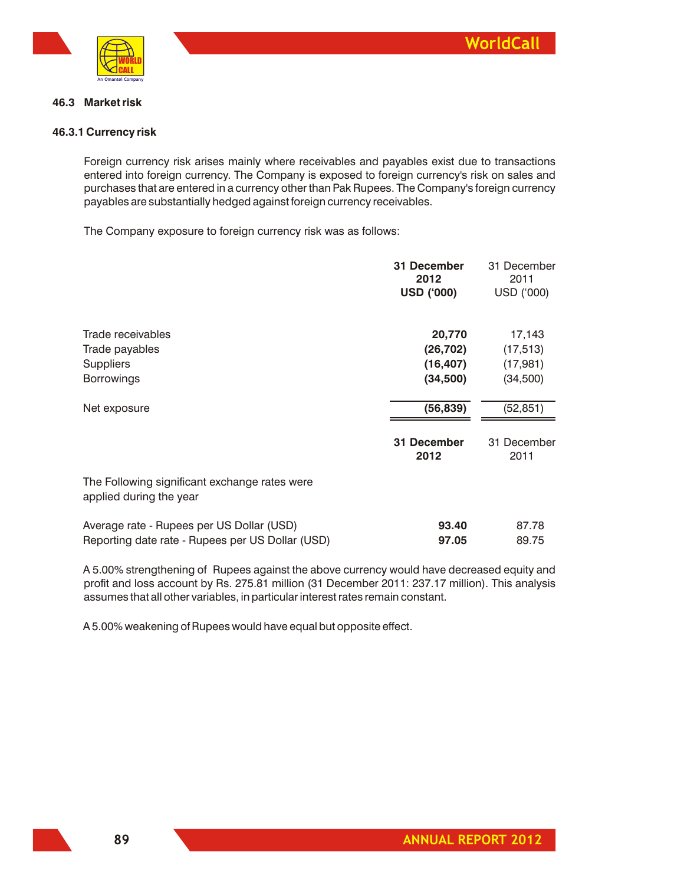

# **46.3 Market risk**

# **46.3.1 Currency risk**

Foreign currency risk arises mainly where receivables and payables exist due to transactions entered into foreign currency. The Company is exposed to foreign currency's risk on sales and purchases that are entered in a currency other than Pak Rupees. The Company's foreign currency payables are substantially hedged against foreign currency receivables.

The Company exposure to foreign currency risk was as follows:

|                                                                          | 31 December<br>2012<br><b>USD ('000)</b> | 31 December<br>2011<br>USD ('000) |
|--------------------------------------------------------------------------|------------------------------------------|-----------------------------------|
| Trade receivables                                                        | 20,770                                   | 17,143                            |
| Trade payables                                                           | (26, 702)                                | (17, 513)                         |
| <b>Suppliers</b>                                                         | (16, 407)                                | (17,981)                          |
| <b>Borrowings</b>                                                        | (34,500)                                 | (34,500)                          |
| Net exposure                                                             | (56, 839)                                | (52,851)                          |
|                                                                          | 31 December<br>2012                      | 31 December<br>2011               |
| The Following significant exchange rates were<br>applied during the year |                                          |                                   |
| Average rate - Rupees per US Dollar (USD)                                | 93.40                                    | 87.78                             |
| Reporting date rate - Rupees per US Dollar (USD)                         | 97.05                                    | 89.75                             |

A 5.00% strengthening of Rupees against the above currency would have decreased equity and profit and loss account by Rs. 275.81 million (31 December 2011: 237.17 million). This analysis assumes that all other variables, in particular interest rates remain constant.

A 5.00% weakening of Rupees would have equal but opposite effect.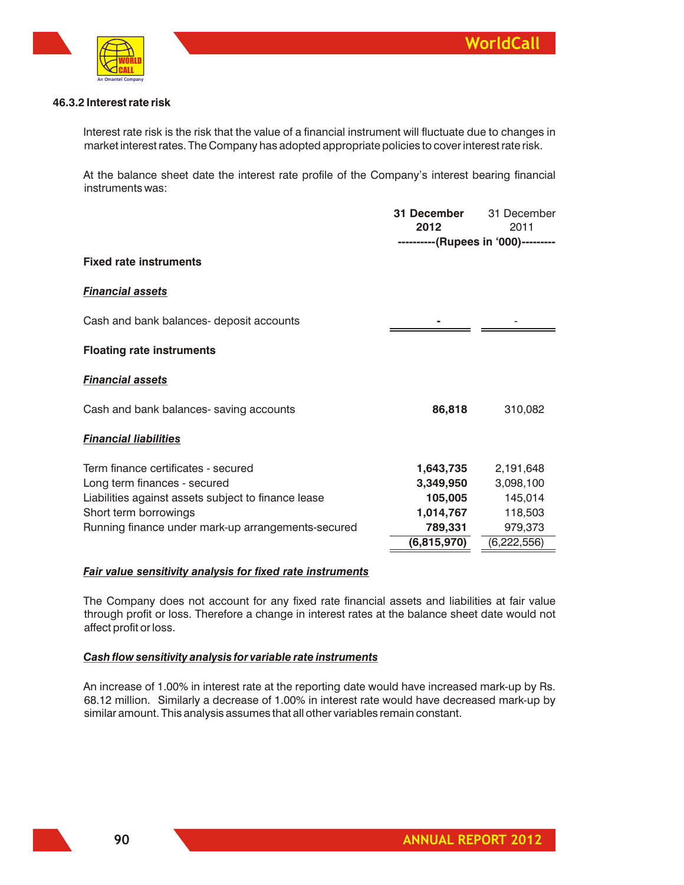

# **46.3.2 Interest rate risk**

Interest rate risk is the risk that the value of a financial instrument will fluctuate due to changes in market interest rates. The Company has adopted appropriate policies to cover interest rate risk.

At the balance sheet date the interest rate profile of the Company's interest bearing financial instruments was:

|                                                     | 31 December<br>2012 | 31 December<br>2011                 |
|-----------------------------------------------------|---------------------|-------------------------------------|
|                                                     |                     | ----------(Rupees in '000)--------- |
| <b>Fixed rate instruments</b>                       |                     |                                     |
| <b>Financial assets</b>                             |                     |                                     |
| Cash and bank balances- deposit accounts            |                     |                                     |
| <b>Floating rate instruments</b>                    |                     |                                     |
| <b>Financial assets</b>                             |                     |                                     |
| Cash and bank balances- saving accounts             | 86,818              | 310,082                             |
| <b>Financial liabilities</b>                        |                     |                                     |
| Term finance certificates - secured                 | 1,643,735           | 2,191,648                           |
| Long term finances - secured                        | 3,349,950           | 3,098,100                           |
| Liabilities against assets subject to finance lease | 105,005             | 145,014                             |
| Short term borrowings                               | 1,014,767           | 118,503                             |
| Running finance under mark-up arrangements-secured  | 789,331             | 979,373                             |
|                                                     | (6,815,970)         | (6, 222, 556)                       |

# *Fair value sensitivity analysis for fixed rate instruments*

The Company does not account for any fixed rate financial assets and liabilities at fair value through profit or loss. Therefore a change in interest rates at the balance sheet date would not affect profit or loss.

# *Cash flow sensitivity analysis for variable rate instruments*

An increase of 1.00% in interest rate at the reporting date would have increased mark-up by Rs. 68.12 million. Similarly a decrease of 1.00% in interest rate would have decreased mark-up by similar amount. This analysis assumes that all other variables remain constant.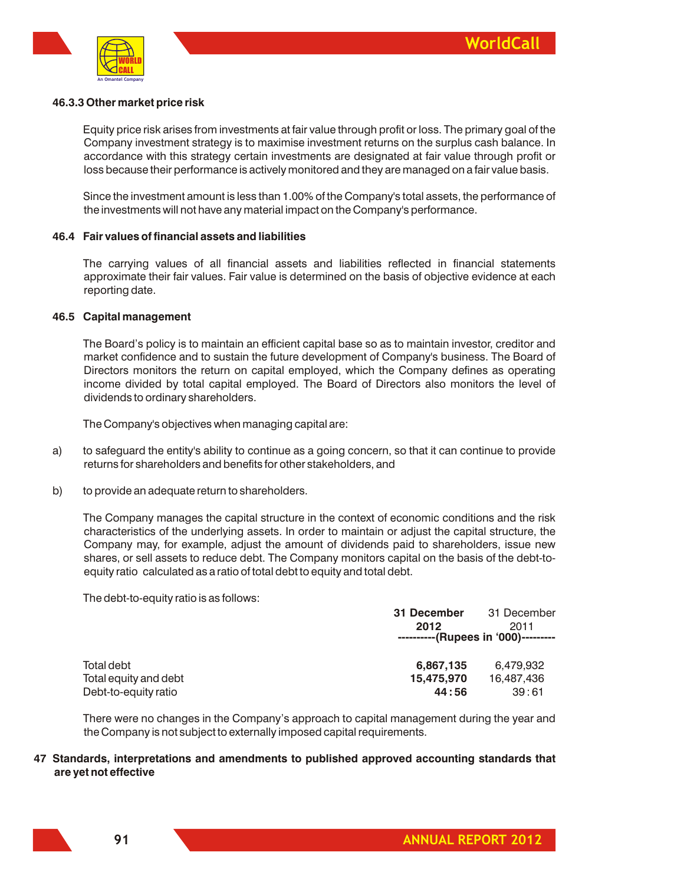

# **46.3.3 Other market price risk**

Equity price risk arises from investments at fair value through profit or loss. The primary goal of the Company investment strategy is to maximise investment returns on the surplus cash balance. In accordance with this strategy certain investments are designated at fair value through profit or loss because their performance is actively monitored and they are managed on a fair value basis.

Since the investment amount is less than 1.00% of the Company's total assets, the performance of the investments will not have any material impact on the Company's performance.

# **46.4 Fair values of financial assets and liabilities**

The carrying values of all financial assets and liabilities reflected in financial statements approximate their fair values. Fair value is determined on the basis of objective evidence at each reporting date.

#### **46.5 Capital management**

The Board's policy is to maintain an efficient capital base so as to maintain investor, creditor and market confidence and to sustain the future development of Company's business. The Board of Directors monitors the return on capital employed, which the Company defines as operating income divided by total capital employed. The Board of Directors also monitors the level of dividends to ordinary shareholders.

The Company's objectives when managing capital are:

- a) to safeguard the entity's ability to continue as a going concern, so that it can continue to provide returns for shareholders and benefits for other stakeholders, and
- b) to provide an adequate return to shareholders.

The Company manages the capital structure in the context of economic conditions and the risk characteristics of the underlying assets. In order to maintain or adjust the capital structure, the Company may, for example, adjust the amount of dividends paid to shareholders, issue new shares, or sell assets to reduce debt. The Company monitors capital on the basis of the debt-toequity ratio calculated as a ratio of total debt to equity and total debt.

The debt-to-equity ratio is as follows:

|                       | 31 December                         | 31 December |
|-----------------------|-------------------------------------|-------------|
|                       | 2012<br>$------(Rupees in '000)---$ | 2011        |
|                       |                                     |             |
| Total debt            | 6,867,135                           | 6.479.932   |
| Total equity and debt | 15,475,970                          | 16.487.436  |
| Debt-to-equity ratio  | 44:56                               | 39:61       |

There were no changes in the Company's approach to capital management during the year and the Company is not subject to externally imposed capital requirements.

# **47 Standards, interpretations and amendments to published approved accounting standards that are yet not effective**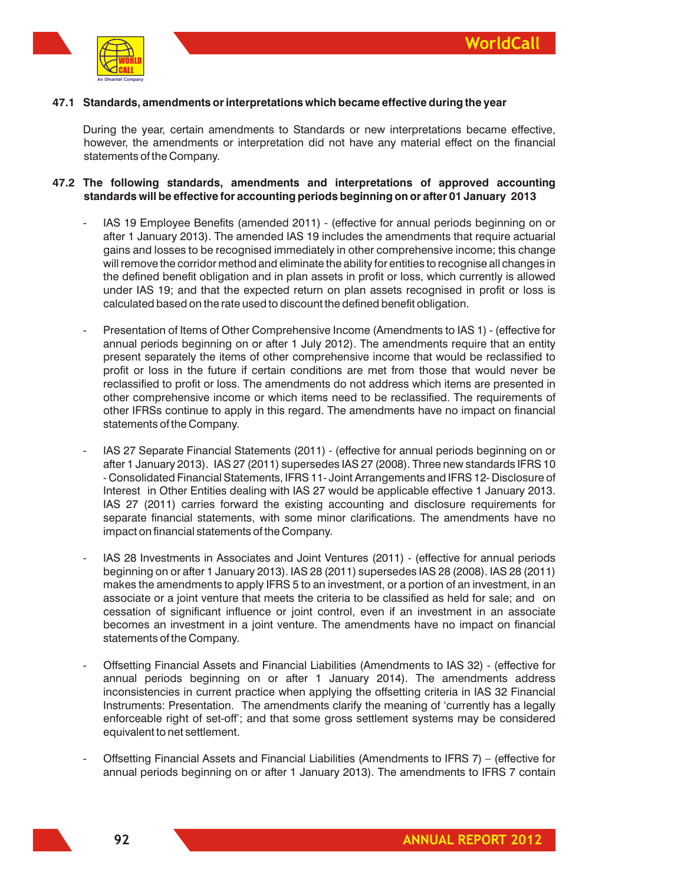

# **47.1 Standards, amendments or interpretations which became effective during the year**

During the year, certain amendments to Standards or new interpretations became effective, however, the amendments or interpretation did not have any material effect on the financial statements of the Company.

# **47.2 The following standards, amendments and interpretations of approved accounting standards will be effective for accounting periods beginning on or after 01 January 2013**

- IAS 19 Employee Benefits (amended 2011) (effective for annual periods beginning on or after 1 January 2013). The amended IAS 19 includes the amendments that require actuarial gains and losses to be recognised immediately in other comprehensive income; this change will remove the corridor method and eliminate the ability for entities to recognise all changes in the defined benefit obligation and in plan assets in profit or loss, which currently is allowed under IAS 19; and that the expected return on plan assets recognised in profit or loss is calculated based on the rate used to discount the defined benefit obligation.
- Presentation of Items of Other Comprehensive Income (Amendments to IAS 1) (effective for annual periods beginning on or after 1 July 2012). The amendments require that an entity present separately the items of other comprehensive income that would be reclassified to profit or loss in the future if certain conditions are met from those that would never be reclassified to profit or loss. The amendments do not address which items are presented in other comprehensive income or which items need to be reclassified. The requirements of other IFRSs continue to apply in this regard. The amendments have no impact on financial statements of the Company.
- IAS 27 Separate Financial Statements (2011) (effective for annual periods beginning on or after 1 January 2013). IAS 27 (2011) supersedes IAS 27 (2008). Three new standards IFRS 10 - Consolidated Financial Statements, IFRS 11- Joint Arrangements and IFRS 12- Disclosure of Interest in Other Entities dealing with IAS 27 would be applicable effective 1 January 2013. IAS 27 (2011) carries forward the existing accounting and disclosure requirements for separate financial statements, with some minor clarifications. The amendments have no impact on financial statements of the Company.
- IAS 28 Investments in Associates and Joint Ventures (2011) (effective for annual periods beginning on or after 1 January 2013). IAS 28 (2011) supersedes IAS 28 (2008). IAS 28 (2011) makes the amendments to apply IFRS 5 to an investment, or a portion of an investment, in an associate or a joint venture that meets the criteria to be classified as held for sale; and on cessation of significant influence or joint control, even if an investment in an associate becomes an investment in a joint venture. The amendments have no impact on financial statements of the Company.
- Offsetting Financial Assets and Financial Liabilities (Amendments to IAS 32) (effective for annual periods beginning on or after 1 January 2014). The amendments address inconsistencies in current practice when applying the offsetting criteria in IAS 32 Financial Instruments: Presentation. The amendments clarify the meaning of 'currently has a legally enforceable right of set-off'; and that some gross settlement systems may be considered equivalent to net settlement.
- Offsetting Financial Assets and Financial Liabilities (Amendments to IFRS 7) (effective for annual periods beginning on or after 1 January 2013). The amendments to IFRS 7 contain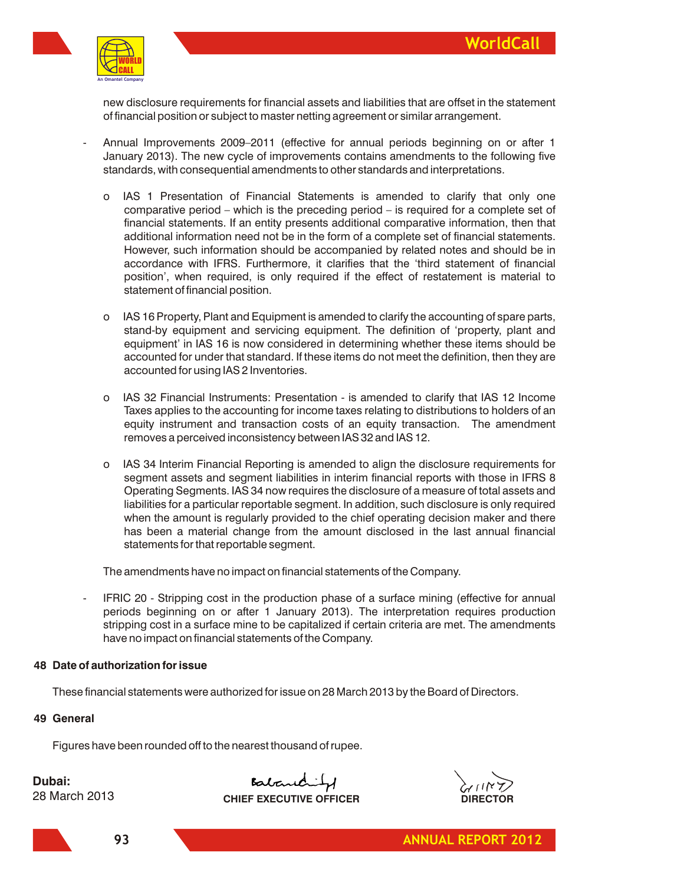

new disclosure requirements for financial assets and liabilities that are offset in the statement of financial position or subject to master netting agreement or similar arrangement.

- Annual Improvements 2009–2011 (effective for annual periods beginning on or after 1 January 2013). The new cycle of improvements contains amendments to the following five standards, with consequential amendments to other standards and interpretations.
	- o IAS 1 Presentation of Financial Statements is amended to clarify that only one comparative period – which is the preceding period – is required for a complete set of financial statements. If an entity presents additional comparative information, then that additional information need not be in the form of a complete set of financial statements. However, such information should be accompanied by related notes and should be in accordance with IFRS. Furthermore, it clarifies that the 'third statement of financial position', when required, is only required if the effect of restatement is material to statement of financial position.
	- o IAS 16 Property, Plant and Equipment is amended to clarify the accounting of spare parts, stand-by equipment and servicing equipment. The definition of 'property, plant and equipment' in IAS 16 is now considered in determining whether these items should be accounted for under that standard. If these items do not meet the definition, then they are accounted for using IAS 2 Inventories.
	- o IAS 32 Financial Instruments: Presentation is amended to clarify that IAS 12 Income Taxes applies to the accounting for income taxes relating to distributions to holders of an equity instrument and transaction costs of an equity transaction. The amendment removes a perceived inconsistency between IAS 32 and IAS 12.
	- o IAS 34 Interim Financial Reporting is amended to align the disclosure requirements for segment assets and segment liabilities in interim financial reports with those in IFRS 8 Operating Segments. IAS 34 now requires the disclosure of a measure of total assets and liabilities for a particular reportable segment. In addition, such disclosure is only required when the amount is regularly provided to the chief operating decision maker and there has been a material change from the amount disclosed in the last annual financial statements for that reportable segment.

The amendments have no impact on financial statements of the Company.

IFRIC 20 - Stripping cost in the production phase of a surface mining (effective for annual periods beginning on or after 1 January 2013). The interpretation requires production stripping cost in a surface mine to be capitalized if certain criteria are met. The amendments have no impact on financial statements of the Company.

# **48 Date of authorization for issue**

These financial statements were authorized for issue on 28 March 2013 by the Board of Directors.

# **49 General**

Figures have been rounded off to the nearest thousand of rupee.

**Dubai:** 28 March 2013

Babanchity **CHIEF EXECUTIVE OFFICER** 

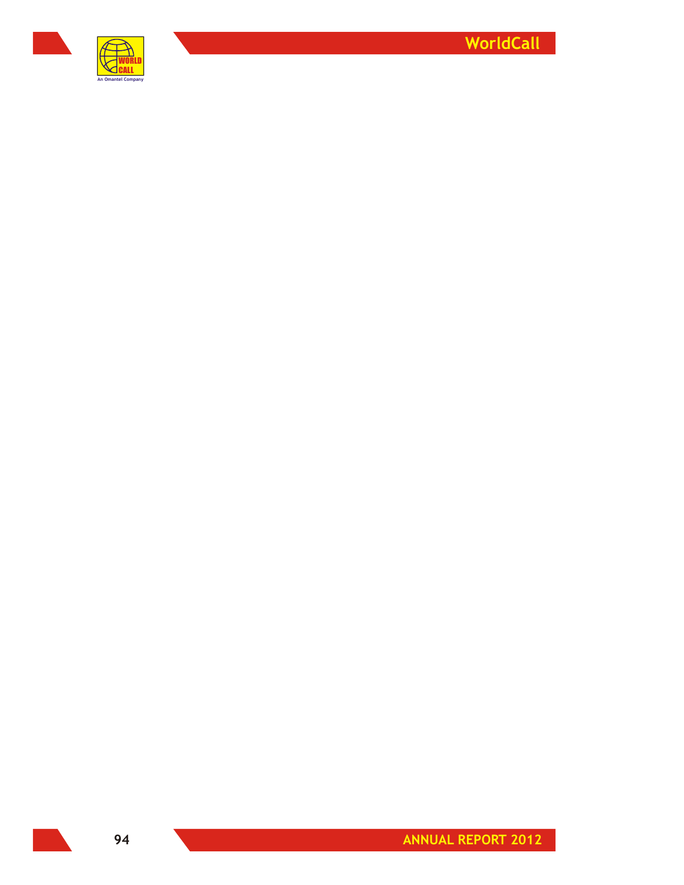

**ANNUAL REPORT 2012**

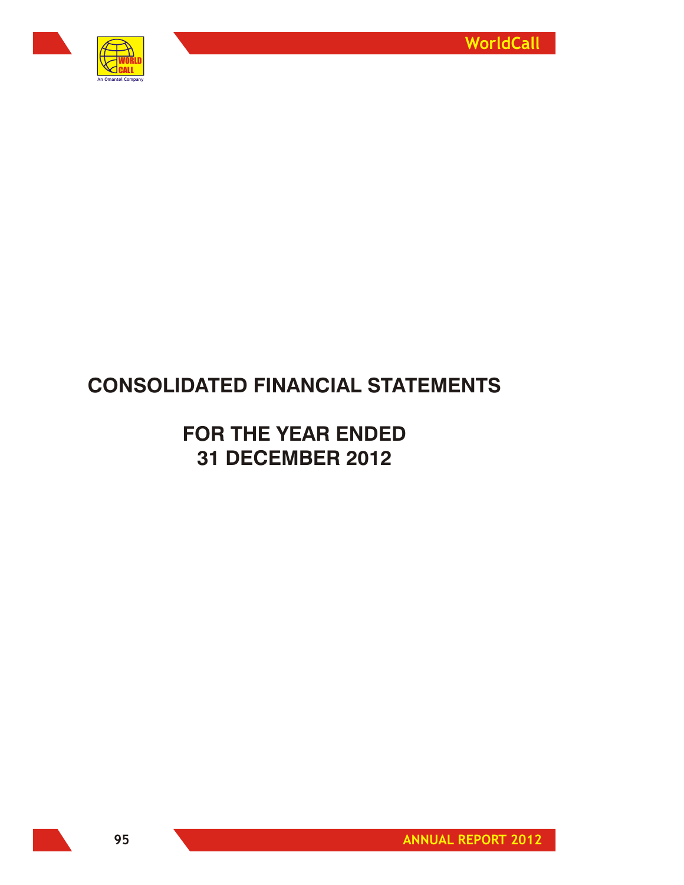

# **CONSOLIDATED FINANCIAL STATEMENTS**

# **FOR THE YEAR ENDED 31 DECEMBER 2012**



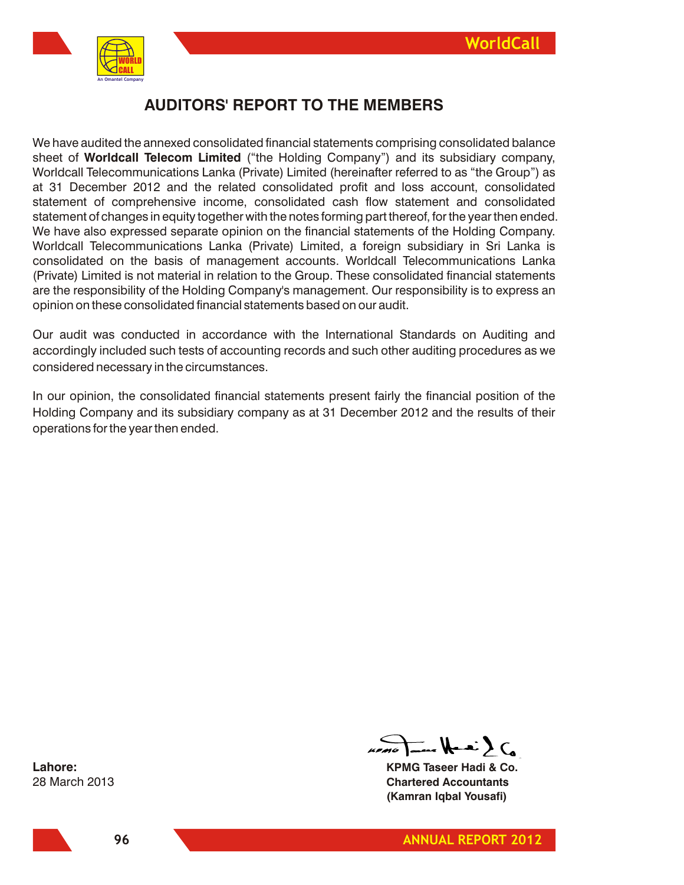

# **AUDITORS' REPORT TO THE MEMBERS**

We have audited the annexed consolidated financial statements comprising consolidated balance sheet of **Worldcall Telecom Limited** ("the Holding Company") and its subsidiary company, Worldcall Telecommunications Lanka (Private) Limited (hereinafter referred to as "the Group") as at 31 December 2012 and the related consolidated profit and loss account, consolidated statement of comprehensive income, consolidated cash flow statement and consolidated statement of changes in equity together with the notes forming part thereof, for the year then ended. We have also expressed separate opinion on the financial statements of the Holding Company. Worldcall Telecommunications Lanka (Private) Limited, a foreign subsidiary in Sri Lanka is consolidated on the basis of management accounts. Worldcall Telecommunications Lanka (Private) Limited is not material in relation to the Group. These consolidated financial statements are the responsibility of the Holding Company's management. Our responsibility is to express an opinion on these consolidated financial statements based on our audit.

Our audit was conducted in accordance with the International Standards on Auditing and accordingly included such tests of accounting records and such other auditing procedures as we considered necessary in the circumstances.

In our opinion, the consolidated financial statements present fairly the financial position of the Holding Company and its subsidiary company as at 31 December 2012 and the results of their operations for the year then ended.

 $\pm 16$ 

**Lahore: KPMG Taseer Hadi & Co.** 28 March 2013 **Chartered Accountants (Kamran Iqbal Yousafi)**

**96 ANNUAL REPORT 2012**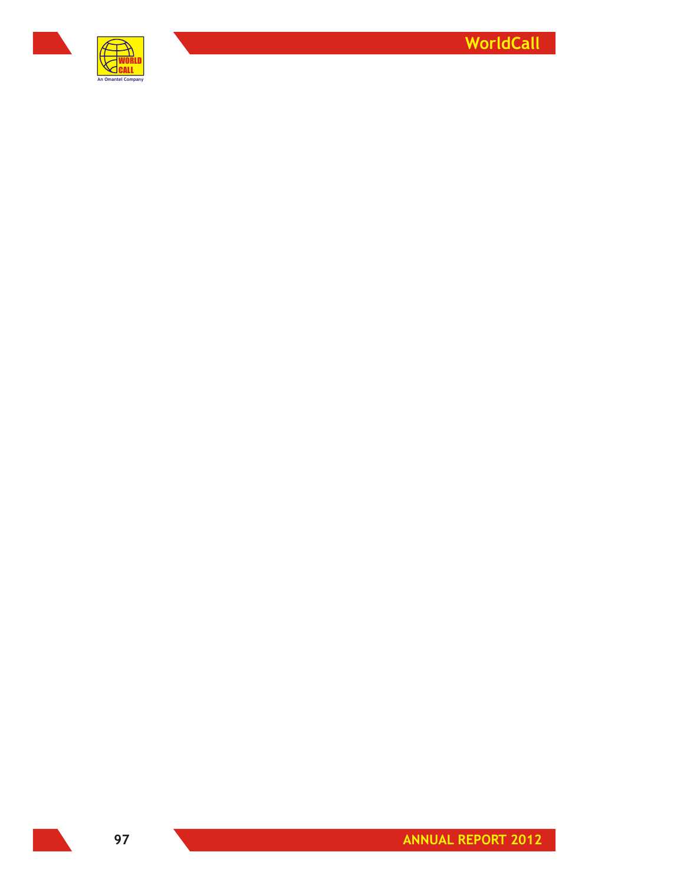

**Property of the contract of the contract of the ANNUAL REPORT 2012**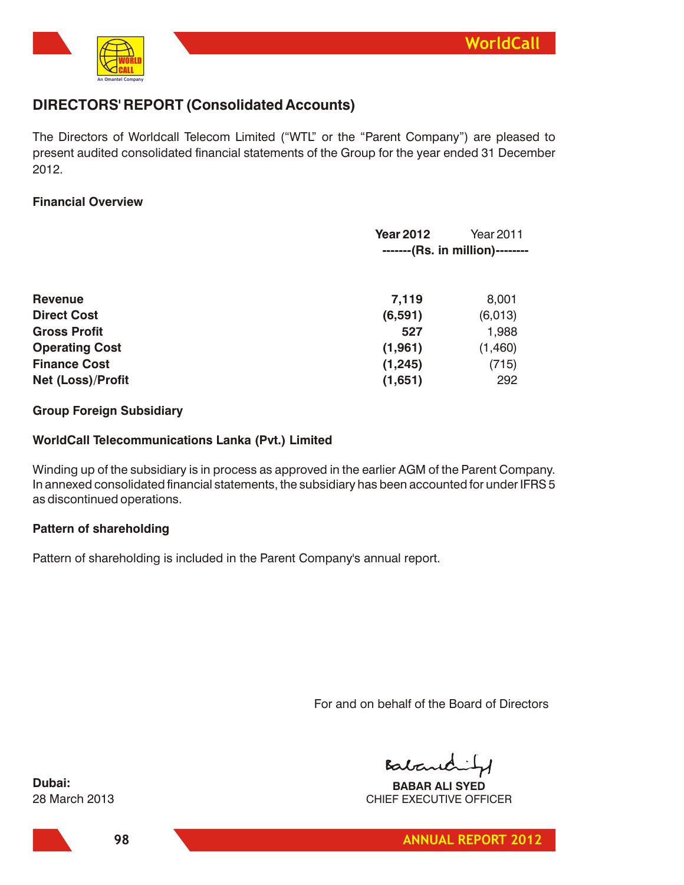

# **DIRECTORS' REPORT (Consolidated Accounts)**

The Directors of Worldcall Telecom Limited ("WTL" or the "Parent Company") are pleased to present audited consolidated financial statements of the Group for the year ended 31 December 2012.

# **Financial Overview**

|                       | <b>Year 2012</b>                | Year 2011 |
|-----------------------|---------------------------------|-----------|
|                       | -------(Rs. in million)-------- |           |
|                       |                                 |           |
| Revenue               | 7,119                           | 8,001     |
| <b>Direct Cost</b>    | (6, 591)                        | (6,013)   |
| <b>Gross Profit</b>   | 527                             | 1,988     |
| <b>Operating Cost</b> | (1,961)                         | (1,460)   |
| <b>Finance Cost</b>   | (1, 245)                        | (715)     |
| Net (Loss)/Profit     | (1,651)                         | 292       |

# **Group Foreign Subsidiary**

# **WorldCall Telecommunications Lanka (Pvt.) Limited**

Winding up of the subsidiary is in process as approved in the earlier AGM of the Parent Company. In annexed consolidated financial statements, the subsidiary has been accounted for under IFRS 5 as discontinued operations.

# **Pattern of shareholding**

Pattern of shareholding is included in the Parent Company's annual report.

For and on behalf of the Board of Directors

Babartaily

**BABAR ALI SYED** CHIEF EXECUTIVE OFFICER

**Dubai:** 28 March 2013

**98 ANNUAL REPORT 2012**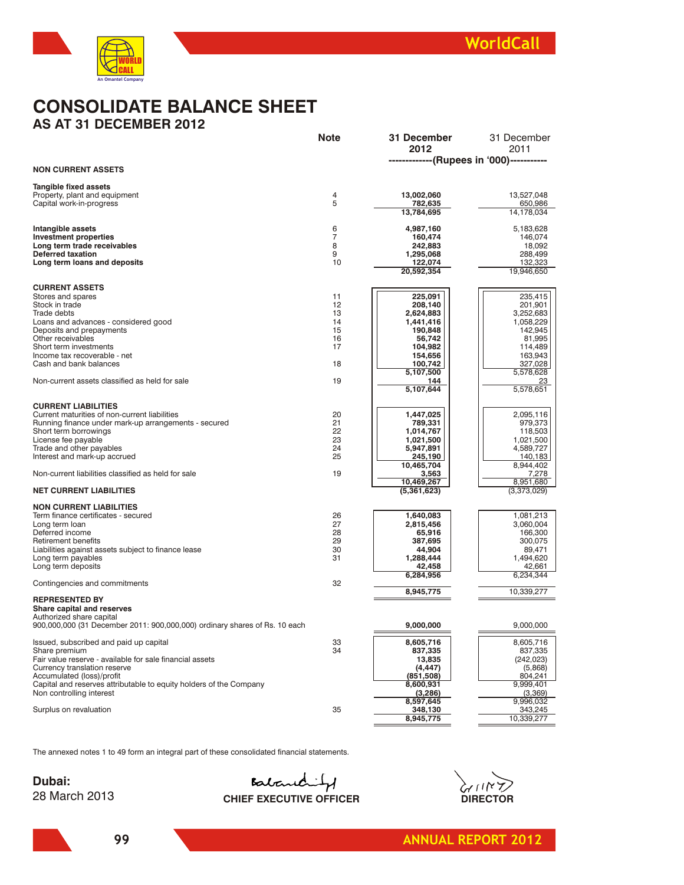

# **CONSOLIDATE BALANCE SHEET AS AT 31 DECEMBER 2012**

|                                                                                          | <b>Note</b> | 31 December<br>2012    | 31 December<br>2011           |
|------------------------------------------------------------------------------------------|-------------|------------------------|-------------------------------|
|                                                                                          |             |                        | --(Rupees in '000)----------- |
| <b>NON CURRENT ASSETS</b>                                                                |             |                        |                               |
| Tangible fixed assets                                                                    |             |                        |                               |
| Property, plant and equipment                                                            | 4           | 13,002,060             | 13,527,048                    |
| Capital work-in-progress                                                                 | 5           | 782,635<br>13,784,695  | 650,986<br>14,178,034         |
|                                                                                          |             |                        |                               |
| Intangible assets                                                                        | 6           | 4,987,160              | 5,183,628                     |
| <b>Investment properties</b><br>Long term trade receivables                              | 7<br>8      | 160,474<br>242,883     | 146,074<br>18,092             |
| <b>Deferred taxation</b>                                                                 | 9           | 1,295,068              | 288,499                       |
| Long term loans and deposits                                                             | 10          | 122,074                | 132,323                       |
|                                                                                          |             | 20,592,354             | 19,946,650                    |
| <b>CURRENT ASSETS</b>                                                                    |             |                        |                               |
| Stores and spares<br>Stock in trade                                                      | 11<br>12    | 225,091<br>208,140     | 235,415<br>201,901            |
| Trade debts                                                                              | 13          | 2,624,883              | 3,252,683                     |
| Loans and advances - considered good                                                     | 14          | 1,441,416              | 1,058,229                     |
| Deposits and prepayments<br>Other receivables                                            | 15<br>16    | 190,848<br>56,742      | 142,945<br>81,995             |
| Short term investments                                                                   | 17          | 104,982                | 114,489                       |
| Income tax recoverable - net                                                             |             | 154,656                | 163.943                       |
| Cash and bank balances                                                                   | 18          | 100,742                | 327,028<br>5,578,628          |
| Non-current assets classified as held for sale                                           | 19          | 5,107,500<br>144       | 23                            |
|                                                                                          |             | 5,107,644              | 5,578,651                     |
| <b>CURRENT LIABILITIES</b>                                                               |             |                        |                               |
| Current maturities of non-current liabilities                                            | 20          | 1,447,025              | 2,095,116                     |
| Running finance under mark-up arrangements - secured                                     | 21          | 789,331                | 979,373                       |
| Short term borrowings<br>License fee payable                                             | 22<br>23    | 1,014,767<br>1,021,500 | 118,503                       |
| Trade and other payables                                                                 | 24          | 5,947,891              | 1,021,500<br>4,589,727        |
| Interest and mark-up accrued                                                             | 25          | 245,190                | 140,183                       |
| Non-current liabilities classified as held for sale                                      | 19          | 10,465,704<br>3,563    | 8,944,402                     |
|                                                                                          |             | 10,469,267             | 7,278<br>8,951,680            |
| <b>NET CURRENT LIABILITIES</b>                                                           |             | (5,361,623)            | (3,373,029)                   |
| <b>NON CURRENT LIABILITIES</b>                                                           |             |                        |                               |
| Term finance certificates - secured                                                      | 26          | 1,640,083              | 1,081,213                     |
| Long term loan                                                                           | 27          | 2,815,456              | 3,060,004                     |
| Deferred income<br>Retirement benefits                                                   | 28<br>29    | 65,916<br>387,695      | 166,300<br>300,075            |
| Liabilities against assets subject to finance lease                                      | 30          | 44,904                 | 89,471                        |
| Long term payables                                                                       | 31          | 1,288,444              | 1,494,620                     |
| Long term deposits                                                                       |             | 42,458<br>6,284,956    | 42,661<br>6,234,344           |
| Contingencies and commitments                                                            | 32          |                        |                               |
| <b>REPRESENTED BY</b>                                                                    |             | 8,945,775              | 10,339,277                    |
| <b>Share capital and reserves</b>                                                        |             |                        |                               |
| Authorized share capital                                                                 |             |                        |                               |
| 900,000,000 (31 December 2011: 900,000,000) ordinary shares of Rs. 10 each               |             | 9,000,000              | 9,000,000                     |
| Issued, subscribed and paid up capital                                                   | 33          | 8,605,716              | 8,605,716                     |
| Share premium                                                                            | 34          | 837,335                | 837,335                       |
| Fair value reserve - available for sale financial assets<br>Currency translation reserve |             | 13,835<br>(4, 447)     | (242, 023)<br>(5,868)         |
| Accumulated (loss)/profit                                                                |             | (851, 508)             | 804,241                       |
| Capital and reserves attributable to equity holders of the Company                       |             | 8,600,931              | 9,999,401                     |
| Non controlling interest                                                                 |             | (3,286)<br>8,597,645   | (3,369)<br>9,996,032          |
| Surplus on revaluation                                                                   | 35          | 348,130                | 343,245                       |
|                                                                                          |             | 8,945,775              | 10,339,277                    |

The annexed notes 1 to 49 form an integral part of these consolidated financial statements.

**Dubai:** 28 March 2013

**CHIEF EXECUTIVE OFFICER** 

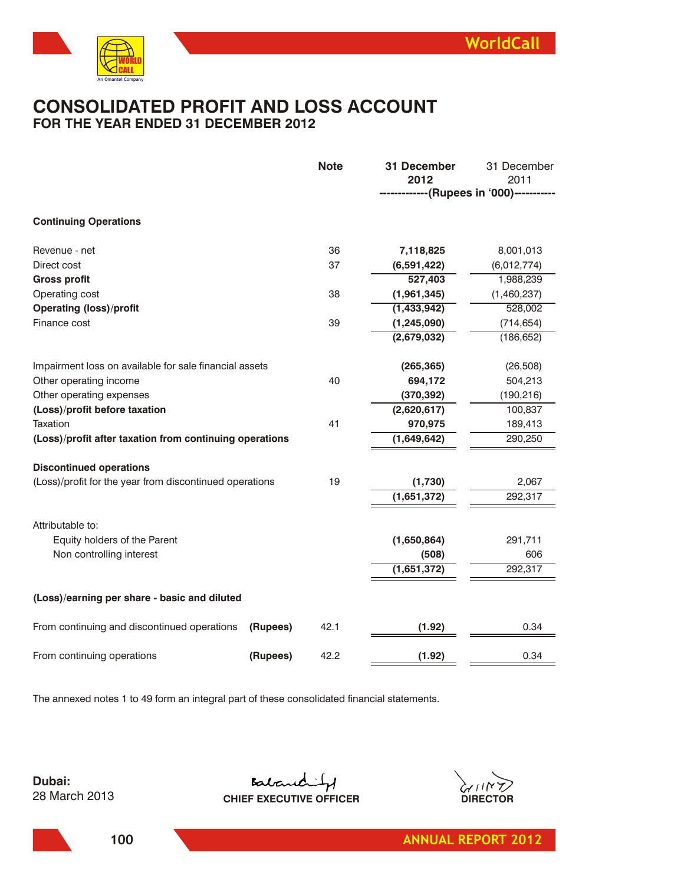

# **CONSOLIDATED PROFIT AND LOSS ACCOUNT FOR THE YEAR ENDED 31 DECEMBER 2012**

|                                                         |          | <b>Note</b> | 31 December<br>2012                      | 31 December<br>2011 |
|---------------------------------------------------------|----------|-------------|------------------------------------------|---------------------|
|                                                         |          |             | -------------(Rupees in '000)----------- |                     |
| <b>Continuing Operations</b>                            |          |             |                                          |                     |
| Revenue - net                                           |          | 36          | 7,118,825                                | 8,001,013           |
| Direct cost                                             |          | 37          | (6,591,422)                              | (6,012,774)         |
| <b>Gross profit</b>                                     |          |             | 527,403                                  | 1,988,239           |
| Operating cost                                          |          | 38          | (1,961,345)                              | (1,460,237)         |
| <b>Operating (loss)/profit</b>                          |          |             | (1,433,942)                              | 528,002             |
| Finance cost                                            |          | 39          | (1, 245, 090)                            | (714, 654)          |
|                                                         |          |             | (2,679,032)                              | (186, 652)          |
| Impairment loss on available for sale financial assets  |          |             | (265, 365)                               | (26, 508)           |
| Other operating income                                  |          | 40          | 694,172                                  | 504,213             |
| Other operating expenses                                |          |             | (370, 392)                               | (190, 216)          |
| (Loss)/profit before taxation                           |          |             | (2,620,617)                              | 100,837             |
| Taxation                                                |          | 41          | 970,975                                  | 189,413             |
| (Loss)/profit after taxation from continuing operations |          |             | (1,649,642)                              | 290,250             |
| <b>Discontinued operations</b>                          |          |             |                                          |                     |
| (Loss)/profit for the year from discontinued operations |          | 19          | (1,730)                                  | 2,067               |
|                                                         |          |             | (1,651,372)                              | 292,317             |
| Attributable to:                                        |          |             |                                          |                     |
| Equity holders of the Parent                            |          |             | (1,650,864)                              | 291,711             |
| Non controlling interest                                |          |             | (508)                                    | 606                 |
|                                                         |          |             | (1,651,372)                              | 292,317             |
| (Loss)/earning per share - basic and diluted            |          |             |                                          |                     |
| From continuing and discontinued operations             | (Rupees) | 42.1        | (1.92)                                   | 0.34                |
| From continuing operations                              | (Rupees) | 42.2        | (1.92)                                   | 0.34                |

The annexed notes 1 to 49 form an integral part of these consolidated financial statements.

**Dubai:** 28 March 2013

**CHIEF EXECUTIVE OFFICER** DIRECTOR

**100 ANNUAL REPORT 2012**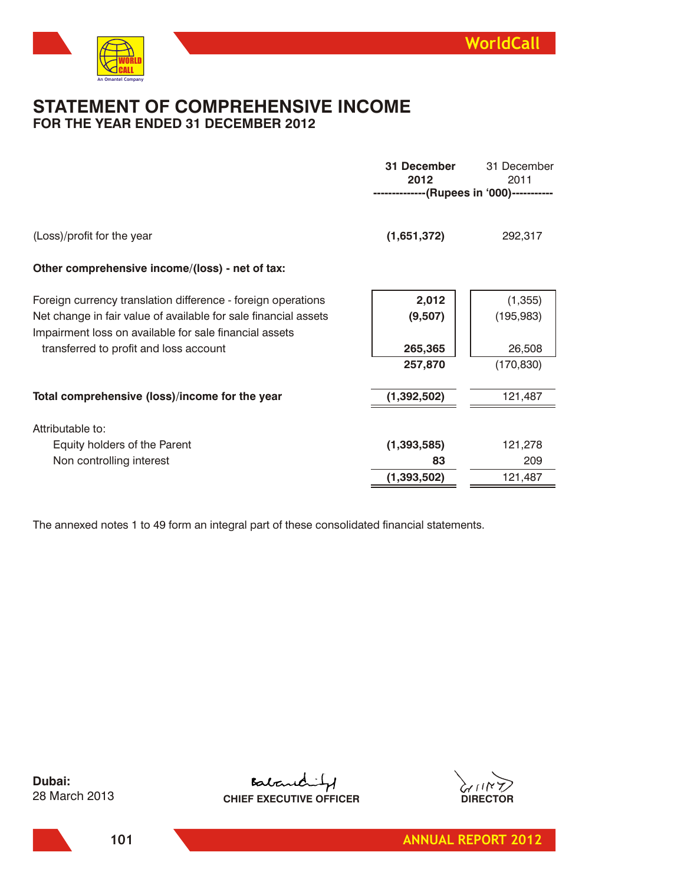

# **STATEMENT OF COMPREHENSIVE INCOME FOR THE YEAR ENDED 31 DECEMBER 2012**

|                                                                 | 31 December<br>2012 | 31 December<br>2011<br>--(Rupees in '000)----------- |
|-----------------------------------------------------------------|---------------------|------------------------------------------------------|
| (Loss)/profit for the year                                      | (1,651,372)         | 292,317                                              |
| Other comprehensive income/(loss) - net of tax:                 |                     |                                                      |
| Foreign currency translation difference - foreign operations    | 2,012               | (1, 355)                                             |
| Net change in fair value of available for sale financial assets | (9,507)             | (195, 983)                                           |
| Impairment loss on available for sale financial assets          |                     |                                                      |
| transferred to profit and loss account                          | 265,365             | 26,508                                               |
|                                                                 | 257,870             | (170, 830)                                           |
| Total comprehensive (loss)/income for the year                  | (1,392,502)         | 121,487                                              |
| Attributable to:                                                |                     |                                                      |
| Equity holders of the Parent                                    | (1, 393, 585)       | 121,278                                              |
| Non controlling interest                                        | 83                  | 209                                                  |
|                                                                 | (1, 393, 502)       | 121,487                                              |

The annexed notes 1 to 49 form an integral part of these consolidated financial statements.

**Dubai:** 28 March 2013

**CHIEF EXECUTIVE OFFICER** DIRECTOR



**101 73 ANNUAL REPORT 2012**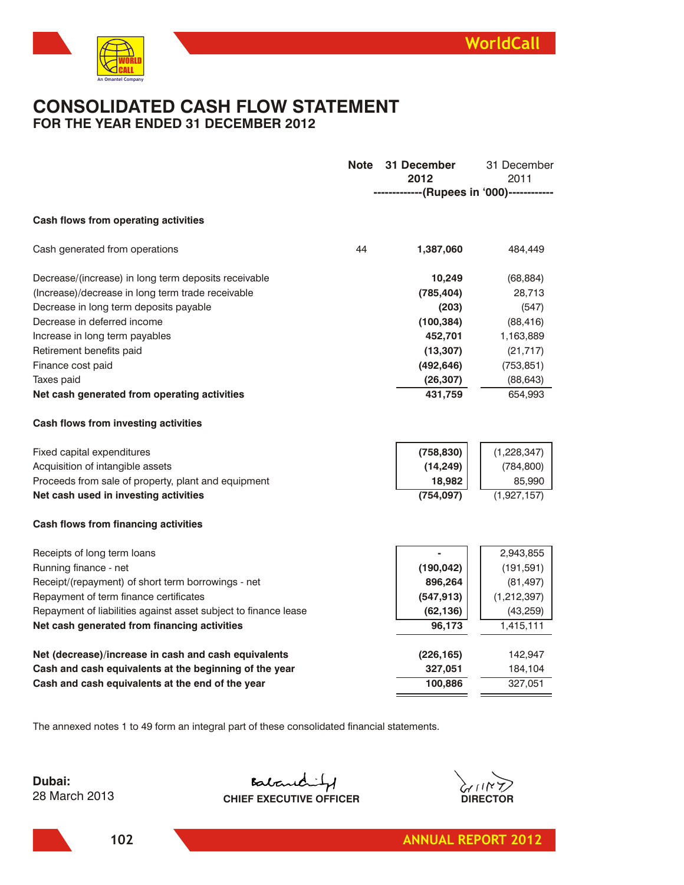

# **CONSOLIDATED CASH FLOW STATEMENT FOR THE YEAR ENDED 31 DECEMBER 2012**

|                                                                 | <b>Note</b> | 31 December<br>2012                       | 31 December<br>2011 |
|-----------------------------------------------------------------|-------------|-------------------------------------------|---------------------|
|                                                                 |             | -------------(Rupees in '000)------------ |                     |
| Cash flows from operating activities                            |             |                                           |                     |
| Cash generated from operations                                  | 44          | 1,387,060                                 | 484,449             |
| Decrease/(increase) in long term deposits receivable            |             | 10,249                                    | (68, 884)           |
| (Increase)/decrease in long term trade receivable               |             | (785, 404)                                | 28,713              |
| Decrease in long term deposits payable                          |             | (203)                                     | (547)               |
| Decrease in deferred income                                     |             | (100, 384)                                | (88, 416)           |
| Increase in long term payables                                  |             | 452,701                                   | 1,163,889           |
| Retirement benefits paid                                        |             | (13, 307)                                 | (21, 717)           |
| Finance cost paid                                               |             | (492, 646)                                | (753, 851)          |
| Taxes paid                                                      |             | (26, 307)                                 | (88, 643)           |
| Net cash generated from operating activities                    |             | 431,759                                   | 654,993             |
| Cash flows from investing activities                            |             |                                           |                     |
| Fixed capital expenditures                                      |             | (758, 830)                                | (1,228,347)         |
| Acquisition of intangible assets                                |             | (14, 249)                                 | (784, 800)          |
| Proceeds from sale of property, plant and equipment             |             | 18,982                                    | 85,990              |
| Net cash used in investing activities                           |             | (754, 097)                                | (1,927,157)         |
| Cash flows from financing activities                            |             |                                           |                     |
| Receipts of long term loans                                     |             |                                           | 2,943,855           |
| Running finance - net                                           |             | (190, 042)                                | (191, 591)          |
| Receipt/(repayment) of short term borrowings - net              |             | 896,264                                   | (81, 497)           |
| Repayment of term finance certificates                          |             | (547, 913)                                | (1,212,397)         |
| Repayment of liabilities against asset subject to finance lease |             | (62, 136)                                 | (43, 259)           |
| Net cash generated from financing activities                    |             | 96,173                                    | 1,415,111           |
| Net (decrease)/increase in cash and cash equivalents            |             | (226, 165)                                | 142,947             |
| Cash and cash equivalents at the beginning of the year          |             | 327,051                                   | 184,104             |
| Cash and cash equivalents at the end of the year                |             | 100,886                                   | 327,051             |
|                                                                 |             |                                           |                     |

The annexed notes 1 to 49 form an integral part of these consolidated financial statements.

**Dubai:** 28 March 2013 **CHIEF EXECUTIVE OFFICER** DIRECTOR



**102 ANNUAL REPORT 2012**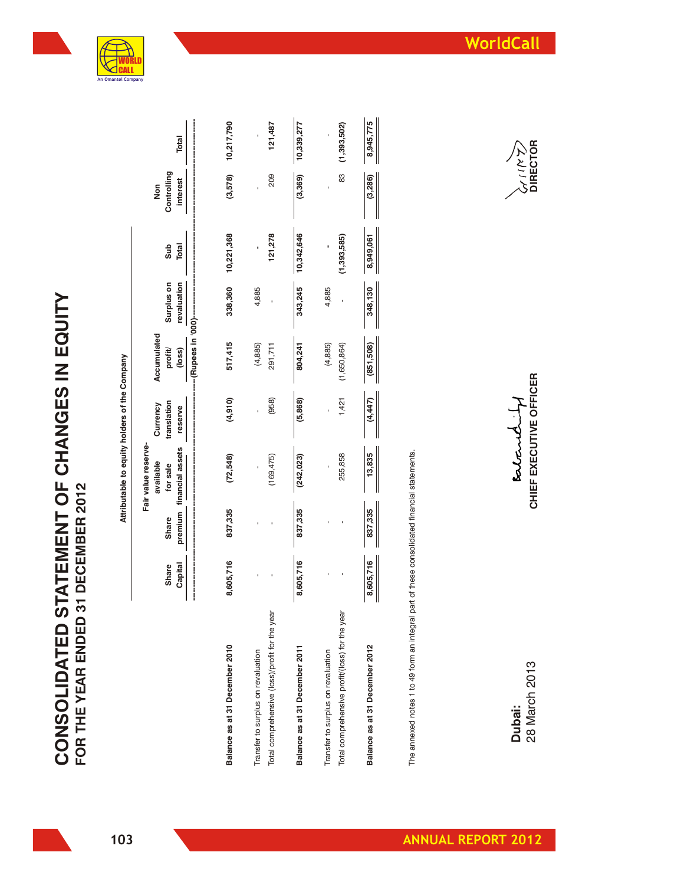

# **Attributable to equity holders of the Company**

**An Omantel Company**

|                                               |                                              |                                |                                |                                                                                      |                                |                                                                                      |                                |                                                                                             | WorldCall                           |
|-----------------------------------------------|----------------------------------------------|--------------------------------|--------------------------------|--------------------------------------------------------------------------------------|--------------------------------|--------------------------------------------------------------------------------------|--------------------------------|---------------------------------------------------------------------------------------------|-------------------------------------|
| nantel Company                                |                                              |                                |                                |                                                                                      |                                |                                                                                      |                                |                                                                                             |                                     |
| Attributable to equity holders of the Company |                                              | Total                          | 10,217,790                     | 121,487                                                                              | 10,339,277                     | (1,393,502)                                                                          | 8,945,775                      |                                                                                             | $\zeta_{YI}(YZ)$<br>DIRECTOR        |
|                                               | Controlling<br>Non                           | interest                       | (3,578)                        | 209                                                                                  | (3,369)                        | 83                                                                                   | (3, 286)                       |                                                                                             |                                     |
|                                               | <b>Sub</b><br>Total                          |                                | 10,221,368                     | 121,278<br>ï                                                                         | 10,342,646                     | (1,393,585)<br>ı                                                                     | 8,949,061                      |                                                                                             |                                     |
|                                               | revaluation<br>Surplus on                    |                                | 338,360                        | 4,885                                                                                | 343,245                        | 4,885                                                                                | 348,130                        |                                                                                             |                                     |
|                                               | Accumulated<br>profit/                       | --(000, ul seedng)--<br>(loss) | 517,415                        | (4, 885)<br>291,711                                                                  | 804,241                        | (4, 885)<br>(1,650,864)                                                              | (851,508)                      |                                                                                             |                                     |
|                                               | translation<br>Currency                      | reserve                        | (4,910)                        | (958)                                                                                | (5,868)                        | 1,421                                                                                | (4,447)                        |                                                                                             | CHIEF EXECUTIVE OFFICER<br>Intendit |
|                                               | Fair value reserve-<br>available<br>for sale | premium financial assets       | (72, 548)                      | (169, 475)<br>ı                                                                      | (242, 023)                     | 255,858                                                                              | 13,835                         |                                                                                             |                                     |
|                                               | Share                                        |                                | 837,335                        |                                                                                      | 837,335                        |                                                                                      | 837,335<br>$\parallel$         |                                                                                             |                                     |
|                                               | Share                                        | Capital                        | 8,605,716                      |                                                                                      | 8,605,716                      |                                                                                      | 8,605,716                      |                                                                                             |                                     |
|                                               |                                              |                                | Balance as at 31 December 2010 | Total comprehensive (loss)/profit for the year<br>Transfer to surplus on revaluation | Balance as at 31 December 2011 | Total comprehensive profit/(loss) for the year<br>Transfer to surplus on revaluation | Balance as at 31 December 2012 | The annexed notes 1 to 49 form an integral part of these consolidated financial statements. | 28 March 2013<br>Dubai:             |
| 103                                           |                                              |                                |                                |                                                                                      |                                |                                                                                      |                                |                                                                                             | <b>ANNUAL REPORT 2012</b>           |

**Dubai:**<br>28 March 2013

**CHIEF EXECUTIVE OFFICER** 28 March 2013 **DIRECTOR**

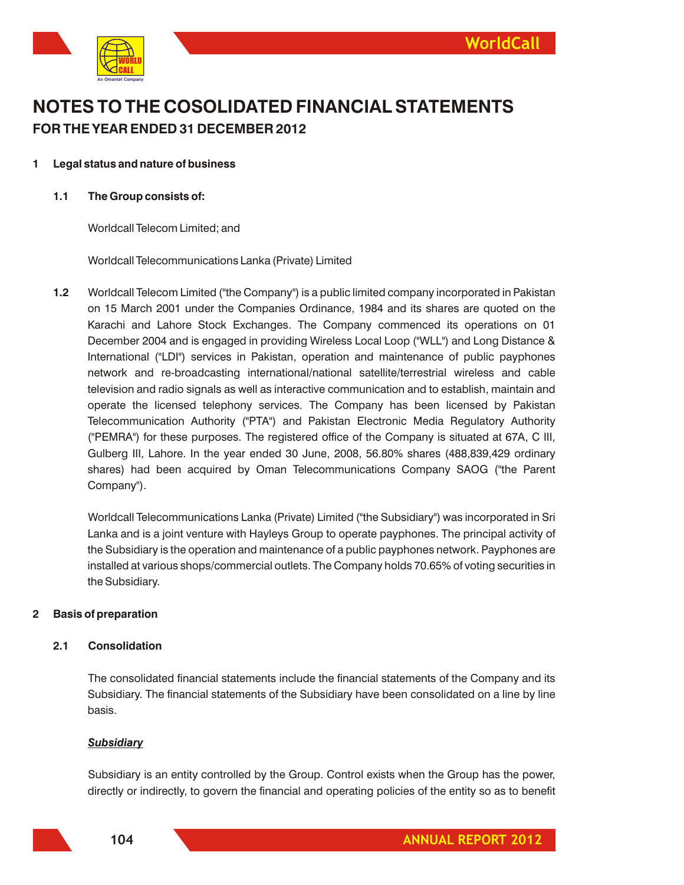

# **NOTES TO THE COSOLIDATED FINANCIAL STATEMENTS FOR THE YEAR ENDED 31 DECEMBER 2012**

# **1 Legal status and nature of business**

# **1.1 The Group consists of:**

Worldcall Telecom Limited; and

Worldcall Telecommunications Lanka (Private) Limited

**1.2** Worldcall Telecom Limited ("the Company") is a public limited company incorporated in Pakistan on 15 March 2001 under the Companies Ordinance, 1984 and its shares are quoted on the Karachi and Lahore Stock Exchanges. The Company commenced its operations on 01 December 2004 and is engaged in providing Wireless Local Loop ("WLL") and Long Distance & International ("LDI") services in Pakistan, operation and maintenance of public payphones network and re-broadcasting international/national satellite/terrestrial wireless and cable television and radio signals as well as interactive communication and to establish, maintain and operate the licensed telephony services. The Company has been licensed by Pakistan Telecommunication Authority ("PTA") and Pakistan Electronic Media Regulatory Authority ("PEMRA") for these purposes. The registered office of the Company is situated at 67A, C III, Gulberg III, Lahore. In the year ended 30 June, 2008, 56.80% shares (488,839,429 ordinary shares) had been acquired by Oman Telecommunications Company SAOG ("the Parent Company").

Worldcall Telecommunications Lanka (Private) Limited ("the Subsidiary") was incorporated in Sri Lanka and is a joint venture with Hayleys Group to operate payphones. The principal activity of the Subsidiary is the operation and maintenance of a public payphones network. Payphones are installed at various shops/commercial outlets. The Company holds 70.65% of voting securities in the Subsidiary.

# **2 Basis of preparation**

# **2.1 Consolidation**

The consolidated financial statements include the financial statements of the Company and its Subsidiary. The financial statements of the Subsidiary have been consolidated on a line by line basis.

# *Subsidiary*

Subsidiary is an entity controlled by the Group. Control exists when the Group has the power, directly or indirectly, to govern the financial and operating policies of the entity so as to benefit

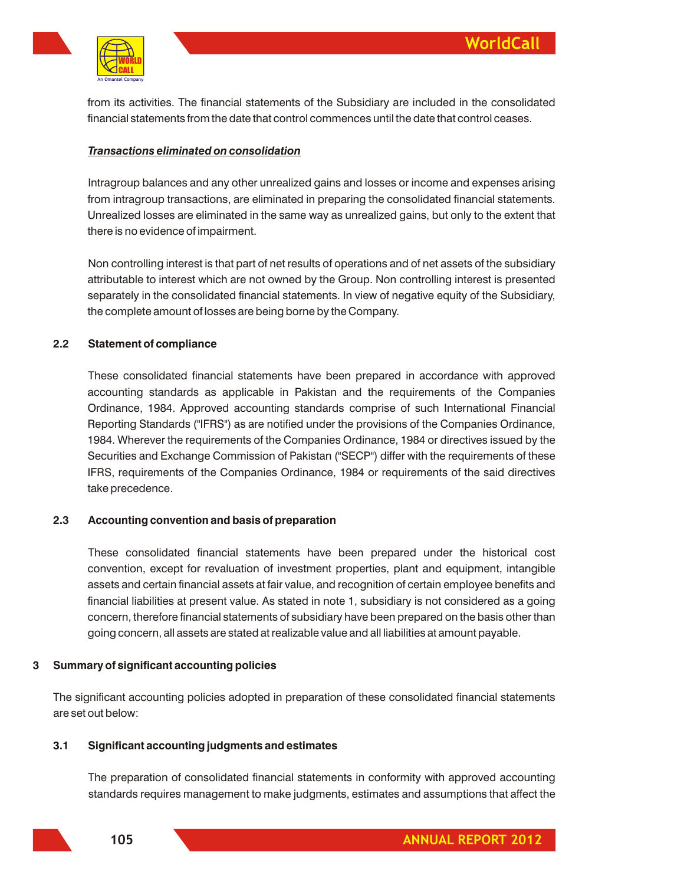

from its activities. The financial statements of the Subsidiary are included in the consolidated financial statements from the date that control commences until the date that control ceases.

# *Transactions eliminated on consolidation*

Intragroup balances and any other unrealized gains and losses or income and expenses arising from intragroup transactions, are eliminated in preparing the consolidated financial statements. Unrealized losses are eliminated in the same way as unrealized gains, but only to the extent that there is no evidence of impairment.

Non controlling interest is that part of net results of operations and of net assets of the subsidiary attributable to interest which are not owned by the Group. Non controlling interest is presented separately in the consolidated financial statements. In view of negative equity of the Subsidiary, the complete amount of losses are being borne by the Company.

# **2.2 Statement of compliance**

These consolidated financial statements have been prepared in accordance with approved accounting standards as applicable in Pakistan and the requirements of the Companies Ordinance, 1984. Approved accounting standards comprise of such International Financial Reporting Standards ("IFRS") as are notified under the provisions of the Companies Ordinance, 1984. Wherever the requirements of the Companies Ordinance, 1984 or directives issued by the Securities and Exchange Commission of Pakistan ("SECP") differ with the requirements of these IFRS, requirements of the Companies Ordinance, 1984 or requirements of the said directives take precedence.

# **2.3 Accounting convention and basis of preparation**

These consolidated financial statements have been prepared under the historical cost convention, except for revaluation of investment properties, plant and equipment, intangible assets and certain financial assets at fair value, and recognition of certain employee benefits and financial liabilities at present value. As stated in note 1, subsidiary is not considered as a going concern, therefore financial statements of subsidiary have been prepared on the basis other than going concern, all assets are stated at realizable value and all liabilities at amount payable.

# **3 Summary of significant accounting policies**

The significant accounting policies adopted in preparation of these consolidated financial statements are set out below:

# **3.1 Significant accounting judgments and estimates**

The preparation of consolidated financial statements in conformity with approved accounting standards requires management to make judgments, estimates and assumptions that affect the

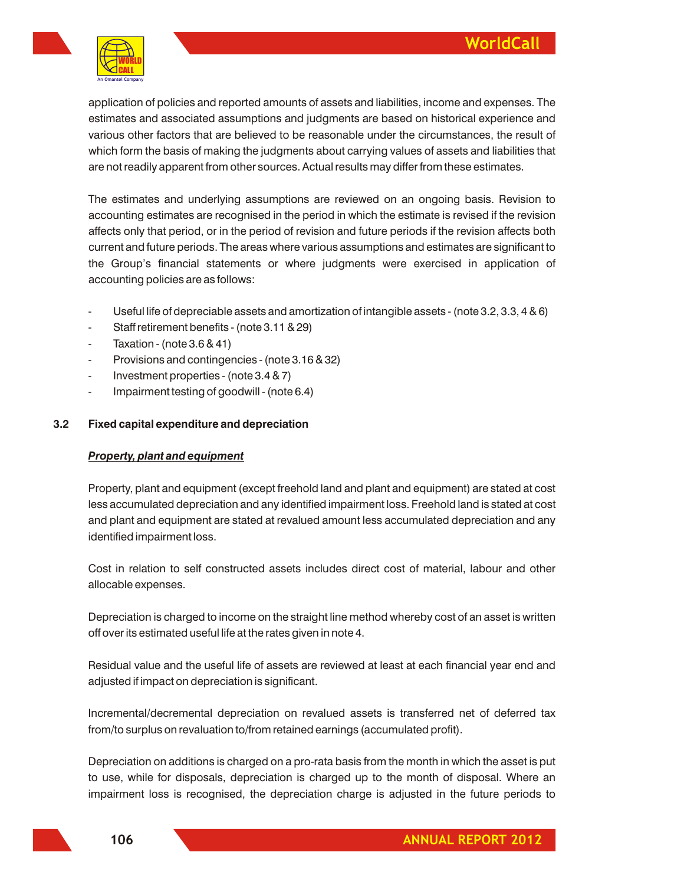

application of policies and reported amounts of assets and liabilities, income and expenses. The estimates and associated assumptions and judgments are based on historical experience and various other factors that are believed to be reasonable under the circumstances, the result of which form the basis of making the judgments about carrying values of assets and liabilities that are not readily apparent from other sources. Actual results may differ from these estimates.

The estimates and underlying assumptions are reviewed on an ongoing basis. Revision to accounting estimates are recognised in the period in which the estimate is revised if the revision affects only that period, or in the period of revision and future periods if the revision affects both current and future periods. The areas where various assumptions and estimates are significant to the Group's financial statements or where judgments were exercised in application of accounting policies are as follows:

- Useful life of depreciable assets and amortization of intangible assets (note 3.2, 3.3, 4 & 6)
- Staff retirement benefits (note 3.11 & 29)
- Taxation (note  $3.6841$ )
- Provisions and contingencies (note 3.16 & 32)
- Investment properties (note 3.4 & 7)
- Impairment testing of goodwill (note 6.4)

# **3.2 Fixed capital expenditure and depreciation**

# *Property, plant and equipment*

Property, plant and equipment (except freehold land and plant and equipment) are stated at cost less accumulated depreciation and any identified impairment loss. Freehold land is stated at cost and plant and equipment are stated at revalued amount less accumulated depreciation and any identified impairment loss.

Cost in relation to self constructed assets includes direct cost of material, labour and other allocable expenses.

Depreciation is charged to income on the straight line method whereby cost of an asset is written off over its estimated useful life at the rates given in note 4.

Residual value and the useful life of assets are reviewed at least at each financial year end and adjusted if impact on depreciation is significant.

Incremental/decremental depreciation on revalued assets is transferred net of deferred tax from/to surplus on revaluation to/from retained earnings (accumulated profit).

Depreciation on additions is charged on a pro-rata basis from the month in which the asset is put to use, while for disposals, depreciation is charged up to the month of disposal. Where an impairment loss is recognised, the depreciation charge is adjusted in the future periods to

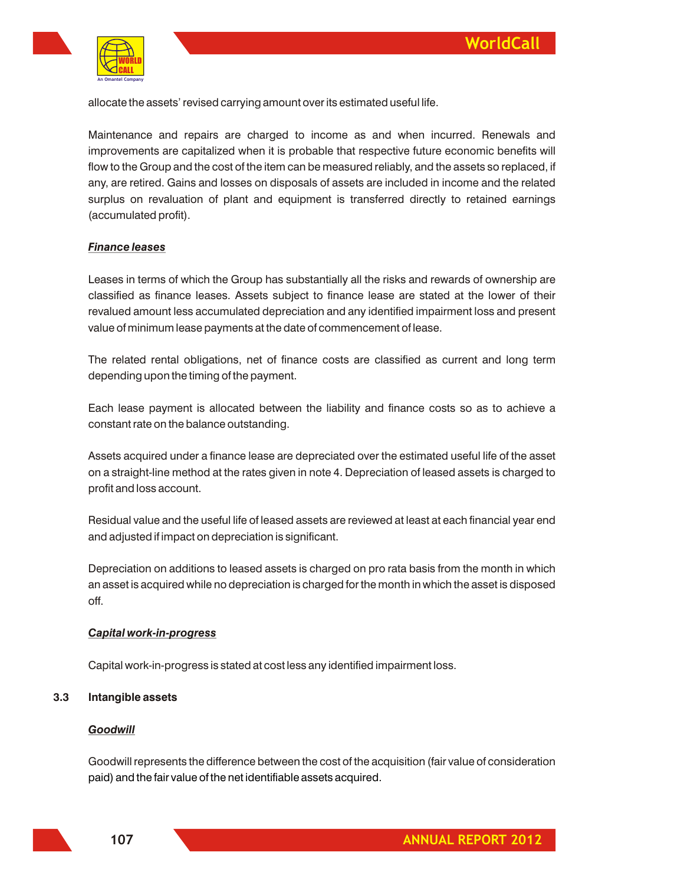

allocate the assets' revised carrying amount over its estimated useful life.

Maintenance and repairs are charged to income as and when incurred. Renewals and improvements are capitalized when it is probable that respective future economic benefits will flow to the Group and the cost of the item can be measured reliably, and the assets so replaced, if any, are retired. Gains and losses on disposals of assets are included in income and the related surplus on revaluation of plant and equipment is transferred directly to retained earnings (accumulated profit).

# *Finance leases*

Leases in terms of which the Group has substantially all the risks and rewards of ownership are classified as finance leases. Assets subject to finance lease are stated at the lower of their revalued amount less accumulated depreciation and any identified impairment loss and present value of minimum lease payments at the date of commencement of lease.

The related rental obligations, net of finance costs are classified as current and long term depending upon the timing of the payment.

Each lease payment is allocated between the liability and finance costs so as to achieve a constant rate on the balance outstanding.

Assets acquired under a finance lease are depreciated over the estimated useful life of the asset on a straight-line method at the rates given in note 4. Depreciation of leased assets is charged to profit and loss account.

Residual value and the useful life of leased assets are reviewed at least at each financial year end and adjusted if impact on depreciation is significant.

Depreciation on additions to leased assets is charged on pro rata basis from the month in which an asset is acquired while no depreciation is charged for the month in which the asset is disposed off.

# *Capital work-in-progress*

Capital work-in-progress is stated at cost less any identified impairment loss.

# **3.3 Intangible assets**

# *Goodwill*

Goodwill represents the difference between the cost of the acquisition (fair value of consideration paid) and the fair value of the net identifiable assets acquired.

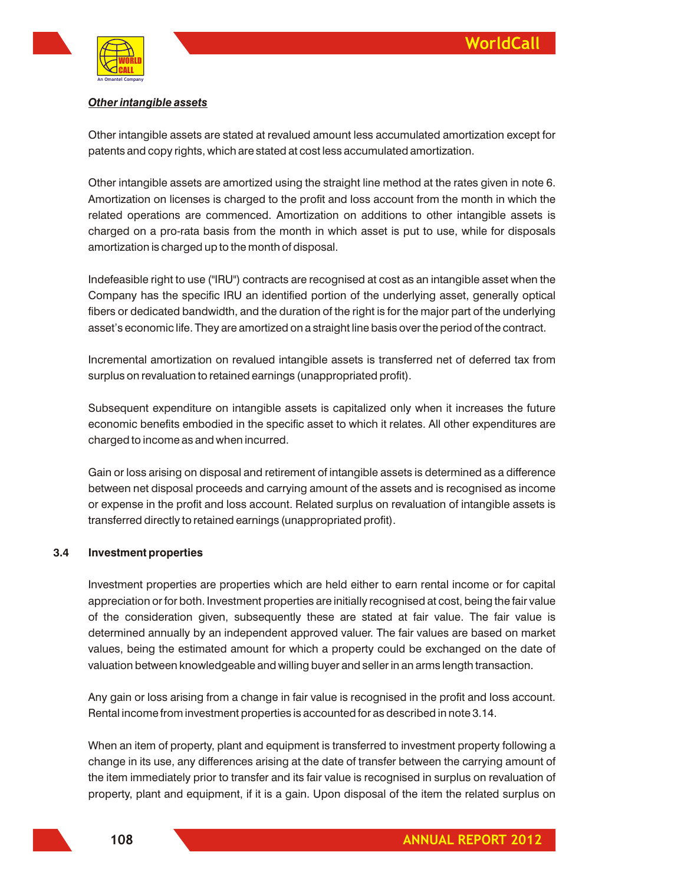

# *Other intangible assets*

Other intangible assets are stated at revalued amount less accumulated amortization except for patents and copy rights, which are stated at cost less accumulated amortization.

Other intangible assets are amortized using the straight line method at the rates given in note 6. Amortization on licenses is charged to the profit and loss account from the month in which the related operations are commenced. Amortization on additions to other intangible assets is charged on a pro-rata basis from the month in which asset is put to use, while for disposals amortization is charged up to the month of disposal.

Indefeasible right to use ("IRU") contracts are recognised at cost as an intangible asset when the Company has the specific IRU an identified portion of the underlying asset, generally optical fibers or dedicated bandwidth, and the duration of the right is for the major part of the underlying asset's economic life. They are amortized on a straight line basis over the period of the contract.

Incremental amortization on revalued intangible assets is transferred net of deferred tax from surplus on revaluation to retained earnings (unappropriated profit).

Subsequent expenditure on intangible assets is capitalized only when it increases the future economic benefits embodied in the specific asset to which it relates. All other expenditures are charged to income as and when incurred.

Gain or loss arising on disposal and retirement of intangible assets is determined as a difference between net disposal proceeds and carrying amount of the assets and is recognised as income or expense in the profit and loss account. Related surplus on revaluation of intangible assets is transferred directly to retained earnings (unappropriated profit).

# **3.4 Investment properties**

Investment properties are properties which are held either to earn rental income or for capital appreciation or for both. Investment properties are initially recognised at cost, being the fair value of the consideration given, subsequently these are stated at fair value. The fair value is determined annually by an independent approved valuer. The fair values are based on market values, being the estimated amount for which a property could be exchanged on the date of valuation between knowledgeable and willing buyer and seller in an arms length transaction.

Any gain or loss arising from a change in fair value is recognised in the profit and loss account. Rental income from investment properties is accounted for as described in note 3.14.

When an item of property, plant and equipment is transferred to investment property following a change in its use, any differences arising at the date of transfer between the carrying amount of the item immediately prior to transfer and its fair value is recognised in surplus on revaluation of property, plant and equipment, if it is a gain. Upon disposal of the item the related surplus on

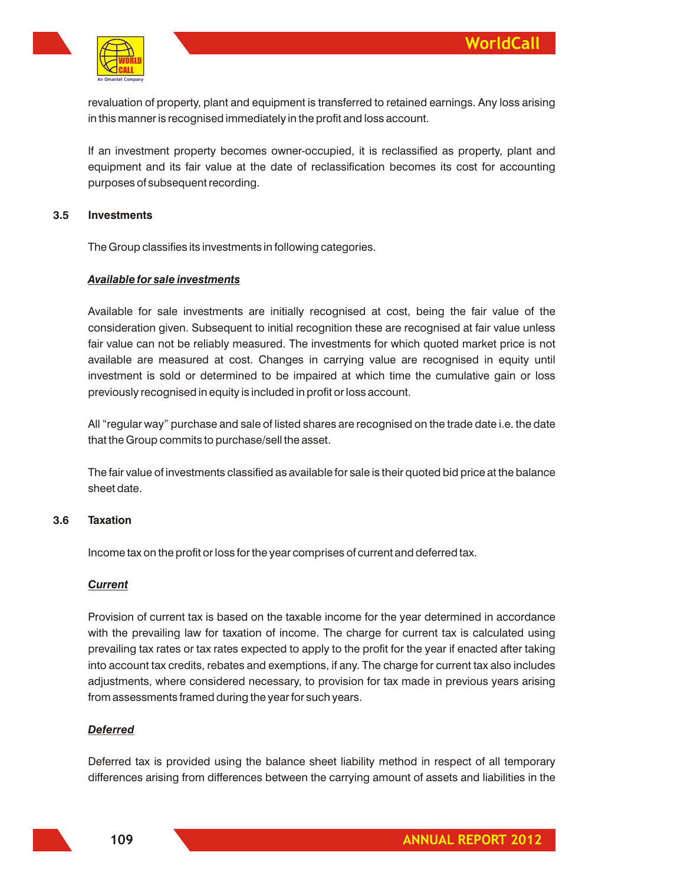

revaluation of property, plant and equipment is transferred to retained earnings. Any loss arising in this manner is recognised immediately in the profit and loss account.

If an investment property becomes owner-occupied, it is reclassified as property, plant and equipment and its fair value at the date of reclassification becomes its cost for accounting purposes of subsequent recording.

#### **3.5 Investments**

The Group classifies its investments in following categories.

#### *Available for sale investments*

Available for sale investments are initially recognised at cost, being the fair value of the consideration given. Subsequent to initial recognition these are recognised at fair value unless fair value can not be reliably measured. The investments for which quoted market price is not available are measured at cost. Changes in carrying value are recognised in equity until investment is sold or determined to be impaired at which time the cumulative gain or loss previously recognised in equity is included in profit or loss account.

All "regular way" purchase and sale of listed shares are recognised on the trade date i.e. the date that the Group commits to purchase/sell the asset.

The fair value of investments classified as available for sale is their quoted bid price at the balance sheet date.

#### **3.6 Taxation**

Income tax on the profit or loss for the year comprises of current and deferred tax.

#### *Current*

Provision of current tax is based on the taxable income for the year determined in accordance with the prevailing law for taxation of income. The charge for current tax is calculated using prevailing tax rates or tax rates expected to apply to the profit for the year if enacted after taking into account tax credits, rebates and exemptions, if any. The charge for current tax also includes adjustments, where considered necessary, to provision for tax made in previous years arising from assessments framed during the year for such years.

#### *Deferred*

Deferred tax is provided using the balance sheet liability method in respect of all temporary differences arising from differences between the carrying amount of assets and liabilities in the

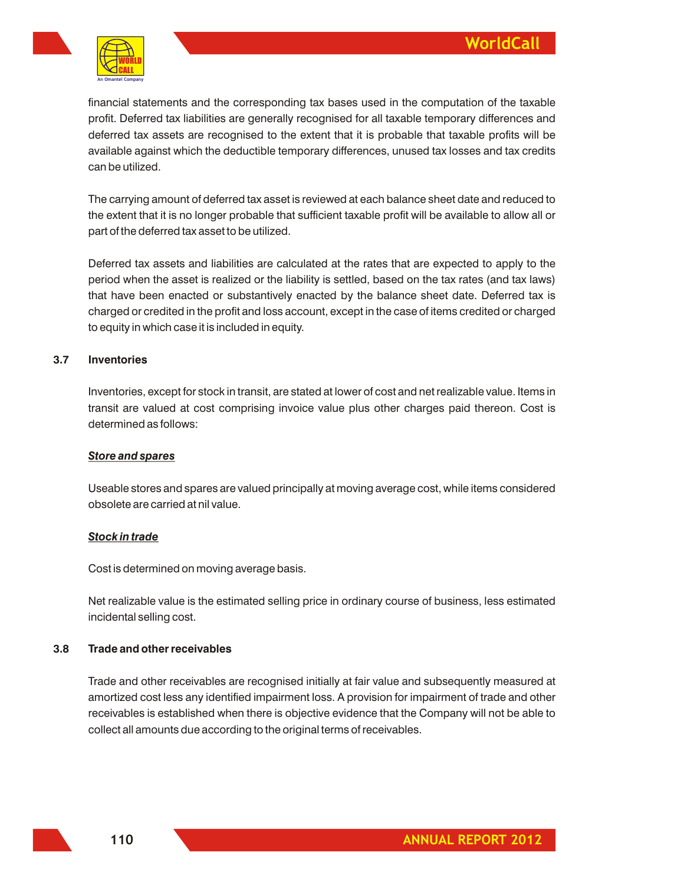

financial statements and the corresponding tax bases used in the computation of the taxable profit. Deferred tax liabilities are generally recognised for all taxable temporary differences and deferred tax assets are recognised to the extent that it is probable that taxable profits will be available against which the deductible temporary differences, unused tax losses and tax credits can be utilized.

The carrying amount of deferred tax asset is reviewed at each balance sheet date and reduced to the extent that it is no longer probable that sufficient taxable profit will be available to allow all or part of the deferred tax asset to be utilized.

Deferred tax assets and liabilities are calculated at the rates that are expected to apply to the period when the asset is realized or the liability is settled, based on the tax rates (and tax laws) that have been enacted or substantively enacted by the balance sheet date. Deferred tax is charged or credited in the profit and loss account, except in the case of items credited or charged to equity in which case it is included in equity.

#### **3.7 Inventories**

Inventories, except for stock in transit, are stated at lower of cost and net realizable value. Items in transit are valued at cost comprising invoice value plus other charges paid thereon. Cost is determined as follows:

#### *Store and spares*

Useable stores and spares are valued principally at moving average cost, while items considered obsolete are carried at nil value.

#### *Stock in trade*

Cost is determined on moving average basis.

Net realizable value is the estimated selling price in ordinary course of business, less estimated incidental selling cost.

#### **3.8 Trade and other receivables**

Trade and other receivables are recognised initially at fair value and subsequently measured at amortized cost less any identified impairment loss. A provision for impairment of trade and other receivables is established when there is objective evidence that the Company will not be able to collect all amounts due according to the original terms of receivables.

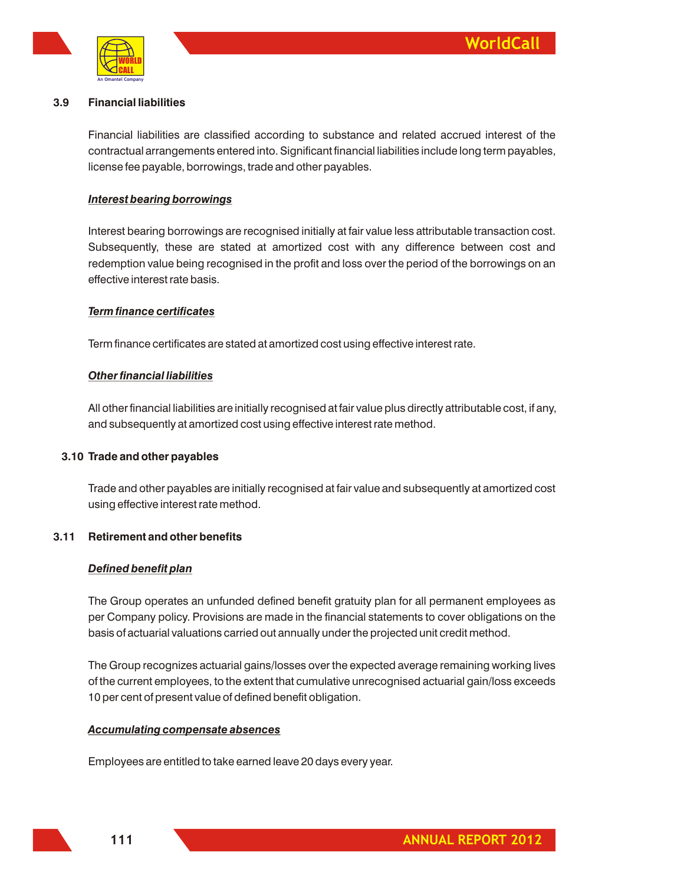

#### **3.9 Financial liabilities**

Financial liabilities are classified according to substance and related accrued interest of the contractual arrangements entered into. Significant financial liabilities include long term payables, license fee payable, borrowings, trade and other payables.

#### *Interest bearing borrowings*

Interest bearing borrowings are recognised initially at fair value less attributable transaction cost. Subsequently, these are stated at amortized cost with any difference between cost and redemption value being recognised in the profit and loss over the period of the borrowings on an effective interest rate basis.

#### *Term finance certificates*

Term finance certificates are stated at amortized cost using effective interest rate.

#### *Other financial liabilities*

All other financial liabilities are initially recognised at fair value plus directly attributable cost, if any, and subsequently at amortized cost using effective interest rate method.

#### **3.10 Trade and other payables**

Trade and other payables are initially recognised at fair value and subsequently at amortized cost using effective interest rate method.

#### **3.11 Retirement and other benefits**

#### *Defined benefit plan*

The Group operates an unfunded defined benefit gratuity plan for all permanent employees as per Company policy. Provisions are made in the financial statements to cover obligations on the basis of actuarial valuations carried out annually under the projected unit credit method.

The Group recognizes actuarial gains/losses over the expected average remaining working lives of the current employees, to the extent that cumulative unrecognised actuarial gain/loss exceeds 10 per cent of present value of defined benefit obligation.

#### *Accumulating compensate absences*

Employees are entitled to take earned leave 20 days every year.

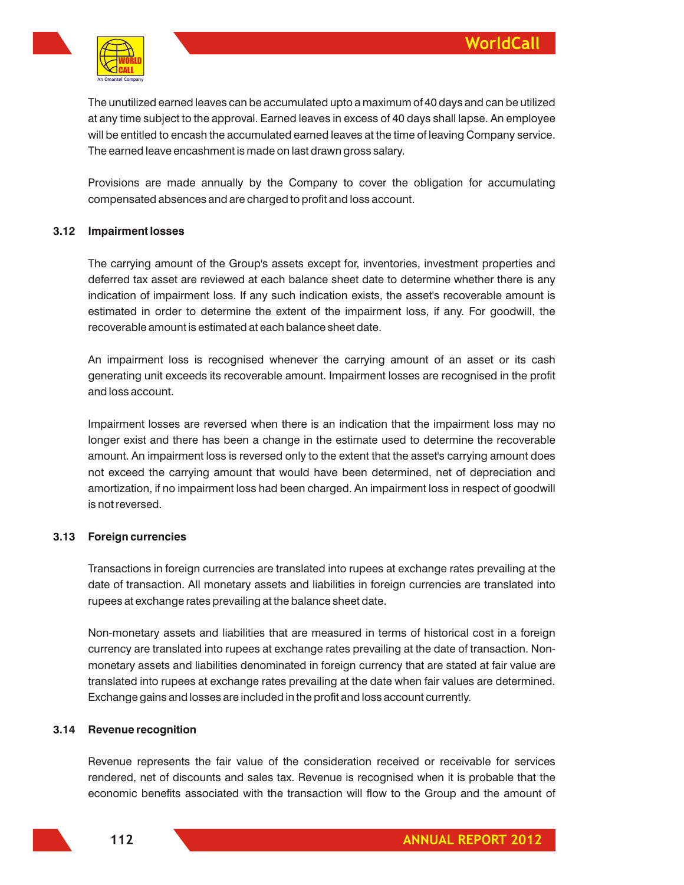

The unutilized earned leaves can be accumulated upto a maximum of 40 days and can be utilized at any time subject to the approval. Earned leaves in excess of 40 days shall lapse. An employee will be entitled to encash the accumulated earned leaves at the time of leaving Company service. The earned leave encashment is made on last drawn gross salary.

Provisions are made annually by the Company to cover the obligation for accumulating compensated absences and are charged to profit and loss account.

#### **3.12 Impairment losses**

The carrying amount of the Group's assets except for, inventories, investment properties and deferred tax asset are reviewed at each balance sheet date to determine whether there is any indication of impairment loss. If any such indication exists, the asset's recoverable amount is estimated in order to determine the extent of the impairment loss, if any. For goodwill, the recoverable amount is estimated at each balance sheet date.

An impairment loss is recognised whenever the carrying amount of an asset or its cash generating unit exceeds its recoverable amount. Impairment losses are recognised in the profit and loss account.

Impairment losses are reversed when there is an indication that the impairment loss may no longer exist and there has been a change in the estimate used to determine the recoverable amount. An impairment loss is reversed only to the extent that the asset's carrying amount does not exceed the carrying amount that would have been determined, net of depreciation and amortization, if no impairment loss had been charged. An impairment loss in respect of goodwill is not reversed.

#### **3.13 Foreign currencies**

Transactions in foreign currencies are translated into rupees at exchange rates prevailing at the date of transaction. All monetary assets and liabilities in foreign currencies are translated into rupees at exchange rates prevailing at the balance sheet date.

Non-monetary assets and liabilities that are measured in terms of historical cost in a foreign currency are translated into rupees at exchange rates prevailing at the date of transaction. Nonmonetary assets and liabilities denominated in foreign currency that are stated at fair value are translated into rupees at exchange rates prevailing at the date when fair values are determined. Exchange gains and losses are included in the profit and loss account currently.

#### **3.14 Revenue recognition**

Revenue represents the fair value of the consideration received or receivable for services rendered, net of discounts and sales tax. Revenue is recognised when it is probable that the economic benefits associated with the transaction will flow to the Group and the amount of

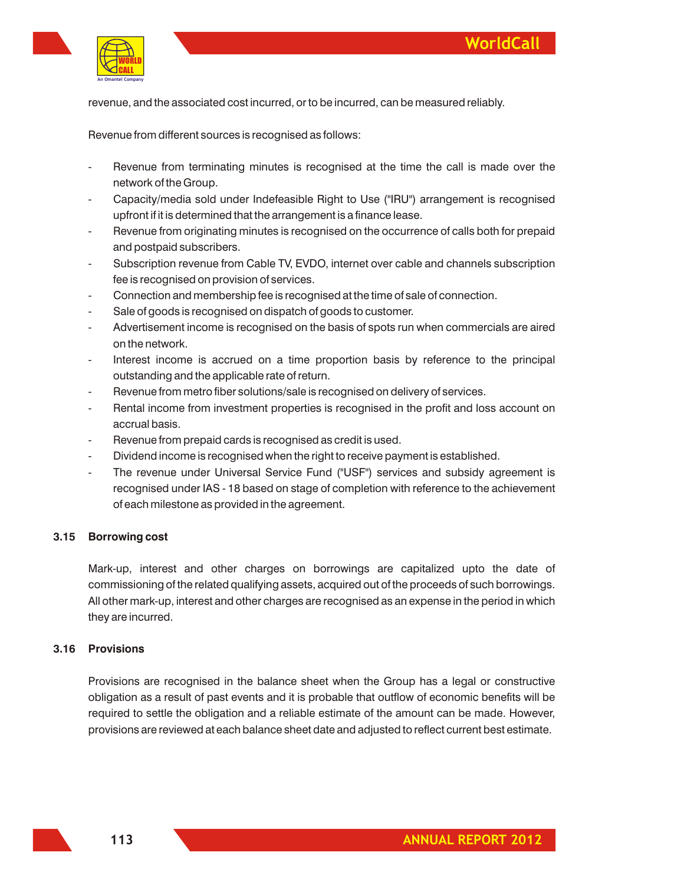

revenue, and the associated cost incurred, or to be incurred, can be measured reliably.

Revenue from different sources is recognised as follows:

- Revenue from terminating minutes is recognised at the time the call is made over the network of the Group.
- Capacity/media sold under Indefeasible Right to Use ("IRU") arrangement is recognised upfront if it is determined that the arrangement is a finance lease.
- Revenue from originating minutes is recognised on the occurrence of calls both for prepaid and postpaid subscribers.
- Subscription revenue from Cable TV, EVDO, internet over cable and channels subscription fee is recognised on provision of services.
- Connection and membership fee is recognised at the time of sale of connection.
- Sale of goods is recognised on dispatch of goods to customer.
- Advertisement income is recognised on the basis of spots run when commercials are aired on the network.
- Interest income is accrued on a time proportion basis by reference to the principal outstanding and the applicable rate of return.
- Revenue from metro fiber solutions/sale is recognised on delivery of services.
- Rental income from investment properties is recognised in the profit and loss account on accrual basis.
- Revenue from prepaid cards is recognised as credit is used.
- Dividend income is recognised when the right to receive payment is established.
- The revenue under Universal Service Fund ("USF") services and subsidy agreement is recognised under IAS - 18 based on stage of completion with reference to the achievement of each milestone as provided in the agreement.

#### **3.15 Borrowing cost**

Mark-up, interest and other charges on borrowings are capitalized upto the date of commissioning of the related qualifying assets, acquired out of the proceeds of such borrowings. All other mark-up, interest and other charges are recognised as an expense in the period in which they are incurred.

#### **3.16 Provisions**

Provisions are recognised in the balance sheet when the Group has a legal or constructive obligation as a result of past events and it is probable that outflow of economic benefits will be required to settle the obligation and a reliable estimate of the amount can be made. However, provisions are reviewed at each balance sheet date and adjusted to reflect current best estimate.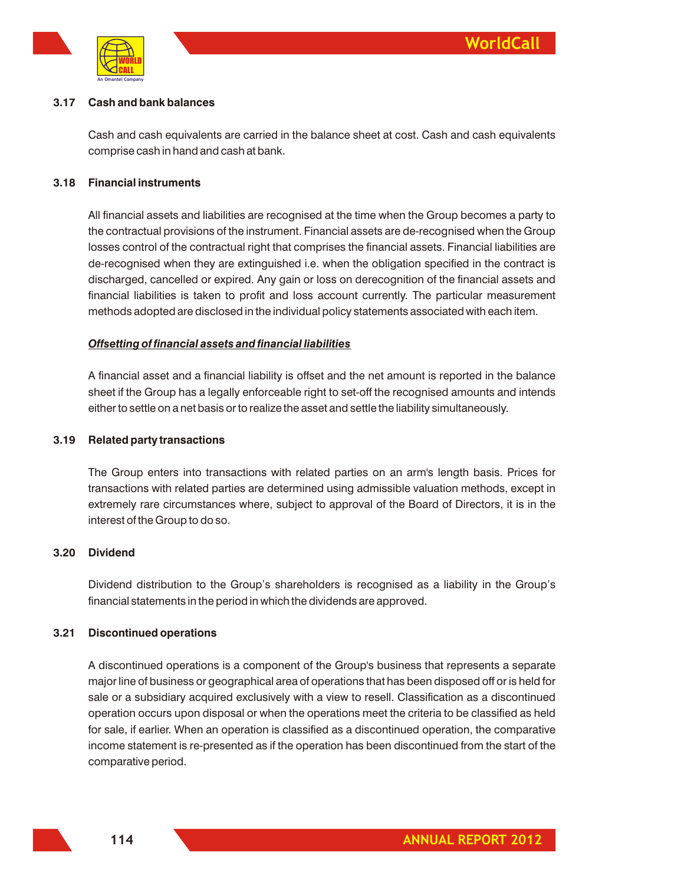

#### **3.17 Cash and bank balances**

Cash and cash equivalents are carried in the balance sheet at cost. Cash and cash equivalents comprise cash in hand and cash at bank.

#### **3.18 Financial instruments**

All financial assets and liabilities are recognised at the time when the Group becomes a party to the contractual provisions of the instrument. Financial assets are de-recognised when the Group losses control of the contractual right that comprises the financial assets. Financial liabilities are de-recognised when they are extinguished i.e. when the obligation specified in the contract is discharged, cancelled or expired. Any gain or loss on derecognition of the financial assets and financial liabilities is taken to profit and loss account currently. The particular measurement methods adopted are disclosed in the individual policy statements associated with each item.

#### *Offsetting of financial assets and financial liabilities*

A financial asset and a financial liability is offset and the net amount is reported in the balance sheet if the Group has a legally enforceable right to set-off the recognised amounts and intends either to settle on a net basis or to realize the asset and settle the liability simultaneously.

#### **3.19 Related party transactions**

The Group enters into transactions with related parties on an arm's length basis. Prices for transactions with related parties are determined using admissible valuation methods, except in extremely rare circumstances where, subject to approval of the Board of Directors, it is in the interest of the Group to do so.

#### **3.20 Dividend**

Dividend distribution to the Group's shareholders is recognised as a liability in the Group's financial statements in the period in which the dividends are approved.

#### **3.21 Discontinued operations**

A discontinued operations is a component of the Group's business that represents a separate major line of business or geographical area of operations that has been disposed off or is held for sale or a subsidiary acquired exclusively with a view to resell. Classification as a discontinued operation occurs upon disposal or when the operations meet the criteria to be classified as held for sale, if earlier. When an operation is classified as a discontinued operation, the comparative income statement is re-presented as if the operation has been discontinued from the start of the comparative period.

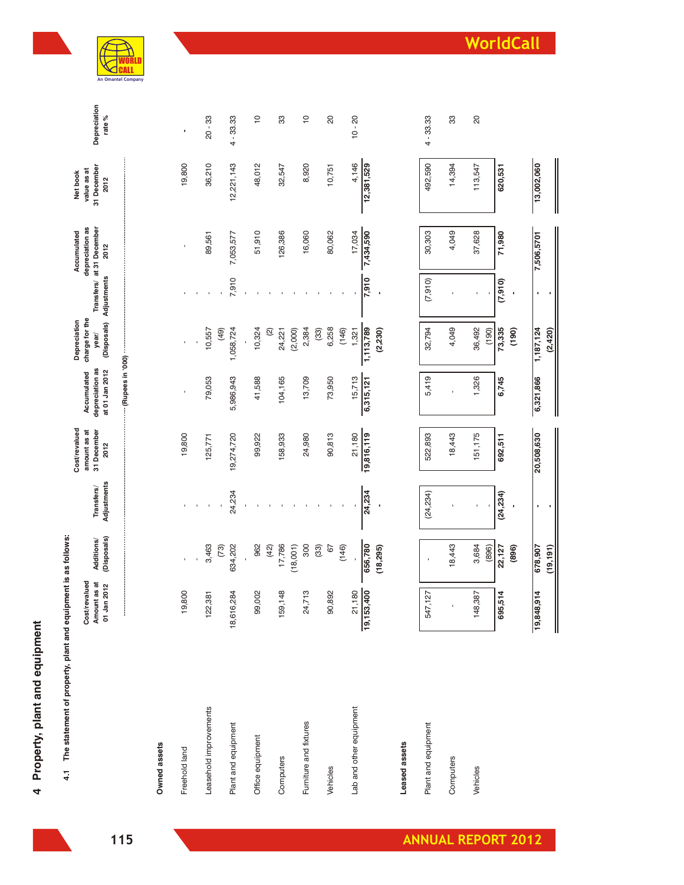## 4 Property, plant and equipment **Property, plant and equipment**

# 4.1 The statement of property, plant and equipment is as follows: **4.1 The statement of property, plant and equipment is as follows:**

|                                                |             | cost/revalued      |                            | <b>Depreciation</b> | Accumulated                                                                                             | Net book    |              |
|------------------------------------------------|-------------|--------------------|----------------------------|---------------------|---------------------------------------------------------------------------------------------------------|-------------|--------------|
| revalued<br>$\cos t$                           |             | mount as at        | Accumulated charge for the |                     | epreciation as                                                                                          | value as at |              |
|                                                | Transfers/  | <b>S1</b> December |                            |                     |                                                                                                         | 31 December | Depreciation |
| Amount as at Addition.<br>Jan 2012 (Disposals) | Adjustments | 2012               |                            |                     | <sub>r</sub> ueciation as year/ Transfers/at 31 December<br>at 01 Jan 2012 (Disposals) Adjustments 2012 | 2012        | rate %       |
|                                                |             |                    |                            |                     |                                                                                                         |             |              |



|                                |              |                |                        |                     |                  |                          |          |                           |                |       |                         |                       |               |                     |           |                           |                  | VorldCall |            |
|--------------------------------|--------------|----------------|------------------------|---------------------|------------------|--------------------------|----------|---------------------------|----------------|-------|-------------------------|-----------------------|---------------|---------------------|-----------|---------------------------|------------------|-----------|------------|
| nantel Company                 |              |                |                        |                     |                  |                          |          |                           |                |       |                         |                       |               |                     |           |                           |                  |           |            |
|                                |              | $\blacksquare$ | $20 - 33$              | $4 - 33.33$         | $\overline{C}$   | 33                       |          | $\overline{C}$            | $\overline{c}$ |       | $10 - 20$               |                       |               | $4 - 33.33$         | 33        | 20                        |                  |           |            |
|                                |              | 19,800         | 36,210                 | 12,221,143          | 48,012           | 32,547                   |          | 8,920                     | 10,751         |       | 4,146                   | 12,381,529            |               | 492,590             | 14,394    | 113,547                   | 620,531          |           | 13,002,060 |
|                                |              |                | 89,561                 | 7,053,577           | 51,910           | 126,386                  |          | 16,060                    | 80,062         |       | 17,034                  | 7,434,590             |               | 30,303              | 4,049     | 37,628                    | 71,980           |           | 7,506,5701 |
|                                |              |                |                        | 7,910               |                  |                          |          |                           |                |       |                         | 7,910                 |               | (7,910)             |           |                           | (7,910)          | ï         | ï          |
|                                |              |                | 10,557                 | 1,058,724<br>(649)  | 10,324           | $\circledcirc$<br>24,221 | (2,000)  | 2,384<br>(33)             | 6,258          | (146) | 1,321                   | 1,113,789<br>(2, 230) |               | 32,794              | 4,049     | 36,492                    | 73,335<br>(190)  | (190)     | 1,187,124  |
| ------ (000, ut seedng) ------ |              |                | 79,053                 | 5,986,943           | 41,588           | 104,165                  |          | 13,709                    | 73,950         |       | 15,713                  | 6,315,121             |               | 5,419               |           | 1,326                     | 6,745            |           | 6,321,866  |
|                                |              | 19,800         | 125,771                | 19,274,720          | 99,922           | 158,933                  |          | 24,980                    | 90,813         |       | 21,180                  | 19,816,119            |               | 522,893             | 18,443    | 151,175                   | 692,511          |           | 20,508,630 |
|                                |              |                |                        | 24,234              |                  |                          |          |                           |                |       |                         | 24,234                |               | (24, 234)           |           |                           | (24, 234)        |           | ł          |
|                                |              |                | 3,463                  | 634,202<br>(73)     | 962              | 17,786<br>(42)           | (18,001) | 300<br>$\left( 33\right)$ | 67             | (146) |                         | 656,780<br>(18, 295)  |               |                     | 18,443    | 3,684                     | (896)<br>22, 127 | (896)     | 678,907    |
| <br> <br> <br>                 |              | 19,800         | 122,381                | 18,616,284          | 99,002           | 159,148                  |          | 24,713                    | 90,892         |       | 21,180                  | 19,153,400            |               | 547,127             |           | 148,387                   | 695,514          |           | 19,848,914 |
|                                |              |                |                        |                     |                  |                          |          |                           |                |       |                         |                       |               |                     |           |                           |                  |           |            |
|                                | Owned assets | Freehold land  | Leasehold improvements | Plant and equipment | Office equipment | Computers                |          | Furniture and fixtures    | Vehicles       |       | Lab and other equipment |                       | Leased assets | Plant and equipment | Computers | Vehicles                  |                  |           |            |
| 115                            |              |                |                        |                     |                  |                          |          |                           |                |       |                         |                       |               |                     |           | <b>ANNUAL REPORT 2012</b> |                  |           |            |

### **Leased assets**

**19,848,914 678,907 - 20,508,630 6,321,866 1,187,124 - 7,506,5701 13,002,060**

**(19,191) - (2,420) -**

j,

 $\overline{\phantom{a}}$ 

 $\parallel$ 

 $\mathbb{I}$ 

 $\bar{1}$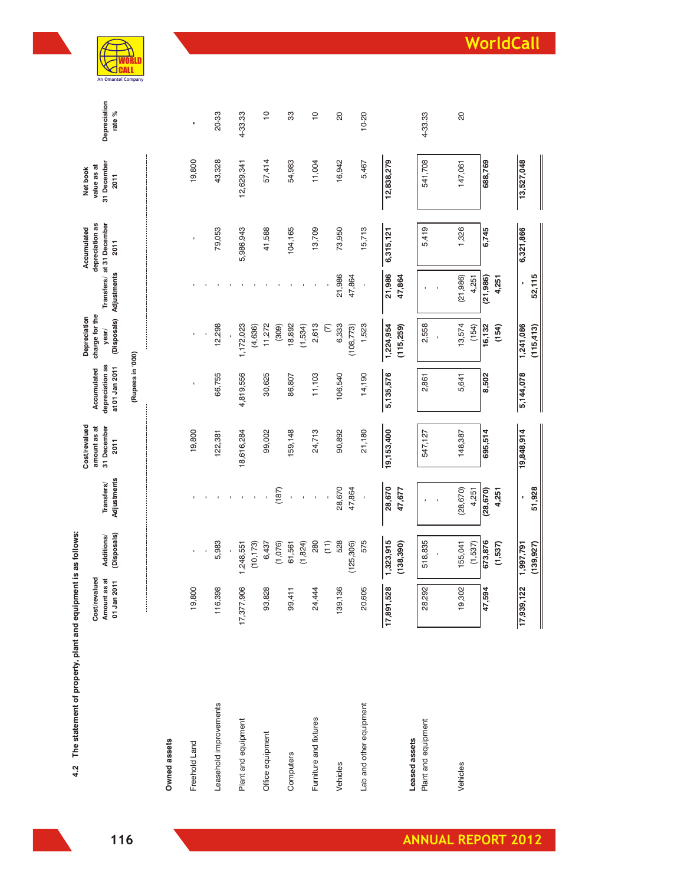| ׇ֚֡ |  |  |
|-----|--|--|
|     |  |  |
|     |  |  |
|     |  |  |
| 1   |  |  |
|     |  |  |
| 1   |  |  |
|     |  |  |
|     |  |  |
|     |  |  |
|     |  |  |
|     |  |  |
|     |  |  |
|     |  |  |
|     |  |  |
|     |  |  |
|     |  |  |
|     |  |  |
|     |  |  |
|     |  |  |
|     |  |  |
|     |  |  |
|     |  |  |
|     |  |  |
|     |  |  |
|     |  |  |
|     |  |  |
|     |  |  |
|     |  |  |
|     |  |  |
|     |  |  |
|     |  |  |
|     |  |  |
|     |  |  |
|     |  |  |

|             |             |                                                                                                                                                                                          |                                     | (Disposals) | 1 Jan 2011    |
|-------------|-------------|------------------------------------------------------------------------------------------------------------------------------------------------------------------------------------------|-------------------------------------|-------------|---------------|
|             |             |                                                                                                                                                                                          | <b>Transfers</b>                    | Additions/  | Imount as at  |
|             |             |                                                                                                                                                                                          |                                     |             | cost/revalueu |
| Accumulated | epreciation | ost/revalued                                                                                                                                                                             |                                     |             |               |
|             |             | Accumulated charge for the extended as depreciation as wear/ Transfers/ at 31 December<br>depreciation as wear/ Transfers/ at 31 December<br>at 01 Jan 2011 (Disposals) Adjustments 2011 | amount as at<br>31 December<br>2011 | djustments  |               |

**An Omantel Company**

| 116                       |                                      | 01 Jan 2011 | (Disposals)                 | Adjustments           | 2011       | at 01 Jan 2011    | (Disposals) Adjustments              |                          | <b>2011</b> | 2011       | rate %         |                |
|---------------------------|--------------------------------------|-------------|-----------------------------|-----------------------|------------|-------------------|--------------------------------------|--------------------------|-------------|------------|----------------|----------------|
|                           |                                      |             |                             |                       |            | (1000, ul seedng) |                                      |                          |             |            |                | nantel Company |
|                           | Owned assets                         |             |                             |                       |            |                   |                                      |                          |             |            |                |                |
|                           | Freehold Land                        | 19,800      | ł,                          |                       | 19,800     | ı                 |                                      |                          | ı           | 19,800     | ٠              |                |
|                           | Leasehold improvements               | 116,398     | 5,983                       | $\blacksquare$        | 122,381    | 66,755            | 12,298                               |                          | 79,053      | 43,328     | 20-33          |                |
|                           | Plant and equipment                  | 17,377,906  | 1,248,551<br>(10, 173)      |                       | 18,616,284 | 4,819,556         | 1,172,023<br>(4,636)                 |                          | 5,986,943   | 12,629,341 | 4-33.33        |                |
|                           | Office equipment                     | 93,828      | 6,437<br>(1,076)            | (187)                 | 99,002     | 30,625            | 11,272<br>(309)                      |                          | 41,588      | 57,414     | $\frac{0}{1}$  |                |
|                           | Computers                            | 99,411      | (1,824)<br>61,561           |                       | 159,148    | 86,807            | 18,892<br>(1,534)                    |                          | 104,165     | 54,983     | 33             |                |
|                           | Furniture and fixtures               | 24,444      | 280                         |                       | 24,713     | 11,103            | 2,613                                |                          | 13,709      | 11,004     | $\overline{C}$ |                |
|                           | Vehicles                             | 139,136     | $(11)$<br>528<br>(125, 306) | 28,670<br>47,864<br>ł | 90,892     | 106,540           | 6,333<br>$\mathcal{E}$<br>(108, 773) | 21,986<br>47,864         | 73,950      | 16,942     | $\overline{c}$ |                |
|                           | Lab and other equipment              | 20,605      | 575                         | ł,                    | 21,180     | 14,190            | 1,523                                |                          | 15,713      | 5,467      | $10 - 20$      |                |
|                           |                                      | 17,891,528  | 1,323,915<br>(138, 390)     | 28,670<br>47,677      | 19,153,400 | 5,135,576         | 1,224,954<br>(115, 259)              | 21,986<br>47,864         | 6,315,121   | 12,838,279 |                |                |
| <b>ANNUAL REPORT 2012</b> | Plant and equipment<br>Leased assets | 28,292      | 518,835<br>ï                |                       | 547,127    | 2,861             | 2,558                                |                          | 5,419       | 541,708    | 4-33.33        |                |
|                           | Vehicles                             | 19,302      | 155,041<br>(1,537)          | (28, 670)<br>4,251    | 148,387    | 5,641             | 13,574<br>(154)                      | 4,251<br>(21,986)        | 1,326       | 147,061    | 80             |                |
|                           |                                      | 47,594      | 673,876<br>(1,537)          | (28, 670)<br>4,251    | 695,514    | 8,502             | 16,132<br>(154)                      | 4,251<br>(21, 986)       | 6,745       | 688,769    |                |                |
|                           |                                      | 17,939,122  | 1,997,791<br>(139, 927)     | 51,928<br>ı           | 19,848,914 | 5,144,078         | 1,241,086<br>(115, 413)              | 52,115<br>$\blacksquare$ | 6,321,866   | 13,527,048 |                | WorldCall      |

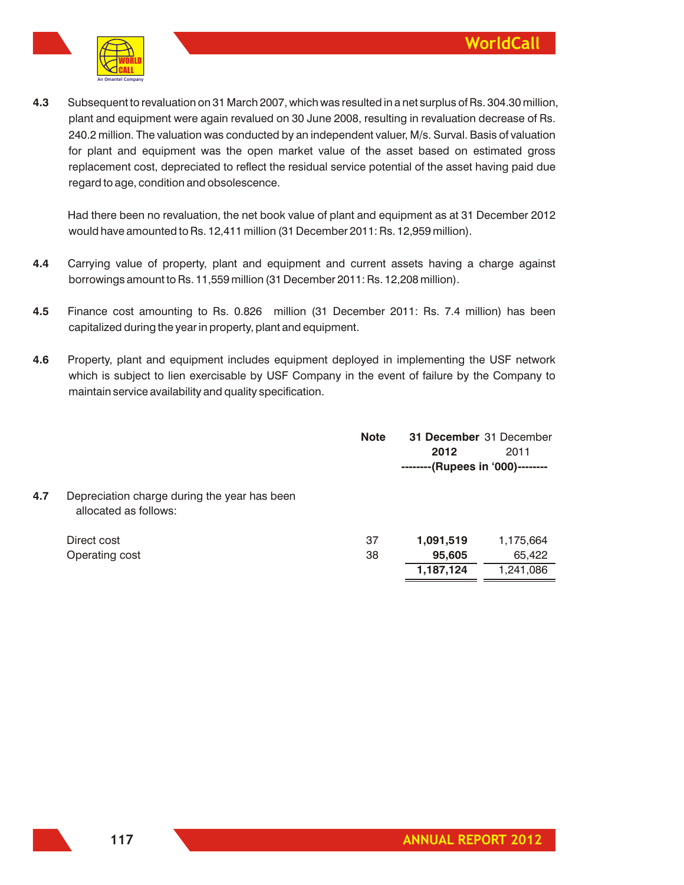

**4.3** Subsequent to revaluation on 31 March 2007, which was resulted in a net surplus of Rs. 304.30 million, plant and equipment were again revalued on 30 June 2008, resulting in revaluation decrease of Rs. 240.2 million. The valuation was conducted by an independent valuer, M/s. Surval. Basis of valuation for plant and equipment was the open market value of the asset based on estimated gross replacement cost, depreciated to reflect the residual service potential of the asset having paid due regard to age, condition and obsolescence.

Had there been no revaluation, the net book value of plant and equipment as at 31 December 2012 would have amounted to Rs. 12,411 million (31 December 2011: Rs. 12,959 million).

- **4.4** Carrying value of property, plant and equipment and current assets having a charge against borrowings amount to Rs. 11,559 million (31 December 2011: Rs. 12,208 million).
- **4.5** Finance cost amounting to Rs. 0.826 million (31 December 2011: Rs. 7.4 million) has been capitalized during the year in property, plant and equipment.
- **4.6** Property, plant and equipment includes equipment deployed in implementing the USF network which is subject to lien exercisable by USF Company in the event of failure by the Company to maintain service availability and quality specification.

|     |                                                                       | <b>Note</b> | 2012<br>--------(Rupees in '000)-------- | 31 December 31 December<br>2011 |
|-----|-----------------------------------------------------------------------|-------------|------------------------------------------|---------------------------------|
| 4.7 | Depreciation charge during the year has been<br>allocated as follows: |             |                                          |                                 |
|     | Direct cost                                                           | 37          | 1,091,519                                | 1,175,664                       |
|     | Operating cost                                                        | 38          | 95,605                                   | 65,422                          |
|     |                                                                       |             | 1,187,124                                | 1,241,086                       |
|     |                                                                       |             |                                          |                                 |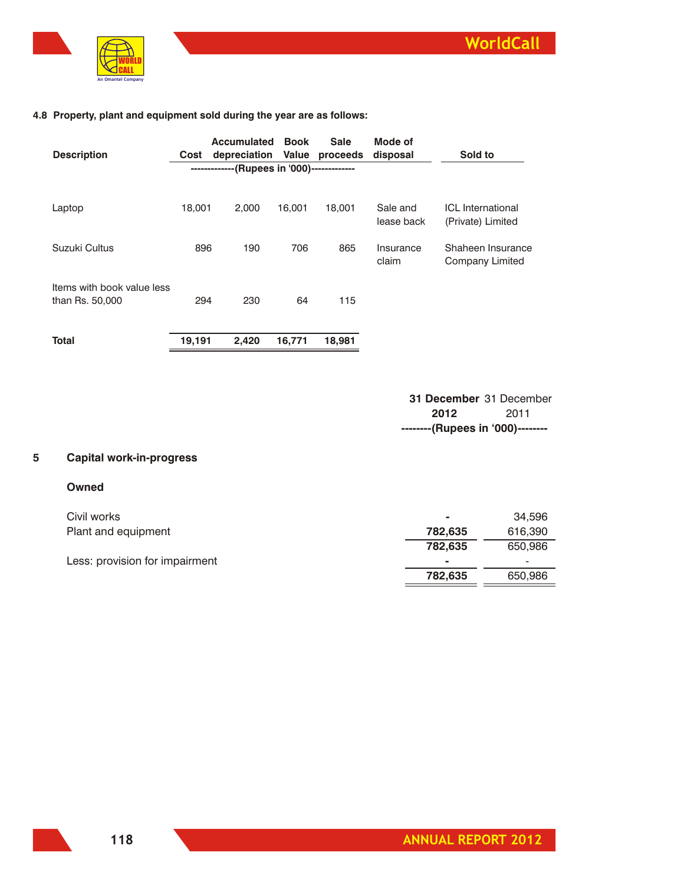

#### **4.8 Property, plant and equipment sold during the year are as follows:**

| <b>Description</b>                            | Cost   | <b>Accumulated</b><br>depreciation Value proceeds | <b>Book</b> | <b>Sale</b> | Mode of<br>disposal    | Sold to                                       |
|-----------------------------------------------|--------|---------------------------------------------------|-------------|-------------|------------------------|-----------------------------------------------|
|                                               |        | -------------(Rupees in '000)-------------        |             |             |                        |                                               |
| Laptop                                        | 18,001 | 2,000                                             | 16.001      | 18,001      | Sale and<br>lease back | <b>ICL</b> International<br>(Private) Limited |
| Suzuki Cultus                                 | 896    | 190                                               | 706         | 865         | Insurance<br>claim     | Shaheen Insurance<br>Company Limited          |
| Items with book value less<br>than Rs. 50,000 | 294    | 230                                               | 64          | 115         |                        |                                               |
| <b>Total</b>                                  | 19,191 | 2,420                                             | 16,771      | 18,981      |                        |                                               |

**31 December** 31 December **2012** 2011 **--------(Rupees in '000)--------**

#### **5 Capital work-in-progress**

#### **Owned**

| Civil works                    | ۰       | 34,596  |
|--------------------------------|---------|---------|
| Plant and equipment            | 782.635 | 616,390 |
|                                | 782.635 | 650,986 |
| Less: provision for impairment |         | -       |
|                                | 782.635 | 650,986 |
|                                |         |         |

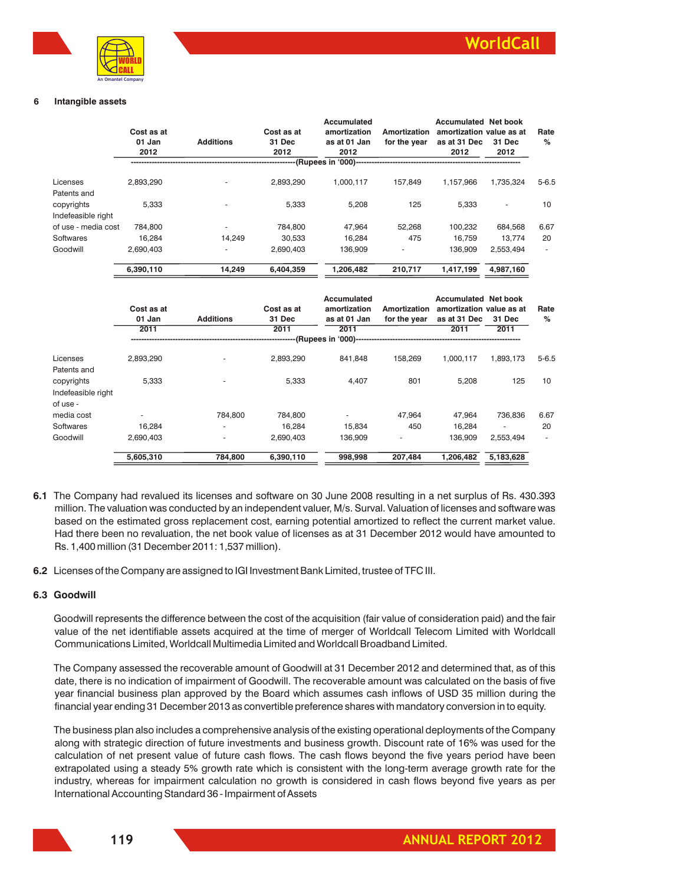**An Omantel Company**

#### **6 Intangible assets**

|                                  | Cost as at<br>01 Jan<br>2012 | <b>Additions</b> | Cost as at<br>31 Dec<br>2012 | Accumulated<br>amortization<br>as at 01 Jan<br>2012 | Amortization<br>for the year | <b>Accumulated Net book</b><br>amortization value as at<br>as at 31 Dec<br>2012 | 31 Dec<br>2012 | Rate<br>% |
|----------------------------------|------------------------------|------------------|------------------------------|-----------------------------------------------------|------------------------------|---------------------------------------------------------------------------------|----------------|-----------|
|                                  |                              |                  |                              | --(Rupees in '000)----                              |                              |                                                                                 |                |           |
| Licenses                         | 2.893.290                    |                  | 2.893.290                    | 1.000.117                                           | 157.849                      | 1.157.966                                                                       | 1.735.324      | $5 - 6.5$ |
| Patents and                      |                              |                  |                              |                                                     |                              |                                                                                 |                |           |
| copyrights<br>Indefeasible right | 5,333                        |                  | 5,333                        | 5,208                                               | 125                          | 5.333                                                                           |                | 10        |
| of use - media cost              | 784.800                      |                  | 784.800                      | 47.964                                              | 52,268                       | 100,232                                                                         | 684,568        | 6.67      |
| Softwares                        | 16.284                       | 14.249           | 30.533                       | 16.284                                              | 475                          | 16.759                                                                          | 13.774         | 20        |
| Goodwill                         | 2.690.403                    | ۰                | 2.690.403                    | 136.909                                             | ٠                            | 136.909                                                                         | 2,553,494      | $\sim$    |
|                                  | 6,390,110                    | 14.249           | 6.404.359                    | 1.206.482                                           | 210.717                      | 1.417.199                                                                       | 4.987.160      |           |

|                                              | Cost as at<br>01 Jan | <b>Additions</b> | Cost as at<br>31 Dec | Accumulated<br>amortization<br>as at 01 Jan | Amortization<br>for the year | <b>Accumulated Net book</b><br>amortization value as at<br>as at 31 Dec | 31 Dec    | Rate<br>% |
|----------------------------------------------|----------------------|------------------|----------------------|---------------------------------------------|------------------------------|-------------------------------------------------------------------------|-----------|-----------|
|                                              | 2011                 |                  | 2011                 | 2011                                        |                              | 2011                                                                    | 2011      |           |
|                                              |                      |                  |                      | ---(Rupees in '000)---                      |                              |                                                                         |           |           |
| Licenses<br>Patents and                      | 2.893.290            |                  | 2,893,290            | 841.848                                     | 158.269                      | 1.000.117                                                               | 1,893,173 | $5 - 6.5$ |
| copyrights<br>Indefeasible right<br>of use - | 5.333                |                  | 5,333                | 4,407                                       | 801                          | 5,208                                                                   | 125       | 10        |
| media cost                                   | ٠                    | 784.800          | 784,800              |                                             | 47,964                       | 47,964                                                                  | 736,836   | 6.67      |
| Softwares                                    | 16,284               | ۰                | 16.284               | 15.834                                      | 450                          | 16.284                                                                  |           | 20        |
| Goodwill                                     | 2.690.403            | ۰                | 2.690.403            | 136.909                                     |                              | 136.909                                                                 | 2,553,494 | ٠         |
|                                              | 5,605,310            | 784,800          | 6,390,110            | 998,998                                     | 207,484                      | 1,206,482                                                               | 5,183,628 |           |

- **6.1** The Company had revalued its licenses and software on 30 June 2008 resulting in a net surplus of Rs. 430.393 million. The valuation was conducted by an independent valuer, M/s. Surval. Valuation of licenses and software was based on the estimated gross replacement cost, earning potential amortized to reflect the current market value. Had there been no revaluation, the net book value of licenses as at 31 December 2012 would have amounted to Rs. 1,400 million (31 December 2011: 1,537 million).
- 6.2 Licenses of the Company are assigned to IGI Investment Bank Limited, trustee of TFC III.

#### **6.3 Goodwill**

Goodwill represents the difference between the cost of the acquisition (fair value of consideration paid) and the fair value of the net identifiable assets acquired at the time of merger of Worldcall Telecom Limited with Worldcall Communications Limited, Worldcall Multimedia Limited and Worldcall Broadband Limited.

The Company assessed the recoverable amount of Goodwill at 31 December 2012 and determined that, as of this date, there is no indication of impairment of Goodwill. The recoverable amount was calculated on the basis of five year financial business plan approved by the Board which assumes cash inflows of USD 35 million during the financial year ending 31 December 2013 as convertible preference shares with mandatory conversion in to equity.

The business plan also includes a comprehensive analysis of the existing operational deployments of the Company along with strategic direction of future investments and business growth. Discount rate of 16% was used for the calculation of net present value of future cash flows. The cash flows beyond the five years period have been extrapolated using a steady 5% growth rate which is consistent with the long-term average growth rate for the industry, whereas for impairment calculation no growth is considered in cash flows beyond five years as per International Accounting Standard 36 - Impairment of Assets

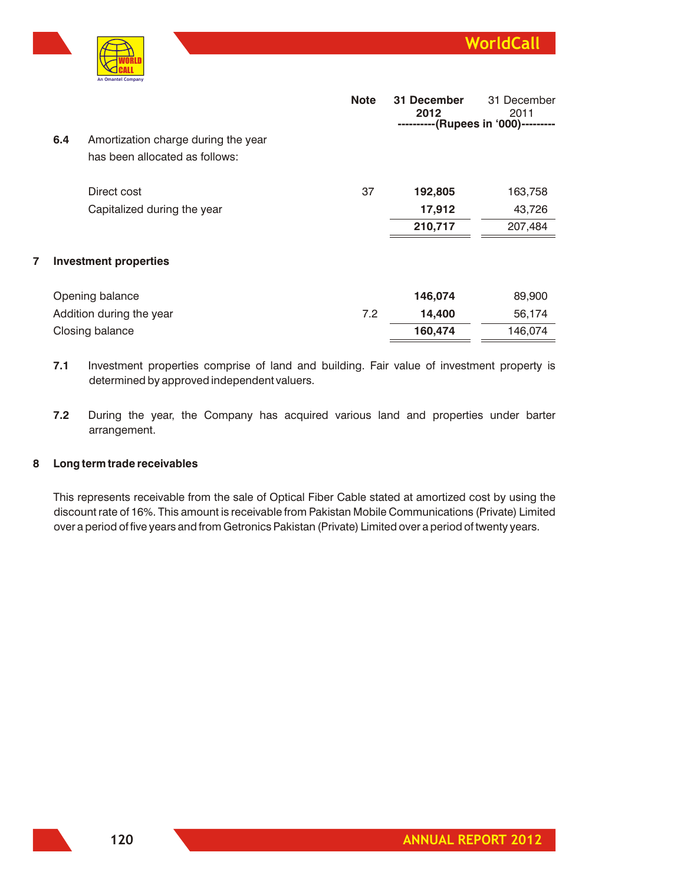



|   |     |                                     | <b>Note</b> | 31 December<br>2012 | 31 December<br>2011<br>--(Rupees in '000)--------- |
|---|-----|-------------------------------------|-------------|---------------------|----------------------------------------------------|
|   | 6.4 | Amortization charge during the year |             |                     |                                                    |
|   |     | has been allocated as follows:      |             |                     |                                                    |
|   |     | Direct cost                         | 37          | 192,805             | 163,758                                            |
|   |     | Capitalized during the year         |             | 17,912              | 43,726                                             |
|   |     |                                     |             | 210,717             | 207,484                                            |
| 7 |     | <b>Investment properties</b>        |             |                     |                                                    |
|   |     | Opening balance                     |             | 146,074             | 89,900                                             |
|   |     | Addition during the year            | 7.2         | 14,400              | 56,174                                             |
|   |     | Closing balance                     |             | 160,474             | 146,074                                            |
|   |     |                                     |             |                     |                                                    |

- **7.1** Investment properties comprise of land and building. Fair value of investment property is determined by approved independent valuers.
- **7.2** During the year, the Company has acquired various land and properties under barter arrangement.

#### **8 Long term trade receivables**

This represents receivable from the sale of Optical Fiber Cable stated at amortized cost by using the discount rate of 16%. This amount is receivable from Pakistan Mobile Communications (Private) Limited over a period of five years and from Getronics Pakistan (Private) Limited over a period of twenty years.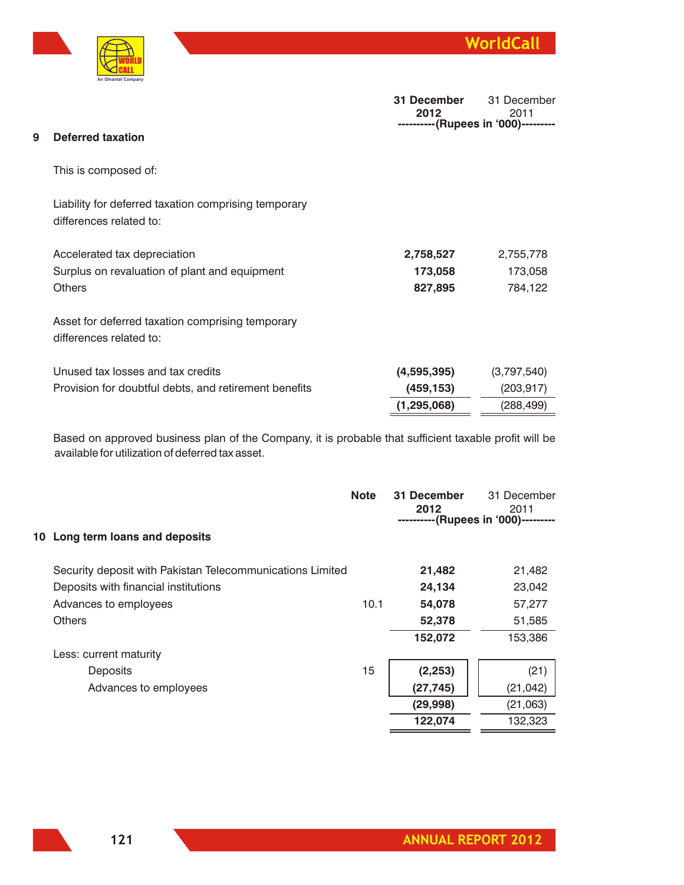



|   |                                                                                 | <b>31 December</b><br>2012 | 31 December<br>2011<br>----------(Rupees in '000)--------- |
|---|---------------------------------------------------------------------------------|----------------------------|------------------------------------------------------------|
| 9 | Deferred taxation                                                               |                            |                                                            |
|   | This is composed of:                                                            |                            |                                                            |
|   | Liability for deferred taxation comprising temporary<br>differences related to: |                            |                                                            |
|   | Accelerated tax depreciation                                                    | 2,758,527                  | 2,755,778                                                  |
|   | Surplus on revaluation of plant and equipment                                   | 173,058                    | 173,058                                                    |
|   | <b>Others</b>                                                                   | 827,895                    | 784,122                                                    |
|   | Asset for deferred taxation comprising temporary<br>differences related to:     |                            |                                                            |
|   | Unused tax losses and tax credits                                               | (4,595,395)                | (3,797,540)                                                |
|   | Provision for doubtful debts, and retirement benefits                           | (459, 153)                 | (203, 917)                                                 |
|   |                                                                                 | (1, 295, 068)              | (288,499)                                                  |

Based on approved business plan of the Company, it is probable that sufficient taxable profit will be available for utilization of deferred tax asset.

|                                                           | <b>Note</b> | 31 December<br>2012 | 31 December<br>2011<br>---(Rupees in '000)------- |
|-----------------------------------------------------------|-------------|---------------------|---------------------------------------------------|
| 10 Long term loans and deposits                           |             |                     |                                                   |
| Security deposit with Pakistan Telecommunications Limited |             | 21,482              | 21,482                                            |
| Deposits with financial institutions                      |             | 24,134              | 23,042                                            |
| Advances to employees                                     | 10.1        | 54,078              | 57,277                                            |
| <b>Others</b>                                             |             | 52,378              | 51,585                                            |
|                                                           |             | 152,072             | 153,386                                           |
| Less: current maturity                                    |             |                     |                                                   |
| <b>Deposits</b>                                           | 15          | (2, 253)            | (21)                                              |
| Advances to employees                                     |             | (27, 745)           | (21, 042)                                         |
|                                                           |             | (29, 998)           | (21,063)                                          |
|                                                           |             | 122,074             | 132,323                                           |

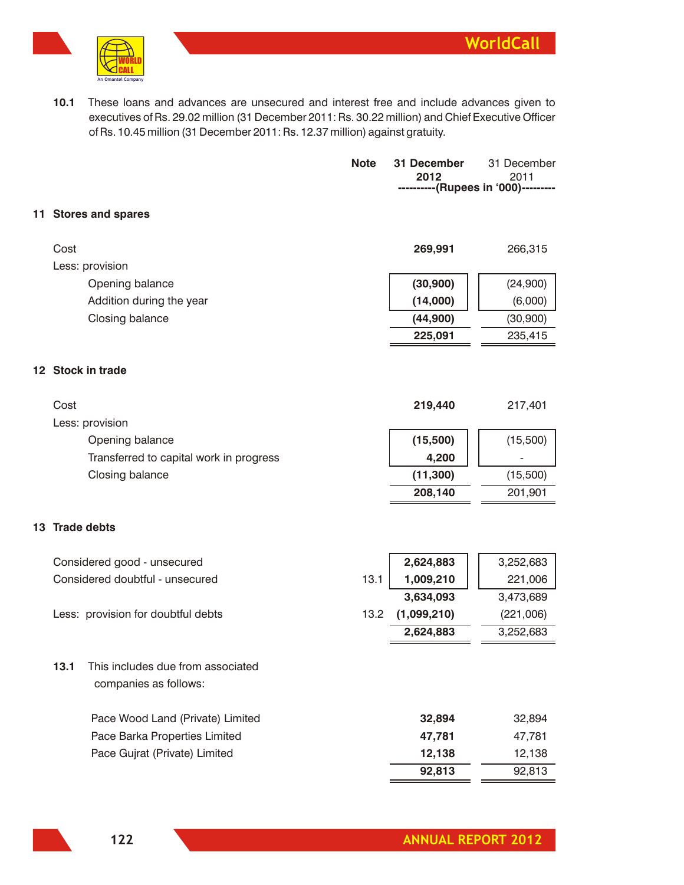

**10.1** These loans and advances are unsecured and interest free and include advances given to executives of Rs. 29.02 million (31 December 2011: Rs. 30.22 million) and Chief Executive Officer of Rs. 10.45 million (31 December 2011: Rs. 12.37 million) against gratuity.

|    | <b>Note</b>                             | 31 December<br>2012 | 31 December<br>2011<br>----------(Rupees in '000)--------- |
|----|-----------------------------------------|---------------------|------------------------------------------------------------|
| 11 | <b>Stores and spares</b>                |                     |                                                            |
|    | Cost                                    | 269,991             | 266,315                                                    |
|    | Less: provision                         |                     |                                                            |
|    | Opening balance                         | (30, 900)           | (24,900)                                                   |
|    | Addition during the year                | (14,000)            | (6,000)                                                    |
|    | Closing balance                         | (44,900)            | (30,900)                                                   |
|    |                                         | 225,091             | 235,415                                                    |
|    | 12 Stock in trade                       |                     |                                                            |
|    | Cost                                    | 219,440             | 217,401                                                    |
|    | Less: provision                         |                     |                                                            |
|    | Opening balance                         | (15,500)            | (15,500)                                                   |
|    | Transferred to capital work in progress | 4,200               |                                                            |
|    | Closing balance                         | (11,300)            | (15,500)                                                   |
|    |                                         | 208,140             | 201,901                                                    |
|    | 13 Trade debts                          |                     |                                                            |

| Considered good - unsecured                                        |      | 2,624,883   | 3,252,683 |
|--------------------------------------------------------------------|------|-------------|-----------|
| Considered doubtful - unsecured                                    | 13.1 | 1,009,210   | 221,006   |
|                                                                    |      | 3,634,093   | 3,473,689 |
| Less: provision for doubtful debts                                 | 13.2 | (1,099,210) | (221,006) |
|                                                                    |      | 2,624,883   | 3,252,683 |
| This includes due from associated<br>13.1<br>companies as follows: |      |             |           |
| Pace Wood Land (Private) Limited                                   |      | 32,894      | 32,894    |
| Pace Barka Properties Limited                                      |      | 47,781      | 47,781    |
| Pace Gujrat (Private) Limited                                      |      | 12,138      | 12,138    |
|                                                                    |      | 92,813      | 92,813    |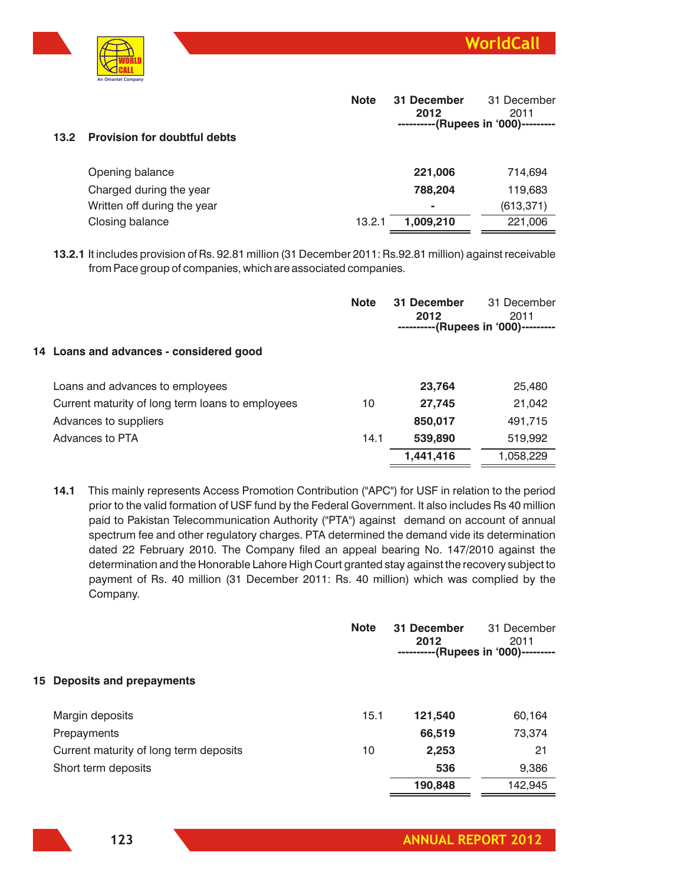

| 13.2 Provision for doubtful debts | <b>Note</b> | 31 December<br>2012 | 31 December<br>2011<br>----------(Rupees in '000)--------- |
|-----------------------------------|-------------|---------------------|------------------------------------------------------------|
| Opening balance                   |             | 221,006             | 714,694                                                    |
| Charged during the year           |             | 788,204             | 119,683                                                    |
| Written off during the year       |             | $\blacksquare$      | (613, 371)                                                 |
| Closing balance                   | 13.2.1      | 1,009,210           | 221,006                                                    |

**13.2.1** It includes provision of Rs. 92.81 million (31 December 2011: Rs.92.81 million) against receivable from Pace group of companies, which are associated companies.

|                                                  | <b>Note</b> | 31 December<br>2012 | 31 December<br>2011<br>-(Rupees in '000)--------- |
|--------------------------------------------------|-------------|---------------------|---------------------------------------------------|
| 14 Loans and advances - considered good          |             |                     |                                                   |
| Loans and advances to employees                  |             | 23,764              | 25,480                                            |
| Current maturity of long term loans to employees | 10          | 27,745              | 21,042                                            |
| Advances to suppliers                            |             | 850,017             | 491,715                                           |
| Advances to PTA                                  | 14.1        | 539,890             | 519,992                                           |
|                                                  |             | 1,441,416           | 1,058,229                                         |
|                                                  |             |                     |                                                   |

**14.1** This mainly represents Access Promotion Contribution ("APC") for USF in relation to the period prior to the valid formation of USF fund by the Federal Government. It also includes Rs 40 million paid to Pakistan Telecommunication Authority ("PTA") against demand on account of annual spectrum fee and other regulatory charges. PTA determined the demand vide its determination dated 22 February 2010. The Company filed an appeal bearing No. 147/2010 against the determination and the Honorable Lahore High Court granted stay against the recovery subject to payment of Rs. 40 million (31 December 2011: Rs. 40 million) which was complied by the Company.

|                                        | <b>Note</b> | 31 December<br>2012 | 31 December<br>2011<br>-(Rupees in '000)-- |
|----------------------------------------|-------------|---------------------|--------------------------------------------|
| 15 Deposits and prepayments            |             |                     |                                            |
| Margin deposits                        | 15.1        | 121,540             | 60,164                                     |
| Prepayments                            |             | 66,519              | 73,374                                     |
| Current maturity of long term deposits | 10          | 2,253               | 21                                         |
| Short term deposits                    |             | 536                 | 9,386                                      |
|                                        |             | 190,848             | 142,945                                    |
|                                        |             |                     |                                            |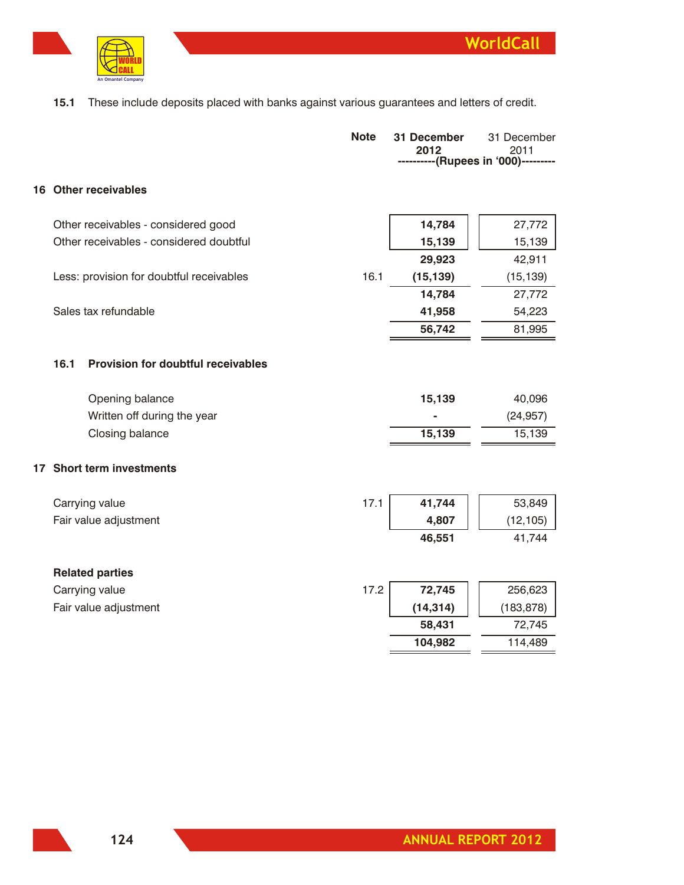

**15.1** These include deposits placed with banks against various guarantees and letters of credit.

|    |      |                                           | <b>Note</b> | 31 December<br>2012 | 31 December<br>2011<br>----------(Rupees in '000)--------- |
|----|------|-------------------------------------------|-------------|---------------------|------------------------------------------------------------|
|    |      | 16 Other receivables                      |             |                     |                                                            |
|    |      | Other receivables - considered good       |             | 14,784              | 27,772                                                     |
|    |      | Other receivables - considered doubtful   |             | 15,139              | 15,139                                                     |
|    |      |                                           |             | 29,923              | 42,911                                                     |
|    |      | Less: provision for doubtful receivables  | 16.1        | (15, 139)           | (15, 139)                                                  |
|    |      |                                           |             | 14,784              | 27,772                                                     |
|    |      | Sales tax refundable                      |             | 41,958              | 54,223                                                     |
|    |      |                                           |             | 56,742              | 81,995                                                     |
|    | 16.1 | <b>Provision for doubtful receivables</b> |             |                     |                                                            |
|    |      | Opening balance                           |             | 15,139              | 40,096                                                     |
|    |      | Written off during the year               |             |                     | (24, 957)                                                  |
|    |      | Closing balance                           |             | 15,139              | 15,139                                                     |
| 17 |      | <b>Short term investments</b>             |             |                     |                                                            |
|    |      | Carrying value                            | 17.1        | 41,744              | 53,849                                                     |
|    |      | Fair value adjustment                     |             | 4,807               | (12, 105)                                                  |
|    |      |                                           |             | 46,551              | 41,744                                                     |
|    |      | <b>Related parties</b>                    |             |                     |                                                            |
|    |      | Carrying value                            | 17.2        | 72,745              | 256,623                                                    |
|    |      | Fair value adjustment                     |             | (14, 314)           | (183, 878)                                                 |
|    |      |                                           |             | 58,431              | 72,745                                                     |
|    |      |                                           |             | 104,982             | 114,489                                                    |
|    |      |                                           |             |                     |                                                            |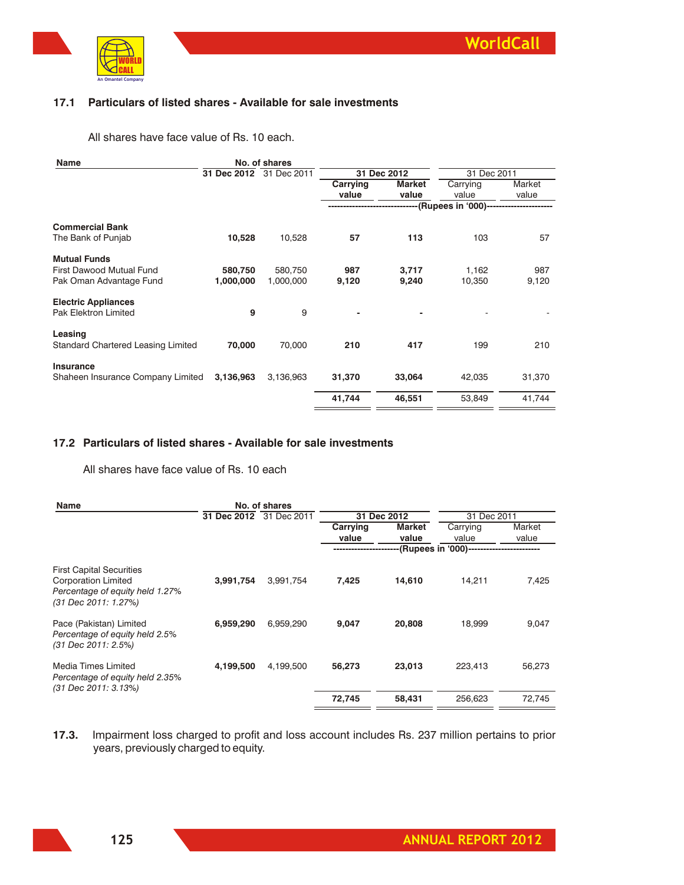

#### **17.1 Particulars of listed shares - Available for sale investments**

All shares have face value of Rs. 10 each.

| Name                               |             | No. of shares |          |               |                                                |        |  |
|------------------------------------|-------------|---------------|----------|---------------|------------------------------------------------|--------|--|
|                                    | 31 Dec 2012 | 31 Dec 2011   |          | 31 Dec 2012   | 31 Dec 2011                                    |        |  |
|                                    |             |               | Carrying | <b>Market</b> | Carrying                                       | Market |  |
|                                    |             |               | value    | value         | value                                          | value  |  |
|                                    |             |               |          |               | --------(Rupees in '000)---------------------- |        |  |
| <b>Commercial Bank</b>             |             |               |          |               |                                                |        |  |
| The Bank of Punjab                 | 10,528      | 10,528        | 57       | 113           | 103                                            | 57     |  |
| <b>Mutual Funds</b>                |             |               |          |               |                                                |        |  |
| <b>First Dawood Mutual Fund</b>    | 580,750     | 580,750       | 987      | 3,717         | 1,162                                          | 987    |  |
| Pak Oman Advantage Fund            | 1,000,000   | 1,000,000     | 9,120    | 9,240         | 10,350                                         | 9,120  |  |
| <b>Electric Appliances</b>         |             |               |          |               |                                                |        |  |
| Pak Elektron Limited               | 9           | 9             |          |               |                                                |        |  |
| Leasing                            |             |               |          |               |                                                |        |  |
| Standard Chartered Leasing Limited | 70,000      | 70,000        | 210      | 417           | 199                                            | 210    |  |
| <b>Insurance</b>                   |             |               |          |               |                                                |        |  |
| Shaheen Insurance Company Limited  | 3,136,963   | 3,136,963     | 31,370   | 33,064        | 42,035                                         | 31,370 |  |
|                                    |             |               | 41,744   | 46,551        | 53,849                                         | 41,744 |  |
|                                    |             |               |          |               |                                                |        |  |

#### **17.2 Particulars of listed shares - Available for sale investments**

All shares have face value of Rs. 10 each

| Name                                                                                  |                         | No. of shares |          |               |                                             |        |
|---------------------------------------------------------------------------------------|-------------------------|---------------|----------|---------------|---------------------------------------------|--------|
|                                                                                       | 31 Dec 2012 31 Dec 2011 |               |          | 31 Dec 2012   | 31 Dec 2011                                 |        |
|                                                                                       |                         |               | Carrying | <b>Market</b> | Carrying                                    | Market |
|                                                                                       |                         |               | value    | value         | value                                       | value  |
|                                                                                       |                         |               |          |               | --(Rupees in '000)------------------------- |        |
| <b>First Capital Securities</b>                                                       |                         |               |          |               |                                             |        |
| <b>Corporation Limited</b><br>Percentage of equity held 1.27%<br>(31 Dec 2011: 1.27%) | 3,991,754               | 3,991,754     | 7,425    | 14.610        | 14.211                                      | 7,425  |
| Pace (Pakistan) Limited<br>Percentage of equity held 2.5%<br>(31 Dec 2011: 2.5%)      | 6,959,290               | 6,959,290     | 9,047    | 20,808        | 18.999                                      | 9,047  |
| Media Times Limited<br>Percentage of equity held 2.35%<br>(31 Dec 2011: 3.13%)        | 4,199,500               | 4,199,500     | 56,273   | 23,013        | 223.413                                     | 56,273 |
|                                                                                       |                         |               | 72,745   | 58,431        | 256,623                                     | 72,745 |

**17.3.** Impairment loss charged to profit and loss account includes Rs. 237 million pertains to prior years, previously charged to equity.

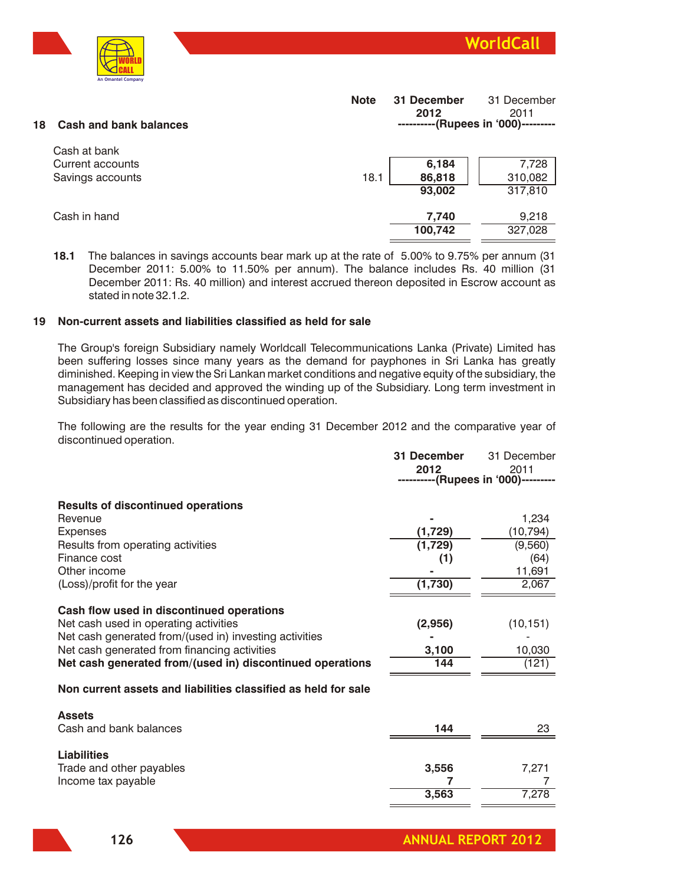

**100,742** 327,028

| 18 | Cash and bank balances                               | <b>Note</b> | 31 December<br>2012<br>----------(Rupees in '000)--------- | 31 December<br>2011         |
|----|------------------------------------------------------|-------------|------------------------------------------------------------|-----------------------------|
|    | Cash at bank<br>Current accounts<br>Savings accounts | 18.1        | 6,184<br>86,818<br>93,002                                  | 7,728<br>310,082<br>317,810 |
|    | Cash in hand                                         |             | 7,740                                                      | 9.218                       |

**18.1** The balances in savings accounts bear mark up at the rate of 5.00% to 9.75% per annum (31 December 2011: 5.00% to 11.50% per annum). The balance includes Rs. 40 million (31 December 2011: Rs. 40 million) and interest accrued thereon deposited in Escrow account as stated in note 32.1.2.

#### **19 Non-current assets and liabilities classified as held for sale**

The Group's foreign Subsidiary namely Worldcall Telecommunications Lanka (Private) Limited has been suffering losses since many years as the demand for payphones in Sri Lanka has greatly diminished. Keeping in view the Sri Lankan market conditions and negative equity of the subsidiary, the management has decided and approved the winding up of the Subsidiary. Long term investment in Subsidiary has been classified as discontinued operation.

The following are the results for the year ending 31 December 2012 and the comparative year of discontinued operation.

|                                                                | 31 December | 31 December                                 |
|----------------------------------------------------------------|-------------|---------------------------------------------|
|                                                                | 2012        | 2011<br>----------(Rupees in '000)--------- |
| <b>Results of discontinued operations</b>                      |             |                                             |
| Revenue                                                        |             | 1,234                                       |
| <b>Expenses</b>                                                | (1,729)     | (10, 794)                                   |
| Results from operating activities                              | (1,729)     | (9,560)                                     |
| Finance cost                                                   | (1)         | (64)                                        |
| Other income                                                   |             | 11,691                                      |
| (Loss)/profit for the year                                     | (1,730)     | 2,067                                       |
| Cash flow used in discontinued operations                      |             |                                             |
| Net cash used in operating activities                          | (2,956)     | (10, 151)                                   |
| Net cash generated from/(used in) investing activities         |             |                                             |
| Net cash generated from financing activities                   | 3,100       | 10,030                                      |
| Net cash generated from/(used in) discontinued operations      | 144         | (121)                                       |
| Non current assets and liabilities classified as held for sale |             |                                             |
| <b>Assets</b>                                                  |             |                                             |
| Cash and bank balances                                         | 144         | 23                                          |
| <b>Liabilities</b>                                             |             |                                             |
| Trade and other payables                                       | 3,556       | 7,271                                       |
| Income tax payable                                             |             |                                             |
|                                                                | 3,563       | 7,278                                       |
|                                                                |             |                                             |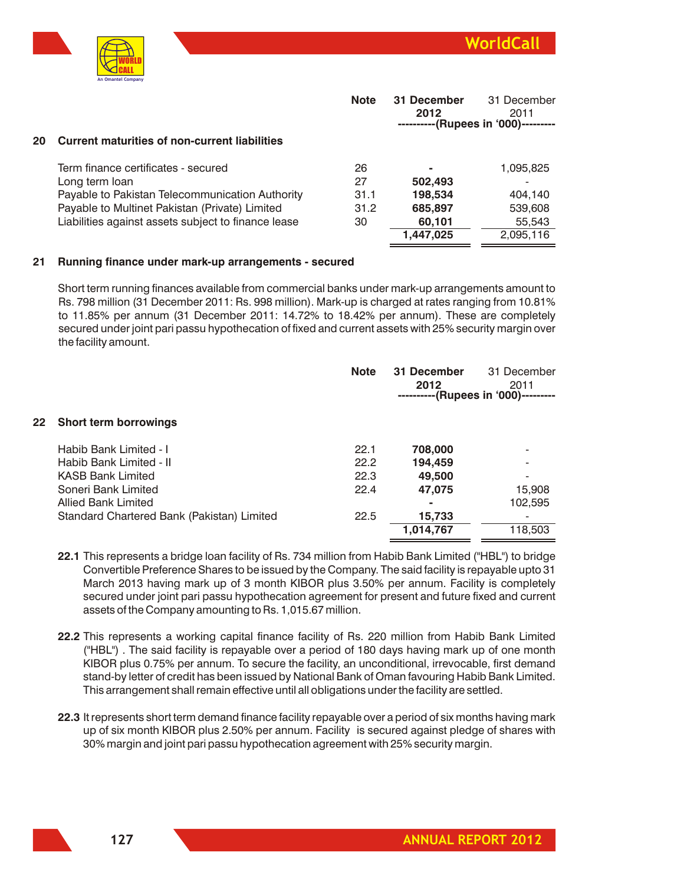

|    |                                                      | <b>Note</b> | 31 December<br>2012 | 31 December<br>2011<br>----------(Rupees in '000)--------- |
|----|------------------------------------------------------|-------------|---------------------|------------------------------------------------------------|
| 20 | <b>Current maturities of non-current liabilities</b> |             |                     |                                                            |
|    | Term finance certificates - secured                  | 26          | ٠                   | 1,095,825                                                  |
|    | Long term loan                                       | 27          | 502,493             |                                                            |
|    | Payable to Pakistan Telecommunication Authority      | 31.1        | 198.534             | 404.140                                                    |
|    | Payable to Multinet Pakistan (Private) Limited       | 31.2        | 685,897             | 539,608                                                    |
|    | Liabilities against assets subject to finance lease  | 30          | 60,101              | 55,543                                                     |
|    |                                                      |             | 1,447,025           | 2,095,116                                                  |
|    |                                                      |             |                     |                                                            |

#### **21 Running finance under mark-up arrangements - secured**

Short term running finances available from commercial banks under mark-up arrangements amount to Rs. 798 million (31 December 2011: Rs. 998 million). Mark-up is charged at rates ranging from 10.81% to 11.85% per annum (31 December 2011: 14.72% to 18.42% per annum). These are completely secured under joint pari passu hypothecation of fixed and current assets with 25% security margin over the facility amount.

|     |                                            | <b>Note</b> | 31 December<br>2012 | 31 December<br>2011<br>--(Rupees in '000)--------- |
|-----|--------------------------------------------|-------------|---------------------|----------------------------------------------------|
| 22. | <b>Short term borrowings</b>               |             |                     |                                                    |
|     | Habib Bank Limited - I                     | 22.1        | 708,000             |                                                    |
|     | Habib Bank Limited - II                    | 22.2        | 194,459             | $\overline{\phantom{0}}$                           |
|     | <b>KASB Bank Limited</b>                   | 22.3        | 49,500              | $\overline{\phantom{a}}$                           |
|     | Soneri Bank Limited                        | 22.4        | 47.075              | 15,908                                             |
|     | <b>Allied Bank Limited</b>                 |             |                     | 102,595                                            |
|     | Standard Chartered Bank (Pakistan) Limited | 22.5        | 15,733              | $\overline{\phantom{a}}$                           |
|     |                                            |             | 1,014,767           | 118,503                                            |
|     |                                            |             |                     |                                                    |

- **22.1** This represents a bridge loan facility of Rs. 734 million from Habib Bank Limited ("HBL") to bridge Convertible Preference Shares to be issued by the Company. The said facility is repayable upto 31 March 2013 having mark up of 3 month KIBOR plus 3.50% per annum. Facility is completely secured under joint pari passu hypothecation agreement for present and future fixed and current assets of the Company amounting to Rs. 1,015.67 million.
- **22.2** This represents a working capital finance facility of Rs. 220 million from Habib Bank Limited ("HBL") . The said facility is repayable over a period of 180 days having mark up of one month KIBOR plus 0.75% per annum. To secure the facility, an unconditional, irrevocable, first demand stand-by letter of credit has been issued by National Bank of Oman favouring Habib Bank Limited. This arrangement shall remain effective until all obligations under the facility are settled.
- **22.3** It represents short term demand finance facility repayable over a period of six months having mark up of six month KIBOR plus 2.50% per annum. Facility is secured against pledge of shares with 30% margin and joint pari passu hypothecation agreement with 25% security margin.

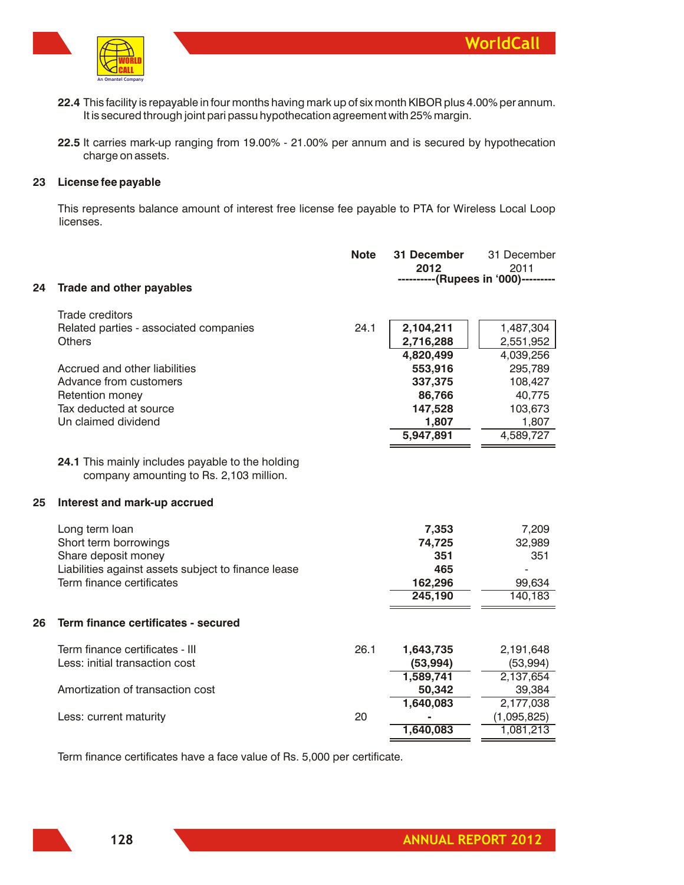

- **22.4** This facility is repayable in four months having mark up of six month KIBOR plus 4.00% per annum. It is secured through joint pari passu hypothecation agreement with 25% margin.
- **22.5** It carries mark-up ranging from 19.00% 21.00% per annum and is secured by hypothecation charge on assets.

#### **23 License fee payable**

This represents balance amount of interest free license fee payable to PTA for Wireless Local Loop licenses.

|    |                                                                                             | <b>Note</b> | 31 December<br>2012 | 31 December<br>2011<br>----------(Rupees in '000)--------- |
|----|---------------------------------------------------------------------------------------------|-------------|---------------------|------------------------------------------------------------|
| 24 | Trade and other payables                                                                    |             |                     |                                                            |
|    | <b>Trade creditors</b>                                                                      |             |                     |                                                            |
|    | Related parties - associated companies                                                      | 24.1        | 2,104,211           | 1,487,304                                                  |
|    | <b>Others</b>                                                                               |             | 2,716,288           | 2,551,952                                                  |
|    |                                                                                             |             | 4,820,499           | 4,039,256                                                  |
|    | Accrued and other liabilities                                                               |             | 553,916             | 295,789                                                    |
|    | Advance from customers                                                                      |             | 337,375             | 108,427                                                    |
|    | Retention money                                                                             |             | 86,766              | 40,775                                                     |
|    | Tax deducted at source                                                                      |             | 147,528             | 103,673                                                    |
|    | Un claimed dividend                                                                         |             | 1,807               | 1,807                                                      |
|    |                                                                                             |             | 5,947,891           | 4,589,727                                                  |
|    | 24.1 This mainly includes payable to the holding<br>company amounting to Rs. 2,103 million. |             |                     |                                                            |
| 25 | Interest and mark-up accrued                                                                |             |                     |                                                            |
|    | Long term loan                                                                              |             | 7,353               | 7,209                                                      |
|    | Short term borrowings                                                                       |             | 74,725              | 32,989                                                     |
|    | Share deposit money                                                                         |             | 351                 | 351                                                        |
|    | Liabilities against assets subject to finance lease                                         |             | 465                 |                                                            |
|    | Term finance certificates                                                                   |             | 162,296             | 99,634                                                     |
|    |                                                                                             |             | 245,190             | 140,183                                                    |
| 26 | Term finance certificates - secured                                                         |             |                     |                                                            |
|    | Term finance certificates - III                                                             | 26.1        | 1,643,735           | 2,191,648                                                  |
|    | Less: initial transaction cost                                                              |             | (53, 994)           | (53,994)                                                   |
|    |                                                                                             |             | 1,589,741           | 2,137,654                                                  |
|    | Amortization of transaction cost                                                            |             | 50,342              | 39,384                                                     |
|    |                                                                                             |             | 1,640,083           | 2,177,038                                                  |
|    | Less: current maturity                                                                      | 20          |                     | (1,095,825)                                                |
|    |                                                                                             |             | 1,640,083           | 1,081,213                                                  |
|    |                                                                                             |             |                     |                                                            |

Term finance certificates have a face value of Rs. 5,000 per certificate.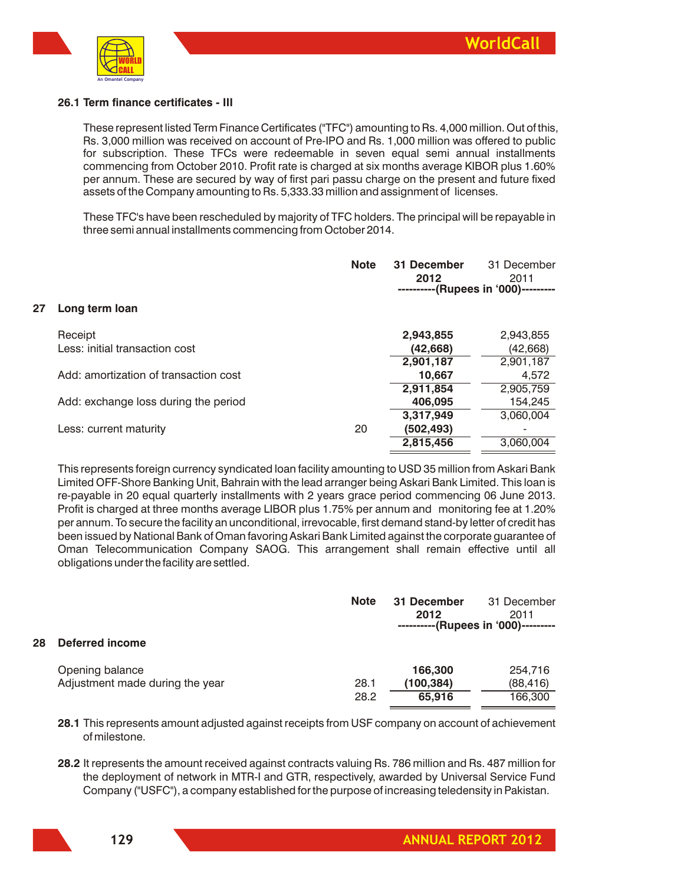

#### **26.1 Term finance certificates - III**

These represent listed Term Finance Certificates ("TFC") amounting to Rs. 4,000 million. Out of this, Rs. 3,000 million was received on account of Pre-IPO and Rs. 1,000 million was offered to public for subscription. These TFCs were redeemable in seven equal semi annual installments commencing from October 2010. Profit rate is charged at six months average KIBOR plus 1.60% per annum. These are secured by way of first pari passu charge on the present and future fixed assets of the Company amounting to Rs. 5,333.33 million and assignment of licenses.

These TFC's have been rescheduled by majority of TFC holders. The principal will be repayable in three semi annual installments commencing from October 2014.

|    |                                       | <b>Note</b> | 31 December<br>2012 | 31 December<br>2011 |
|----|---------------------------------------|-------------|---------------------|---------------------|
|    |                                       |             |                     | -(Rupees in '000)-- |
| 27 | Long term loan                        |             |                     |                     |
|    | Receipt                               |             | 2,943,855           | 2,943,855           |
|    | Less: initial transaction cost        |             | (42, 668)           | (42, 668)           |
|    |                                       |             | 2,901,187           | 2,901,187           |
|    | Add: amortization of transaction cost |             | 10,667              | 4,572               |
|    |                                       |             | 2,911,854           | 2,905,759           |
|    | Add: exchange loss during the period  |             | 406,095             | 154,245             |
|    |                                       |             | 3,317,949           | 3.060.004           |
|    | Less: current maturity                | 20          | (502, 493)          |                     |
|    |                                       |             | 2,815,456           | 3,060,004           |
|    |                                       |             |                     |                     |

This represents foreign currency syndicated loan facility amounting to USD 35 million from Askari Bank Limited OFF-Shore Banking Unit, Bahrain with the lead arranger being Askari Bank Limited. This loan is re-payable in 20 equal quarterly installments with 2 years grace period commencing 06 June 2013. Profit is charged at three months average LIBOR plus 1.75% per annum and monitoring fee at 1.20% per annum. To secure the facility an unconditional, irrevocable, first demand stand-by letter of credit has been issued by National Bank of Oman favoring Askari Bank Limited against the corporate guarantee of Oman Telecommunication Company SAOG. This arrangement shall remain effective until all obligations under the facility are settled.

| 28 | Deferred income                 | <b>Note</b> | 31 December<br>2012 | 31 December<br>2011<br>----------(Rupees in '000)--------- |
|----|---------------------------------|-------------|---------------------|------------------------------------------------------------|
|    |                                 |             |                     |                                                            |
|    | Opening balance                 |             | 166,300             | 254,716                                                    |
|    | Adjustment made during the year | 28.1        | (100, 384)          | (88, 416)                                                  |
|    |                                 | 28.2        | 65.916              | 166,300                                                    |
|    |                                 |             |                     |                                                            |

**28.1** This represents amount adjusted against receipts from USF company on account of achievement of milestone.

**28.2** It represents the amount received against contracts valuing Rs. 786 million and Rs. 487 million for the deployment of network in MTR-I and GTR, respectively, awarded by Universal Service Fund Company ("USFC"), a company established for the purpose of increasing teledensity in Pakistan.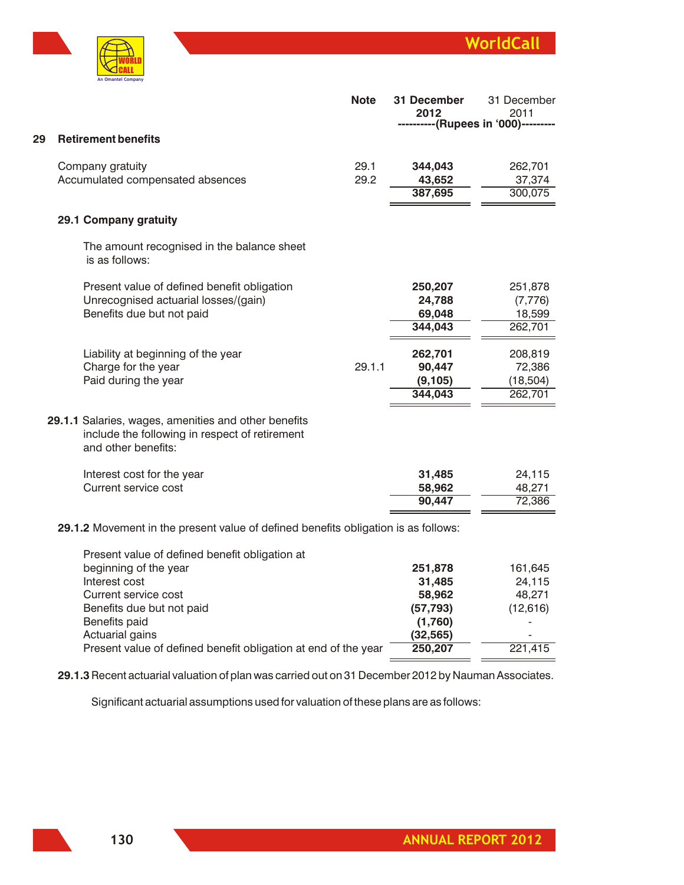

|    |                                                                                                                               | <b>Note</b>  | 31 December<br>2012 | 31 December<br>2011<br>----------(Rupees in '000)--------- |
|----|-------------------------------------------------------------------------------------------------------------------------------|--------------|---------------------|------------------------------------------------------------|
| 29 | <b>Retirement benefits</b>                                                                                                    |              |                     |                                                            |
|    | Company gratuity<br>Accumulated compensated absences                                                                          | 29.1<br>29.2 | 344,043<br>43,652   | 262,701<br>37,374                                          |
|    |                                                                                                                               |              | 387,695             | 300,075                                                    |
|    | 29.1 Company gratuity                                                                                                         |              |                     |                                                            |
|    | The amount recognised in the balance sheet<br>is as follows:                                                                  |              |                     |                                                            |
|    | Present value of defined benefit obligation                                                                                   |              | 250,207             | 251,878                                                    |
|    | Unrecognised actuarial losses/(gain)                                                                                          |              | 24,788              | (7, 776)                                                   |
|    | Benefits due but not paid                                                                                                     |              | 69,048              | 18,599                                                     |
|    |                                                                                                                               |              | 344,043             | 262,701                                                    |
|    | Liability at beginning of the year                                                                                            |              | 262,701             | 208,819                                                    |
|    | Charge for the year                                                                                                           | 29.1.1       | 90,447              | 72,386                                                     |
|    | Paid during the year                                                                                                          |              | (9, 105)            | (18, 504)                                                  |
|    |                                                                                                                               |              | 344,043             | 262,701                                                    |
|    | 29.1.1 Salaries, wages, amenities and other benefits<br>include the following in respect of retirement<br>and other benefits: |              |                     |                                                            |
|    | Interest cost for the year                                                                                                    |              | 31,485              | 24,115                                                     |
|    | Current service cost                                                                                                          |              | 58,962              | 48,271                                                     |
|    |                                                                                                                               |              | 90,447              | 72,386                                                     |
|    | 29.1.2 Movement in the present value of defined benefits obligation is as follows:                                            |              |                     |                                                            |
|    | Present value of defined benefit obligation at                                                                                |              |                     |                                                            |
|    | beginning of the year                                                                                                         |              | 251,878             | 161,645                                                    |
|    | Interest cost                                                                                                                 |              | 31,485              | 24,115                                                     |
|    | Current service cost                                                                                                          |              | 58,962              | 48,271                                                     |

Benefits due but not paid **(57,793)** (12,616)<br>Benefits paid **(1.760) Benefits paid** Actuarial gains<br>Present value of defined benefit obligation at end of the year  $\frac{(32,565)}{250,207}$   $\frac{1}{221,415}$ Present value of defined benefit obligation at end of the year

**29.1.3** Recent actuarial valuation of plan was carried out on 31 December 2012 by Nauman Associates.

Significant actuarial assumptions used for valuation of these plans are as follows: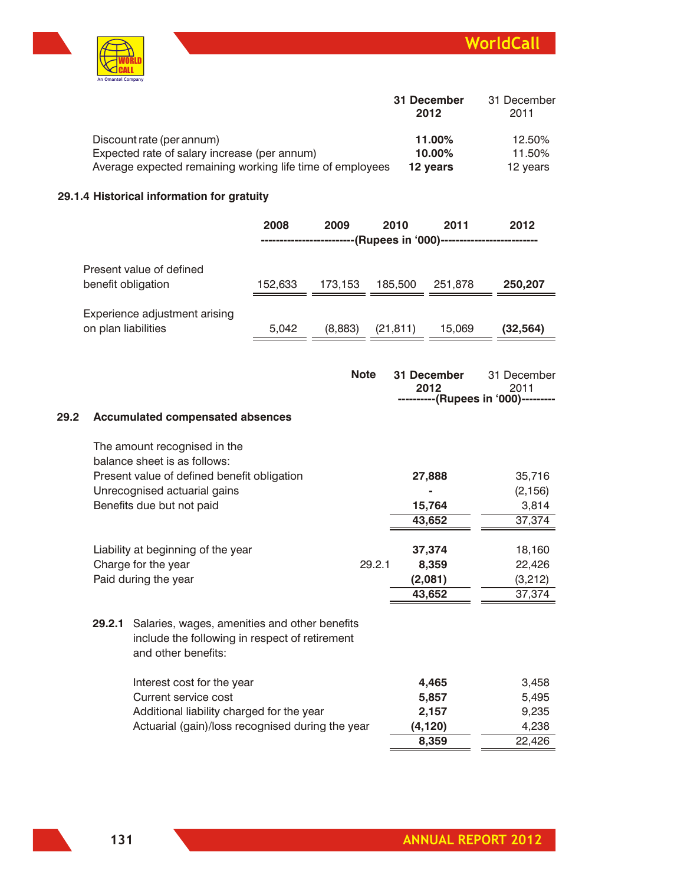

|      |                     |                                                                                                                                                                          |         |             |           | 31 December<br>2012                                 | 31 December<br>2011                                        |
|------|---------------------|--------------------------------------------------------------------------------------------------------------------------------------------------------------------------|---------|-------------|-----------|-----------------------------------------------------|------------------------------------------------------------|
|      |                     | Discount rate (per annum)<br>Expected rate of salary increase (per annum)<br>Average expected remaining working life time of employees                                   |         |             |           | 11.00%<br>10.00%<br>12 years                        | 12.50%<br>11.50%<br>12 years                               |
|      |                     | 29.1.4 Historical information for gratuity                                                                                                                               |         |             |           |                                                     |                                                            |
|      |                     |                                                                                                                                                                          | 2008    | 2009        | 2010      | 2011                                                | 2012                                                       |
|      |                     |                                                                                                                                                                          |         |             |           | -------------(Rupees in '000)---------------------- |                                                            |
|      | benefit obligation  | Present value of defined                                                                                                                                                 | 152,633 | 173,153     | 185,500   | 251,878                                             | 250,207                                                    |
|      | on plan liabilities | Experience adjustment arising                                                                                                                                            | 5,042   | (8,883)     | (21, 811) | 15,069                                              | (32, 564)                                                  |
| 29.2 |                     | <b>Accumulated compensated absences</b>                                                                                                                                  |         | <b>Note</b> |           | 31 December<br>2012                                 | 31 December<br>2011<br>----------(Rupees in '000)--------- |
|      |                     | The amount recognised in the<br>balance sheet is as follows:<br>Present value of defined benefit obligation<br>Unrecognised actuarial gains<br>Benefits due but not paid |         |             |           | 27,888<br>15,764<br>43,652                          | 35,716<br>(2, 156)<br>3,814<br>37,374                      |
|      |                     | Liability at beginning of the year<br>Charge for the year<br>Paid during the year                                                                                        |         |             | 29.2.1    | 37,374<br>8,359<br>(2,081)<br>43,652                | 18,160<br>22,426<br>(3,212)<br>37,374                      |
|      | 29.2.1              | Salaries, wages, amenities and other benefits<br>include the following in respect of retirement<br>and other benefits:                                                   |         |             |           |                                                     |                                                            |
|      |                     | Interest cost for the year<br>Current service cost<br>Additional liability charged for the year<br>Actuarial (gain)/loss recognised during the year                      |         |             |           | 4,465<br>5,857<br>2,157<br>(4, 120)<br>8,359        | 3,458<br>5,495<br>9,235<br>4,238<br>22,426                 |

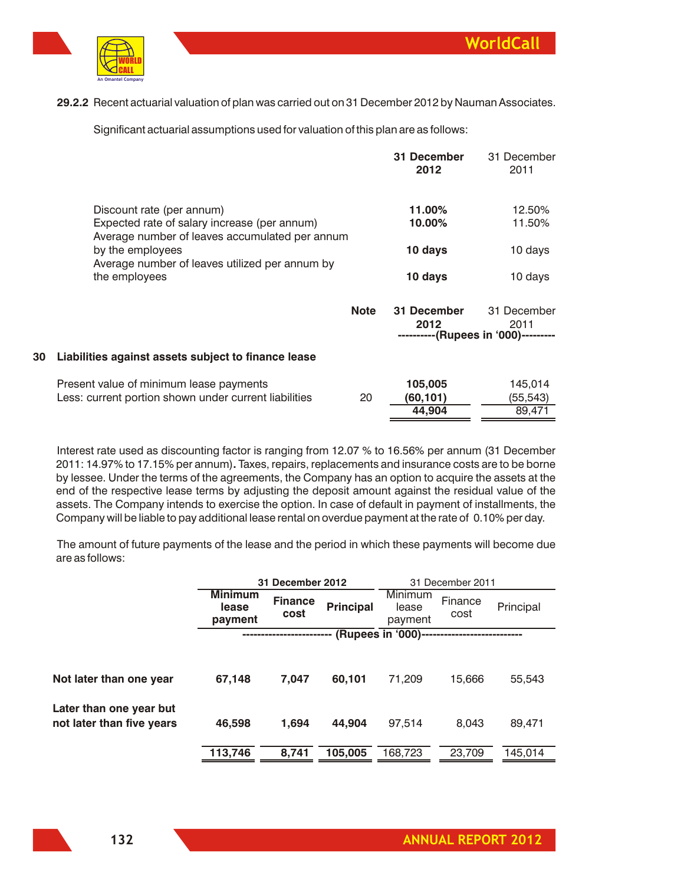

**29.2.2** Recent actuarial valuation of plan was carried out on 31 December 2012 by Nauman Associates.

Significant actuarial assumptions used for valuation of this plan are as follows:

|    |                                                                                                                             |             | 31 December<br>2012           | 31 December<br>2011                                |
|----|-----------------------------------------------------------------------------------------------------------------------------|-------------|-------------------------------|----------------------------------------------------|
|    | Discount rate (per annum)<br>Expected rate of salary increase (per annum)<br>Average number of leaves accumulated per annum |             | 11.00%<br>10.00%              | 12.50%<br>11.50%                                   |
|    | by the employees                                                                                                            |             | 10 days                       | 10 days                                            |
|    | Average number of leaves utilized per annum by<br>the employees                                                             |             | 10 days                       | 10 days                                            |
|    |                                                                                                                             | <b>Note</b> | 31 December<br>2012           | 31 December<br>2011<br>--(Rupees in '000)--------- |
| 30 | Liabilities against assets subject to finance lease                                                                         |             |                               |                                                    |
|    | Present value of minimum lease payments<br>Less: current portion shown under current liabilities                            | 20          | 105,005<br>(60,101)<br>44,904 | 145,014<br>(55,543)<br>89,471                      |

Interest rate used as discounting factor is ranging from 12.07 % to 16.56% per annum (31 December 2011: 14.97% to 17.15% per annum)**.** Taxes, repairs, replacements and insurance costs are to be borne by lessee. Under the terms of the agreements, the Company has an option to acquire the assets at the end of the respective lease terms by adjusting the deposit amount against the residual value of the assets. The Company intends to exercise the option. In case of default in payment of installments, the Company will be liable to pay additional lease rental on overdue payment at the rate of 0.10% per day.

The amount of future payments of the lease and the period in which these payments will become due are as follows:

|                           | 31 December 2012                   |                        | 31 December 2011 |                             |                 |           |
|---------------------------|------------------------------------|------------------------|------------------|-----------------------------|-----------------|-----------|
|                           | <b>Minimum</b><br>lease<br>payment | <b>Finance</b><br>cost | <b>Principal</b> | Minimum<br>lease<br>payment | Finance<br>cost | Principal |
|                           | (Rupees in '000)-                  |                        |                  |                             |                 |           |
|                           |                                    |                        |                  |                             |                 |           |
| Not later than one year   | 67,148                             | 7.047                  | 60.101           | 71.209                      | 15.666          | 55.543    |
| Later than one year but   |                                    |                        |                  |                             |                 |           |
| not later than five years | 46,598                             | 1.694                  | 44.904           | 97.514                      | 8.043           | 89.471    |
|                           |                                    |                        |                  |                             |                 |           |
|                           | 113,746                            | 8,741                  | 105,005          | 168.723                     | 23,709          | 145,014   |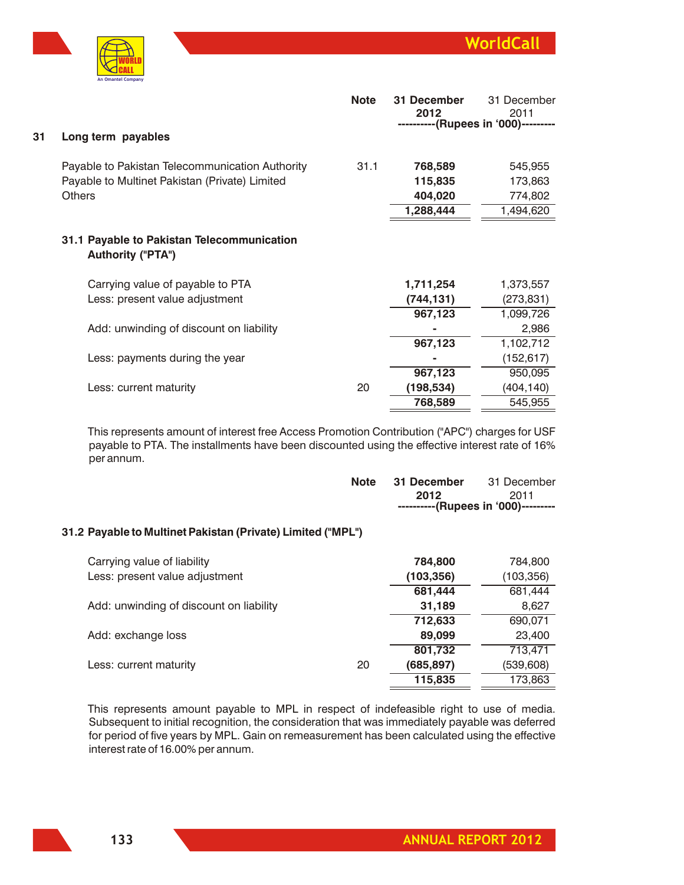



|    |                                                                        | <b>Note</b> | 31 December<br>2012 | 31 December<br>2011<br>----------(Rupees in '000)--------- |
|----|------------------------------------------------------------------------|-------------|---------------------|------------------------------------------------------------|
| 31 | Long term payables                                                     |             |                     |                                                            |
|    | Payable to Pakistan Telecommunication Authority                        | 31.1        | 768,589             | 545,955                                                    |
|    | Payable to Multinet Pakistan (Private) Limited                         |             | 115,835             | 173,863                                                    |
|    | <b>Others</b>                                                          |             | 404,020             | 774,802                                                    |
|    |                                                                        |             | 1,288,444           | 1,494,620                                                  |
|    | 31.1 Payable to Pakistan Telecommunication<br><b>Authority ("PTA")</b> |             |                     |                                                            |
|    | Carrying value of payable to PTA                                       |             | 1,711,254           | 1,373,557                                                  |
|    | Less: present value adjustment                                         |             | (744, 131)          | (273, 831)                                                 |
|    |                                                                        |             | 967,123             | 1,099,726                                                  |
|    | Add: unwinding of discount on liability                                |             |                     | 2,986                                                      |
|    |                                                                        |             | 967,123             | 1,102,712                                                  |
|    | Less: payments during the year                                         |             |                     | (152, 617)                                                 |
|    |                                                                        |             | 967,123             | 950,095                                                    |
|    | Less: current maturity                                                 | 20          | (198, 534)          | (404,140)                                                  |
|    |                                                                        |             | 768,589             | 545,955                                                    |

This represents amount of interest free Access Promotion Contribution ("APC") charges for USF payable to PTA. The installments have been discounted using the effective interest rate of 16% per annum.

|                                                             | <b>Note</b> | 31 December<br>2012 | 31 December<br>2011<br>----------(Rupees in '000)--------- |
|-------------------------------------------------------------|-------------|---------------------|------------------------------------------------------------|
| 31.2 Payable to Multinet Pakistan (Private) Limited ("MPL") |             |                     |                                                            |
| Carrying value of liability                                 |             | 784.800             | 784.800                                                    |
| Less: present value adjustment                              |             | (103, 356)          | (103, 356)                                                 |

|                                         |    | 681,444    | 681,444    |
|-----------------------------------------|----|------------|------------|
| Add: unwinding of discount on liability |    | 31,189     | 8,627      |
|                                         |    | 712,633    | 690,071    |
| Add: exchange loss                      |    | 89,099     | 23,400     |
|                                         |    | 801,732    | 713,471    |
| Less: current maturity                  | 20 | (685, 897) | (539, 608) |
|                                         |    | 115,835    | 173,863    |
|                                         |    |            |            |

This represents amount payable to MPL in respect of indefeasible right to use of media. Subsequent to initial recognition, the consideration that was immediately payable was deferred for period of five years by MPL. Gain on remeasurement has been calculated using the effective interest rate of 16.00% per annum.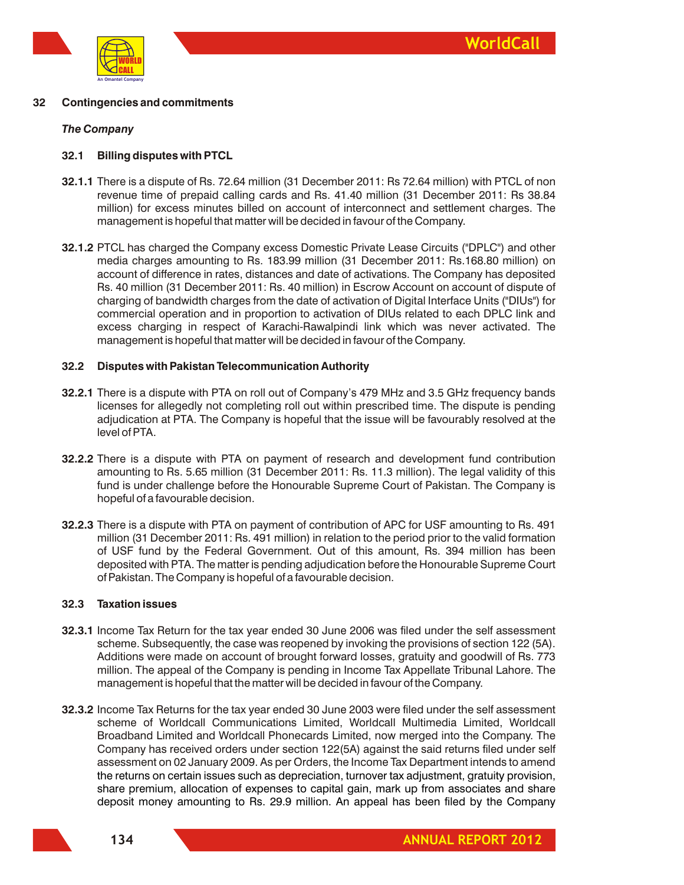

#### **32 Contingencies and commitments**

#### *The Company*

#### **32.1 Billing disputes with PTCL**

- **32.1.1** There is a dispute of Rs. 72.64 million (31 December 2011: Rs 72.64 million) with PTCL of non revenue time of prepaid calling cards and Rs. 41.40 million (31 December 2011: Rs 38.84 million) for excess minutes billed on account of interconnect and settlement charges. The management is hopeful that matter will be decided in favour of the Company.
- **32.1.2** PTCL has charged the Company excess Domestic Private Lease Circuits ("DPLC") and other media charges amounting to Rs. 183.99 million (31 December 2011: Rs.168.80 million) on account of difference in rates, distances and date of activations. The Company has deposited Rs. 40 million (31 December 2011: Rs. 40 million) in Escrow Account on account of dispute of charging of bandwidth charges from the date of activation of Digital Interface Units ("DIUs") for commercial operation and in proportion to activation of DIUs related to each DPLC link and excess charging in respect of Karachi-Rawalpindi link which was never activated. The management is hopeful that matter will be decided in favour of the Company.

#### **32.2 Disputes with Pakistan Telecommunication Authority**

- **32.2.1** There is a dispute with PTA on roll out of Company's 479 MHz and 3.5 GHz frequency bands licenses for allegedly not completing roll out within prescribed time. The dispute is pending adjudication at PTA. The Company is hopeful that the issue will be favourably resolved at the level of PTA.
- **32.2.2** There is a dispute with PTA on payment of research and development fund contribution amounting to Rs. 5.65 million (31 December 2011: Rs. 11.3 million). The legal validity of this fund is under challenge before the Honourable Supreme Court of Pakistan. The Company is hopeful of a favourable decision.
- **32.2.3** There is a dispute with PTA on payment of contribution of APC for USF amounting to Rs. 491 million (31 December 2011: Rs. 491 million) in relation to the period prior to the valid formation of USF fund by the Federal Government. Out of this amount, Rs. 394 million has been deposited with PTA. The matter is pending adjudication before the Honourable Supreme Court of Pakistan. The Company is hopeful of a favourable decision.

#### **32.3 Taxation issues**

- **32.3.1** Income Tax Return for the tax year ended 30 June 2006 was filed under the self assessment scheme. Subsequently, the case was reopened by invoking the provisions of section 122 (5A). Additions were made on account of brought forward losses, gratuity and goodwill of Rs. 773 million. The appeal of the Company is pending in Income Tax Appellate Tribunal Lahore. The management is hopeful that the matter will be decided in favour of the Company.
- **32.3.2** Income Tax Returns for the tax year ended 30 June 2003 were filed under the self assessment scheme of Worldcall Communications Limited, Worldcall Multimedia Limited, Worldcall Broadband Limited and Worldcall Phonecards Limited, now merged into the Company. The Company has received orders under section 122(5A) against the said returns filed under self assessment on 02 January 2009. As per Orders, the Income Tax Department intends to amend the returns on certain issues such as depreciation, turnover tax adjustment, gratuity provision, share premium, allocation of expenses to capital gain, mark up from associates and share deposit money amounting to Rs. 29.9 million. An appeal has been filed by the Company

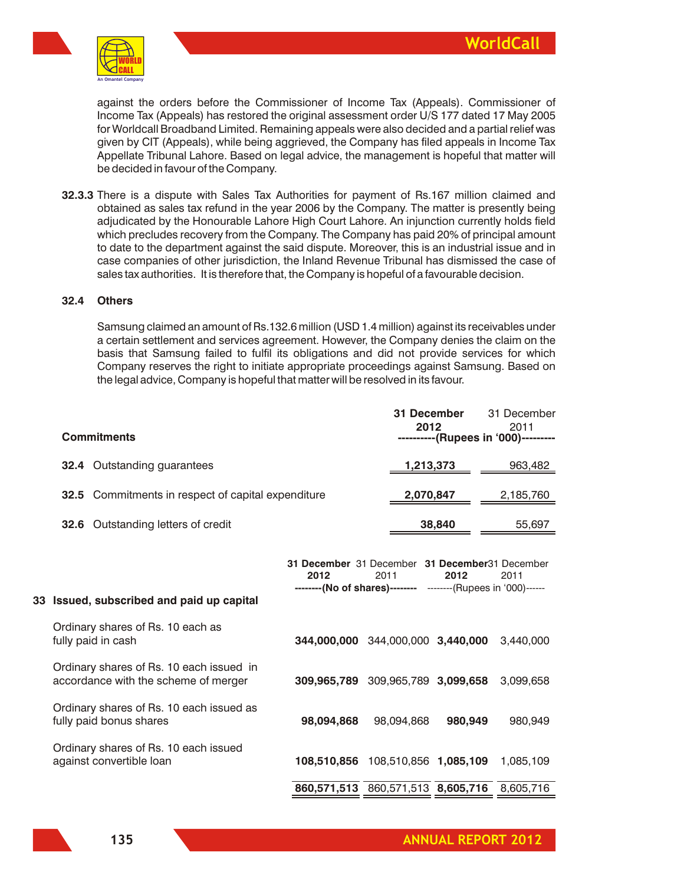

against the orders before the Commissioner of Income Tax (Appeals). Commissioner of Income Tax (Appeals) has restored the original assessment order U/S 177 dated 17 May 2005 for Worldcall Broadband Limited. Remaining appeals were also decided and a partial relief was given by CIT (Appeals), while being aggrieved, the Company has filed appeals in Income Tax Appellate Tribunal Lahore. Based on legal advice, the management is hopeful that matter will be decided in favour of the Company.

**32.3.3** There is a dispute with Sales Tax Authorities for payment of Rs.167 million claimed and obtained as sales tax refund in the year 2006 by the Company. The matter is presently being adjudicated by the Honourable Lahore High Court Lahore. An injunction currently holds field which precludes recovery from the Company. The Company has paid 20% of principal amount to date to the department against the said dispute. Moreover, this is an industrial issue and in case companies of other jurisdiction, the Inland Revenue Tribunal has dismissed the case of sales tax authorities. It is therefore that, the Company is hopeful of a favourable decision.

#### **32.4 Others**

Samsung claimed an amount of Rs.132.6 million (USD 1.4 million) against its receivables under a certain settlement and services agreement. However, the Company denies the claim on the basis that Samsung failed to fulfil its obligations and did not provide services for which Company reserves the right to initiate appropriate proceedings against Samsung. Based on the legal advice, Company is hopeful that matter will be resolved in its favour.

|  | <b>Commitments</b>                                                                                   |                                                                                                                                                               | 31 December<br>2012 |         | 31 December<br>2011<br>----------(Rupees in '000)--------- |
|--|------------------------------------------------------------------------------------------------------|---------------------------------------------------------------------------------------------------------------------------------------------------------------|---------------------|---------|------------------------------------------------------------|
|  | 32.4 Outstanding guarantees                                                                          |                                                                                                                                                               | <u>1,213,373</u>    |         | 963,482                                                    |
|  | 32.5 Commitments in respect of capital expenditure                                                   |                                                                                                                                                               | 2,070,847           |         | 2,185,760                                                  |
|  | 32.6 Outstanding letters of credit                                                                   |                                                                                                                                                               |                     | 38,840  | 55,697                                                     |
|  | 33 Issued, subscribed and paid up capital<br>Ordinary shares of Rs. 10 each as<br>fully paid in cash | 31 December 31 December 31 December 31 December<br>2012<br>--------(No of shares)-------- --------(Rupees in '000)------<br>344,000,000 344,000,000 3,440,000 | 2011                | 2012    | 2011<br>3.440.000                                          |
|  | Ordinary shares of Rs. 10 each issued in<br>accordance with the scheme of merger                     | 309,965,789 309,965,789 3,099,658                                                                                                                             |                     |         | 3,099,658                                                  |
|  | Ordinary shares of Rs. 10 each issued as<br>fully paid bonus shares                                  | 98.094.868                                                                                                                                                    | 98,094,868          | 980,949 | 980.949                                                    |
|  | Ordinary shares of Rs. 10 each issued<br>against convertible loan                                    | 108,510,856 108,510,856 1,085,109                                                                                                                             |                     |         | 1.085.109                                                  |
|  |                                                                                                      | 860,571,513 860,571,513 8,605,716                                                                                                                             |                     |         | 8,605,716                                                  |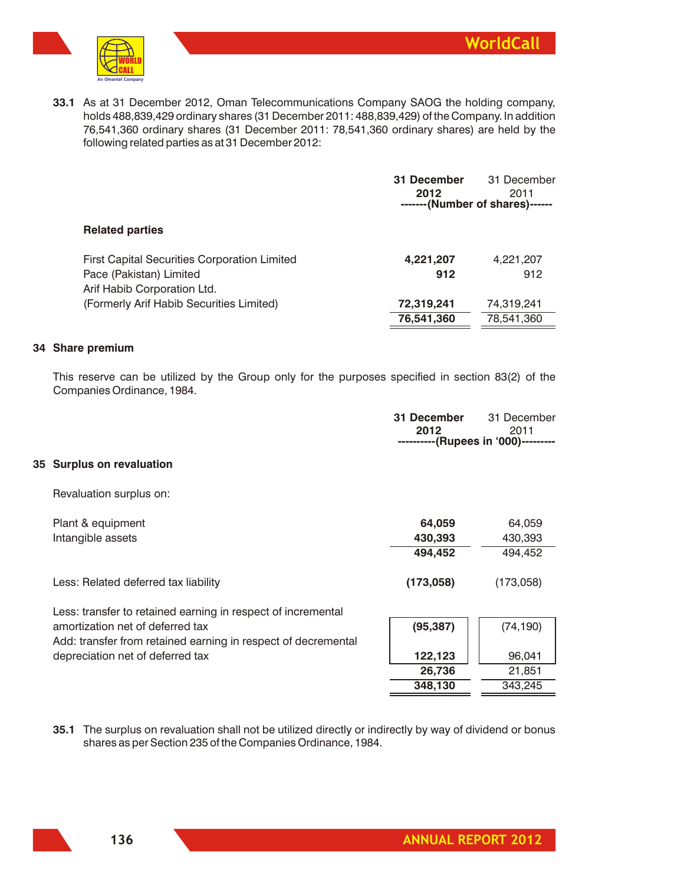

**33.1** As at 31 December 2012, Oman Telecommunications Company SAOG the holding company, holds 488,839,429 ordinary shares (31 December 2011: 488,839,429) of the Company. In addition 76,541,360 ordinary shares (31 December 2011: 78,541,360 ordinary shares) are held by the following related parties as at 31 December 2012:

|                                                                                                               | 31 December<br>2012      | 31 December<br>2011<br>-------(Number of shares)------ |
|---------------------------------------------------------------------------------------------------------------|--------------------------|--------------------------------------------------------|
| <b>Related parties</b>                                                                                        |                          |                                                        |
| <b>First Capital Securities Corporation Limited</b><br>Pace (Pakistan) Limited<br>Arif Habib Corporation Ltd. | 4,221,207<br>912         | 4,221,207<br>912                                       |
| (Formerly Arif Habib Securities Limited)                                                                      | 72,319,241<br>76,541,360 | 74,319,241<br>78,541,360                               |

#### **34 Share premium**

This reserve can be utilized by the Group only for the purposes specified in section 83(2) of the Companies Ordinance, 1984.

|                                                               | 31 December<br>2012 | 31 December<br>2011<br>----------(Rupees in '000)--------- |
|---------------------------------------------------------------|---------------------|------------------------------------------------------------|
| 35 Surplus on revaluation                                     |                     |                                                            |
| Revaluation surplus on:                                       |                     |                                                            |
| Plant & equipment                                             | 64,059              | 64,059                                                     |
| Intangible assets                                             | 430,393             | 430,393                                                    |
|                                                               | 494,452             | 494,452                                                    |
| Less: Related deferred tax liability                          | (173,058)           | (173,058)                                                  |
| Less: transfer to retained earning in respect of incremental  |                     |                                                            |
| amortization net of deferred tax                              | (95, 387)           | (74, 190)                                                  |
| Add: transfer from retained earning in respect of decremental |                     |                                                            |
| depreciation net of deferred tax                              | 122,123             | 96,041                                                     |
|                                                               | 26,736              | 21,851                                                     |
|                                                               | 348,130             | 343,245                                                    |

**35.1** The surplus on revaluation shall not be utilized directly or indirectly by way of dividend or bonus shares as per Section 235 of the Companies Ordinance, 1984.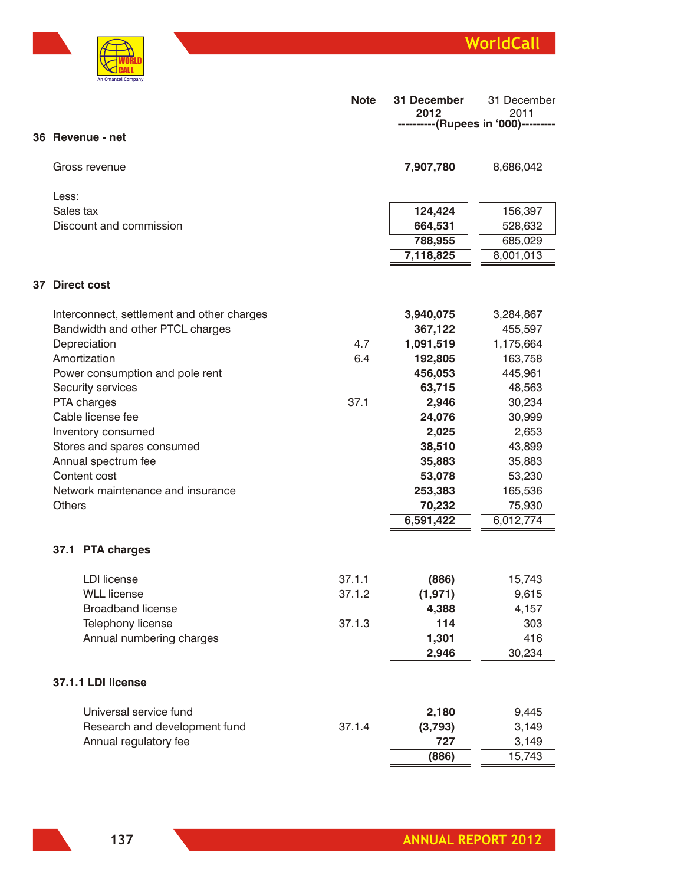

|     |                                            | <b>Note</b> | 31 December<br>2012  | 31 December<br>2011<br>----------(Rupees in '000)--------- |
|-----|--------------------------------------------|-------------|----------------------|------------------------------------------------------------|
| 36. | <b>Revenue - net</b>                       |             |                      |                                                            |
|     | Gross revenue                              |             | 7,907,780            | 8,686,042                                                  |
|     | Less:                                      |             |                      |                                                            |
|     | Sales tax                                  |             | 124,424              | 156,397                                                    |
|     | Discount and commission                    |             | 664,531              | 528,632                                                    |
|     |                                            |             | 788,955<br>7,118,825 | 685,029<br>8,001,013                                       |
|     |                                            |             |                      |                                                            |
| 37  | <b>Direct cost</b>                         |             |                      |                                                            |
|     | Interconnect, settlement and other charges |             | 3,940,075            | 3,284,867                                                  |
|     | Bandwidth and other PTCL charges           |             | 367,122              | 455,597                                                    |
|     | Depreciation                               | 4.7         | 1,091,519            | 1,175,664                                                  |
|     | Amortization                               | 6.4         | 192,805              | 163,758                                                    |
|     | Power consumption and pole rent            |             | 456,053              | 445,961                                                    |
|     | Security services<br>PTA charges           | 37.1        | 63,715<br>2,946      | 48,563<br>30,234                                           |
|     | Cable license fee                          |             | 24,076               | 30,999                                                     |
|     | Inventory consumed                         |             | 2,025                | 2,653                                                      |
|     | Stores and spares consumed                 |             | 38,510               | 43,899                                                     |
|     | Annual spectrum fee                        |             | 35,883               | 35,883                                                     |
|     | Content cost                               |             | 53,078               | 53,230                                                     |
|     | Network maintenance and insurance          |             | 253,383              | 165,536                                                    |
|     | <b>Others</b>                              |             | 70,232               | 75,930                                                     |
|     |                                            |             | 6,591,422            | 6,012,774                                                  |
|     | 37.1 PTA charges                           |             |                      |                                                            |
|     | <b>LDI</b> license                         | 37.1.1      | (886)                | 15,743                                                     |
|     | <b>WLL</b> license                         | 37.1.2      | (1, 971)             | 9,615                                                      |
|     | <b>Broadband license</b>                   |             | 4,388                | 4,157                                                      |
|     | Telephony license                          | 37.1.3      | 114                  | 303                                                        |
|     | Annual numbering charges                   |             | 1,301                | 416                                                        |
|     |                                            |             | 2,946                | 30,234                                                     |
|     | 37.1.1 LDI license                         |             |                      |                                                            |
|     | Universal service fund                     |             | 2,180                | 9,445                                                      |
|     | Research and development fund              | 37.1.4      | (3,793)              | 3,149                                                      |
|     | Annual regulatory fee                      |             | 727                  | 3,149                                                      |
|     |                                            |             | (886)                | 15,743                                                     |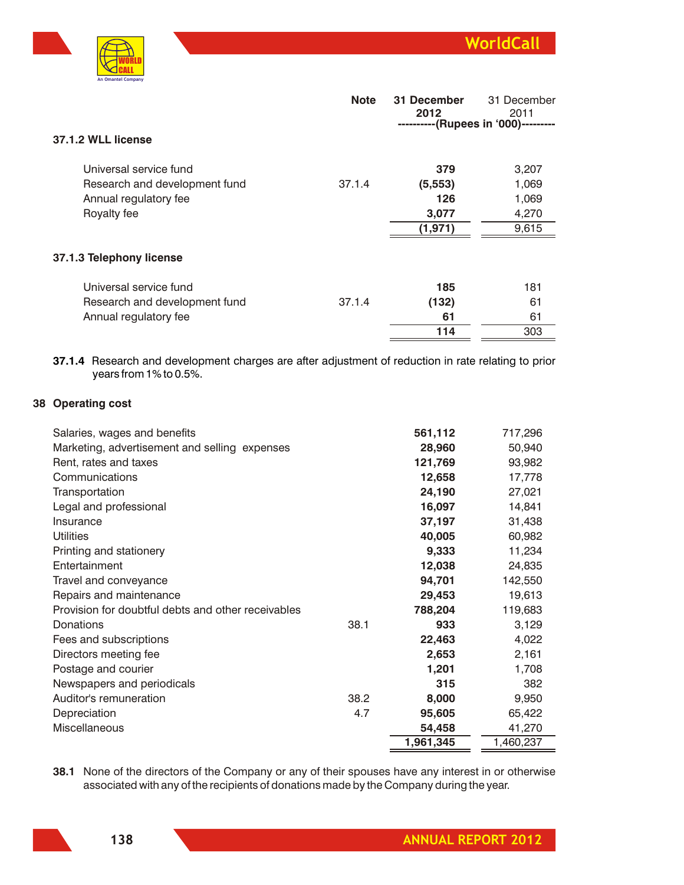

|                               | <b>Note</b> | 31 December<br>2012 | 31 December<br>2011<br>-(Rupees in '000)--------- |
|-------------------------------|-------------|---------------------|---------------------------------------------------|
| <b>37.1.2 WLL license</b>     |             |                     |                                                   |
| Universal service fund        |             | 379                 | 3,207                                             |
| Research and development fund | 37.1.4      | (5, 553)            | 1,069                                             |
| Annual regulatory fee         |             | 126                 | 1,069                                             |
| Royalty fee                   |             | 3,077               | 4,270                                             |
|                               |             | (1, 971)            | 9,615                                             |
| 37.1.3 Telephony license      |             |                     |                                                   |
| Universal service fund        |             | 185                 | 181                                               |
| Research and development fund | 37.1.4      | (132)               | 61                                                |
| Annual regulatory fee         |             | 61                  | 61                                                |
|                               |             | 114                 | 303                                               |

**37.1.4** Research and development charges are after adjustment of reduction in rate relating to prior years from 1% to 0.5%.

#### **38 Operating cost**

| Marketing, advertisement and selling expenses<br>28,960<br>50,940<br>Rent, rates and taxes<br>121,769<br>93,982<br>Communications<br>12,658<br>17,778<br>24,190<br>Transportation<br>27,021<br>Legal and professional<br>16,097<br>14,841<br>37,197<br>31,438<br>Insurance<br>Utilities<br>40,005<br>60,982<br>Printing and stationery<br>9,333<br>11,234<br>12,038<br>Entertainment<br>24,835<br>94,701<br>142,550<br>Travel and conveyance<br>Repairs and maintenance<br>19,613<br>29,453<br>Provision for doubtful debts and other receivables<br>788,204<br>119,683<br>Donations<br>38.1<br>933<br>3,129<br>4,022<br>Fees and subscriptions<br>22,463<br>2,161<br>Directors meeting fee<br>2,653<br>1,201<br>1,708<br>Postage and courier<br>382<br>Newspapers and periodicals<br>315<br>Auditor's remuneration<br>38.2<br>8,000<br>9,950<br>4.7<br>Depreciation<br>95,605<br>65,422<br>Miscellaneous<br>41,270<br>54,458<br>1,961,345 | Salaries, wages and benefits | 561,112 | 717,296   |
|--------------------------------------------------------------------------------------------------------------------------------------------------------------------------------------------------------------------------------------------------------------------------------------------------------------------------------------------------------------------------------------------------------------------------------------------------------------------------------------------------------------------------------------------------------------------------------------------------------------------------------------------------------------------------------------------------------------------------------------------------------------------------------------------------------------------------------------------------------------------------------------------------------------------------------------------|------------------------------|---------|-----------|
|                                                                                                                                                                                                                                                                                                                                                                                                                                                                                                                                                                                                                                                                                                                                                                                                                                                                                                                                            |                              |         |           |
|                                                                                                                                                                                                                                                                                                                                                                                                                                                                                                                                                                                                                                                                                                                                                                                                                                                                                                                                            |                              |         |           |
|                                                                                                                                                                                                                                                                                                                                                                                                                                                                                                                                                                                                                                                                                                                                                                                                                                                                                                                                            |                              |         |           |
|                                                                                                                                                                                                                                                                                                                                                                                                                                                                                                                                                                                                                                                                                                                                                                                                                                                                                                                                            |                              |         |           |
|                                                                                                                                                                                                                                                                                                                                                                                                                                                                                                                                                                                                                                                                                                                                                                                                                                                                                                                                            |                              |         |           |
|                                                                                                                                                                                                                                                                                                                                                                                                                                                                                                                                                                                                                                                                                                                                                                                                                                                                                                                                            |                              |         |           |
|                                                                                                                                                                                                                                                                                                                                                                                                                                                                                                                                                                                                                                                                                                                                                                                                                                                                                                                                            |                              |         |           |
|                                                                                                                                                                                                                                                                                                                                                                                                                                                                                                                                                                                                                                                                                                                                                                                                                                                                                                                                            |                              |         |           |
|                                                                                                                                                                                                                                                                                                                                                                                                                                                                                                                                                                                                                                                                                                                                                                                                                                                                                                                                            |                              |         |           |
|                                                                                                                                                                                                                                                                                                                                                                                                                                                                                                                                                                                                                                                                                                                                                                                                                                                                                                                                            |                              |         |           |
|                                                                                                                                                                                                                                                                                                                                                                                                                                                                                                                                                                                                                                                                                                                                                                                                                                                                                                                                            |                              |         |           |
|                                                                                                                                                                                                                                                                                                                                                                                                                                                                                                                                                                                                                                                                                                                                                                                                                                                                                                                                            |                              |         |           |
|                                                                                                                                                                                                                                                                                                                                                                                                                                                                                                                                                                                                                                                                                                                                                                                                                                                                                                                                            |                              |         |           |
|                                                                                                                                                                                                                                                                                                                                                                                                                                                                                                                                                                                                                                                                                                                                                                                                                                                                                                                                            |                              |         |           |
|                                                                                                                                                                                                                                                                                                                                                                                                                                                                                                                                                                                                                                                                                                                                                                                                                                                                                                                                            |                              |         |           |
|                                                                                                                                                                                                                                                                                                                                                                                                                                                                                                                                                                                                                                                                                                                                                                                                                                                                                                                                            |                              |         |           |
|                                                                                                                                                                                                                                                                                                                                                                                                                                                                                                                                                                                                                                                                                                                                                                                                                                                                                                                                            |                              |         |           |
|                                                                                                                                                                                                                                                                                                                                                                                                                                                                                                                                                                                                                                                                                                                                                                                                                                                                                                                                            |                              |         |           |
|                                                                                                                                                                                                                                                                                                                                                                                                                                                                                                                                                                                                                                                                                                                                                                                                                                                                                                                                            |                              |         |           |
|                                                                                                                                                                                                                                                                                                                                                                                                                                                                                                                                                                                                                                                                                                                                                                                                                                                                                                                                            |                              |         |           |
|                                                                                                                                                                                                                                                                                                                                                                                                                                                                                                                                                                                                                                                                                                                                                                                                                                                                                                                                            |                              |         | 1,460,237 |

**38.1** None of the directors of the Company or any of their spouses have any interest in or otherwise associated with any of the recipients of donations made by the Company during the year.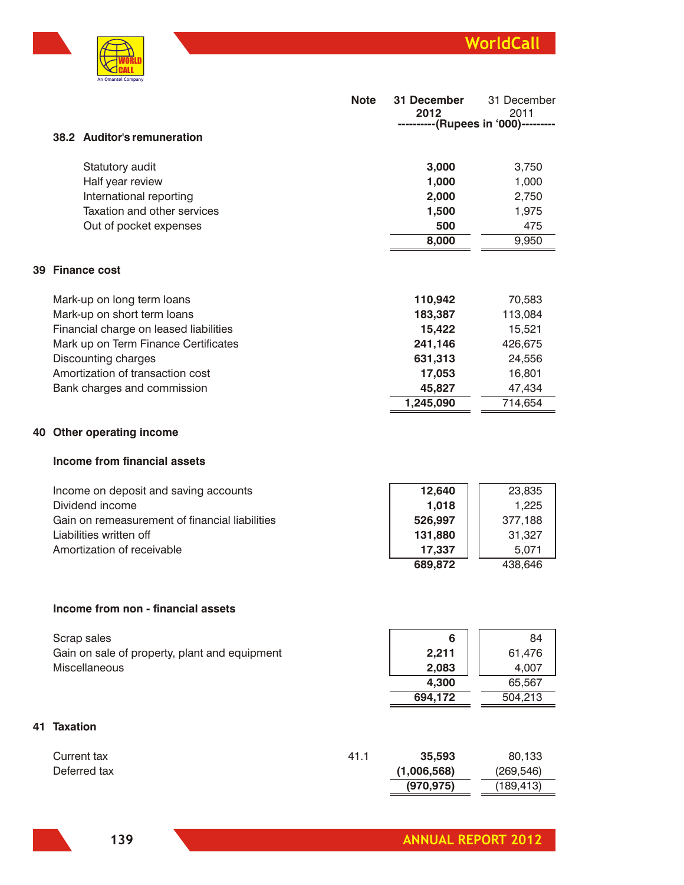

**Note 31 December** 31 December

|    |                 |                                                |      | 2012<br>2011<br>----------(Rupees in '000)--------- |            |  |  |
|----|-----------------|------------------------------------------------|------|-----------------------------------------------------|------------|--|--|
|    |                 | 38.2 Auditor's remuneration                    |      |                                                     |            |  |  |
|    |                 |                                                |      |                                                     |            |  |  |
|    |                 |                                                |      |                                                     |            |  |  |
|    |                 | Statutory audit                                |      | 3,000<br>1,000                                      | 3,750      |  |  |
|    |                 | Half year review                               |      |                                                     | 1,000      |  |  |
|    |                 | International reporting                        |      | 2,000                                               | 2,750      |  |  |
|    |                 | Taxation and other services                    |      | 1,500                                               | 1,975      |  |  |
|    |                 | Out of pocket expenses                         |      | 500                                                 | 475        |  |  |
|    |                 |                                                |      | 8,000                                               | 9,950      |  |  |
| 39 |                 | <b>Finance cost</b>                            |      |                                                     |            |  |  |
|    |                 |                                                |      |                                                     |            |  |  |
|    |                 | Mark-up on long term loans                     |      | 110,942                                             | 70,583     |  |  |
|    |                 | Mark-up on short term loans                    |      | 183,387                                             | 113,084    |  |  |
|    |                 | Financial charge on leased liabilities         |      | 15,422                                              | 15,521     |  |  |
|    |                 | Mark up on Term Finance Certificates           |      | 241,146                                             | 426,675    |  |  |
|    |                 | Discounting charges                            |      | 631,313                                             | 24,556     |  |  |
|    |                 | Amortization of transaction cost               |      | 17,053                                              | 16,801     |  |  |
|    |                 | Bank charges and commission                    |      | 45,827                                              | 47,434     |  |  |
|    |                 |                                                |      | 1,245,090                                           | 714,654    |  |  |
|    |                 |                                                |      |                                                     |            |  |  |
| 40 |                 | Other operating income                         |      |                                                     |            |  |  |
|    |                 | <b>Income from financial assets</b>            |      |                                                     |            |  |  |
|    |                 | Income on deposit and saving accounts          |      | 12,640                                              | 23,835     |  |  |
|    |                 | Dividend income                                |      | 1,018                                               | 1,225      |  |  |
|    |                 | Gain on remeasurement of financial liabilities |      | 526,997                                             | 377,188    |  |  |
|    |                 | Liabilities written off                        |      | 131,880                                             | 31,327     |  |  |
|    |                 | Amortization of receivable                     |      | 17,337                                              | 5,071      |  |  |
|    |                 |                                                |      | 689,872                                             | 438,646    |  |  |
|    |                 |                                                |      |                                                     |            |  |  |
|    |                 | Income from non - financial assets             |      |                                                     |            |  |  |
|    |                 | Scrap sales                                    |      | 6                                                   | 84         |  |  |
|    |                 | Gain on sale of property, plant and equipment  |      | 2,211                                               | 61,476     |  |  |
|    |                 | Miscellaneous                                  |      | 2,083                                               | 4,007      |  |  |
|    |                 |                                                |      | 4,300                                               | 65,567     |  |  |
|    |                 |                                                |      | 694,172                                             | 504,213    |  |  |
| 41 | <b>Taxation</b> |                                                |      |                                                     |            |  |  |
|    |                 | <b>Current tax</b>                             | 41.1 | 35,593                                              | 80,133     |  |  |
|    |                 | Deferred tax                                   |      | (1,006,568)                                         | (269, 546) |  |  |
|    |                 |                                                |      | (970, 975)                                          | (189, 413) |  |  |
|    |                 |                                                |      |                                                     |            |  |  |
|    |                 |                                                |      |                                                     |            |  |  |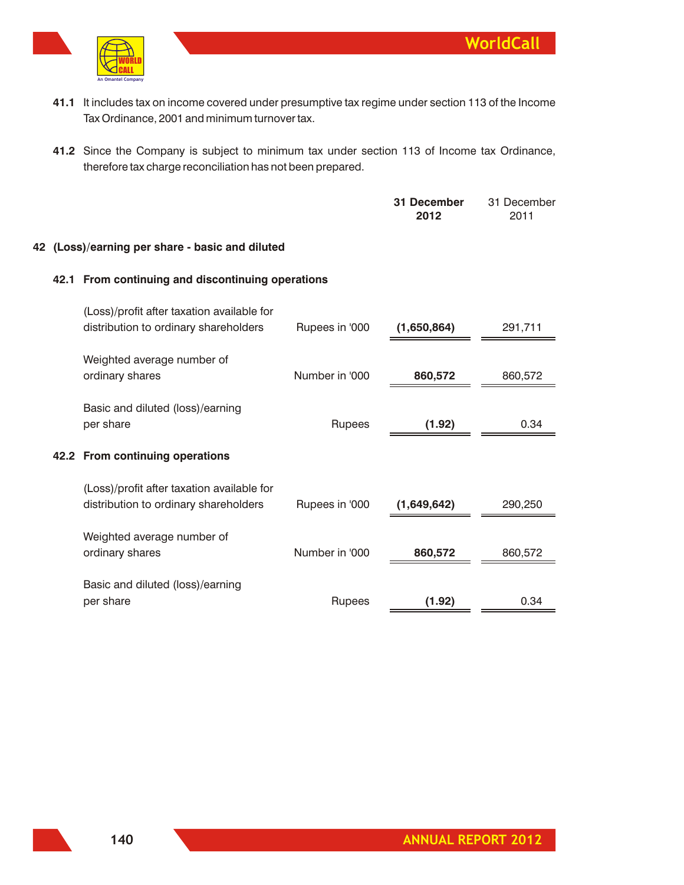**WorldCall**



- **41.1** It includes tax on income covered under presumptive tax regime under section 113 of the Income Tax Ordinance, 2001 and minimum turnover tax.
- **41.2** Since the Company is subject to minimum tax under section 113 of Income tax Ordinance, therefore tax charge reconciliation has not been prepared.

|    |                                                                                     |                | 31 December<br>2012 | 31 December<br>2011 |
|----|-------------------------------------------------------------------------------------|----------------|---------------------|---------------------|
| 42 | (Loss)/earning per share - basic and diluted                                        |                |                     |                     |
|    | 42.1 From continuing and discontinuing operations                                   |                |                     |                     |
|    | (Loss)/profit after taxation available for<br>distribution to ordinary shareholders | Rupees in '000 | (1,650,864)         | 291,711             |
|    | Weighted average number of<br>ordinary shares                                       | Number in '000 | 860,572             | 860,572             |
|    | Basic and diluted (loss)/earning<br>per share                                       | Rupees         | (1.92)              | 0.34                |
|    | 42.2 From continuing operations                                                     |                |                     |                     |
|    | (Loss)/profit after taxation available for<br>distribution to ordinary shareholders | Rupees in '000 | (1,649,642)         | 290,250             |
|    | Weighted average number of<br>ordinary shares                                       | Number in '000 | 860,572             | 860,572             |
|    | Basic and diluted (loss)/earning<br>per share                                       | <b>Rupees</b>  | (1.92)              | 0.34                |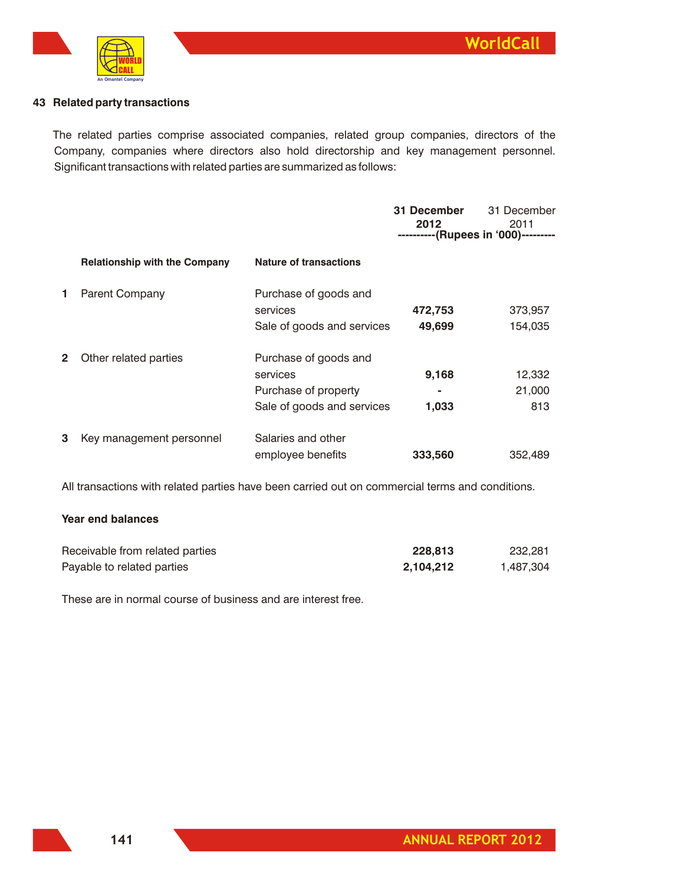

#### **43 Related party transactions**

The related parties comprise associated companies, related group companies, directors of the Company, companies where directors also hold directorship and key management personnel. Significant transactions with related parties are summarized as follows:

|              |                                      |                                                                                         | 31 December<br>2012<br>----------(Rupees in '000)--------- | 31 December<br>2011     |
|--------------|--------------------------------------|-----------------------------------------------------------------------------------------|------------------------------------------------------------|-------------------------|
|              | <b>Relationship with the Company</b> | <b>Nature of transactions</b>                                                           |                                                            |                         |
| 1            | Parent Company                       | Purchase of goods and<br>services<br>Sale of goods and services                         | 472,753<br>49,699                                          | 373,957<br>154,035      |
| $\mathbf{2}$ | Other related parties                | Purchase of goods and<br>services<br>Purchase of property<br>Sale of goods and services | 9,168<br>1,033                                             | 12,332<br>21,000<br>813 |
| 3            | Key management personnel             | Salaries and other<br>employee benefits                                                 | 333,560                                                    | 352,489                 |

All transactions with related parties have been carried out on commercial terms and conditions.

#### **Year end balances**

| Receivable from related parties | 228.813   | 232.281   |
|---------------------------------|-----------|-----------|
| Payable to related parties      | 2,104,212 | 1.487.304 |

These are in normal course of business and are interest free.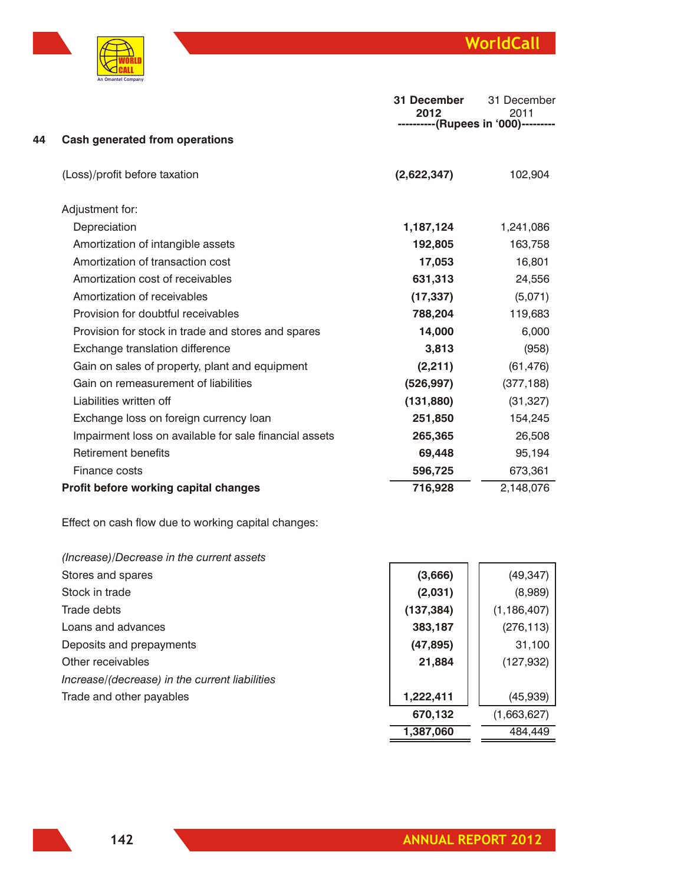

|    |                                                        | 31 December<br>2012 | 31 December<br>2011                 |
|----|--------------------------------------------------------|---------------------|-------------------------------------|
|    |                                                        |                     | ----------(Rupees in '000)--------- |
| 44 | <b>Cash generated from operations</b>                  |                     |                                     |
|    | (Loss)/profit before taxation                          | (2,622,347)         | 102,904                             |
|    | Adjustment for:                                        |                     |                                     |
|    | Depreciation                                           | 1,187,124           | 1,241,086                           |
|    | Amortization of intangible assets                      | 192,805             | 163,758                             |
|    | Amortization of transaction cost                       | 17,053              | 16,801                              |
|    | Amortization cost of receivables                       | 631,313             | 24,556                              |
|    | Amortization of receivables                            | (17, 337)           | (5,071)                             |
|    | Provision for doubtful receivables                     | 788,204             | 119,683                             |
|    | Provision for stock in trade and stores and spares     | 14,000              | 6,000                               |
|    | Exchange translation difference                        | 3,813               | (958)                               |
|    | Gain on sales of property, plant and equipment         | (2,211)             | (61, 476)                           |
|    | Gain on remeasurement of liabilities                   | (526, 997)          | (377, 188)                          |
|    | Liabilities written off                                | (131, 880)          | (31, 327)                           |
|    | Exchange loss on foreign currency loan                 | 251,850             | 154,245                             |
|    | Impairment loss on available for sale financial assets | 265,365             | 26,508                              |
|    | <b>Retirement benefits</b>                             | 69,448              | 95,194                              |
|    | Finance costs                                          | 596,725             | 673,361                             |
|    | Profit before working capital changes                  | 716,928             | 2,148,076                           |

Effect on cash flow due to working capital changes:

| (Increase)/Decrease in the current assets      |            |               |
|------------------------------------------------|------------|---------------|
| Stores and spares                              | (3,666)    | (49, 347)     |
| Stock in trade                                 | (2,031)    | (8,989)       |
| Trade debts                                    | (137, 384) | (1, 186, 407) |
| Loans and advances                             | 383,187    | (276, 113)    |
| Deposits and prepayments                       | (47, 895)  | 31,100        |
| Other receivables                              | 21,884     | (127, 932)    |
| Increase/(decrease) in the current liabilities |            |               |
| Trade and other payables                       | 1,222,411  | (45, 939)     |
|                                                | 670,132    | (1,663,627)   |
|                                                | 1,387,060  | 484,449       |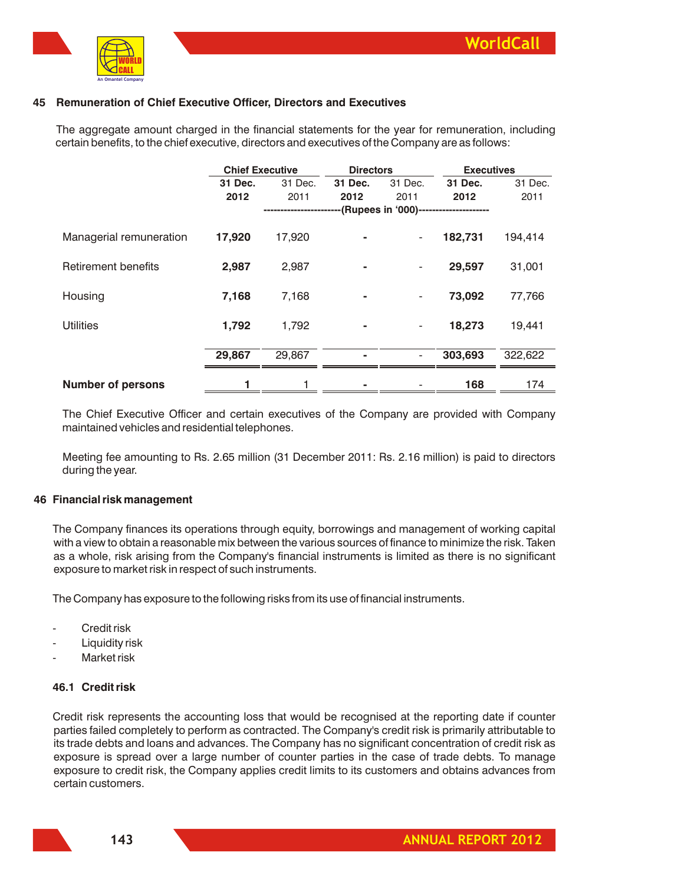

#### **45 Remuneration of Chief Executive Officer, Directors and Executives**

The aggregate amount charged in the financial statements for the year for remuneration, including certain benefits, to the chief executive, directors and executives of the Company are as follows:

|                            | <b>Chief Executive</b> |         | <b>Directors</b> |                              | <b>Executives</b> |         |
|----------------------------|------------------------|---------|------------------|------------------------------|-------------------|---------|
|                            | 31 Dec.                | 31 Dec. | 31 Dec.          | 31 Dec.                      | 31 Dec.           | 31 Dec. |
|                            | 2012                   | 2011    | 2012             | 2011                         | 2012              | 2011    |
|                            |                        |         |                  | --(Rupees in '000)--         |                   |         |
| Managerial remuneration    | 17,920                 | 17,920  |                  | -                            | 182,731           | 194,414 |
| <b>Retirement benefits</b> | 2,987                  | 2,987   |                  | $\overline{\phantom{0}}$     | 29,597            | 31,001  |
| Housing                    | 7,168                  | 7,168   | ٠                | ۰                            | 73,092            | 77,766  |
| <b>Utilities</b>           | 1,792                  | 1,792   |                  | $\qquad \qquad \blacksquare$ | 18,273            | 19,441  |
|                            | 29,867                 | 29,867  |                  | $\overline{\phantom{0}}$     | 303,693           | 322,622 |
| <b>Number of persons</b>   |                        |         |                  |                              | 168               | 174     |

The Chief Executive Officer and certain executives of the Company are provided with Company maintained vehicles and residential telephones.

Meeting fee amounting to Rs. 2.65 million (31 December 2011: Rs. 2.16 million) is paid to directors during the year.

#### **46 Financial risk management**

The Company finances its operations through equity, borrowings and management of working capital with a view to obtain a reasonable mix between the various sources of finance to minimize the risk. Taken as a whole, risk arising from the Company's financial instruments is limited as there is no significant exposure to market risk in respect of such instruments.

The Company has exposure to the following risks from its use of financial instruments.

- Credit risk
- Liquidity risk
- Market risk

#### **46.1 Credit risk**

Credit risk represents the accounting loss that would be recognised at the reporting date if counter parties failed completely to perform as contracted. The Company's credit risk is primarily attributable to its trade debts and loans and advances. The Company has no significant concentration of credit risk as exposure is spread over a large number of counter parties in the case of trade debts. To manage exposure to credit risk, the Company applies credit limits to its customers and obtains advances from certain customers.

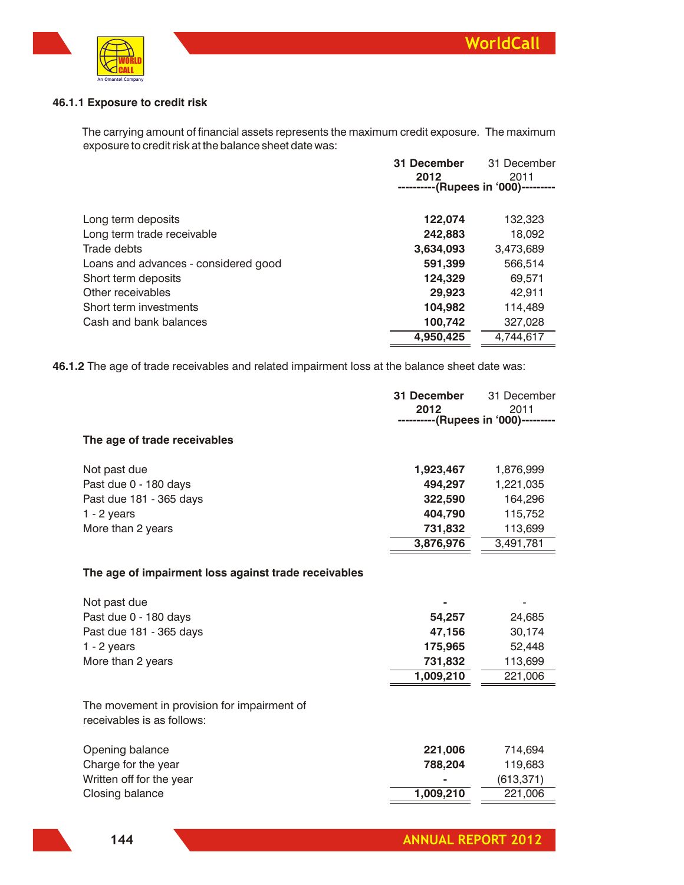

#### **46.1.1 Exposure to credit risk**

The carrying amount of financial assets represents the maximum credit exposure. The maximum exposure to credit risk at the balance sheet date was:

|                                      | 31 December                 | 31 December |
|--------------------------------------|-----------------------------|-------------|
|                                      | 2012                        | 2011        |
|                                      | --(Rupees in '000)--------- |             |
|                                      |                             |             |
| Long term deposits                   | 122,074                     | 132,323     |
| Long term trade receivable           | 242,883                     | 18,092      |
| Trade debts                          | 3,634,093                   | 3,473,689   |
| Loans and advances - considered good | 591,399                     | 566,514     |
| Short term deposits                  | 124,329                     | 69,571      |
| Other receivables                    | 29,923                      | 42.911      |
| Short term investments               | 104,982                     | 114,489     |
| Cash and bank balances               | 100.742                     | 327,028     |
|                                      | 4,950,425                   | 4,744,617   |

**46.1.2** The age of trade receivables and related impairment loss at the balance sheet date was:

|                                                                           | 31 December<br>2012                 | 31 December<br>2011 |
|---------------------------------------------------------------------------|-------------------------------------|---------------------|
|                                                                           | ----------(Rupees in '000)--------- |                     |
| The age of trade receivables                                              |                                     |                     |
| Not past due                                                              | 1,923,467                           | 1,876,999           |
| Past due 0 - 180 days                                                     | 494,297                             | 1,221,035           |
| Past due 181 - 365 days                                                   | 322,590                             | 164,296             |
| $1 - 2$ years                                                             | 404,790                             | 115,752             |
| More than 2 years                                                         | 731,832                             | 113,699             |
|                                                                           | 3,876,976                           | 3,491,781           |
| The age of impairment loss against trade receivables                      |                                     |                     |
| Not past due                                                              |                                     |                     |
| Past due 0 - 180 days                                                     | 54,257                              | 24,685              |
| Past due 181 - 365 days                                                   | 47,156                              | 30,174              |
| $1 - 2$ years                                                             | 175,965                             | 52,448              |
| More than 2 years                                                         | 731,832                             | 113,699             |
|                                                                           | 1,009,210                           | 221,006             |
| The movement in provision for impairment of<br>receivables is as follows: |                                     |                     |
| Opening balance                                                           | 221,006                             | 714,694             |
| Charge for the year                                                       | 788,204                             | 119,683             |
| Written off for the year                                                  |                                     | (613, 371)          |
| Closing balance                                                           | 1,009,210                           | 221,006             |
|                                                                           |                                     |                     |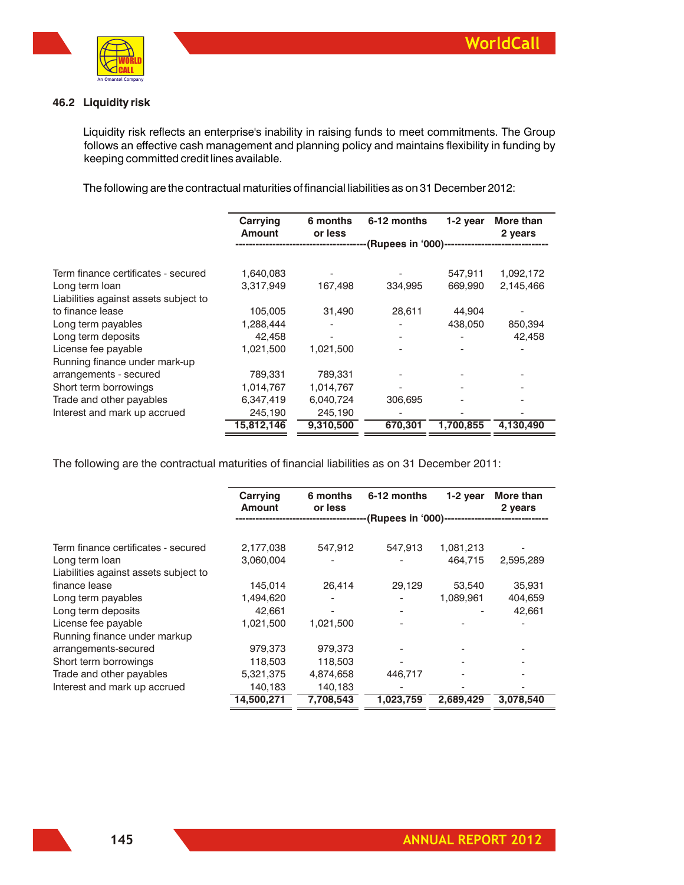

### **46.2 Liquidity risk**

Liquidity risk reflects an enterprise's inability in raising funds to meet commitments. The Group follows an effective cash management and planning policy and maintains flexibility in funding by keeping committed credit lines available.

The following are the contractual maturities of financial liabilities as on 31 December 2012:

|                                       | Carrying<br><b>Amount</b> | 6 months<br>or less | 6-12 months             | 1-2 year  | More than<br>2 years |
|---------------------------------------|---------------------------|---------------------|-------------------------|-----------|----------------------|
|                                       |                           |                     | -(Rupees in '000)------ |           |                      |
| Term finance certificates - secured   | 1,640,083                 |                     |                         | 547.911   | 1,092,172            |
| Long term loan                        | 3,317,949                 | 167,498             | 334,995                 | 669,990   | 2,145,466            |
| Liabilities against assets subject to |                           |                     |                         |           |                      |
| to finance lease                      | 105,005                   | 31,490              | 28,611                  | 44,904    |                      |
| Long term payables                    | 1,288,444                 |                     |                         | 438,050   | 850,394              |
| Long term deposits                    | 42,458                    |                     |                         |           | 42,458               |
| License fee payable                   | 1,021,500                 | 1,021,500           |                         |           |                      |
| Running finance under mark-up         |                           |                     |                         |           |                      |
| arrangements - secured                | 789,331                   | 789,331             |                         |           |                      |
| Short term borrowings                 | 1,014,767                 | 1,014,767           |                         |           |                      |
| Trade and other payables              | 6,347,419                 | 6,040,724           | 306,695                 |           |                      |
| Interest and mark up accrued          | 245,190                   | 245,190             |                         |           |                      |
|                                       | 15,812,146                | 9,310,500           | 670,301                 | 1,700,855 | 4,130,490            |

The following are the contractual maturities of financial liabilities as on 31 December 2011:

|                                       | Carrying<br><b>Amount</b> | 6 months<br>or less | 6-12 months                      | 1-2 year  | More than<br>2 years |
|---------------------------------------|---------------------------|---------------------|----------------------------------|-----------|----------------------|
|                                       |                           |                     | -(Rupees in '000)--------------- |           |                      |
| Term finance certificates - secured   | 2,177,038                 | 547,912             | 547,913                          | 1,081,213 |                      |
| Long term loan                        | 3,060,004                 |                     |                                  | 464,715   | 2,595,289            |
| Liabilities against assets subject to |                           |                     |                                  |           |                      |
| finance lease                         | 145,014                   | 26,414              | 29,129                           | 53,540    | 35,931               |
| Long term payables                    | 1,494,620                 |                     |                                  | 1,089,961 | 404,659              |
| Long term deposits                    | 42,661                    |                     |                                  |           | 42,661               |
| License fee payable                   | 1,021,500                 | 1,021,500           |                                  |           |                      |
| Running finance under markup          |                           |                     |                                  |           |                      |
| arrangements-secured                  | 979,373                   | 979,373             |                                  |           |                      |
| Short term borrowings                 | 118,503                   | 118,503             |                                  |           |                      |
| Trade and other payables              | 5,321,375                 | 4,874,658           | 446,717                          |           |                      |
| Interest and mark up accrued          | 140,183                   | 140,183             |                                  |           |                      |
|                                       | 14,500,271                | 7,708,543           | 1,023,759                        | 2,689,429 | 3,078,540            |
|                                       |                           |                     |                                  |           |                      |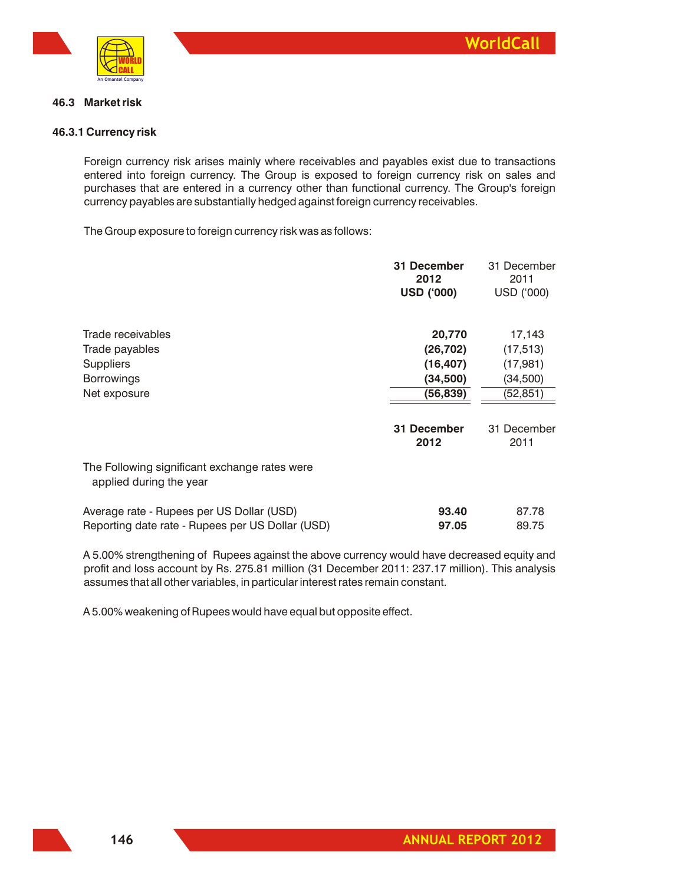

#### **46.3 Market risk**

#### **46.3.1 Currency risk**

Foreign currency risk arises mainly where receivables and payables exist due to transactions entered into foreign currency. The Group is exposed to foreign currency risk on sales and purchases that are entered in a currency other than functional currency. The Group's foreign currency payables are substantially hedged against foreign currency receivables.

The Group exposure to foreign currency risk was as follows:

|                                                                          | 31 December<br>2012<br><b>USD ('000)</b> | 31 December<br>2011<br>USD ('000) |
|--------------------------------------------------------------------------|------------------------------------------|-----------------------------------|
| Trade receivables                                                        | 20,770                                   | 17,143                            |
| Trade payables                                                           | (26, 702)                                | (17, 513)                         |
| <b>Suppliers</b>                                                         | (16, 407)                                | (17, 981)                         |
| <b>Borrowings</b>                                                        | (34, 500)                                | (34,500)                          |
| Net exposure                                                             | (56,839)                                 | (52,851)                          |
|                                                                          | 31 December<br>2012                      | 31 December<br>2011               |
| The Following significant exchange rates were<br>applied during the year |                                          |                                   |
| Average rate - Rupees per US Dollar (USD)                                | 93.40                                    | 87.78                             |
| Reporting date rate - Rupees per US Dollar (USD)                         | 97.05                                    | 89.75                             |

A 5.00% strengthening of Rupees against the above currency would have decreased equity and profit and loss account by Rs. 275.81 million (31 December 2011: 237.17 million). This analysis assumes that all other variables, in particular interest rates remain constant.

A 5.00% weakening of Rupees would have equal but opposite effect.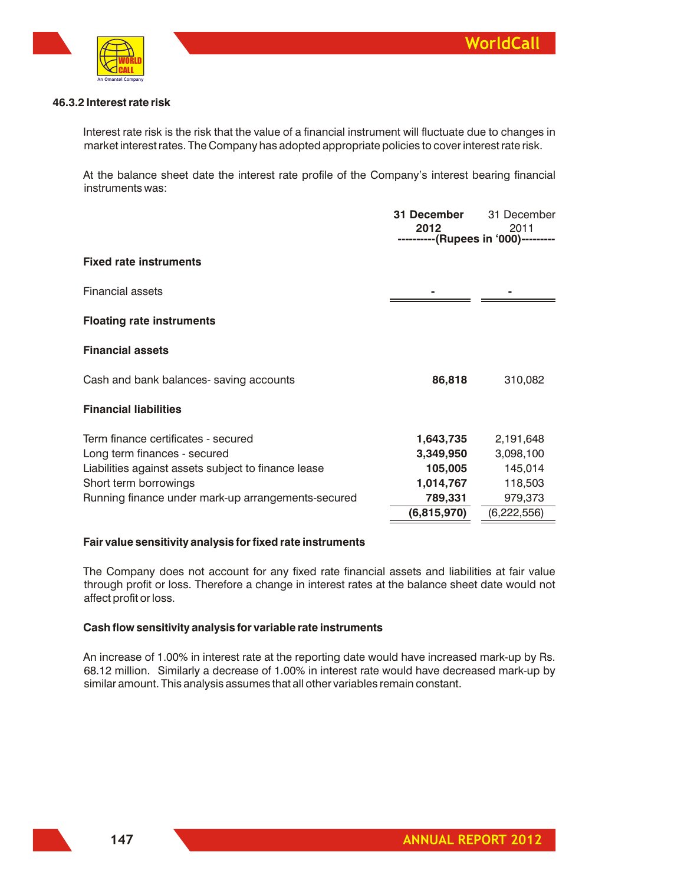

#### **46.3.2 Interest rate risk**

Interest rate risk is the risk that the value of a financial instrument will fluctuate due to changes in market interest rates. The Company has adopted appropriate policies to cover interest rate risk.

At the balance sheet date the interest rate profile of the Company's interest bearing financial instruments was:

|                                                                                     | 31 December<br>2012<br>----------(Rupees in '000)--------- | 31 December<br>2011  |
|-------------------------------------------------------------------------------------|------------------------------------------------------------|----------------------|
| <b>Fixed rate instruments</b>                                                       |                                                            |                      |
| <b>Financial assets</b>                                                             |                                                            |                      |
| <b>Floating rate instruments</b>                                                    |                                                            |                      |
| <b>Financial assets</b>                                                             |                                                            |                      |
| Cash and bank balances- saving accounts                                             | 86,818                                                     | 310,082              |
| <b>Financial liabilities</b>                                                        |                                                            |                      |
| Term finance certificates - secured                                                 | 1,643,735                                                  | 2,191,648            |
| Long term finances - secured<br>Liabilities against assets subject to finance lease | 3,349,950<br>105,005                                       | 3,098,100<br>145,014 |
| Short term borrowings                                                               | 1,014,767                                                  | 118,503              |
| Running finance under mark-up arrangements-secured                                  | 789,331                                                    | 979,373              |
|                                                                                     | (6,815,970)                                                | (6,222,556)          |
|                                                                                     |                                                            |                      |

#### **Fair value sensitivity analysis for fixed rate instruments**

The Company does not account for any fixed rate financial assets and liabilities at fair value through profit or loss. Therefore a change in interest rates at the balance sheet date would not affect profit or loss.

#### **Cash flow sensitivity analysis for variable rate instruments**

An increase of 1.00% in interest rate at the reporting date would have increased mark-up by Rs. 68.12 million. Similarly a decrease of 1.00% in interest rate would have decreased mark-up by similar amount. This analysis assumes that all other variables remain constant.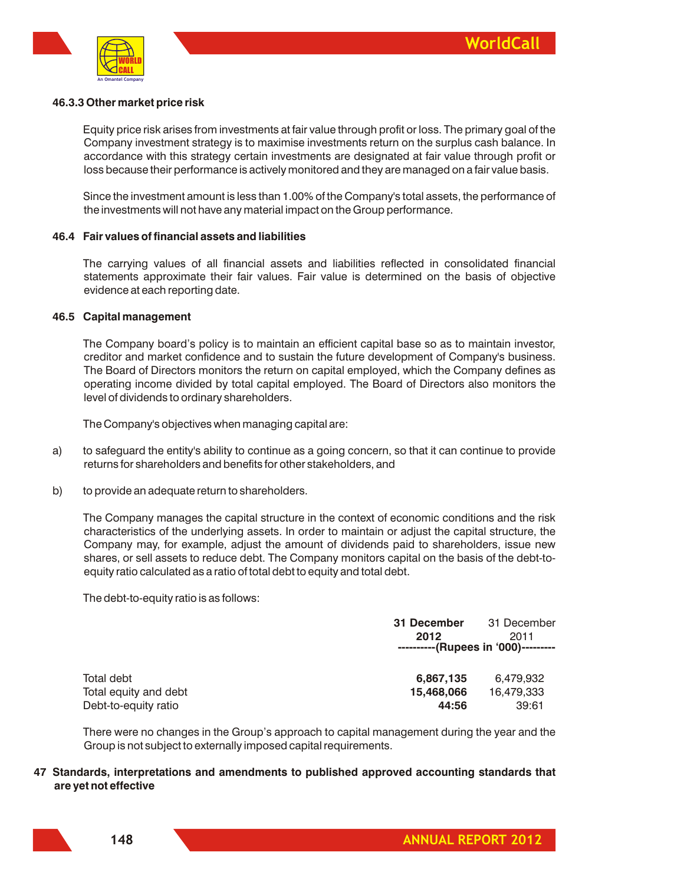

#### **46.3.3 Other market price risk**

Equity price risk arises from investments at fair value through profit or loss. The primary goal of the Company investment strategy is to maximise investments return on the surplus cash balance. In accordance with this strategy certain investments are designated at fair value through profit or loss because their performance is actively monitored and they are managed on a fair value basis.

Since the investment amount is less than 1.00% of the Company's total assets, the performance of the investments will not have any material impact on the Group performance.

#### **46.4 Fair values of financial assets and liabilities**

The carrying values of all financial assets and liabilities reflected in consolidated financial statements approximate their fair values. Fair value is determined on the basis of objective evidence at each reporting date.

#### **46.5 Capital management**

The Company board's policy is to maintain an efficient capital base so as to maintain investor, creditor and market confidence and to sustain the future development of Company's business. The Board of Directors monitors the return on capital employed, which the Company defines as operating income divided by total capital employed. The Board of Directors also monitors the level of dividends to ordinary shareholders.

The Company's objectives when managing capital are:

- a) to safeguard the entity's ability to continue as a going concern, so that it can continue to provide returns for shareholders and benefits for other stakeholders, and
- b) to provide an adequate return to shareholders.

The Company manages the capital structure in the context of economic conditions and the risk characteristics of the underlying assets. In order to maintain or adjust the capital structure, the Company may, for example, adjust the amount of dividends paid to shareholders, issue new shares, or sell assets to reduce debt. The Company monitors capital on the basis of the debt-toequity ratio calculated as a ratio of total debt to equity and total debt.

The debt-to-equity ratio is as follows:

|                       | 31 December                         | 31 December |
|-----------------------|-------------------------------------|-------------|
|                       | 2012                                | 2011        |
|                       | ----------(Rupees in '000)--------- |             |
|                       |                                     |             |
| Total debt            | 6,867,135                           | 6.479.932   |
| Total equity and debt | 15,468,066                          | 16,479,333  |
| Debt-to-equity ratio  | 44:56                               | 39:61       |

There were no changes in the Group's approach to capital management during the year and the Group is not subject to externally imposed capital requirements.

#### **47 Standards, interpretations and amendments to published approved accounting standards that are yet not effective**

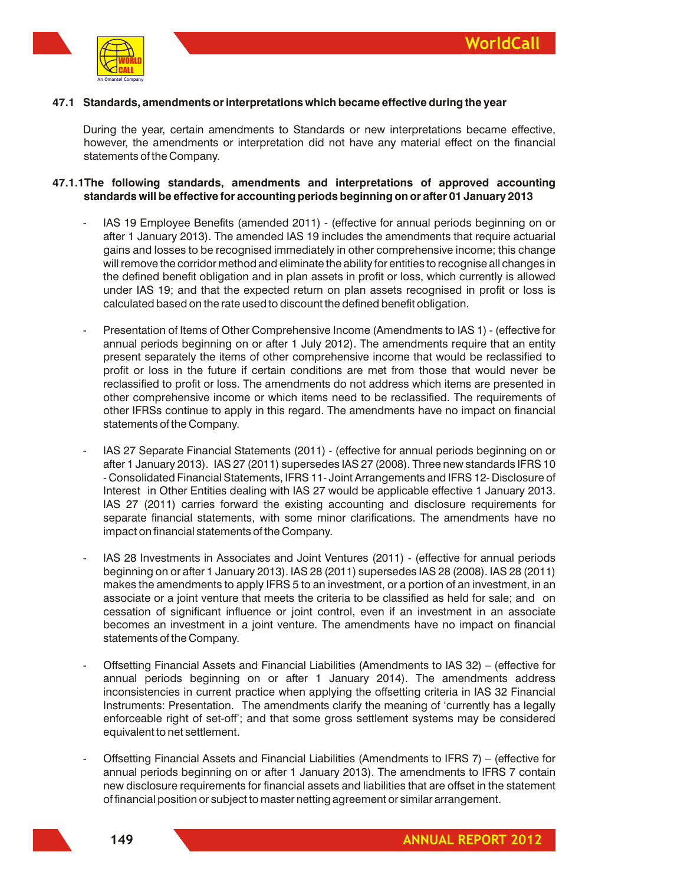

#### **47.1 Standards, amendments or interpretations which became effective during the year**

During the year, certain amendments to Standards or new interpretations became effective, however, the amendments or interpretation did not have any material effect on the financial statements of the Company.

#### **47.1.1The following standards, amendments and interpretations of approved accounting standards will be effective for accounting periods beginning on or after 01 January 2013**

- IAS 19 Employee Benefits (amended 2011) (effective for annual periods beginning on or after 1 January 2013). The amended IAS 19 includes the amendments that require actuarial gains and losses to be recognised immediately in other comprehensive income; this change will remove the corridor method and eliminate the ability for entities to recognise all changes in the defined benefit obligation and in plan assets in profit or loss, which currently is allowed under IAS 19; and that the expected return on plan assets recognised in profit or loss is calculated based on the rate used to discount the defined benefit obligation.
- Presentation of Items of Other Comprehensive Income (Amendments to IAS 1) (effective for annual periods beginning on or after 1 July 2012). The amendments require that an entity present separately the items of other comprehensive income that would be reclassified to profit or loss in the future if certain conditions are met from those that would never be reclassified to profit or loss. The amendments do not address which items are presented in other comprehensive income or which items need to be reclassified. The requirements of other IFRSs continue to apply in this regard. The amendments have no impact on financial statements of the Company.
- IAS 27 Separate Financial Statements (2011) (effective for annual periods beginning on or after 1 January 2013). IAS 27 (2011) supersedes IAS 27 (2008). Three new standards IFRS 10 - Consolidated Financial Statements, IFRS 11- Joint Arrangements and IFRS 12- Disclosure of Interest in Other Entities dealing with IAS 27 would be applicable effective 1 January 2013. IAS 27 (2011) carries forward the existing accounting and disclosure requirements for separate financial statements, with some minor clarifications. The amendments have no impact on financial statements of the Company.
- IAS 28 Investments in Associates and Joint Ventures (2011) (effective for annual periods beginning on or after 1 January 2013). IAS 28 (2011) supersedes IAS 28 (2008). IAS 28 (2011) makes the amendments to apply IFRS 5 to an investment, or a portion of an investment, in an associate or a joint venture that meets the criteria to be classified as held for sale; and on cessation of significant influence or joint control, even if an investment in an associate becomes an investment in a joint venture. The amendments have no impact on financial statements of the Company.
- Offsetting Financial Assets and Financial Liabilities (Amendments to IAS 32) (effective for annual periods beginning on or after 1 January 2014). The amendments address inconsistencies in current practice when applying the offsetting criteria in IAS 32 Financial Instruments: Presentation. The amendments clarify the meaning of 'currently has a legally enforceable right of set-off'; and that some gross settlement systems may be considered equivalent to net settlement.
- Offsetting Financial Assets and Financial Liabilities (Amendments to IFRS 7) (effective for annual periods beginning on or after 1 January 2013). The amendments to IFRS 7 contain new disclosure requirements for financial assets and liabilities that are offset in the statement of financial position or subject to master netting agreement or similar arrangement.

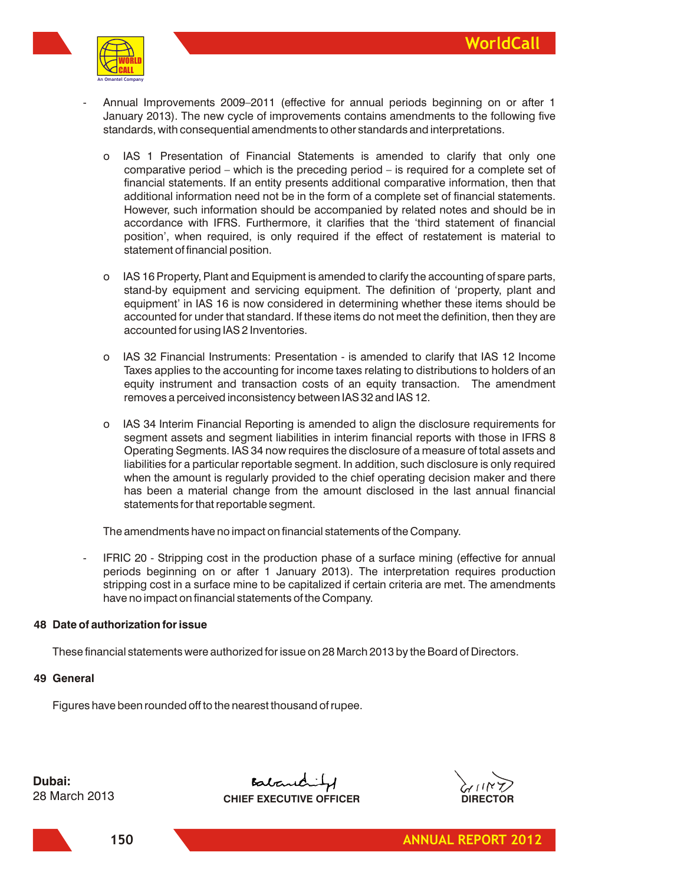

- Annual Improvements 2009–2011 (effective for annual periods beginning on or after 1 January 2013). The new cycle of improvements contains amendments to the following five standards, with consequential amendments to other standards and interpretations.
	- o IAS 1 Presentation of Financial Statements is amended to clarify that only one comparative period – which is the preceding period – is required for a complete set of financial statements. If an entity presents additional comparative information, then that additional information need not be in the form of a complete set of financial statements. However, such information should be accompanied by related notes and should be in accordance with IFRS. Furthermore, it clarifies that the 'third statement of financial position', when required, is only required if the effect of restatement is material to statement of financial position.
	- o IAS 16 Property, Plant and Equipment is amended to clarify the accounting of spare parts, stand-by equipment and servicing equipment. The definition of 'property, plant and equipment' in IAS 16 is now considered in determining whether these items should be accounted for under that standard. If these items do not meet the definition, then they are accounted for using IAS 2 Inventories.
	- o IAS 32 Financial Instruments: Presentation is amended to clarify that IAS 12 Income Taxes applies to the accounting for income taxes relating to distributions to holders of an equity instrument and transaction costs of an equity transaction. The amendment removes a perceived inconsistency between IAS 32 and IAS 12.
	- o IAS 34 Interim Financial Reporting is amended to align the disclosure requirements for segment assets and segment liabilities in interim financial reports with those in IFRS 8 Operating Segments. IAS 34 now requires the disclosure of a measure of total assets and liabilities for a particular reportable segment. In addition, such disclosure is only required when the amount is regularly provided to the chief operating decision maker and there has been a material change from the amount disclosed in the last annual financial statements for that reportable segment.

The amendments have no impact on financial statements of the Company.

IFRIC 20 - Stripping cost in the production phase of a surface mining (effective for annual periods beginning on or after 1 January 2013). The interpretation requires production stripping cost in a surface mine to be capitalized if certain criteria are met. The amendments have no impact on financial statements of the Company.

#### **48 Date of authorization for issue**

These financial statements were authorized for issue on 28 March 2013 by the Board of Directors.

#### **49 General**

Figures have been rounded off to the nearest thousand of rupee.

**Dubai:** 28 March 2013

Babanchity **CHIEF EXECUTIVE OFFICER** 

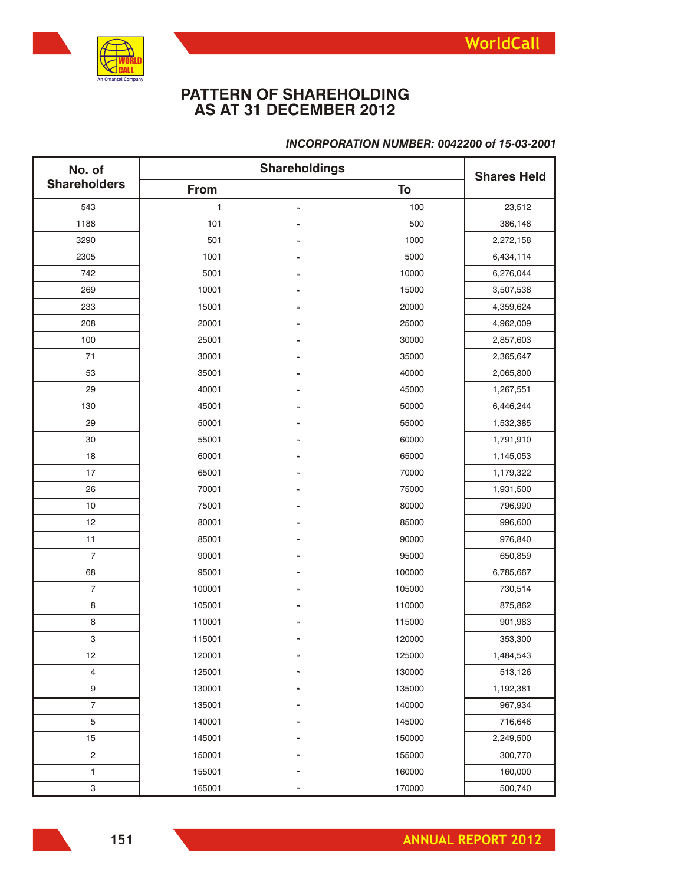

## **PATTERN OF SHAREHOLDING AS AT 31 DECEMBER 2012**

#### **No. of Shareholders Shareholdings From To Shares Held - - - - - - - - - - - - - - - - - - - - - - - - - - - - - - - - - - - -** 543 1188 3290 2305 742 269 233 208 100 71 53 29 130 29 30 18 17 26 10 12 11 7 68 7 8 8 3 12 4 9 7 5 15 2 1 3 1 101 501 1001 5001 10001 15001 20001 25001 30001 35001 40001 45001 50001 55001 60001 65001 70001 75001 80001 85001 90001 95001 100001 105001 110001 115001 120001 125001 130001 135001 140001 145001 150001 155001 165001 100 500 1000 5000 10000 15000 20000 25000 30000 35000 40000 45000 50000 55000 60000 65000 70000 75000 80000 85000 90000 95000 100000 105000 110000 115000 120000 125000 130000 135000 140000 145000 150000 155000 160000 170000 23,512 386,148 2,272,158 6,434,114 6,276,044 3,507,538 4,359,624 4,962,009 2,857,603 2,365,647 2,065,800 1,267,551 6,446,244 1,532,385 1,791,910 1,145,053 1,179,322 1,931,500 796,990 996,600 976,840 650,859 6,785,667 730,514 875,862 901,983 353,300 1,484,543 513,126 1,192,381 967,934 716,646 2,249,500 300,770 160,000 500,740

#### *INCORPORATION NUMBER: 0042200 of 15-03-2001*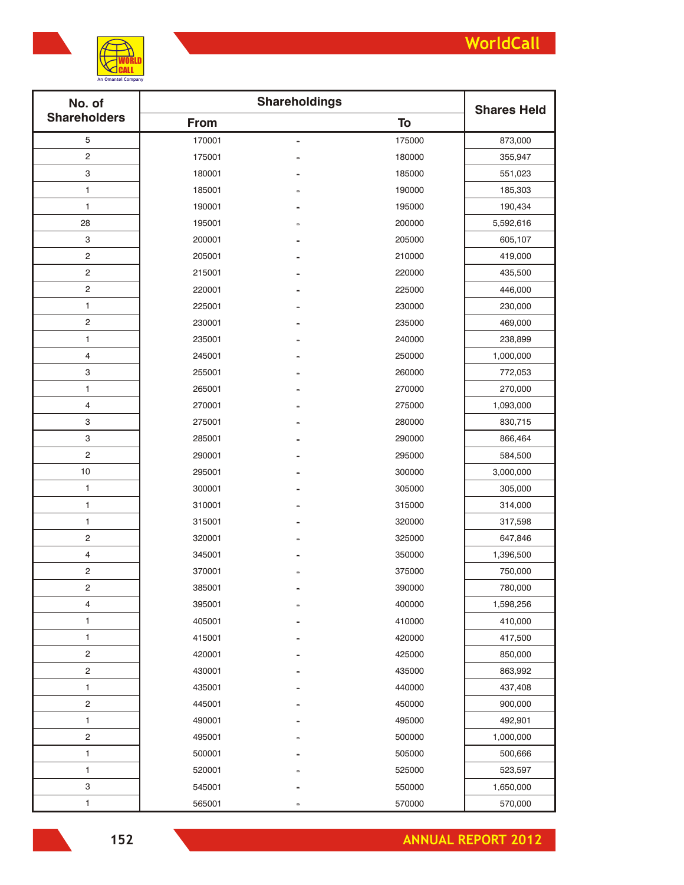

| No. of                    | <b>Shareholdings</b> |  |        | <b>Shares Held</b> |  |
|---------------------------|----------------------|--|--------|--------------------|--|
| <b>Shareholders</b>       | <b>From</b>          |  | To     |                    |  |
| 5                         | 170001               |  | 175000 | 873,000            |  |
| 2                         | 175001               |  | 180000 | 355,947            |  |
| 3                         | 180001               |  | 185000 | 551,023            |  |
| 1                         | 185001               |  | 190000 | 185,303            |  |
| 1                         | 190001               |  | 195000 | 190,434            |  |
| 28                        | 195001               |  | 200000 | 5,592,616          |  |
| 3                         | 200001               |  | 205000 | 605,107            |  |
| 2                         | 205001               |  | 210000 | 419,000            |  |
| 2                         | 215001               |  | 220000 | 435,500            |  |
| 2                         | 220001               |  | 225000 | 446,000            |  |
| 1                         | 225001               |  | 230000 | 230,000            |  |
| 2                         | 230001               |  | 235000 | 469,000            |  |
| 1                         | 235001               |  | 240000 | 238,899            |  |
| 4                         | 245001               |  | 250000 | 1,000,000          |  |
| 3                         | 255001               |  | 260000 | 772,053            |  |
| 1                         | 265001               |  | 270000 | 270,000            |  |
| 4                         | 270001               |  | 275000 | 1,093,000          |  |
| 3                         | 275001               |  | 280000 | 830,715            |  |
| 3                         | 285001               |  | 290000 | 866,464            |  |
| 2                         | 290001               |  | 295000 | 584,500            |  |
| 10                        | 295001               |  | 300000 | 3,000,000          |  |
| 1                         | 300001               |  | 305000 | 305,000            |  |
| 1                         | 310001               |  | 315000 | 314,000            |  |
| 1                         | 315001               |  | 320000 | 317,598            |  |
| 2                         | 320001               |  | 325000 | 647,846            |  |
| 4                         | 345001               |  | 350000 | 1,396,500          |  |
| 2                         | 370001               |  | 375000 | 750,000            |  |
| $\overline{2}$            | 385001               |  | 390000 | 780,000            |  |
| 4                         | 395001               |  | 400000 | 1,598,256          |  |
| 1                         | 405001               |  | 410000 | 410,000            |  |
| 1                         | 415001               |  | 420000 | 417,500            |  |
| $\mathsf{2}\,$            | 420001               |  | 425000 | 850,000            |  |
| $\mathbf 2$               | 430001               |  | 435000 | 863,992            |  |
| 1                         | 435001               |  | 440000 | 437,408            |  |
| $\sqrt{2}$                | 445001               |  | 450000 | 900,000            |  |
| 1                         | 490001               |  | 495000 | 492,901            |  |
| 2                         | 495001               |  | 500000 | 1,000,000          |  |
| 1                         | 500001               |  | 505000 | 500,666            |  |
| 1                         | 520001               |  | 525000 | 523,597            |  |
| $\ensuremath{\mathsf{3}}$ | 545001               |  | 550000 | 1,650,000          |  |
| 1                         | 565001               |  | 570000 | 570,000            |  |

# **152 ANNUAL REPORT 2012**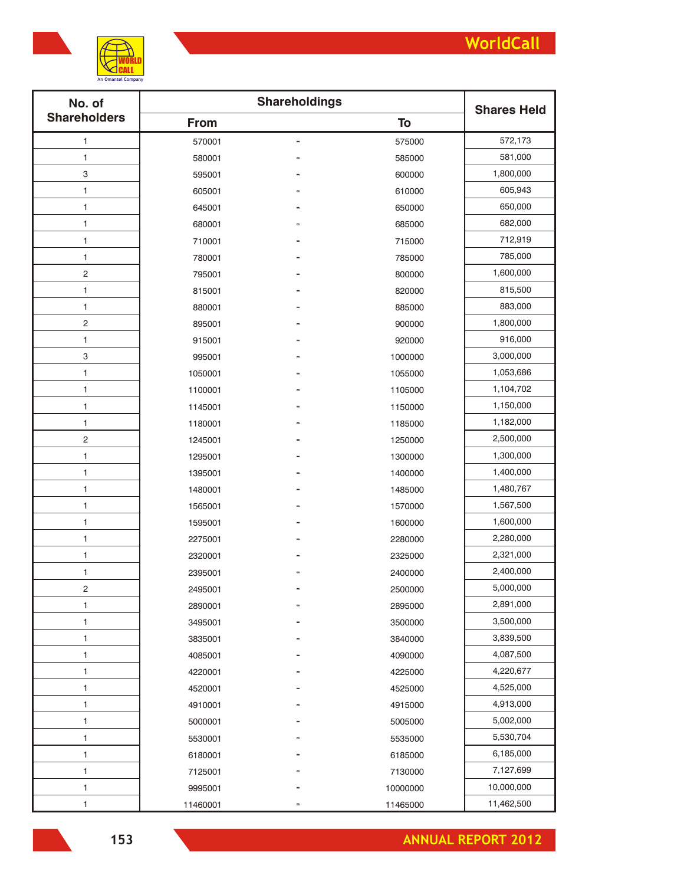

| <b>Shareholdings</b><br>No. of |             |  | <b>Shares Held</b> |            |
|--------------------------------|-------------|--|--------------------|------------|
| <b>Shareholders</b>            | <b>From</b> |  | To                 |            |
| 1                              | 570001      |  | 575000             | 572,173    |
| 1                              | 580001      |  | 585000             | 581,000    |
| 3                              | 595001      |  | 600000             | 1,800,000  |
| 1                              | 605001      |  | 610000             | 605,943    |
| 1                              | 645001      |  | 650000             | 650,000    |
| 1                              | 680001      |  | 685000             | 682,000    |
| 1                              | 710001      |  | 715000             | 712,919    |
| 1                              | 780001      |  | 785000             | 785,000    |
| $\mathbf 2$                    | 795001      |  | 800000             | 1,600,000  |
| $\mathbf{1}$                   | 815001      |  | 820000             | 815,500    |
| $\mathbf{1}$                   | 880001      |  | 885000             | 883,000    |
| $\overline{c}$                 | 895001      |  | 900000             | 1,800,000  |
| $\mathbf{1}$                   | 915001      |  | 920000             | 916,000    |
| 3                              | 995001      |  | 1000000            | 3,000,000  |
| $\mathbf{1}$                   | 1050001     |  | 1055000            | 1,053,686  |
| 1                              | 1100001     |  | 1105000            | 1,104,702  |
| 1                              | 1145001     |  | 1150000            | 1,150,000  |
| 1                              | 1180001     |  | 1185000            | 1,182,000  |
| $\mathbf 2$                    | 1245001     |  | 1250000            | 2,500,000  |
| 1                              | 1295001     |  | 1300000            | 1,300,000  |
| 1                              | 1395001     |  | 1400000            | 1,400,000  |
| $\mathbf{1}$                   | 1480001     |  | 1485000            | 1,480,767  |
| 1                              | 1565001     |  | 1570000            | 1,567,500  |
| 1                              | 1595001     |  | 1600000            | 1,600,000  |
| 1                              | 2275001     |  | 2280000            | 2,280,000  |
| 1                              | 2320001     |  | 2325000            | 2,321,000  |
| 1                              | 2395001     |  | 2400000            | 2,400,000  |
| $\overline{\mathbf{c}}$        | 2495001     |  | 2500000            | 5,000,000  |
| 1                              | 2890001     |  | 2895000            | 2,891,000  |
| 1                              | 3495001     |  | 3500000            | 3,500,000  |
| 1                              | 3835001     |  | 3840000            | 3,839,500  |
| 1                              | 4085001     |  | 4090000            | 4,087,500  |
| $\mathbf{1}$                   | 4220001     |  | 4225000            | 4,220,677  |
| 1                              | 4520001     |  | 4525000            | 4,525,000  |
| $\mathbf{1}$                   | 4910001     |  | 4915000            | 4,913,000  |
| 1                              | 5000001     |  | 5005000            | 5,002,000  |
| 1                              | 5530001     |  | 5535000            | 5,530,704  |
| 1                              | 6180001     |  | 6185000            | 6,185,000  |
| 1                              | 7125001     |  | 7130000            | 7,127,699  |
| 1                              | 9995001     |  | 10000000           | 10,000,000 |
| 1                              | 11460001    |  | 11465000           | 11,462,500 |

# **153 ANNUAL REPORT 2012**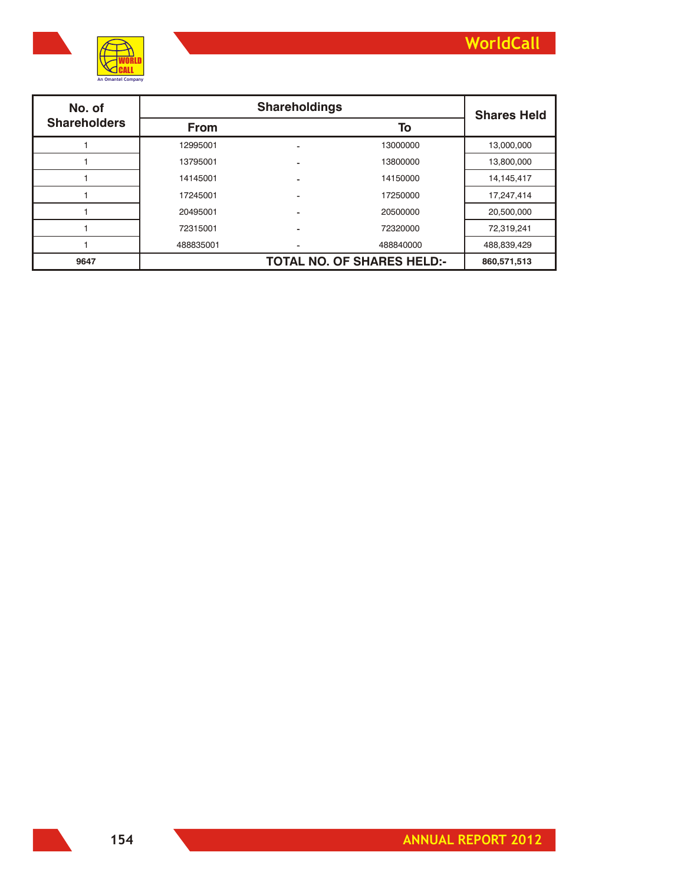

| No. of              |             | <b>Shares Held</b>                |              |
|---------------------|-------------|-----------------------------------|--------------|
| <b>Shareholders</b> | <b>From</b> | To                                |              |
|                     | 12995001    | 13000000                          | 13,000,000   |
|                     | 13795001    | 13800000                          | 13,800,000   |
|                     | 14145001    | 14150000                          | 14, 145, 417 |
|                     | 17245001    | 17250000                          | 17,247,414   |
|                     | 20495001    | 20500000                          | 20,500,000   |
|                     | 72315001    | 72320000                          | 72,319,241   |
|                     | 488835001   | 488840000                         | 488,839,429  |
| 9647                |             | <b>TOTAL NO. OF SHARES HELD:-</b> | 860,571,513  |

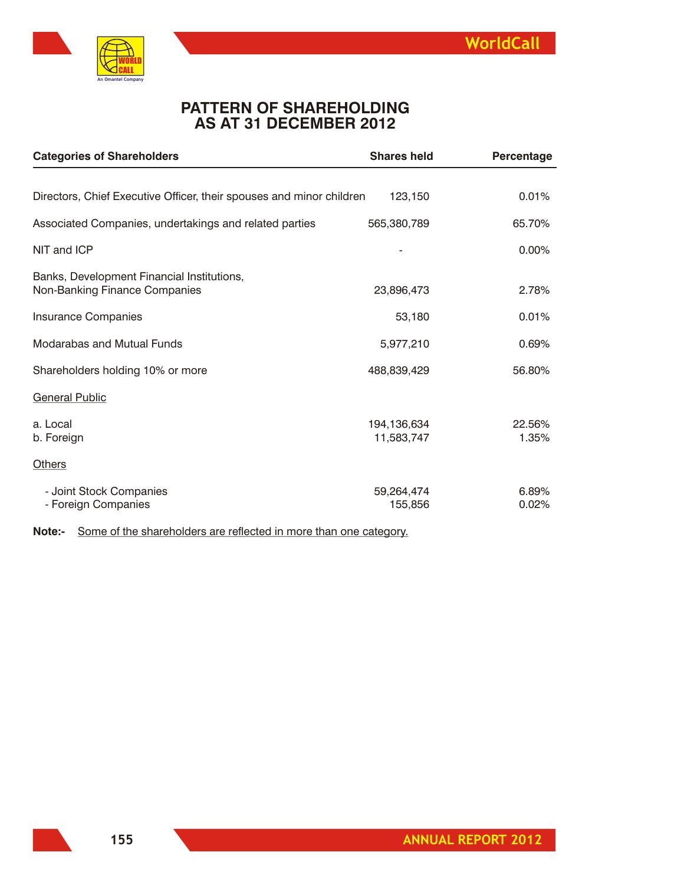

# **PATTERN OF SHAREHOLDING AS AT 31 DECEMBER 2012**

| <b>Categories of Shareholders</b>                                    | <b>Shares held</b> | Percentage |
|----------------------------------------------------------------------|--------------------|------------|
|                                                                      |                    |            |
| Directors, Chief Executive Officer, their spouses and minor children | 123,150            | 0.01%      |
| Associated Companies, undertakings and related parties               | 565,380,789        | 65.70%     |
| NIT and ICP                                                          |                    | $0.00\%$   |
| Banks, Development Financial Institutions,                           |                    |            |
| Non-Banking Finance Companies                                        | 23,896,473         | 2.78%      |
| <b>Insurance Companies</b>                                           | 53,180             | 0.01%      |
| Modarabas and Mutual Funds                                           | 5,977,210          | 0.69%      |
| Shareholders holding 10% or more                                     | 488,839,429        | 56.80%     |
| <b>General Public</b>                                                |                    |            |
| a. Local                                                             | 194,136,634        | 22.56%     |
| b. Foreign                                                           | 11,583,747         | 1.35%      |
| <b>Others</b>                                                        |                    |            |
| - Joint Stock Companies                                              | 59,264,474         | 6.89%      |
| - Foreign Companies                                                  | 155,856            | 0.02%      |

**Note:-** Some of the shareholders are reflected in more than one category.

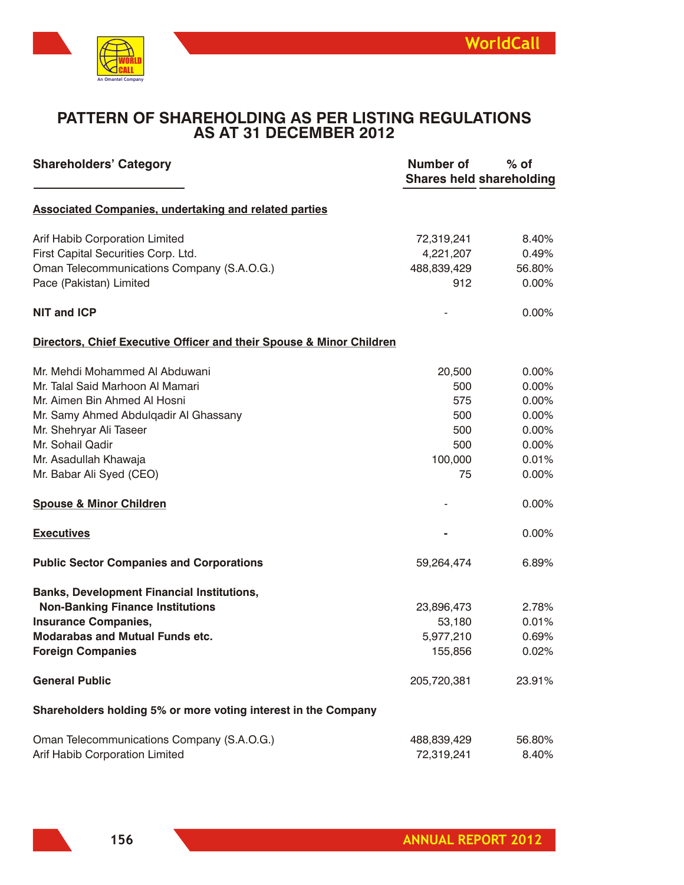

## **PATTERN OF SHAREHOLDING AS PER LISTING REGULATIONS AS AT 31 DECEMBER 2012**

| <b>Shareholders' Category</b>                                        | <b>Number of</b> | $%$ of<br><b>Shares held shareholding</b> |
|----------------------------------------------------------------------|------------------|-------------------------------------------|
| <b>Associated Companies, undertaking and related parties</b>         |                  |                                           |
| Arif Habib Corporation Limited                                       | 72,319,241       | 8.40%                                     |
| First Capital Securities Corp. Ltd.                                  | 4,221,207        | 0.49%                                     |
| Oman Telecommunications Company (S.A.O.G.)                           | 488,839,429      | 56.80%                                    |
| Pace (Pakistan) Limited                                              | 912              | 0.00%                                     |
| <b>NIT and ICP</b>                                                   |                  | 0.00%                                     |
| Directors, Chief Executive Officer and their Spouse & Minor Children |                  |                                           |
| Mr. Mehdi Mohammed Al Abduwani                                       | 20,500           | 0.00%                                     |
| Mr. Talal Said Marhoon Al Mamari                                     | 500              | 0.00%                                     |
| Mr. Aimen Bin Ahmed Al Hosni                                         | 575              | 0.00%                                     |
| Mr. Samy Ahmed Abdulgadir Al Ghassany                                | 500              | 0.00%                                     |
| Mr. Shehryar Ali Taseer                                              | 500              | 0.00%                                     |
| Mr. Sohail Qadir                                                     | 500              | 0.00%                                     |
| Mr. Asadullah Khawaja                                                | 100,000          | 0.01%                                     |
| Mr. Babar Ali Syed (CEO)                                             | 75               | 0.00%                                     |
| <b>Spouse &amp; Minor Children</b>                                   |                  | 0.00%                                     |
| <b>Executives</b>                                                    |                  | 0.00%                                     |
| <b>Public Sector Companies and Corporations</b>                      | 59,264,474       | 6.89%                                     |
| <b>Banks, Development Financial Institutions,</b>                    |                  |                                           |
| <b>Non-Banking Finance Institutions</b>                              | 23,896,473       | 2.78%                                     |
| <b>Insurance Companies,</b>                                          | 53,180           | 0.01%                                     |
| <b>Modarabas and Mutual Funds etc.</b>                               | 5,977,210        | 0.69%                                     |
| <b>Foreign Companies</b>                                             | 155,856          | 0.02%                                     |
| <b>General Public</b>                                                | 205,720,381      | 23.91%                                    |
| Shareholders holding 5% or more voting interest in the Company       |                  |                                           |
| Oman Telecommunications Company (S.A.O.G.)                           | 488,839,429      | 56.80%                                    |
| Arif Habib Corporation Limited                                       | 72,319,241       | 8.40%                                     |

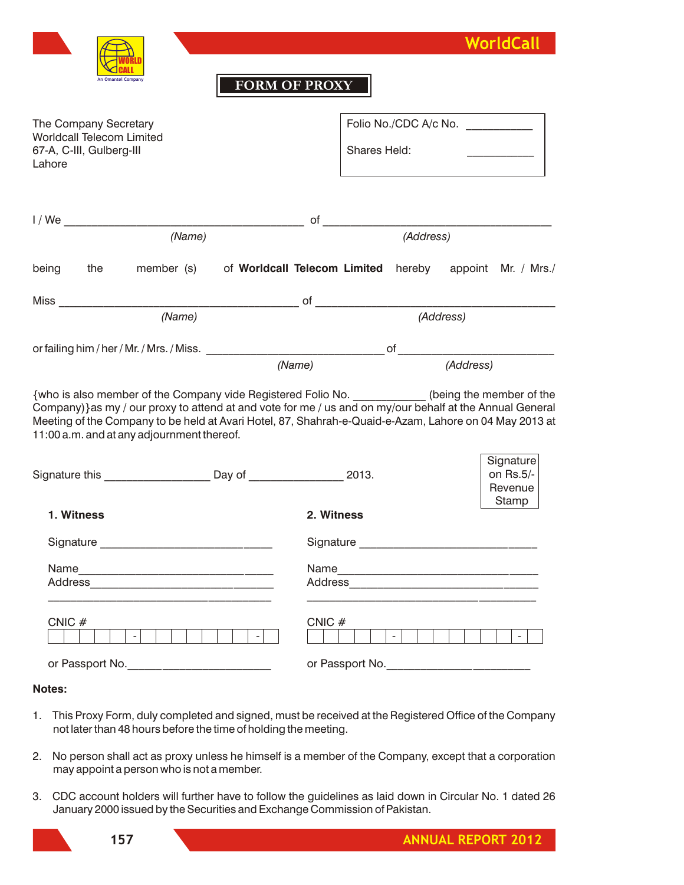

# **WorldCall**

## **FORM OF PROXY**

| The Company Secretary<br>67-A, C-III, Gulberg-III<br>Lahore |            | Worldcall Telecom Limited                                                                                                                                                                                                                                                                                                                                             |                                                                    |            | Shares Held: |              | Folio No./CDC A/c No.                                                                                                                                                                                                          | <u> Albanya (Albanya Albanya)</u>          |
|-------------------------------------------------------------|------------|-----------------------------------------------------------------------------------------------------------------------------------------------------------------------------------------------------------------------------------------------------------------------------------------------------------------------------------------------------------------------|--------------------------------------------------------------------|------------|--------------|--------------|--------------------------------------------------------------------------------------------------------------------------------------------------------------------------------------------------------------------------------|--------------------------------------------|
|                                                             |            | (Name)                                                                                                                                                                                                                                                                                                                                                                |                                                                    |            |              | (Address)    |                                                                                                                                                                                                                                |                                            |
| being                                                       | the        |                                                                                                                                                                                                                                                                                                                                                                       | member (s) of Worldcall Telecom Limited hereby appoint Mr. / Mrs./ |            |              |              |                                                                                                                                                                                                                                |                                            |
|                                                             |            |                                                                                                                                                                                                                                                                                                                                                                       |                                                                    |            |              |              | (Address)                                                                                                                                                                                                                      |                                            |
|                                                             |            | (Name)                                                                                                                                                                                                                                                                                                                                                                |                                                                    |            |              |              |                                                                                                                                                                                                                                |                                            |
|                                                             |            |                                                                                                                                                                                                                                                                                                                                                                       |                                                                    |            |              |              |                                                                                                                                                                                                                                |                                            |
|                                                             |            |                                                                                                                                                                                                                                                                                                                                                                       |                                                                    | (Name)     |              |              | (Address)                                                                                                                                                                                                                      |                                            |
|                                                             |            | {who is also member of the Company vide Registered Folio No. ____________ (being the member of the<br>Company)}as my / our proxy to attend at and vote for me / us and on my/our behalf at the Annual General<br>Meeting of the Company to be held at Avari Hotel, 87, Shahrah-e-Quaid-e-Azam, Lahore on 04 May 2013 at<br>11:00 a.m. and at any adjournment thereof. |                                                                    |            |              |              |                                                                                                                                                                                                                                |                                            |
|                                                             |            | Signature this _______________________ Day of ____________________ 2013.                                                                                                                                                                                                                                                                                              |                                                                    |            |              |              |                                                                                                                                                                                                                                | Signature<br>on Rs.5/-<br>Revenue<br>Stamp |
|                                                             | 1. Witness |                                                                                                                                                                                                                                                                                                                                                                       |                                                                    | 2. Witness |              |              |                                                                                                                                                                                                                                |                                            |
|                                                             |            |                                                                                                                                                                                                                                                                                                                                                                       |                                                                    |            |              |              | Signature Signature Signature and the state of the state of the state of the state of the state of the state of the state of the state of the state of the state of the state of the state of the state of the state of the st |                                            |
|                                                             |            |                                                                                                                                                                                                                                                                                                                                                                       |                                                                    |            |              |              |                                                                                                                                                                                                                                |                                            |
| $CNIC$ #                                                    |            | $\overline{a}$                                                                                                                                                                                                                                                                                                                                                        | $\mathbb{L}^2$                                                     | CNIC $#$   |              | $\mathbf{r}$ |                                                                                                                                                                                                                                | $\sim$ 1                                   |
|                                                             |            | or Passport No.                                                                                                                                                                                                                                                                                                                                                       |                                                                    |            |              |              |                                                                                                                                                                                                                                |                                            |

### **Notes:**

- 1. This Proxy Form, duly completed and signed, must be received at the Registered Office of the Company not later than 48 hours before the time of holding the meeting.
- 2. No person shall act as proxy unless he himself is a member of the Company, except that a corporation may appoint a person who is not a member.
- 3. CDC account holders will further have to follow the guidelines as laid down in Circular No. 1 dated 26 January 2000 issued by the Securities and Exchange Commission of Pakistan.